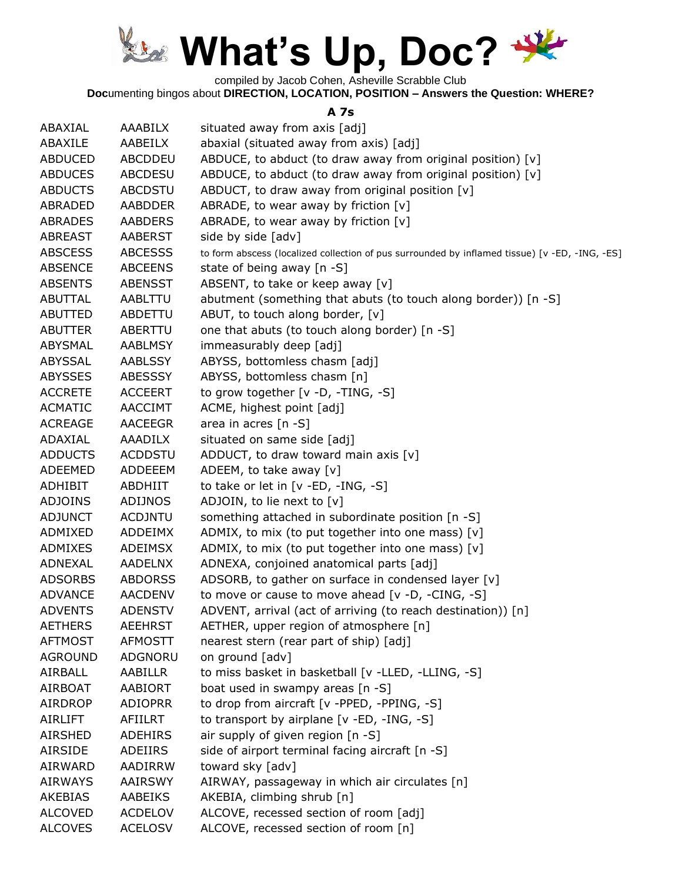

compiled by Jacob Cohen, Asheville Scrabble Club

**Doc**umenting bingos about **DIRECTION, LOCATION, POSITION – Answers the Question: WHERE?**

#### **A 7s**

| ABAXIAL        | AAABILX        | situated away from axis [adj]                                                                  |
|----------------|----------------|------------------------------------------------------------------------------------------------|
| ABAXILE        | AABEILX        | abaxial (situated away from axis) [adj]                                                        |
| <b>ABDUCED</b> | ABCDDEU        | ABDUCE, to abduct (to draw away from original position) [v]                                    |
| <b>ABDUCES</b> | <b>ABCDESU</b> | ABDUCE, to abduct (to draw away from original position) [v]                                    |
| <b>ABDUCTS</b> | <b>ABCDSTU</b> | ABDUCT, to draw away from original position [v]                                                |
|                |                |                                                                                                |
| <b>ABRADED</b> | <b>AABDDER</b> | ABRADE, to wear away by friction $[v]$                                                         |
| <b>ABRADES</b> | <b>AABDERS</b> | ABRADE, to wear away by friction $[v]$                                                         |
| <b>ABREAST</b> | <b>AABERST</b> | side by side [adv]                                                                             |
| <b>ABSCESS</b> | <b>ABCESSS</b> | to form abscess (localized collection of pus surrounded by inflamed tissue) [v -ED, -ING, -ES] |
| <b>ABSENCE</b> | <b>ABCEENS</b> | state of being away [n -S]                                                                     |
| <b>ABSENTS</b> | <b>ABENSST</b> | ABSENT, to take or keep away [v]                                                               |
| <b>ABUTTAL</b> | AABLTTU        | abutment (something that abuts (to touch along border)) [n -S]                                 |
| <b>ABUTTED</b> | ABDETTU        | ABUT, to touch along border, [v]                                                               |
| ABUTTER        | ABERTTU        | one that abuts (to touch along border) [n -S]                                                  |
| <b>ABYSMAL</b> | <b>AABLMSY</b> | immeasurably deep [adj]                                                                        |
| ABYSSAL        | <b>AABLSSY</b> | ABYSS, bottomless chasm [adj]                                                                  |
| <b>ABYSSES</b> | ABESSSY        | ABYSS, bottomless chasm [n]                                                                    |
| <b>ACCRETE</b> | <b>ACCEERT</b> | to grow together [v -D, -TING, -S]                                                             |
| <b>ACMATIC</b> | <b>AACCIMT</b> | ACME, highest point [adj]                                                                      |
| <b>ACREAGE</b> | <b>AACEEGR</b> | area in acres [n -S]                                                                           |
| ADAXIAL        | <b>AAADILX</b> | situated on same side [adj]                                                                    |
| <b>ADDUCTS</b> | <b>ACDDSTU</b> | ADDUCT, to draw toward main axis $[v]$                                                         |
| <b>ADEEMED</b> | ADDEEEM        | ADEEM, to take away [v]                                                                        |
| <b>ADHIBIT</b> | <b>ABDHIIT</b> | to take or let in [v -ED, -ING, -S]                                                            |
| <b>ADJOINS</b> | ADIJNOS        | ADJOIN, to lie next to [v]                                                                     |
| <b>ADJUNCT</b> | <b>ACDJNTU</b> | something attached in subordinate position [n -S]                                              |
| ADMIXED        | ADDEIMX        | ADMIX, to mix (to put together into one mass) [v]                                              |
| ADMIXES        | ADEIMSX        | ADMIX, to mix (to put together into one mass) [v]                                              |
| <b>ADNEXAL</b> | <b>AADELNX</b> | ADNEXA, conjoined anatomical parts [adj]                                                       |
| <b>ADSORBS</b> | <b>ABDORSS</b> | ADSORB, to gather on surface in condensed layer [v]                                            |
| <b>ADVANCE</b> | <b>AACDENV</b> | to move or cause to move ahead [v -D, -CING, -S]                                               |
| <b>ADVENTS</b> | <b>ADENSTV</b> | ADVENT, arrival (act of arriving (to reach destination)) [n]                                   |
| <b>AETHERS</b> | <b>AEEHRST</b> | AETHER, upper region of atmosphere [n]                                                         |
| <b>AFTMOST</b> | <b>AFMOSTT</b> | nearest stern (rear part of ship) [adj]                                                        |
| <b>AGROUND</b> | ADGNORU        | on ground [adv]                                                                                |
| AIRBALL        | AABILLR        | to miss basket in basketball [v -LLED, -LLING, -S]                                             |
| <b>AIRBOAT</b> | <b>AABIORT</b> | boat used in swampy areas [n -S]                                                               |
| <b>AIRDROP</b> | <b>ADIOPRR</b> | to drop from aircraft [v -PPED, -PPING, -S]                                                    |
| <b>AIRLIFT</b> | AFIILRT        | to transport by airplane [v -ED, -ING, -S]                                                     |
| <b>AIRSHED</b> | <b>ADEHIRS</b> | air supply of given region [n -S]                                                              |
| <b>AIRSIDE</b> | ADEIIRS        | side of airport terminal facing aircraft [n -S]                                                |
| <b>AIRWARD</b> | AADIRRW        | toward sky [adv]                                                                               |
| <b>AIRWAYS</b> | AAIRSWY        | AIRWAY, passageway in which air circulates [n]                                                 |
| <b>AKEBIAS</b> | AABEIKS        | AKEBIA, climbing shrub [n]                                                                     |
| <b>ALCOVED</b> | <b>ACDELOV</b> | ALCOVE, recessed section of room [adj]                                                         |
| <b>ALCOVES</b> | <b>ACELOSV</b> | ALCOVE, recessed section of room [n]                                                           |
|                |                |                                                                                                |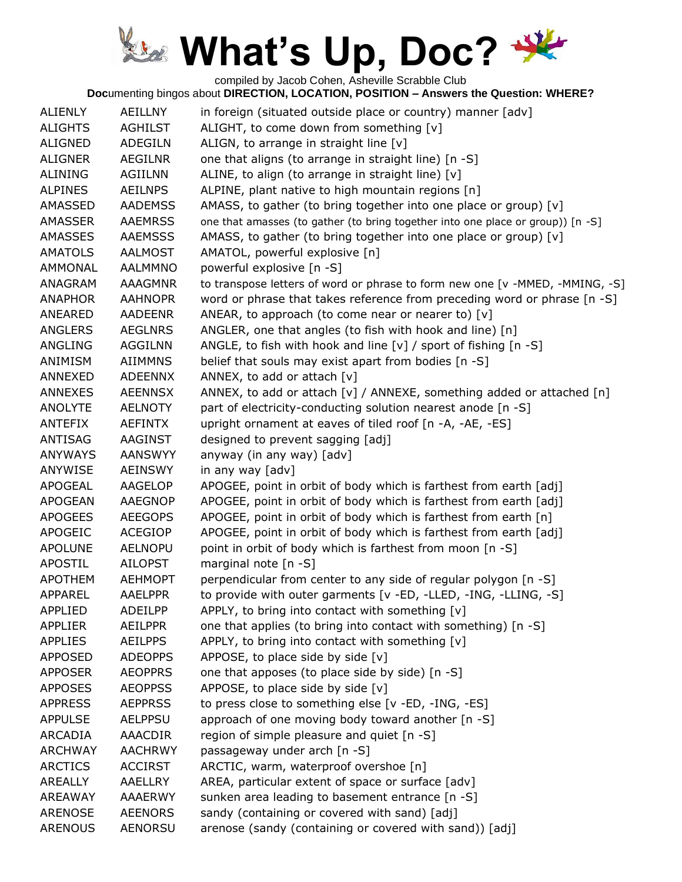compiled by Jacob Cohen, Asheville Scrabble Club

| <b>ALIENLY</b> | <b>AEILLNY</b> | in foreign (situated outside place or country) manner [adv]                     |
|----------------|----------------|---------------------------------------------------------------------------------|
| <b>ALIGHTS</b> | <b>AGHILST</b> | ALIGHT, to come down from something [v]                                         |
| <b>ALIGNED</b> | <b>ADEGILN</b> | ALIGN, to arrange in straight line [v]                                          |
| <b>ALIGNER</b> | <b>AEGILNR</b> | one that aligns (to arrange in straight line) [n -S]                            |
| <b>ALINING</b> | <b>AGIILNN</b> | ALINE, to align (to arrange in straight line) [v]                               |
| <b>ALPINES</b> | <b>AEILNPS</b> | ALPINE, plant native to high mountain regions [n]                               |
| AMASSED        | <b>AADEMSS</b> | AMASS, to gather (to bring together into one place or group) [v]                |
| <b>AMASSER</b> | <b>AAEMRSS</b> | one that amasses (to gather (to bring together into one place or group)) [n -S] |
| AMASSES        | <b>AAEMSSS</b> | AMASS, to gather (to bring together into one place or group) [v]                |
| <b>AMATOLS</b> | <b>AALMOST</b> | AMATOL, powerful explosive [n]                                                  |
| <b>AMMONAL</b> | <b>AALMMNO</b> | powerful explosive [n -S]                                                       |
| ANAGRAM        | <b>AAAGMNR</b> | to transpose letters of word or phrase to form new one [v -MMED, -MMING, -S]    |
| <b>ANAPHOR</b> | <b>AAHNOPR</b> | word or phrase that takes reference from preceding word or phrase [n -S]        |
| ANEARED        | <b>AADEENR</b> | ANEAR, to approach (to come near or nearer to) $[v]$                            |
| ANGLERS        | <b>AEGLNRS</b> | ANGLER, one that angles (to fish with hook and line) [n]                        |
| <b>ANGLING</b> | <b>AGGILNN</b> | ANGLE, to fish with hook and line $[v]$ / sport of fishing $[n - S]$            |
| ANIMISM        | <b>AIIMMNS</b> | belief that souls may exist apart from bodies [n -S]                            |
| ANNEXED        | <b>ADEENNX</b> | ANNEX, to add or attach [v]                                                     |
| <b>ANNEXES</b> | <b>AEENNSX</b> | ANNEX, to add or attach [v] / ANNEXE, something added or attached [n]           |
| <b>ANOLYTE</b> | <b>AELNOTY</b> | part of electricity-conducting solution nearest anode [n -S]                    |
| <b>ANTEFIX</b> | <b>AEFINTX</b> | upright ornament at eaves of tiled roof [n -A, -AE, -ES]                        |
| ANTISAG        | <b>AAGINST</b> | designed to prevent sagging [adj]                                               |
| <b>ANYWAYS</b> | <b>AANSWYY</b> | anyway (in any way) [adv]                                                       |
| ANYWISE        | <b>AEINSWY</b> | in any way [adv]                                                                |
| <b>APOGEAL</b> | AAGELOP        | APOGEE, point in orbit of body which is farthest from earth [adj]               |
| <b>APOGEAN</b> | <b>AAEGNOP</b> | APOGEE, point in orbit of body which is farthest from earth [adj]               |
| <b>APOGEES</b> | <b>AEEGOPS</b> | APOGEE, point in orbit of body which is farthest from earth [n]                 |
| <b>APOGEIC</b> | <b>ACEGIOP</b> | APOGEE, point in orbit of body which is farthest from earth [adj]               |
| <b>APOLUNE</b> | <b>AELNOPU</b> | point in orbit of body which is farthest from moon [n -S]                       |
| <b>APOSTIL</b> | <b>AILOPST</b> | marginal note $[n - S]$                                                         |
| <b>APOTHEM</b> | <b>AEHMOPT</b> | perpendicular from center to any side of regular polygon [n -S]                 |
| <b>APPAREL</b> | <b>AAELPPR</b> | to provide with outer garments [v -ED, -LLED, -ING, -LLING, -S]                 |
| <b>APPLIED</b> | ADEILPP        | APPLY, to bring into contact with something [v]                                 |
| <b>APPLIER</b> | AEILPPR        | one that applies (to bring into contact with something) [n -S]                  |
| <b>APPLIES</b> | <b>AEILPPS</b> | APPLY, to bring into contact with something [v]                                 |
| <b>APPOSED</b> | <b>ADEOPPS</b> | APPOSE, to place side by side [v]                                               |
| <b>APPOSER</b> | <b>AEOPPRS</b> | one that apposes (to place side by side) [n -S]                                 |
| <b>APPOSES</b> | <b>AEOPPSS</b> | APPOSE, to place side by side [v]                                               |
| <b>APPRESS</b> | <b>AEPPRSS</b> | to press close to something else [v -ED, -ING, -ES]                             |
| <b>APPULSE</b> | <b>AELPPSU</b> | approach of one moving body toward another [n -S]                               |
| ARCADIA        | AAACDIR        | region of simple pleasure and quiet [n -S]                                      |
| <b>ARCHWAY</b> | <b>AACHRWY</b> | passageway under arch [n -S]                                                    |
| <b>ARCTICS</b> | <b>ACCIRST</b> | ARCTIC, warm, waterproof overshoe [n]                                           |
| <b>AREALLY</b> | AAELLRY        | AREA, particular extent of space or surface [adv]                               |
| <b>AREAWAY</b> | <b>AAAERWY</b> | sunken area leading to basement entrance [n -S]                                 |
| <b>ARENOSE</b> | <b>AEENORS</b> | sandy (containing or covered with sand) [adj]                                   |
| <b>ARENOUS</b> | <b>AENORSU</b> | arenose (sandy (containing or covered with sand)) [adj]                         |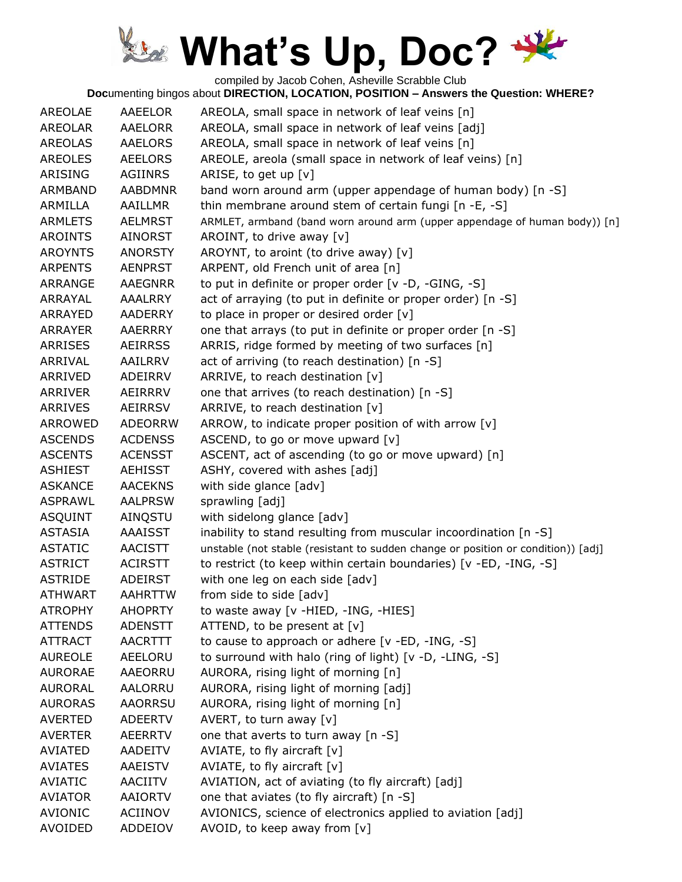compiled by Jacob Cohen, Asheville Scrabble Club

| <b>AREOLAE</b> | AAEELOR        | AREOLA, small space in network of leaf veins [n]                                  |
|----------------|----------------|-----------------------------------------------------------------------------------|
| <b>AREOLAR</b> | AAELORR        | AREOLA, small space in network of leaf veins [adj]                                |
| <b>AREOLAS</b> | <b>AAELORS</b> | AREOLA, small space in network of leaf veins [n]                                  |
| <b>AREOLES</b> | <b>AEELORS</b> | AREOLE, areola (small space in network of leaf veins) [n]                         |
| ARISING        | <b>AGIINRS</b> | ARISE, to get up [v]                                                              |
| <b>ARMBAND</b> | <b>AABDMNR</b> | band worn around arm (upper appendage of human body) [n -S]                       |
| ARMILLA        | AAILLMR        | thin membrane around stem of certain fungi [n -E, -S]                             |
| <b>ARMLETS</b> | <b>AELMRST</b> | ARMLET, armband (band worn around arm (upper appendage of human body)) [n]        |
| <b>AROINTS</b> | <b>AINORST</b> | AROINT, to drive away [v]                                                         |
| <b>AROYNTS</b> | <b>ANORSTY</b> | AROYNT, to aroint (to drive away) [v]                                             |
| <b>ARPENTS</b> | <b>AENPRST</b> | ARPENT, old French unit of area [n]                                               |
| ARRANGE        | <b>AAEGNRR</b> | to put in definite or proper order [v -D, -GING, -S]                              |
| ARRAYAL        | AAALRRY        | act of arraying (to put in definite or proper order) [n -S]                       |
| ARRAYED        | AADERRY        | to place in proper or desired order [v]                                           |
| <b>ARRAYER</b> | <b>AAERRRY</b> | one that arrays (to put in definite or proper order [n -S]                        |
| <b>ARRISES</b> | <b>AEIRRSS</b> | ARRIS, ridge formed by meeting of two surfaces [n]                                |
| ARRIVAL        | AAILRRV        | act of arriving (to reach destination) [n -S]                                     |
| ARRIVED        | ADEIRRV        | ARRIVE, to reach destination [v]                                                  |
| <b>ARRIVER</b> | AEIRRRV        | one that arrives (to reach destination) [n -S]                                    |
| <b>ARRIVES</b> | <b>AEIRRSV</b> | ARRIVE, to reach destination [v]                                                  |
| <b>ARROWED</b> | ADEORRW        | ARROW, to indicate proper position of with arrow [v]                              |
| <b>ASCENDS</b> | <b>ACDENSS</b> | ASCEND, to go or move upward [v]                                                  |
| <b>ASCENTS</b> | <b>ACENSST</b> | ASCENT, act of ascending (to go or move upward) [n]                               |
| <b>ASHIEST</b> | <b>AEHISST</b> | ASHY, covered with ashes [adj]                                                    |
| <b>ASKANCE</b> | <b>AACEKNS</b> | with side glance [adv]                                                            |
| <b>ASPRAWL</b> | <b>AALPRSW</b> | sprawling [adj]                                                                   |
| <b>ASQUINT</b> | AINQSTU        | with sidelong glance [adv]                                                        |
| <b>ASTASIA</b> | <b>AAAISST</b> | inability to stand resulting from muscular incoordination [n -S]                  |
| <b>ASTATIC</b> | <b>AACISTT</b> | unstable (not stable (resistant to sudden change or position or condition)) [adj] |
| <b>ASTRICT</b> | <b>ACIRSTT</b> | to restrict (to keep within certain boundaries) [v -ED, -ING, -S]                 |
| <b>ASTRIDE</b> | <b>ADEIRST</b> | with one leg on each side [adv]                                                   |
| <b>ATHWART</b> | <b>AAHRTTW</b> | from side to side [adv]                                                           |
| <b>ATROPHY</b> | <b>AHOPRTY</b> | to waste away [v -HIED, -ING, -HIES]                                              |
| <b>ATTENDS</b> | <b>ADENSTT</b> | ATTEND, to be present at $[v]$                                                    |
| <b>ATTRACT</b> | <b>AACRTTT</b> | to cause to approach or adhere [v -ED, -ING, -S]                                  |
| <b>AUREOLE</b> | AEELORU        | to surround with halo (ring of light) [v -D, -LING, -S]                           |
| <b>AURORAE</b> | AAEORRU        | AURORA, rising light of morning [n]                                               |
| <b>AURORAL</b> | AALORRU        | AURORA, rising light of morning [adj]                                             |
| <b>AURORAS</b> | <b>AAORRSU</b> | AURORA, rising light of morning [n]                                               |
| <b>AVERTED</b> | <b>ADEERTV</b> | AVERT, to turn away $[v]$                                                         |
| <b>AVERTER</b> | <b>AEERRTV</b> | one that averts to turn away [n -S]                                               |
| <b>AVIATED</b> | <b>AADEITV</b> | AVIATE, to fly aircraft $[v]$                                                     |
| <b>AVIATES</b> | <b>AAEISTV</b> | AVIATE, to fly aircraft $[v]$                                                     |
| <b>AVIATIC</b> | AACIITV        | AVIATION, act of aviating (to fly aircraft) [adj]                                 |
| <b>AVIATOR</b> | <b>AAIORTV</b> | one that aviates (to fly aircraft) [n -S]                                         |
| <b>AVIONIC</b> | <b>ACIINOV</b> | AVIONICS, science of electronics applied to aviation [adj]                        |
| <b>AVOIDED</b> | ADDEIOV        | AVOID, to keep away from [v]                                                      |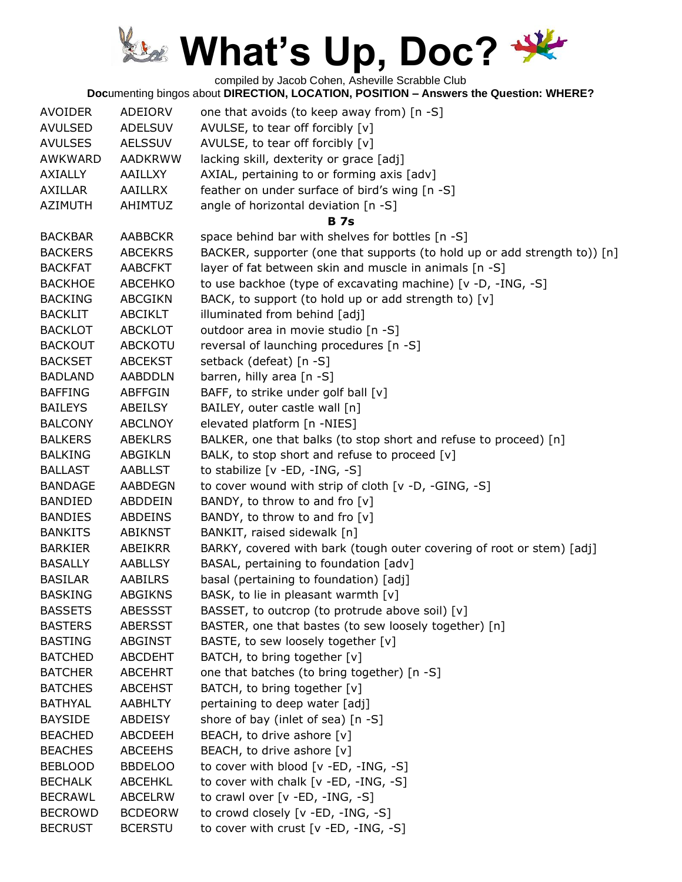compiled by Jacob Cohen, Asheville Scrabble Club

| <b>AVOIDER</b> | ADEIORV        | one that avoids (to keep away from) [n -S]                                |
|----------------|----------------|---------------------------------------------------------------------------|
| <b>AVULSED</b> | <b>ADELSUV</b> | AVULSE, to tear off forcibly [v]                                          |
| <b>AVULSES</b> | <b>AELSSUV</b> | AVULSE, to tear off forcibly [v]                                          |
| <b>AWKWARD</b> | <b>AADKRWW</b> | lacking skill, dexterity or grace [adj]                                   |
| <b>AXIALLY</b> | <b>AAILLXY</b> | AXIAL, pertaining to or forming axis [adv]                                |
| <b>AXILLAR</b> | <b>AAILLRX</b> | feather on under surface of bird's wing [n -S]                            |
| <b>AZIMUTH</b> | <b>AHIMTUZ</b> | angle of horizontal deviation [n -S]                                      |
|                |                | <b>B</b> 7s                                                               |
| <b>BACKBAR</b> | <b>AABBCKR</b> | space behind bar with shelves for bottles [n -S]                          |
| <b>BACKERS</b> | <b>ABCEKRS</b> | BACKER, supporter (one that supports (to hold up or add strength to)) [n] |
| <b>BACKFAT</b> | <b>AABCFKT</b> | layer of fat between skin and muscle in animals [n -S]                    |
| <b>BACKHOE</b> | <b>ABCEHKO</b> | to use backhoe (type of excavating machine) [v -D, -ING, -S]              |
| <b>BACKING</b> | <b>ABCGIKN</b> | BACK, to support (to hold up or add strength to) [v]                      |
| <b>BACKLIT</b> | <b>ABCIKLT</b> | illuminated from behind [adj]                                             |
| <b>BACKLOT</b> | <b>ABCKLOT</b> | outdoor area in movie studio [n -S]                                       |
| <b>BACKOUT</b> | <b>ABCKOTU</b> | reversal of launching procedures [n -S]                                   |
| <b>BACKSET</b> | <b>ABCEKST</b> | setback (defeat) [n -S]                                                   |
| <b>BADLAND</b> | <b>AABDDLN</b> | barren, hilly area [n -S]                                                 |
| <b>BAFFING</b> | <b>ABFFGIN</b> | BAFF, to strike under golf ball [v]                                       |
| <b>BAILEYS</b> | ABEILSY        | BAILEY, outer castle wall [n]                                             |
| <b>BALCONY</b> | <b>ABCLNOY</b> | elevated platform [n -NIES]                                               |
| <b>BALKERS</b> | <b>ABEKLRS</b> | BALKER, one that balks (to stop short and refuse to proceed) [n]          |
| <b>BALKING</b> | <b>ABGIKLN</b> | BALK, to stop short and refuse to proceed [v]                             |
| <b>BALLAST</b> | <b>AABLLST</b> | to stabilize [v -ED, -ING, -S]                                            |
| <b>BANDAGE</b> | <b>AABDEGN</b> | to cover wound with strip of cloth [v -D, -GING, -S]                      |
| <b>BANDIED</b> | ABDDEIN        | BANDY, to throw to and fro [v]                                            |
| <b>BANDIES</b> | <b>ABDEINS</b> | BANDY, to throw to and fro [v]                                            |
| <b>BANKITS</b> | <b>ABIKNST</b> | BANKIT, raised sidewalk [n]                                               |
| <b>BARKIER</b> | ABEIKRR        | BARKY, covered with bark (tough outer covering of root or stem) [adj]     |
| <b>BASALLY</b> | <b>AABLLSY</b> | BASAL, pertaining to foundation [adv]                                     |
| <b>BASILAR</b> | <b>AABILRS</b> | basal (pertaining to foundation) [adj]                                    |
| <b>BASKING</b> | <b>ABGIKNS</b> | BASK, to lie in pleasant warmth [v]                                       |
| <b>BASSETS</b> | <b>ABESSST</b> | BASSET, to outcrop (to protrude above soil) [v]                           |
| <b>BASTERS</b> | <b>ABERSST</b> | BASTER, one that bastes (to sew loosely together) [n]                     |
| <b>BASTING</b> | <b>ABGINST</b> | BASTE, to sew loosely together [v]                                        |
| <b>BATCHED</b> | <b>ABCDEHT</b> | BATCH, to bring together [v]                                              |
| <b>BATCHER</b> | <b>ABCEHRT</b> | one that batches (to bring together) [n -S]                               |
| <b>BATCHES</b> | <b>ABCEHST</b> | BATCH, to bring together [v]                                              |
| <b>BATHYAL</b> | <b>AABHLTY</b> | pertaining to deep water [adj]                                            |
| <b>BAYSIDE</b> | <b>ABDEISY</b> | shore of bay (inlet of sea) [n -S]                                        |
| <b>BEACHED</b> | <b>ABCDEEH</b> | BEACH, to drive ashore [v]                                                |
| <b>BEACHES</b> | <b>ABCEEHS</b> | BEACH, to drive ashore [v]                                                |
| <b>BEBLOOD</b> | <b>BBDELOO</b> | to cover with blood [v -ED, -ING, -S]                                     |
| <b>BECHALK</b> | ABCEHKL        | to cover with chalk [v -ED, -ING, -S]                                     |
| <b>BECRAWL</b> | <b>ABCELRW</b> | to crawl over [v -ED, -ING, -S]                                           |
| <b>BECROWD</b> | <b>BCDEORW</b> | to crowd closely [v -ED, -ING, -S]                                        |
| <b>BECRUST</b> | <b>BCERSTU</b> | to cover with crust [v -ED, -ING, -S]                                     |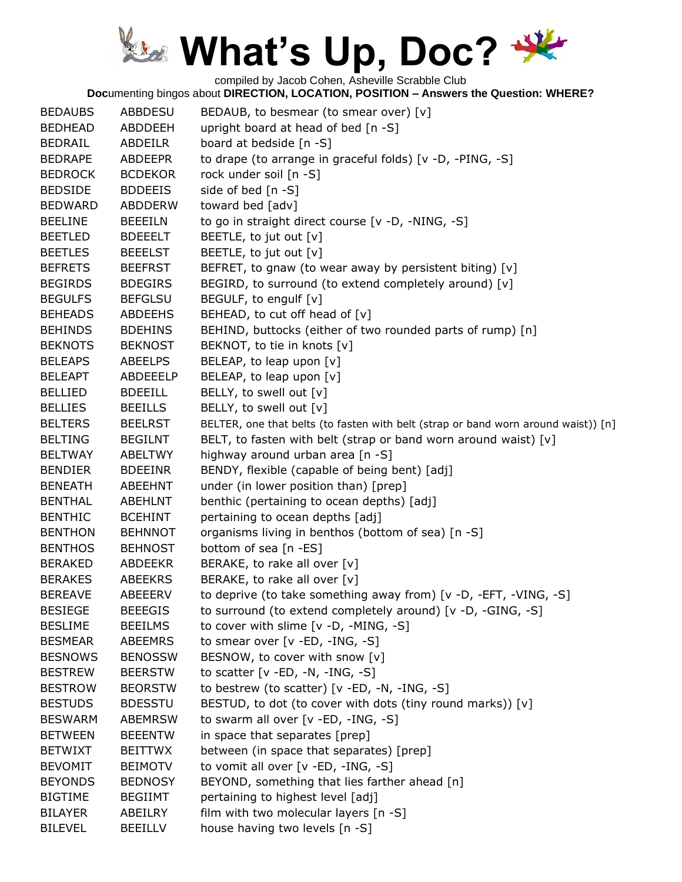compiled by Jacob Cohen, Asheville Scrabble Club

| <b>BEDAUBS</b> | ABBDESU        | BEDAUB, to besmear (to smear over) [v]                                             |
|----------------|----------------|------------------------------------------------------------------------------------|
| <b>BEDHEAD</b> | ABDDEEH        | upright board at head of bed [n -S]                                                |
| <b>BEDRAIL</b> | ABDEILR        | board at bedside [n -S]                                                            |
| <b>BEDRAPE</b> | ABDEEPR        | to drape (to arrange in graceful folds) [v -D, -PING, -S]                          |
| <b>BEDROCK</b> | <b>BCDEKOR</b> | rock under soil [n -S]                                                             |
| <b>BEDSIDE</b> | <b>BDDEEIS</b> | side of bed [n -S]                                                                 |
| <b>BEDWARD</b> | ABDDERW        | toward bed [adv]                                                                   |
| <b>BEELINE</b> | <b>BEEEILN</b> | to go in straight direct course [v -D, -NING, -S]                                  |
| <b>BEETLED</b> | <b>BDEEELT</b> | BEETLE, to jut out [v]                                                             |
| <b>BEETLES</b> | <b>BEEELST</b> | BEETLE, to jut out [v]                                                             |
| <b>BEFRETS</b> | <b>BEEFRST</b> | BEFRET, to gnaw (to wear away by persistent biting) [v]                            |
| <b>BEGIRDS</b> | <b>BDEGIRS</b> | BEGIRD, to surround (to extend completely around) [v]                              |
| <b>BEGULFS</b> | <b>BEFGLSU</b> | BEGULF, to engulf [v]                                                              |
| <b>BEHEADS</b> | <b>ABDEEHS</b> | BEHEAD, to cut off head of [v]                                                     |
| <b>BEHINDS</b> | <b>BDEHINS</b> | BEHIND, buttocks (either of two rounded parts of rump) [n]                         |
| <b>BEKNOTS</b> | <b>BEKNOST</b> | BEKNOT, to tie in knots [v]                                                        |
| <b>BELEAPS</b> | <b>ABEELPS</b> | BELEAP, to leap upon [v]                                                           |
| <b>BELEAPT</b> | ABDEEELP       | BELEAP, to leap upon $[v]$                                                         |
| <b>BELLIED</b> | <b>BDEEILL</b> | BELLY, to swell out [v]                                                            |
| <b>BELLIES</b> | <b>BEEILLS</b> | BELLY, to swell out [v]                                                            |
| <b>BELTERS</b> | <b>BEELRST</b> | BELTER, one that belts (to fasten with belt (strap or band worn around waist)) [n] |
| <b>BELTING</b> | <b>BEGILNT</b> | BELT, to fasten with belt (strap or band worn around waist) [v]                    |
| <b>BELTWAY</b> | ABELTWY        | highway around urban area [n -S]                                                   |
| <b>BENDIER</b> | <b>BDEEINR</b> | BENDY, flexible (capable of being bent) [adj]                                      |
| <b>BENEATH</b> | ABEEHNT        | under (in lower position than) [prep]                                              |
| <b>BENTHAL</b> | <b>ABEHLNT</b> | benthic (pertaining to ocean depths) [adj]                                         |
| <b>BENTHIC</b> | <b>BCEHINT</b> | pertaining to ocean depths [adj]                                                   |
| <b>BENTHON</b> | <b>BEHNNOT</b> | organisms living in benthos (bottom of sea) [n -S]                                 |
| <b>BENTHOS</b> | <b>BEHNOST</b> | bottom of sea [n -ES]                                                              |
| <b>BERAKED</b> | <b>ABDEEKR</b> | BERAKE, to rake all over [v]                                                       |
| <b>BERAKES</b> | <b>ABEEKRS</b> | BERAKE, to rake all over [v]                                                       |
| <b>BEREAVE</b> | <b>ABEEERV</b> | to deprive (to take something away from) [v -D, -EFT, -VING, -S]                   |
| <b>BESIEGE</b> | <b>BEEEGIS</b> | to surround (to extend completely around) [v -D, -GING, -S]                        |
| <b>BESLIME</b> | <b>BEEILMS</b> | to cover with slime [v -D, -MING, -S]                                              |
| <b>BESMEAR</b> | <b>ABEEMRS</b> | to smear over [v -ED, -ING, -S]                                                    |
| <b>BESNOWS</b> | <b>BENOSSW</b> | BESNOW, to cover with snow [v]                                                     |
| <b>BESTREW</b> | <b>BEERSTW</b> | to scatter $[v - ED, -N, -ING, -S]$                                                |
| <b>BESTROW</b> | <b>BEORSTW</b> | to bestrew (to scatter) [v -ED, -N, -ING, -S]                                      |
| <b>BESTUDS</b> | <b>BDESSTU</b> | BESTUD, to dot (to cover with dots (tiny round marks)) [v]                         |
| <b>BESWARM</b> | <b>ABEMRSW</b> | to swarm all over [v -ED, -ING, -S]                                                |
| <b>BETWEEN</b> | <b>BEEENTW</b> | in space that separates [prep]                                                     |
| <b>BETWIXT</b> | <b>BEITTWX</b> | between (in space that separates) [prep]                                           |
| <b>BEVOMIT</b> | <b>BEIMOTV</b> | to vomit all over [v -ED, -ING, -S]                                                |
| <b>BEYONDS</b> | <b>BEDNOSY</b> | BEYOND, something that lies farther ahead [n]                                      |
| <b>BIGTIME</b> | <b>BEGIIMT</b> | pertaining to highest level [adj]                                                  |
| <b>BILAYER</b> | ABEILRY        | film with two molecular layers [n -S]                                              |
| <b>BILEVEL</b> | <b>BEEILLV</b> | house having two levels [n -S]                                                     |
|                |                |                                                                                    |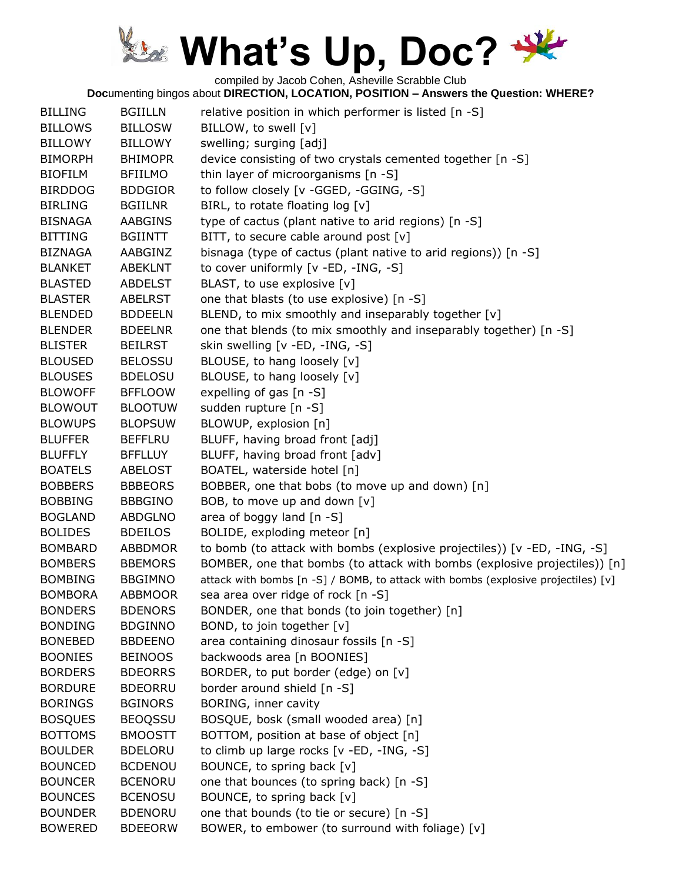compiled by Jacob Cohen, Asheville Scrabble Club

| <b>BILLING</b> | <b>BGIILLN</b> | relative position in which performer is listed [n -S]                             |
|----------------|----------------|-----------------------------------------------------------------------------------|
| <b>BILLOWS</b> | <b>BILLOSW</b> | BILLOW, to swell [v]                                                              |
| <b>BILLOWY</b> | <b>BILLOWY</b> | swelling; surging [adj]                                                           |
| <b>BIMORPH</b> | <b>BHIMOPR</b> | device consisting of two crystals cemented together [n -S]                        |
| <b>BIOFILM</b> | <b>BFIILMO</b> | thin layer of microorganisms [n -S]                                               |
| <b>BIRDDOG</b> | <b>BDDGIOR</b> | to follow closely [v -GGED, -GGING, -S]                                           |
| <b>BIRLING</b> | <b>BGIILNR</b> | BIRL, to rotate floating log [v]                                                  |
| <b>BISNAGA</b> | <b>AABGINS</b> | type of cactus (plant native to arid regions) [n -S]                              |
| <b>BITTING</b> | <b>BGIINTT</b> | BITT, to secure cable around post $[v]$                                           |
| <b>BIZNAGA</b> | AABGINZ        | bisnaga (type of cactus (plant native to arid regions)) [n -S]                    |
| <b>BLANKET</b> | <b>ABEKLNT</b> | to cover uniformly [v -ED, -ING, -S]                                              |
| <b>BLASTED</b> | <b>ABDELST</b> | BLAST, to use explosive [v]                                                       |
| <b>BLASTER</b> | <b>ABELRST</b> | one that blasts (to use explosive) [n -S]                                         |
| <b>BLENDED</b> | <b>BDDEELN</b> | BLEND, to mix smoothly and inseparably together [v]                               |
| <b>BLENDER</b> | <b>BDEELNR</b> | one that blends (to mix smoothly and inseparably together) [n -S]                 |
| <b>BLISTER</b> | <b>BEILRST</b> | skin swelling [v -ED, -ING, -S]                                                   |
| <b>BLOUSED</b> | <b>BELOSSU</b> | BLOUSE, to hang loosely [v]                                                       |
| <b>BLOUSES</b> | <b>BDELOSU</b> | BLOUSE, to hang loosely [v]                                                       |
| <b>BLOWOFF</b> | <b>BFFLOOW</b> | expelling of gas [n -S]                                                           |
| <b>BLOWOUT</b> | <b>BLOOTUW</b> | sudden rupture [n -S]                                                             |
| <b>BLOWUPS</b> | <b>BLOPSUW</b> | BLOWUP, explosion [n]                                                             |
| <b>BLUFFER</b> | <b>BEFFLRU</b> | BLUFF, having broad front [adj]                                                   |
| <b>BLUFFLY</b> | <b>BFFLLUY</b> | BLUFF, having broad front [adv]                                                   |
| <b>BOATELS</b> | <b>ABELOST</b> | BOATEL, waterside hotel [n]                                                       |
| <b>BOBBERS</b> | <b>BBBEORS</b> | BOBBER, one that bobs (to move up and down) [n]                                   |
| <b>BOBBING</b> | <b>BBBGINO</b> | BOB, to move up and down [v]                                                      |
| <b>BOGLAND</b> | <b>ABDGLNO</b> | area of boggy land $[n - S]$                                                      |
| <b>BOLIDES</b> | <b>BDEILOS</b> | BOLIDE, exploding meteor [n]                                                      |
| <b>BOMBARD</b> | <b>ABBDMOR</b> | to bomb (to attack with bombs (explosive projectiles)) [v -ED, -ING, -S]          |
| <b>BOMBERS</b> | <b>BBEMORS</b> | BOMBER, one that bombs (to attack with bombs (explosive projectiles)) [n]         |
| <b>BOMBING</b> | <b>BBGIMNO</b> | attack with bombs [n -S] / BOMB, to attack with bombs (explosive projectiles) [v] |
| <b>BOMBORA</b> | <b>ABBMOOR</b> | sea area over ridge of rock [n -S]                                                |
| <b>BONDERS</b> | <b>BDENORS</b> | BONDER, one that bonds (to join together) [n]                                     |
| <b>BONDING</b> | <b>BDGINNO</b> | BOND, to join together [v]                                                        |
| <b>BONEBED</b> | <b>BBDEENO</b> | area containing dinosaur fossils [n -S]                                           |
| <b>BOONIES</b> | <b>BEINOOS</b> | backwoods area [n BOONIES]                                                        |
| <b>BORDERS</b> | <b>BDEORRS</b> | BORDER, to put border (edge) on [v]                                               |
| <b>BORDURE</b> | <b>BDEORRU</b> | border around shield [n -S]                                                       |
| <b>BORINGS</b> | <b>BGINORS</b> | BORING, inner cavity                                                              |
| <b>BOSQUES</b> | <b>BEOQSSU</b> | BOSQUE, bosk (small wooded area) [n]                                              |
| <b>BOTTOMS</b> | <b>BMOOSTT</b> | BOTTOM, position at base of object [n]                                            |
| <b>BOULDER</b> | <b>BDELORU</b> | to climb up large rocks [v -ED, -ING, -S]                                         |
| <b>BOUNCED</b> | <b>BCDENOU</b> | BOUNCE, to spring back [v]                                                        |
| <b>BOUNCER</b> | <b>BCENORU</b> | one that bounces (to spring back) [n -S]                                          |
| <b>BOUNCES</b> | <b>BCENOSU</b> | BOUNCE, to spring back [v]                                                        |
| <b>BOUNDER</b> | <b>BDENORU</b> | one that bounds (to tie or secure) [n -S]                                         |
| <b>BOWERED</b> | <b>BDEEORW</b> | BOWER, to embower (to surround with foliage) [v]                                  |
|                |                |                                                                                   |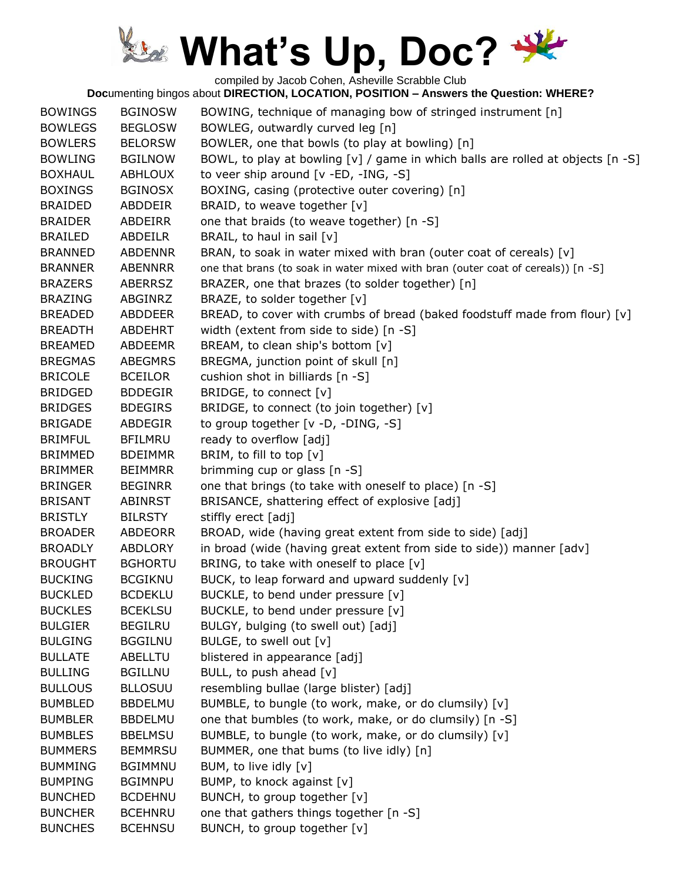compiled by Jacob Cohen, Asheville Scrabble Club

| <b>BOWINGS</b> | <b>BGINOSW</b> | BOWING, technique of managing bow of stringed instrument [n]                        |
|----------------|----------------|-------------------------------------------------------------------------------------|
| <b>BOWLEGS</b> | <b>BEGLOSW</b> | BOWLEG, outwardly curved leg [n]                                                    |
| <b>BOWLERS</b> | <b>BELORSW</b> | BOWLER, one that bowls (to play at bowling) [n]                                     |
| <b>BOWLING</b> | <b>BGILNOW</b> | BOWL, to play at bowling $[v]$ / game in which balls are rolled at objects $[n -S]$ |
| <b>BOXHAUL</b> | <b>ABHLOUX</b> | to veer ship around [v -ED, -ING, -S]                                               |
| <b>BOXINGS</b> | <b>BGINOSX</b> | BOXING, casing (protective outer covering) [n]                                      |
| <b>BRAIDED</b> | ABDDEIR        | BRAID, to weave together [v]                                                        |
| <b>BRAIDER</b> | ABDEIRR        | one that braids (to weave together) [n -S]                                          |
| <b>BRAILED</b> | <b>ABDEILR</b> | BRAIL, to haul in sail [v]                                                          |
| <b>BRANNED</b> | <b>ABDENNR</b> | BRAN, to soak in water mixed with bran (outer coat of cereals) [v]                  |
| <b>BRANNER</b> | <b>ABENNRR</b> | one that brans (to soak in water mixed with bran (outer coat of cereals)) [n -S]    |
| <b>BRAZERS</b> | <b>ABERRSZ</b> | BRAZER, one that brazes (to solder together) [n]                                    |
| <b>BRAZING</b> | ABGINRZ        | BRAZE, to solder together [v]                                                       |
| <b>BREADED</b> | ABDDEER        | BREAD, to cover with crumbs of bread (baked foodstuff made from flour) [v]          |
| <b>BREADTH</b> | <b>ABDEHRT</b> | width (extent from side to side) [n -S]                                             |
| <b>BREAMED</b> | <b>ABDEEMR</b> | BREAM, to clean ship's bottom [v]                                                   |
| <b>BREGMAS</b> | <b>ABEGMRS</b> | BREGMA, junction point of skull [n]                                                 |
| <b>BRICOLE</b> | <b>BCEILOR</b> | cushion shot in billiards [n -S]                                                    |
| <b>BRIDGED</b> | <b>BDDEGIR</b> | BRIDGE, to connect [v]                                                              |
| <b>BRIDGES</b> | <b>BDEGIRS</b> | BRIDGE, to connect (to join together) [v]                                           |
| <b>BRIGADE</b> | ABDEGIR        | to group together [v -D, -DING, -S]                                                 |
| <b>BRIMFUL</b> | <b>BFILMRU</b> | ready to overflow [adj]                                                             |
| <b>BRIMMED</b> | <b>BDEIMMR</b> | BRIM, to fill to top [v]                                                            |
| <b>BRIMMER</b> | <b>BEIMMRR</b> | brimming cup or glass [n -S]                                                        |
| <b>BRINGER</b> | <b>BEGINRR</b> | one that brings (to take with oneself to place) [n -S]                              |
| <b>BRISANT</b> | ABINRST        | BRISANCE, shattering effect of explosive [adj]                                      |
| <b>BRISTLY</b> | <b>BILRSTY</b> | stiffly erect [adj]                                                                 |
| <b>BROADER</b> | <b>ABDEORR</b> | BROAD, wide (having great extent from side to side) [adj]                           |
| <b>BROADLY</b> | <b>ABDLORY</b> | in broad (wide (having great extent from side to side)) manner [adv]                |
| <b>BROUGHT</b> | <b>BGHORTU</b> | BRING, to take with oneself to place [v]                                            |
| <b>BUCKING</b> | <b>BCGIKNU</b> | BUCK, to leap forward and upward suddenly [v]                                       |
| <b>BUCKLED</b> | <b>BCDEKLU</b> | BUCKLE, to bend under pressure [v]                                                  |
| <b>BUCKLES</b> | <b>BCEKLSU</b> | BUCKLE, to bend under pressure [v]                                                  |
| <b>BULGIER</b> | <b>BEGILRU</b> | BULGY, bulging (to swell out) [adj]                                                 |
| <b>BULGING</b> | <b>BGGILNU</b> | BULGE, to swell out [v]                                                             |
| <b>BULLATE</b> | ABELLTU        | blistered in appearance [adj]                                                       |
| <b>BULLING</b> | <b>BGILLNU</b> | BULL, to push ahead $[v]$                                                           |
| <b>BULLOUS</b> | <b>BLLOSUU</b> | resembling bullae (large blister) [adj]                                             |
| <b>BUMBLED</b> | <b>BBDELMU</b> | BUMBLE, to bungle (to work, make, or do clumsily) [v]                               |
| <b>BUMBLER</b> | <b>BBDELMU</b> | one that bumbles (to work, make, or do clumsily) [n -S]                             |
| <b>BUMBLES</b> | <b>BBELMSU</b> | BUMBLE, to bungle (to work, make, or do clumsily) [v]                               |
| <b>BUMMERS</b> | <b>BEMMRSU</b> | BUMMER, one that bums (to live idly) [n]                                            |
| <b>BUMMING</b> | <b>BGIMMNU</b> | BUM, to live idly [v]                                                               |
| <b>BUMPING</b> | <b>BGIMNPU</b> | BUMP, to knock against [v]                                                          |
| <b>BUNCHED</b> | <b>BCDEHNU</b> | BUNCH, to group together [v]                                                        |
| <b>BUNCHER</b> | <b>BCEHNRU</b> | one that gathers things together [n -S]                                             |
| <b>BUNCHES</b> | <b>BCEHNSU</b> | BUNCH, to group together [v]                                                        |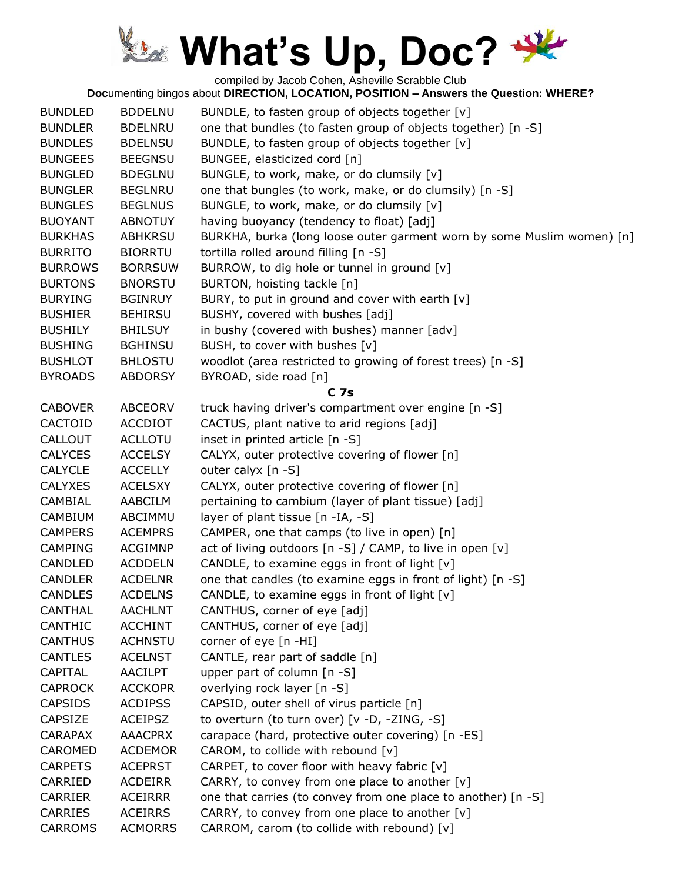compiled by Jacob Cohen, Asheville Scrabble Club

| <b>BUNDLED</b><br><b>BUNDLER</b><br><b>BUNDLES</b><br><b>BUNGEES</b><br><b>BUNGLED</b><br><b>BUNGLER</b><br><b>BUNGLES</b><br><b>BUOYANT</b><br><b>BURKHAS</b><br><b>BURRITO</b> | <b>BDDELNU</b><br><b>BDELNRU</b><br><b>BDELNSU</b><br><b>BEEGNSU</b><br><b>BDEGLNU</b><br><b>BEGLNRU</b><br><b>BEGLNUS</b><br><b>ABNOTUY</b><br><b>ABHKRSU</b><br><b>BIORRTU</b> | BUNDLE, to fasten group of objects together [v]<br>one that bundles (to fasten group of objects together) [n -S]<br>BUNDLE, to fasten group of objects together [v]<br>BUNGEE, elasticized cord [n]<br>BUNGLE, to work, make, or do clumsily [v]<br>one that bungles (to work, make, or do clumsily) [n -S]<br>BUNGLE, to work, make, or do clumsily [v]<br>having buoyancy (tendency to float) [adj]<br>BURKHA, burka (long loose outer garment worn by some Muslim women) [n]<br>tortilla rolled around filling [n -S] |
|----------------------------------------------------------------------------------------------------------------------------------------------------------------------------------|----------------------------------------------------------------------------------------------------------------------------------------------------------------------------------|--------------------------------------------------------------------------------------------------------------------------------------------------------------------------------------------------------------------------------------------------------------------------------------------------------------------------------------------------------------------------------------------------------------------------------------------------------------------------------------------------------------------------|
| <b>BURROWS</b><br><b>BURTONS</b>                                                                                                                                                 | <b>BORRSUW</b><br><b>BNORSTU</b>                                                                                                                                                 | BURROW, to dig hole or tunnel in ground [v]<br>BURTON, hoisting tackle [n]                                                                                                                                                                                                                                                                                                                                                                                                                                               |
| <b>BURYING</b>                                                                                                                                                                   | <b>BGINRUY</b>                                                                                                                                                                   | BURY, to put in ground and cover with earth [v]                                                                                                                                                                                                                                                                                                                                                                                                                                                                          |
| <b>BUSHIER</b>                                                                                                                                                                   | <b>BEHIRSU</b>                                                                                                                                                                   | BUSHY, covered with bushes [adj]                                                                                                                                                                                                                                                                                                                                                                                                                                                                                         |
| <b>BUSHILY</b>                                                                                                                                                                   | <b>BHILSUY</b>                                                                                                                                                                   | in bushy (covered with bushes) manner [adv]                                                                                                                                                                                                                                                                                                                                                                                                                                                                              |
| <b>BUSHING</b>                                                                                                                                                                   | <b>BGHINSU</b>                                                                                                                                                                   | BUSH, to cover with bushes [v]                                                                                                                                                                                                                                                                                                                                                                                                                                                                                           |
| <b>BUSHLOT</b>                                                                                                                                                                   | <b>BHLOSTU</b>                                                                                                                                                                   | woodlot (area restricted to growing of forest trees) [n -S]                                                                                                                                                                                                                                                                                                                                                                                                                                                              |
| <b>BYROADS</b>                                                                                                                                                                   | <b>ABDORSY</b>                                                                                                                                                                   | BYROAD, side road [n]                                                                                                                                                                                                                                                                                                                                                                                                                                                                                                    |
|                                                                                                                                                                                  |                                                                                                                                                                                  | C <sub>7s</sub>                                                                                                                                                                                                                                                                                                                                                                                                                                                                                                          |
| <b>CABOVER</b>                                                                                                                                                                   | <b>ABCEORV</b>                                                                                                                                                                   | truck having driver's compartment over engine [n -S]                                                                                                                                                                                                                                                                                                                                                                                                                                                                     |
| CACTOID                                                                                                                                                                          | <b>ACCDIOT</b>                                                                                                                                                                   | CACTUS, plant native to arid regions [adj]                                                                                                                                                                                                                                                                                                                                                                                                                                                                               |
| CALLOUT                                                                                                                                                                          | <b>ACLLOTU</b>                                                                                                                                                                   | inset in printed article [n -S]                                                                                                                                                                                                                                                                                                                                                                                                                                                                                          |
| <b>CALYCES</b>                                                                                                                                                                   | <b>ACCELSY</b>                                                                                                                                                                   | CALYX, outer protective covering of flower [n]                                                                                                                                                                                                                                                                                                                                                                                                                                                                           |
| <b>CALYCLE</b>                                                                                                                                                                   | <b>ACCELLY</b>                                                                                                                                                                   | outer calyx $[n -S]$                                                                                                                                                                                                                                                                                                                                                                                                                                                                                                     |
| <b>CALYXES</b>                                                                                                                                                                   | <b>ACELSXY</b>                                                                                                                                                                   | CALYX, outer protective covering of flower [n]                                                                                                                                                                                                                                                                                                                                                                                                                                                                           |
| CAMBIAL                                                                                                                                                                          | AABCILM                                                                                                                                                                          | pertaining to cambium (layer of plant tissue) [adj]                                                                                                                                                                                                                                                                                                                                                                                                                                                                      |
| CAMBIUM                                                                                                                                                                          | ABCIMMU                                                                                                                                                                          | layer of plant tissue [n -IA, -S]                                                                                                                                                                                                                                                                                                                                                                                                                                                                                        |
| <b>CAMPERS</b>                                                                                                                                                                   | <b>ACEMPRS</b>                                                                                                                                                                   | CAMPER, one that camps (to live in open) [n]                                                                                                                                                                                                                                                                                                                                                                                                                                                                             |
| <b>CAMPING</b>                                                                                                                                                                   | <b>ACGIMNP</b>                                                                                                                                                                   | act of living outdoors [n -S] / CAMP, to live in open [v]                                                                                                                                                                                                                                                                                                                                                                                                                                                                |
| <b>CANDLED</b>                                                                                                                                                                   | <b>ACDDELN</b>                                                                                                                                                                   | CANDLE, to examine eggs in front of light [v]                                                                                                                                                                                                                                                                                                                                                                                                                                                                            |
| <b>CANDLER</b>                                                                                                                                                                   | <b>ACDELNR</b>                                                                                                                                                                   | one that candles (to examine eggs in front of light) [n -S]                                                                                                                                                                                                                                                                                                                                                                                                                                                              |
| <b>CANDLES</b>                                                                                                                                                                   | <b>ACDELNS</b>                                                                                                                                                                   | CANDLE, to examine eggs in front of light $[v]$                                                                                                                                                                                                                                                                                                                                                                                                                                                                          |
| <b>CANTHAL</b>                                                                                                                                                                   | <b>AACHLNT</b>                                                                                                                                                                   | CANTHUS, corner of eye [adj]                                                                                                                                                                                                                                                                                                                                                                                                                                                                                             |
| <b>CANTHIC</b>                                                                                                                                                                   | <b>ACCHINT</b>                                                                                                                                                                   | CANTHUS, corner of eye [adj]                                                                                                                                                                                                                                                                                                                                                                                                                                                                                             |
| <b>CANTHUS</b>                                                                                                                                                                   | <b>ACHNSTU</b>                                                                                                                                                                   | corner of eye [n -HI]                                                                                                                                                                                                                                                                                                                                                                                                                                                                                                    |
| <b>CANTLES</b>                                                                                                                                                                   | <b>ACELNST</b>                                                                                                                                                                   | CANTLE, rear part of saddle [n]                                                                                                                                                                                                                                                                                                                                                                                                                                                                                          |
| CAPITAL                                                                                                                                                                          | <b>AACILPT</b>                                                                                                                                                                   | upper part of column [n -S]                                                                                                                                                                                                                                                                                                                                                                                                                                                                                              |
| <b>CAPROCK</b>                                                                                                                                                                   | <b>ACCKOPR</b>                                                                                                                                                                   | overlying rock layer [n -S]                                                                                                                                                                                                                                                                                                                                                                                                                                                                                              |
| <b>CAPSIDS</b>                                                                                                                                                                   | <b>ACDIPSS</b>                                                                                                                                                                   | CAPSID, outer shell of virus particle [n]                                                                                                                                                                                                                                                                                                                                                                                                                                                                                |
| <b>CAPSIZE</b>                                                                                                                                                                   | <b>ACEIPSZ</b>                                                                                                                                                                   | to overturn (to turn over) [v -D, -ZING, -S]                                                                                                                                                                                                                                                                                                                                                                                                                                                                             |
| <b>CARAPAX</b>                                                                                                                                                                   | <b>AAACPRX</b>                                                                                                                                                                   | carapace (hard, protective outer covering) [n -ES]                                                                                                                                                                                                                                                                                                                                                                                                                                                                       |
| CAROMED                                                                                                                                                                          | <b>ACDEMOR</b>                                                                                                                                                                   | CAROM, to collide with rebound $[v]$                                                                                                                                                                                                                                                                                                                                                                                                                                                                                     |
| <b>CARPETS</b>                                                                                                                                                                   | <b>ACEPRST</b>                                                                                                                                                                   | CARPET, to cover floor with heavy fabric [v]                                                                                                                                                                                                                                                                                                                                                                                                                                                                             |
| CARRIED                                                                                                                                                                          | <b>ACDEIRR</b>                                                                                                                                                                   | CARRY, to convey from one place to another $[v]$                                                                                                                                                                                                                                                                                                                                                                                                                                                                         |
| <b>CARRIER</b>                                                                                                                                                                   | <b>ACEIRRR</b>                                                                                                                                                                   | one that carries (to convey from one place to another) [n -S]                                                                                                                                                                                                                                                                                                                                                                                                                                                            |
| <b>CARRIES</b>                                                                                                                                                                   | <b>ACEIRRS</b>                                                                                                                                                                   | CARRY, to convey from one place to another [v]                                                                                                                                                                                                                                                                                                                                                                                                                                                                           |
| <b>CARROMS</b>                                                                                                                                                                   | <b>ACMORRS</b>                                                                                                                                                                   | CARROM, carom (to collide with rebound) [v]                                                                                                                                                                                                                                                                                                                                                                                                                                                                              |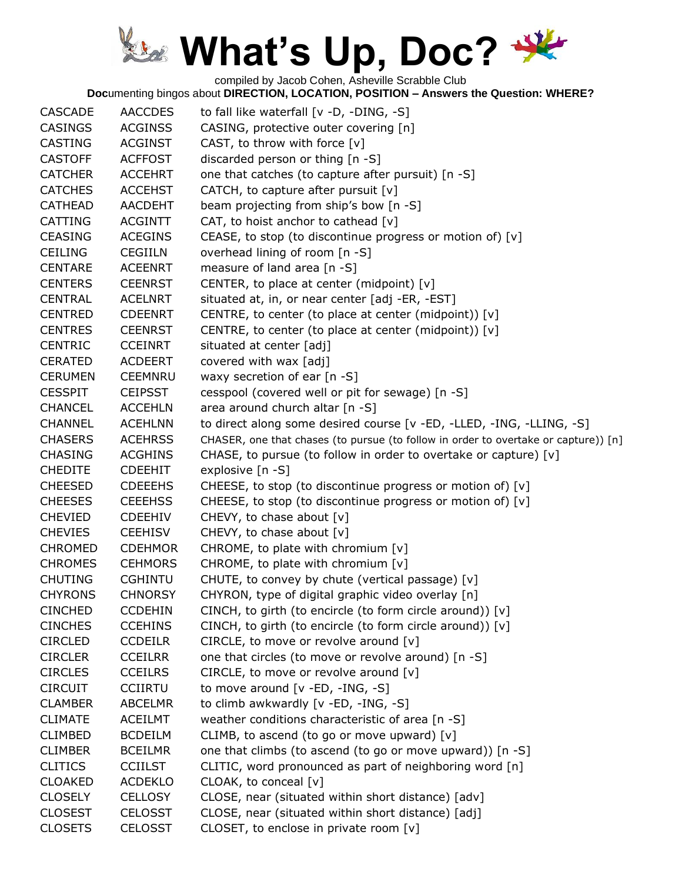compiled by Jacob Cohen, Asheville Scrabble Club

| <b>CASCADE</b> | <b>AACCDES</b> | to fall like waterfall [v -D, -DING, -S]                                            |
|----------------|----------------|-------------------------------------------------------------------------------------|
| <b>CASINGS</b> | <b>ACGINSS</b> | CASING, protective outer covering [n]                                               |
| <b>CASTING</b> | <b>ACGINST</b> | CAST, to throw with force $[v]$                                                     |
| <b>CASTOFF</b> | <b>ACFFOST</b> | discarded person or thing [n -S]                                                    |
| <b>CATCHER</b> | <b>ACCEHRT</b> | one that catches (to capture after pursuit) [n -S]                                  |
| <b>CATCHES</b> | <b>ACCEHST</b> | CATCH, to capture after pursuit $[v]$                                               |
| <b>CATHEAD</b> | <b>AACDEHT</b> | beam projecting from ship's bow [n -S]                                              |
| <b>CATTING</b> | <b>ACGINTT</b> | CAT, to hoist anchor to cathead $[v]$                                               |
| <b>CEASING</b> | <b>ACEGINS</b> | CEASE, to stop (to discontinue progress or motion of) [v]                           |
| <b>CEILING</b> | <b>CEGIILN</b> | overhead lining of room [n -S]                                                      |
| <b>CENTARE</b> | <b>ACEENRT</b> | measure of land area [n -S]                                                         |
| <b>CENTERS</b> | <b>CEENRST</b> | CENTER, to place at center (midpoint) [v]                                           |
| <b>CENTRAL</b> | <b>ACELNRT</b> | situated at, in, or near center [adj -ER, -EST]                                     |
| <b>CENTRED</b> | <b>CDEENRT</b> | CENTRE, to center (to place at center (midpoint)) [v]                               |
| <b>CENTRES</b> | <b>CEENRST</b> | CENTRE, to center (to place at center (midpoint)) [v]                               |
| <b>CENTRIC</b> | <b>CCEINRT</b> | situated at center [adj]                                                            |
| <b>CERATED</b> | <b>ACDEERT</b> | covered with wax [adj]                                                              |
| <b>CERUMEN</b> | <b>CEEMNRU</b> | waxy secretion of ear $[n -S]$                                                      |
| <b>CESSPIT</b> | <b>CEIPSST</b> | cesspool (covered well or pit for sewage) [n -S]                                    |
| <b>CHANCEL</b> | <b>ACCEHLN</b> | area around church altar [n -S]                                                     |
| <b>CHANNEL</b> | <b>ACEHLNN</b> | to direct along some desired course [v -ED, -LLED, -ING, -LLING, -S]                |
| <b>CHASERS</b> | <b>ACEHRSS</b> | CHASER, one that chases (to pursue (to follow in order to overtake or capture)) [n] |
| <b>CHASING</b> | <b>ACGHINS</b> | CHASE, to pursue (to follow in order to overtake or capture) [v]                    |
| <b>CHEDITE</b> | <b>CDEEHIT</b> | explosive [n -S]                                                                    |
| <b>CHEESED</b> | <b>CDEEEHS</b> | CHEESE, to stop (to discontinue progress or motion of) [v]                          |
| <b>CHEESES</b> | <b>CEEEHSS</b> | CHEESE, to stop (to discontinue progress or motion of) [v]                          |
| <b>CHEVIED</b> | <b>CDEEHIV</b> | CHEVY, to chase about $[v]$                                                         |
| <b>CHEVIES</b> | <b>CEEHISV</b> | CHEVY, to chase about [v]                                                           |
| <b>CHROMED</b> | <b>CDEHMOR</b> | CHROME, to plate with chromium [v]                                                  |
| <b>CHROMES</b> | <b>CEHMORS</b> | CHROME, to plate with chromium [v]                                                  |
| <b>CHUTING</b> | <b>CGHINTU</b> | CHUTE, to convey by chute (vertical passage) [v]                                    |
| <b>CHYRONS</b> | <b>CHNORSY</b> | CHYRON, type of digital graphic video overlay [n]                                   |
| <b>CINCHED</b> | <b>CCDEHIN</b> | CINCH, to girth (to encircle (to form circle around)) [v]                           |
| <b>CINCHES</b> | <b>CCEHINS</b> | CINCH, to girth (to encircle (to form circle around)) [v]                           |
| <b>CIRCLED</b> | <b>CCDEILR</b> | CIRCLE, to move or revolve around [v]                                               |
| <b>CIRCLER</b> | <b>CCEILRR</b> | one that circles (to move or revolve around) [n -S]                                 |
| <b>CIRCLES</b> | <b>CCEILRS</b> | CIRCLE, to move or revolve around $[v]$                                             |
| <b>CIRCUIT</b> | <b>CCIIRTU</b> | to move around $[v - ED, -ING, -S]$                                                 |
| <b>CLAMBER</b> | <b>ABCELMR</b> | to climb awkwardly [v -ED, -ING, -S]                                                |
| <b>CLIMATE</b> | <b>ACEILMT</b> | weather conditions characteristic of area [n -S]                                    |
| <b>CLIMBED</b> | <b>BCDEILM</b> | CLIMB, to ascend (to go or move upward) [v]                                         |
| <b>CLIMBER</b> | <b>BCEILMR</b> | one that climbs (to ascend (to go or move upward)) [n -S]                           |
| <b>CLITICS</b> | <b>CCIILST</b> | CLITIC, word pronounced as part of neighboring word [n]                             |
| <b>CLOAKED</b> | <b>ACDEKLO</b> | CLOAK, to conceal [v]                                                               |
| <b>CLOSELY</b> | <b>CELLOSY</b> | CLOSE, near (situated within short distance) [adv]                                  |
| <b>CLOSEST</b> | <b>CELOSST</b> | CLOSE, near (situated within short distance) [adj]                                  |
| <b>CLOSETS</b> | <b>CELOSST</b> | CLOSET, to enclose in private room [v]                                              |
|                |                |                                                                                     |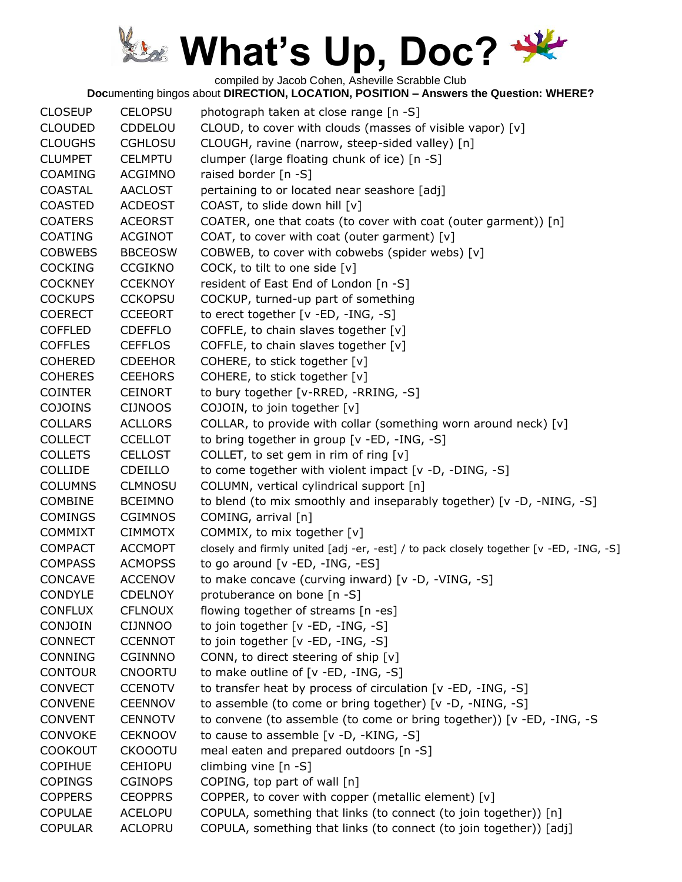compiled by Jacob Cohen, Asheville Scrabble Club

| <b>CLOSEUP</b> | <b>CELOPSU</b> | photograph taken at close range [n -S]                                                 |
|----------------|----------------|----------------------------------------------------------------------------------------|
| <b>CLOUDED</b> | CDDELOU        | CLOUD, to cover with clouds (masses of visible vapor) [v]                              |
| <b>CLOUGHS</b> | <b>CGHLOSU</b> | CLOUGH, ravine (narrow, steep-sided valley) [n]                                        |
| <b>CLUMPET</b> | <b>CELMPTU</b> | clumper (large floating chunk of ice) [n -S]                                           |
| <b>COAMING</b> | <b>ACGIMNO</b> | raised border [n -S]                                                                   |
| <b>COASTAL</b> | <b>AACLOST</b> | pertaining to or located near seashore [adj]                                           |
| <b>COASTED</b> | <b>ACDEOST</b> | COAST, to slide down hill [v]                                                          |
| <b>COATERS</b> | <b>ACEORST</b> | COATER, one that coats (to cover with coat (outer garment)) [n]                        |
| <b>COATING</b> | <b>ACGINOT</b> | COAT, to cover with coat (outer garment) [v]                                           |
| <b>COBWEBS</b> | <b>BBCEOSW</b> | COBWEB, to cover with cobwebs (spider webs) [v]                                        |
| <b>COCKING</b> | <b>CCGIKNO</b> | COCK, to tilt to one side [v]                                                          |
| <b>COCKNEY</b> | <b>CCEKNOY</b> | resident of East End of London [n -S]                                                  |
| <b>COCKUPS</b> | <b>CCKOPSU</b> | COCKUP, turned-up part of something                                                    |
| <b>COERECT</b> | <b>CCEEORT</b> | to erect together [v -ED, -ING, -S]                                                    |
| <b>COFFLED</b> | <b>CDEFFLO</b> | COFFLE, to chain slaves together [v]                                                   |
| <b>COFFLES</b> | <b>CEFFLOS</b> | COFFLE, to chain slaves together [v]                                                   |
| <b>COHERED</b> | <b>CDEEHOR</b> | COHERE, to stick together [v]                                                          |
| <b>COHERES</b> | <b>CEEHORS</b> | COHERE, to stick together [v]                                                          |
| <b>COINTER</b> | <b>CEINORT</b> | to bury together [v-RRED, -RRING, -S]                                                  |
| <b>COJOINS</b> | <b>CIJNOOS</b> | COJOIN, to join together [v]                                                           |
| <b>COLLARS</b> | <b>ACLLORS</b> | COLLAR, to provide with collar (something worn around neck) [v]                        |
| <b>COLLECT</b> | <b>CCELLOT</b> | to bring together in group [v -ED, -ING, -S]                                           |
| <b>COLLETS</b> | <b>CELLOST</b> | COLLET, to set gem in rim of ring [v]                                                  |
| <b>COLLIDE</b> | <b>CDEILLO</b> | to come together with violent impact [v -D, -DING, -S]                                 |
| <b>COLUMNS</b> | <b>CLMNOSU</b> | COLUMN, vertical cylindrical support [n]                                               |
| COMBINE        | <b>BCEIMNO</b> | to blend (to mix smoothly and inseparably together) [v -D, -NING, -S]                  |
| <b>COMINGS</b> | <b>CGIMNOS</b> | COMING, arrival [n]                                                                    |
| <b>COMMIXT</b> | <b>CIMMOTX</b> | COMMIX, to mix together [v]                                                            |
| <b>COMPACT</b> | <b>ACCMOPT</b> | closely and firmly united [adj -er, -est] / to pack closely together [v -ED, -ING, -S] |
| <b>COMPASS</b> | <b>ACMOPSS</b> | to go around [v -ED, -ING, -ES]                                                        |
| CONCAVE        | <b>ACCENOV</b> | to make concave (curving inward) [v -D, -VING, -S]                                     |
| <b>CONDYLE</b> | <b>CDELNOY</b> | protuberance on bone [n -S]                                                            |
| <b>CONFLUX</b> | <b>CFLNOUX</b> | flowing together of streams [n -es]                                                    |
| CONJOIN        | CIJNNOO        | to join together [v -ED, -ING, -S]                                                     |
| <b>CONNECT</b> | <b>CCENNOT</b> | to join together [v -ED, -ING, -S]                                                     |
| <b>CONNING</b> | <b>CGINNNO</b> | CONN, to direct steering of ship [v]                                                   |
| <b>CONTOUR</b> | <b>CNOORTU</b> | to make outline of $[v - ED, -ING, -S]$                                                |
| <b>CONVECT</b> | <b>CCENOTV</b> | to transfer heat by process of circulation [v -ED, -ING, -S]                           |
| <b>CONVENE</b> | <b>CEENNOV</b> | to assemble (to come or bring together) [v -D, -NING, -S]                              |
| <b>CONVENT</b> | <b>CENNOTV</b> | to convene (to assemble (to come or bring together)) [v -ED, -ING, -S                  |
| <b>CONVOKE</b> | <b>CEKNOOV</b> | to cause to assemble [v -D, -KING, -S]                                                 |
| <b>COOKOUT</b> | <b>CKOOOTU</b> | meal eaten and prepared outdoors [n -S]                                                |
| <b>COPIHUE</b> | <b>CEHIOPU</b> | climbing vine $[n - S]$                                                                |
| <b>COPINGS</b> | <b>CGINOPS</b> | COPING, top part of wall [n]                                                           |
| <b>COPPERS</b> | <b>CEOPPRS</b> | COPPER, to cover with copper (metallic element) [v]                                    |
| <b>COPULAE</b> | <b>ACELOPU</b> | COPULA, something that links (to connect (to join together)) [n]                       |
| <b>COPULAR</b> | <b>ACLOPRU</b> | COPULA, something that links (to connect (to join together)) [adj]                     |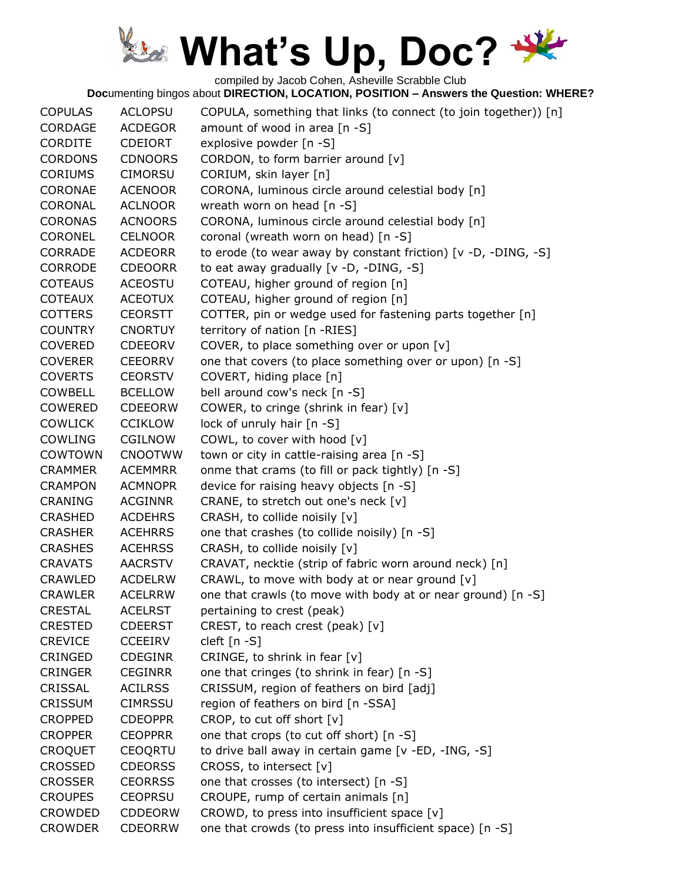compiled by Jacob Cohen, Asheville Scrabble Club

| <b>COPULAS</b> | <b>ACLOPSU</b> | COPULA, something that links (to connect (to join together)) [n] |
|----------------|----------------|------------------------------------------------------------------|
| <b>CORDAGE</b> | <b>ACDEGOR</b> | amount of wood in area [n -S]                                    |
| <b>CORDITE</b> | <b>CDEIORT</b> | explosive powder [n -S]                                          |
| <b>CORDONS</b> | <b>CDNOORS</b> | CORDON, to form barrier around [v]                               |
| <b>CORIUMS</b> | <b>CIMORSU</b> | CORIUM, skin layer [n]                                           |
| CORONAE        | <b>ACENOOR</b> | CORONA, luminous circle around celestial body [n]                |
| CORONAL        | <b>ACLNOOR</b> | wreath worn on head [n -S]                                       |
| <b>CORONAS</b> | <b>ACNOORS</b> | CORONA, luminous circle around celestial body [n]                |
| <b>CORONEL</b> | <b>CELNOOR</b> | coronal (wreath worn on head) [n -S]                             |
| <b>CORRADE</b> | <b>ACDEORR</b> | to erode (to wear away by constant friction) [v -D, -DING, -S]   |
| <b>CORRODE</b> | <b>CDEOORR</b> | to eat away gradually [v -D, -DING, -S]                          |
| <b>COTEAUS</b> | <b>ACEOSTU</b> | COTEAU, higher ground of region [n]                              |
| <b>COTEAUX</b> | <b>ACEOTUX</b> | COTEAU, higher ground of region [n]                              |
| <b>COTTERS</b> | <b>CEORSTT</b> | COTTER, pin or wedge used for fastening parts together [n]       |
| <b>COUNTRY</b> | <b>CNORTUY</b> | territory of nation [n -RIES]                                    |
| <b>COVERED</b> | <b>CDEEORV</b> | COVER, to place something over or upon [v]                       |
| <b>COVERER</b> | <b>CEEORRV</b> | one that covers (to place something over or upon) [n -S]         |
| <b>COVERTS</b> | <b>CEORSTV</b> | COVERT, hiding place [n]                                         |
| <b>COWBELL</b> | <b>BCELLOW</b> | bell around cow's neck [n -S]                                    |
| <b>COWERED</b> | <b>CDEEORW</b> | COWER, to cringe (shrink in fear) [v]                            |
| <b>COWLICK</b> | <b>CCIKLOW</b> | lock of unruly hair [n -S]                                       |
| COWLING        | <b>CGILNOW</b> | COWL, to cover with hood [v]                                     |
| <b>COWTOWN</b> | <b>CNOOTWW</b> | town or city in cattle-raising area [n -S]                       |
| <b>CRAMMER</b> | <b>ACEMMRR</b> | onme that crams (to fill or pack tightly) [n -S]                 |
| <b>CRAMPON</b> | <b>ACMNOPR</b> | device for raising heavy objects [n -S]                          |
| <b>CRANING</b> | <b>ACGINNR</b> | CRANE, to stretch out one's neck [v]                             |
| <b>CRASHED</b> | <b>ACDEHRS</b> | CRASH, to collide noisily [v]                                    |
| <b>CRASHER</b> | <b>ACEHRRS</b> | one that crashes (to collide noisily) [n -S]                     |
| <b>CRASHES</b> | <b>ACEHRSS</b> | CRASH, to collide noisily [v]                                    |
| <b>CRAVATS</b> | <b>AACRSTV</b> | CRAVAT, necktie (strip of fabric worn around neck) [n]           |
| <b>CRAWLED</b> | <b>ACDELRW</b> | CRAWL, to move with body at or near ground [v]                   |
| <b>CRAWLER</b> | <b>ACELRRW</b> | one that crawls (to move with body at or near ground) [n -S]     |
| <b>CRESTAL</b> | <b>ACELRST</b> | pertaining to crest (peak)                                       |
| <b>CRESTED</b> | <b>CDEERST</b> | CREST, to reach crest (peak) [v]                                 |
| <b>CREVICE</b> | <b>CCEEIRV</b> | cleft [n -S]                                                     |
| CRINGED        | <b>CDEGINR</b> | CRINGE, to shrink in fear [v]                                    |
| <b>CRINGER</b> | <b>CEGINRR</b> | one that cringes (to shrink in fear) [n -S]                      |
| CRISSAL        | <b>ACILRSS</b> | CRISSUM, region of feathers on bird [adj]                        |
| <b>CRISSUM</b> | <b>CIMRSSU</b> | region of feathers on bird [n -SSA]                              |
| <b>CROPPED</b> | <b>CDEOPPR</b> | CROP, to cut off short [v]                                       |
| <b>CROPPER</b> | <b>CEOPPRR</b> | one that crops (to cut off short) [n -S]                         |
| <b>CROQUET</b> | <b>CEOQRTU</b> | to drive ball away in certain game [v -ED, -ING, -S]             |
| <b>CROSSED</b> | <b>CDEORSS</b> | CROSS, to intersect [v]                                          |
| <b>CROSSER</b> | <b>CEORRSS</b> | one that crosses (to intersect) [n -S]                           |
| <b>CROUPES</b> | <b>CEOPRSU</b> | CROUPE, rump of certain animals [n]                              |
| CROWDED        | <b>CDDEORW</b> | CROWD, to press into insufficient space [v]                      |
| <b>CROWDER</b> | <b>CDEORRW</b> | one that crowds (to press into insufficient space) [n -S]        |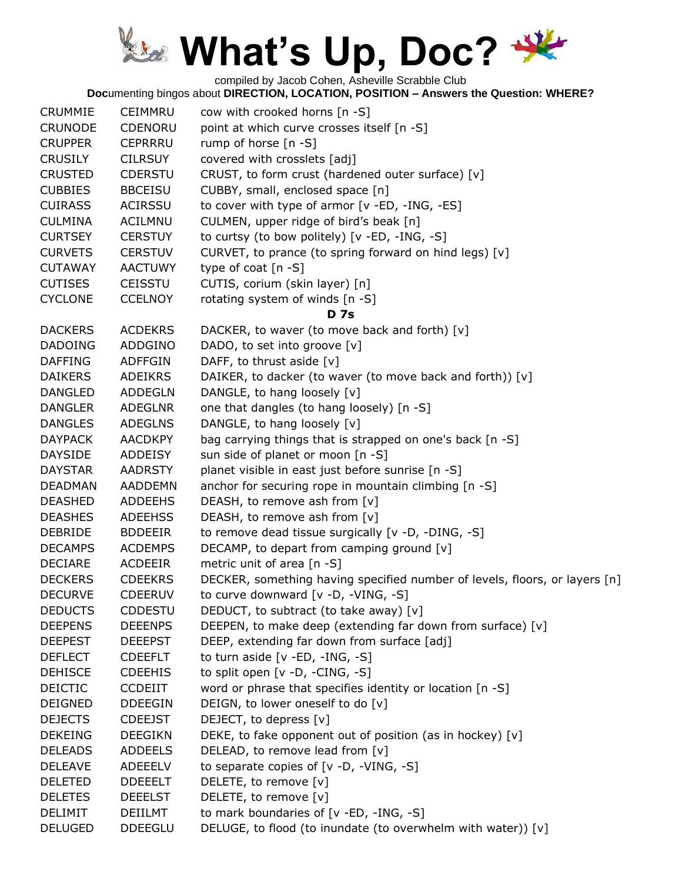

compiled by Jacob Cohen, Asheville Scrabble Club

| <b>CRUMMIE</b> | CEIMMRU        | cow with crooked horns [n -S]                                              |
|----------------|----------------|----------------------------------------------------------------------------|
| <b>CRUNODE</b> | CDENORU        | point at which curve crosses itself [n -S]                                 |
| <b>CRUPPER</b> | <b>CEPRRRU</b> | rump of horse $[n -S]$                                                     |
| <b>CRUSILY</b> | <b>CILRSUY</b> | covered with crosslets [adj]                                               |
| <b>CRUSTED</b> | <b>CDERSTU</b> | CRUST, to form crust (hardened outer surface) [v]                          |
| <b>CUBBIES</b> | <b>BBCEISU</b> | CUBBY, small, enclosed space [n]                                           |
| <b>CUIRASS</b> | <b>ACIRSSU</b> | to cover with type of armor [v -ED, -ING, -ES]                             |
| <b>CULMINA</b> | <b>ACILMNU</b> | CULMEN, upper ridge of bird's beak [n]                                     |
| <b>CURTSEY</b> | <b>CERSTUY</b> | to curtsy (to bow politely) [v -ED, -ING, -S]                              |
| <b>CURVETS</b> | <b>CERSTUV</b> | CURVET, to prance (to spring forward on hind legs) [v]                     |
| <b>CUTAWAY</b> | <b>AACTUWY</b> | type of coat $[n - S]$                                                     |
| <b>CUTISES</b> | <b>CEISSTU</b> | CUTIS, corium (skin layer) [n]                                             |
| <b>CYCLONE</b> | <b>CCELNOY</b> | rotating system of winds [n -S]                                            |
|                |                | <b>D</b> 7s                                                                |
| <b>DACKERS</b> | <b>ACDEKRS</b> | DACKER, to waver (to move back and forth) [v]                              |
| <b>DADOING</b> | ADDGINO        | DADO, to set into groove [v]                                               |
| <b>DAFFING</b> | <b>ADFFGIN</b> | DAFF, to thrust aside [v]                                                  |
| <b>DAIKERS</b> | ADEIKRS        | DAIKER, to dacker (to waver (to move back and forth)) [v]                  |
| <b>DANGLED</b> | ADDEGLN        | DANGLE, to hang loosely [v]                                                |
| <b>DANGLER</b> | <b>ADEGLNR</b> | one that dangles (to hang loosely) [n -S]                                  |
| <b>DANGLES</b> | <b>ADEGLNS</b> | DANGLE, to hang loosely [v]                                                |
| <b>DAYPACK</b> | <b>AACDKPY</b> | bag carrying things that is strapped on one's back [n -S]                  |
| <b>DAYSIDE</b> | ADDEISY        | sun side of planet or moon [n -S]                                          |
| <b>DAYSTAR</b> | <b>AADRSTY</b> | planet visible in east just before sunrise [n -S]                          |
| <b>DEADMAN</b> | AADDEMN        | anchor for securing rope in mountain climbing [n -S]                       |
| <b>DEASHED</b> | <b>ADDEEHS</b> | DEASH, to remove ash from [v]                                              |
| <b>DEASHES</b> | <b>ADEEHSS</b> | DEASH, to remove ash from [v]                                              |
| <b>DEBRIDE</b> | <b>BDDEEIR</b> | to remove dead tissue surgically [v -D, -DING, -S]                         |
| <b>DECAMPS</b> | <b>ACDEMPS</b> | DECAMP, to depart from camping ground [v]                                  |
| <b>DECIARE</b> | <b>ACDEEIR</b> | metric unit of area [n -S]                                                 |
| <b>DECKERS</b> | <b>CDEEKRS</b> | DECKER, something having specified number of levels, floors, or layers [n] |
| <b>DECURVE</b> | <b>CDEERUV</b> | to curve downward [v -D, -VING, -S]                                        |
| <b>DEDUCTS</b> | <b>CDDESTU</b> | DEDUCT, to subtract (to take away) [v]                                     |
| <b>DEEPENS</b> | <b>DEEENPS</b> | DEEPEN, to make deep (extending far down from surface) [v]                 |
| <b>DEEPEST</b> | <b>DEEEPST</b> | DEEP, extending far down from surface [adj]                                |
| <b>DEFLECT</b> | <b>CDEEFLT</b> | to turn aside [v -ED, -ING, -S]                                            |
| <b>DEHISCE</b> | <b>CDEEHIS</b> | to split open [v -D, -CING, -S]                                            |
| <b>DEICTIC</b> | <b>CCDEIIT</b> | word or phrase that specifies identity or location [n -S]                  |
| <b>DEIGNED</b> | <b>DDEEGIN</b> | DEIGN, to lower oneself to do [v]                                          |
| <b>DEJECTS</b> | <b>CDEEJST</b> | DEJECT, to depress [v]                                                     |
| <b>DEKEING</b> | <b>DEEGIKN</b> | DEKE, to fake opponent out of position (as in hockey) [v]                  |
| <b>DELEADS</b> | <b>ADDEELS</b> | DELEAD, to remove lead from [v]                                            |
| <b>DELEAVE</b> | <b>ADEEELV</b> | to separate copies of [v -D, -VING, -S]                                    |
| <b>DELETED</b> | <b>DDEEELT</b> | DELETE, to remove [v]                                                      |
| <b>DELETES</b> | <b>DEEELST</b> | DELETE, to remove [v]                                                      |
| <b>DELIMIT</b> | <b>DEIILMT</b> | to mark boundaries of [v -ED, -ING, -S]                                    |
| <b>DELUGED</b> | <b>DDEEGLU</b> | DELUGE, to flood (to inundate (to overwhelm with water)) [v]               |
|                |                |                                                                            |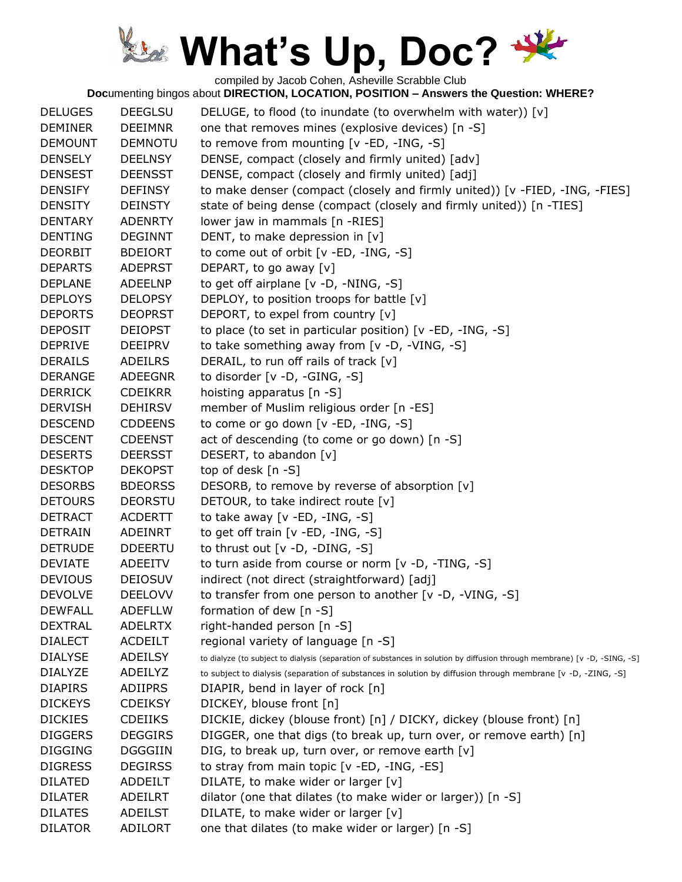compiled by Jacob Cohen, Asheville Scrabble Club

| <b>DELUGES</b><br><b>DEMINER</b> | <b>DEEGLSU</b><br><b>DEEIMNR</b> | DELUGE, to flood (to inundate (to overwhelm with water)) [v]<br>one that removes mines (explosive devices) [n -S]         |
|----------------------------------|----------------------------------|---------------------------------------------------------------------------------------------------------------------------|
| <b>DEMOUNT</b>                   | <b>DEMNOTU</b>                   | to remove from mounting [v -ED, -ING, -S]                                                                                 |
| <b>DENSELY</b>                   | <b>DEELNSY</b>                   | DENSE, compact (closely and firmly united) [adv]                                                                          |
| <b>DENSEST</b>                   | <b>DEENSST</b>                   | DENSE, compact (closely and firmly united) [adj]                                                                          |
| <b>DENSIFY</b>                   | <b>DEFINSY</b>                   | to make denser (compact (closely and firmly united)) [v -FIED, -ING, -FIES]                                               |
| <b>DENSITY</b>                   | <b>DEINSTY</b>                   | state of being dense (compact (closely and firmly united)) [n -TIES]                                                      |
| <b>DENTARY</b>                   | <b>ADENRTY</b>                   | lower jaw in mammals [n -RIES]                                                                                            |
| <b>DENTING</b>                   | <b>DEGINNT</b>                   | DENT, to make depression in [v]                                                                                           |
| <b>DEORBIT</b>                   | <b>BDEIORT</b>                   | to come out of orbit [v -ED, -ING, -S]                                                                                    |
| <b>DEPARTS</b>                   | <b>ADEPRST</b>                   | DEPART, to go away [v]                                                                                                    |
| <b>DEPLANE</b>                   | <b>ADEELNP</b>                   | to get off airplane [v -D, -NING, -S]                                                                                     |
| <b>DEPLOYS</b>                   | <b>DELOPSY</b>                   | DEPLOY, to position troops for battle [v]                                                                                 |
| <b>DEPORTS</b>                   | <b>DEOPRST</b>                   | DEPORT, to expel from country [v]                                                                                         |
| <b>DEPOSIT</b>                   | <b>DEIOPST</b>                   | to place (to set in particular position) [v -ED, -ING, -S]                                                                |
| <b>DEPRIVE</b>                   | <b>DEEIPRV</b>                   | to take something away from [v -D, -VING, -S]                                                                             |
| <b>DERAILS</b>                   | <b>ADEILRS</b>                   | DERAIL, to run off rails of track [v]                                                                                     |
| <b>DERANGE</b>                   | <b>ADEEGNR</b>                   | to disorder [v -D, -GING, -S]                                                                                             |
| <b>DERRICK</b>                   | <b>CDEIKRR</b>                   | hoisting apparatus [n -S]                                                                                                 |
| <b>DERVISH</b>                   | <b>DEHIRSV</b>                   | member of Muslim religious order [n -ES]                                                                                  |
| <b>DESCEND</b>                   | <b>CDDEENS</b>                   | to come or go down [v -ED, -ING, -S]                                                                                      |
| <b>DESCENT</b>                   | <b>CDEENST</b>                   | act of descending (to come or go down) [n -S]                                                                             |
| <b>DESERTS</b>                   | <b>DEERSST</b>                   | DESERT, to abandon [v]                                                                                                    |
| <b>DESKTOP</b>                   | <b>DEKOPST</b>                   | top of desk $[n - S]$                                                                                                     |
| <b>DESORBS</b>                   | <b>BDEORSS</b>                   | DESORB, to remove by reverse of absorption [v]                                                                            |
| <b>DETOURS</b>                   | <b>DEORSTU</b>                   | DETOUR, to take indirect route [v]                                                                                        |
| <b>DETRACT</b>                   | <b>ACDERTT</b>                   | to take away $[v - ED, -ING, -S]$                                                                                         |
| <b>DETRAIN</b>                   | <b>ADEINRT</b>                   | to get off train [v -ED, -ING, -S]                                                                                        |
| <b>DETRUDE</b>                   | <b>DDEERTU</b>                   | to thrust out [v -D, -DING, -S]                                                                                           |
| <b>DEVIATE</b>                   | <b>ADEEITV</b>                   | to turn aside from course or norm [v -D, -TING, -S]                                                                       |
| <b>DEVIOUS</b>                   | <b>DEIOSUV</b>                   | indirect (not direct (straightforward) [adj]                                                                              |
| <b>DEVOLVE</b>                   | <b>DEELOVV</b>                   | to transfer from one person to another [v -D, -VING, -S]                                                                  |
| <b>DEWFALL</b>                   | <b>ADEFLLW</b>                   | formation of dew [n -S]                                                                                                   |
| <b>DEXTRAL</b>                   | <b>ADELRTX</b>                   | right-handed person [n -S]                                                                                                |
| <b>DIALECT</b>                   | <b>ACDEILT</b>                   | regional variety of language [n -S]                                                                                       |
| <b>DIALYSE</b>                   | <b>ADEILSY</b>                   | to dialyze (to subject to dialysis (separation of substances in solution by diffusion through membrane) [v -D, -SING, -S] |
| <b>DIALYZE</b>                   | ADEILYZ                          | to subject to dialysis (separation of substances in solution by diffusion through membrane [v -D, -ZING, -S]              |
| <b>DIAPIRS</b>                   | <b>ADIIPRS</b>                   | DIAPIR, bend in layer of rock [n]                                                                                         |
| <b>DICKEYS</b>                   | <b>CDEIKSY</b>                   | DICKEY, blouse front [n]                                                                                                  |
| <b>DICKIES</b>                   | <b>CDEIIKS</b>                   | DICKIE, dickey (blouse front) [n] / DICKY, dickey (blouse front) [n]                                                      |
| <b>DIGGERS</b>                   | <b>DEGGIRS</b>                   | DIGGER, one that digs (to break up, turn over, or remove earth) [n]                                                       |
| <b>DIGGING</b>                   | <b>DGGGIIN</b>                   | DIG, to break up, turn over, or remove earth [v]                                                                          |
| <b>DIGRESS</b>                   | <b>DEGIRSS</b>                   | to stray from main topic [v -ED, -ING, -ES]                                                                               |
| <b>DILATED</b>                   | ADDEILT                          | DILATE, to make wider or larger [v]                                                                                       |
| <b>DILATER</b>                   | <b>ADEILRT</b>                   | dilator (one that dilates (to make wider or larger)) [n -S]                                                               |
| <b>DILATES</b>                   | <b>ADEILST</b>                   | DILATE, to make wider or larger [v]                                                                                       |
| <b>DILATOR</b>                   | <b>ADILORT</b>                   | one that dilates (to make wider or larger) [n -S]                                                                         |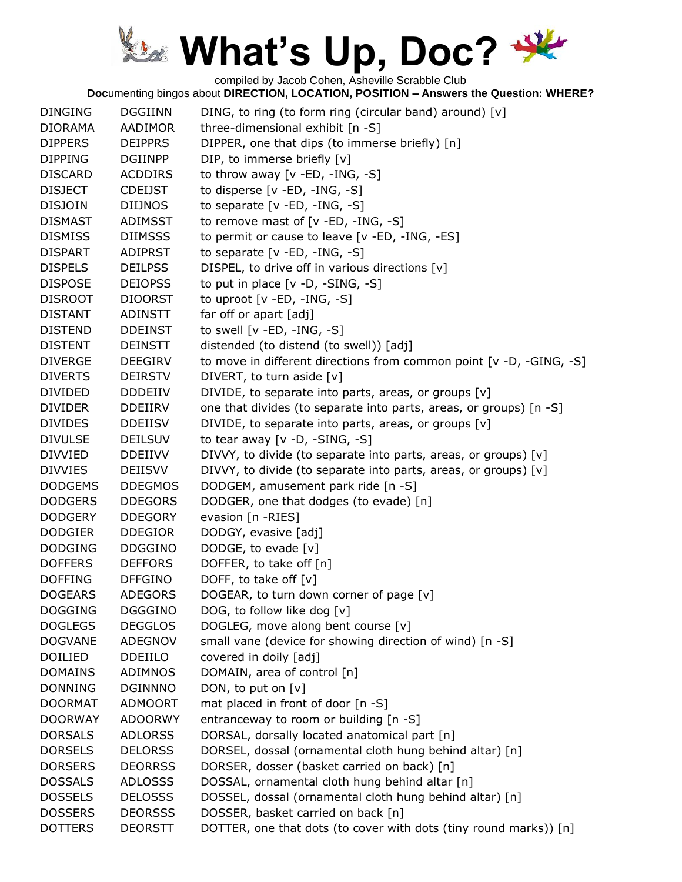compiled by Jacob Cohen, Asheville Scrabble Club

| <b>DINGING</b> | <b>DGGIINN</b> | DING, to ring (to form ring (circular band) around) [v]             |
|----------------|----------------|---------------------------------------------------------------------|
| <b>DIORAMA</b> | AADIMOR        | three-dimensional exhibit [n -S]                                    |
| <b>DIPPERS</b> | <b>DEIPPRS</b> | DIPPER, one that dips (to immerse briefly) [n]                      |
| <b>DIPPING</b> | <b>DGIINPP</b> | DIP, to immerse briefly [v]                                         |
| <b>DISCARD</b> | <b>ACDDIRS</b> | to throw away $[v - ED, -ING, -S]$                                  |
| <b>DISJECT</b> | <b>CDEIJST</b> | to disperse [v -ED, -ING, -S]                                       |
| <b>DISJOIN</b> | <b>DIIJNOS</b> | to separate $[v - ED, -ING, -S]$                                    |
| <b>DISMAST</b> | ADIMSST        | to remove mast of [v -ED, -ING, -S]                                 |
| <b>DISMISS</b> | <b>DIIMSSS</b> | to permit or cause to leave [v -ED, -ING, -ES]                      |
| <b>DISPART</b> | <b>ADIPRST</b> | to separate $[v - ED, -ING, -S]$                                    |
| <b>DISPELS</b> | <b>DEILPSS</b> | DISPEL, to drive off in various directions [v]                      |
| <b>DISPOSE</b> | <b>DEIOPSS</b> | to put in place $[v -D, -SING, -S]$                                 |
| <b>DISROOT</b> | <b>DIOORST</b> | to uproot [v -ED, -ING, -S]                                         |
| <b>DISTANT</b> | ADINSTT        | far off or apart [adj]                                              |
| <b>DISTEND</b> | <b>DDEINST</b> | to swell $[v - ED, -ING, -S]$                                       |
| <b>DISTENT</b> | <b>DEINSTT</b> | distended (to distend (to swell)) [adj]                             |
| <b>DIVERGE</b> | <b>DEEGIRV</b> | to move in different directions from common point [v -D, -GING, -S] |
| <b>DIVERTS</b> | <b>DEIRSTV</b> | DIVERT, to turn aside [v]                                           |
| <b>DIVIDED</b> | <b>DDDEIIV</b> | DIVIDE, to separate into parts, areas, or groups [v]                |
| <b>DIVIDER</b> | <b>DDEIIRV</b> | one that divides (to separate into parts, areas, or groups) [n -S]  |
| <b>DIVIDES</b> | <b>DDEIISV</b> | DIVIDE, to separate into parts, areas, or groups [v]                |
| <b>DIVULSE</b> | <b>DEILSUV</b> | to tear away $[v -D, -SING, -S]$                                    |
| <b>DIVVIED</b> | <b>DDEIIVV</b> | DIVVY, to divide (to separate into parts, areas, or groups) [v]     |
| <b>DIVVIES</b> | <b>DEIISVV</b> | DIVVY, to divide (to separate into parts, areas, or groups) [v]     |
| <b>DODGEMS</b> | <b>DDEGMOS</b> | DODGEM, amusement park ride [n -S]                                  |
| <b>DODGERS</b> | <b>DDEGORS</b> | DODGER, one that dodges (to evade) [n]                              |
| <b>DODGERY</b> | <b>DDEGORY</b> | evasion [n -RIES]                                                   |
| <b>DODGIER</b> | <b>DDEGIOR</b> | DODGY, evasive [adj]                                                |
| <b>DODGING</b> | <b>DDGGINO</b> | DODGE, to evade [v]                                                 |
| <b>DOFFERS</b> | <b>DEFFORS</b> | DOFFER, to take off [n]                                             |
| <b>DOFFING</b> | <b>DFFGINO</b> | DOFF, to take off $[v]$                                             |
| <b>DOGEARS</b> | <b>ADEGORS</b> | DOGEAR, to turn down corner of page [v]                             |
| <b>DOGGING</b> | <b>DGGGINO</b> | DOG, to follow like dog [v]                                         |
| <b>DOGLEGS</b> | <b>DEGGLOS</b> | DOGLEG, move along bent course [v]                                  |
| <b>DOGVANE</b> | ADEGNOV        | small vane (device for showing direction of wind) [n -S]            |
| DOILIED        | DDEIILO        | covered in doily [adj]                                              |
| <b>DOMAINS</b> | <b>ADIMNOS</b> | DOMAIN, area of control [n]                                         |
| <b>DONNING</b> | <b>DGINNNO</b> | DON, to put on [v]                                                  |
| <b>DOORMAT</b> | <b>ADMOORT</b> | mat placed in front of door [n -S]                                  |
| <b>DOORWAY</b> | <b>ADOORWY</b> | entranceway to room or building [n -S]                              |
| <b>DORSALS</b> | <b>ADLORSS</b> | DORSAL, dorsally located anatomical part [n]                        |
| <b>DORSELS</b> | <b>DELORSS</b> | DORSEL, dossal (ornamental cloth hung behind altar) [n]             |
| <b>DORSERS</b> | <b>DEORRSS</b> | DORSER, dosser (basket carried on back) [n]                         |
| <b>DOSSALS</b> | <b>ADLOSSS</b> | DOSSAL, ornamental cloth hung behind altar [n]                      |
| <b>DOSSELS</b> | <b>DELOSSS</b> | DOSSEL, dossal (ornamental cloth hung behind altar) [n]             |
| <b>DOSSERS</b> | <b>DEORSSS</b> | DOSSER, basket carried on back [n]                                  |
| <b>DOTTERS</b> | <b>DEORSTT</b> | DOTTER, one that dots (to cover with dots (tiny round marks)) [n]   |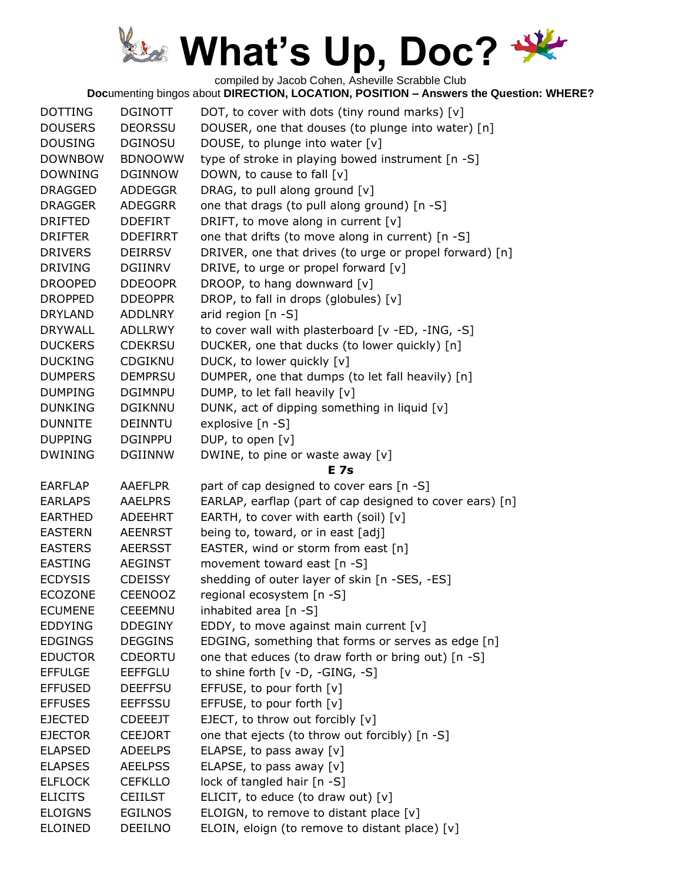compiled by Jacob Cohen, Asheville Scrabble Club

| <b>DOTTING</b>                   | <b>DGINOTT</b>                   | DOT, to cover with dots (tiny round marks) [v]                                           |
|----------------------------------|----------------------------------|------------------------------------------------------------------------------------------|
| <b>DOUSERS</b>                   | <b>DEORSSU</b>                   | DOUSER, one that douses (to plunge into water) [n]                                       |
| <b>DOUSING</b>                   | <b>DGINOSU</b>                   | DOUSE, to plunge into water [v]                                                          |
| <b>DOWNBOW</b>                   | <b>BDNOOWW</b>                   | type of stroke in playing bowed instrument [n -S]                                        |
| <b>DOWNING</b>                   | <b>DGINNOW</b>                   | DOWN, to cause to fall [v]                                                               |
| <b>DRAGGED</b>                   | <b>ADDEGGR</b>                   | DRAG, to pull along ground [v]                                                           |
| <b>DRAGGER</b>                   | <b>ADEGGRR</b>                   | one that drags (to pull along ground) [n -S]                                             |
| <b>DRIFTED</b>                   | <b>DDEFIRT</b>                   | DRIFT, to move along in current [v]                                                      |
| <b>DRIFTER</b>                   | <b>DDEFIRRT</b>                  | one that drifts (to move along in current) [n -S]                                        |
| <b>DRIVERS</b>                   | <b>DEIRRSV</b>                   | DRIVER, one that drives (to urge or propel forward) [n]                                  |
| <b>DRIVING</b>                   | DGIINRV                          | DRIVE, to urge or propel forward [v]                                                     |
| <b>DROOPED</b>                   | <b>DDEOOPR</b>                   | DROOP, to hang downward [v]                                                              |
| <b>DROPPED</b>                   | <b>DDEOPPR</b>                   | DROP, to fall in drops (globules) [v]                                                    |
| <b>DRYLAND</b>                   | <b>ADDLNRY</b>                   | arid region [n -S]                                                                       |
| <b>DRYWALL</b>                   | <b>ADLLRWY</b>                   | to cover wall with plasterboard [v -ED, -ING, -S]                                        |
| <b>DUCKERS</b>                   | <b>CDEKRSU</b>                   | DUCKER, one that ducks (to lower quickly) [n]                                            |
| <b>DUCKING</b>                   | CDGIKNU                          | DUCK, to lower quickly [v]                                                               |
| <b>DUMPERS</b>                   | <b>DEMPRSU</b>                   | DUMPER, one that dumps (to let fall heavily) [n]                                         |
| <b>DUMPING</b>                   | <b>DGIMNPU</b>                   | DUMP, to let fall heavily [v]                                                            |
| <b>DUNKING</b>                   | <b>DGIKNNU</b>                   | DUNK, act of dipping something in liquid [v]                                             |
| <b>DUNNITE</b>                   | <b>DEINNTU</b>                   | explosive [n -S]                                                                         |
| <b>DUPPING</b>                   | <b>DGINPPU</b>                   | DUP, to open [v]                                                                         |
| <b>DWINING</b>                   | <b>DGIINNW</b>                   | DWINE, to pine or waste away [v]                                                         |
|                                  |                                  | <b>E</b> 7s                                                                              |
| <b>EARFLAP</b>                   | <b>AAEFLPR</b>                   | part of cap designed to cover ears [n -S]                                                |
| <b>EARLAPS</b>                   | <b>AAELPRS</b>                   | EARLAP, earflap (part of cap designed to cover ears) [n]                                 |
| <b>EARTHED</b>                   | <b>ADEEHRT</b>                   | EARTH, to cover with earth (soil) [v]                                                    |
|                                  |                                  |                                                                                          |
| <b>EASTERN</b>                   | <b>AEENRST</b>                   |                                                                                          |
| <b>EASTERS</b>                   | <b>AEERSST</b>                   | being to, toward, or in east [adj]                                                       |
| <b>EASTING</b>                   | <b>AEGINST</b>                   | EASTER, wind or storm from east [n]<br>movement toward east [n -S]                       |
|                                  |                                  |                                                                                          |
| <b>ECDYSIS</b>                   | <b>CDEISSY</b>                   | shedding of outer layer of skin [n -SES, -ES]                                            |
| <b>ECOZONE</b>                   | <b>CEENOOZ</b>                   | regional ecosystem [n -S]                                                                |
| <b>ECUMENE</b>                   | <b>CEEEMNU</b>                   | inhabited area [n -S]                                                                    |
| <b>EDDYING</b>                   | <b>DDEGINY</b>                   | EDDY, to move against main current $[v]$                                                 |
| <b>EDGINGS</b>                   | <b>DEGGINS</b>                   | EDGING, something that forms or serves as edge [n]                                       |
| <b>EDUCTOR</b>                   | <b>CDEORTU</b>                   | one that educes (to draw forth or bring out) [n -S]                                      |
| <b>EFFULGE</b>                   | <b>EEFFGLU</b>                   | to shine forth $[v -D, -GING, -S]$                                                       |
| <b>EFFUSED</b>                   | <b>DEEFFSU</b>                   | EFFUSE, to pour forth [v]                                                                |
| <b>EFFUSES</b>                   | <b>EEFFSSU</b>                   | EFFUSE, to pour forth [v]                                                                |
| <b>EJECTED</b>                   | <b>CDEEEJT</b>                   | EJECT, to throw out forcibly [v]                                                         |
| <b>EJECTOR</b>                   | <b>CEEJORT</b>                   | one that ejects (to throw out forcibly) [n -S]                                           |
| <b>ELAPSED</b>                   | <b>ADEELPS</b>                   | ELAPSE, to pass away $[v]$                                                               |
| <b>ELAPSES</b>                   | <b>AEELPSS</b>                   | ELAPSE, to pass away $[v]$                                                               |
| <b>ELFLOCK</b>                   | <b>CEFKLLO</b>                   | lock of tangled hair [n -S]                                                              |
| <b>ELICITS</b>                   | <b>CEIILST</b>                   | ELICIT, to educe (to draw out) $[v]$                                                     |
| <b>ELOIGNS</b><br><b>ELOINED</b> | <b>EGILNOS</b><br><b>DEEILNO</b> | ELOIGN, to remove to distant place [v]<br>ELOIN, eloign (to remove to distant place) [v] |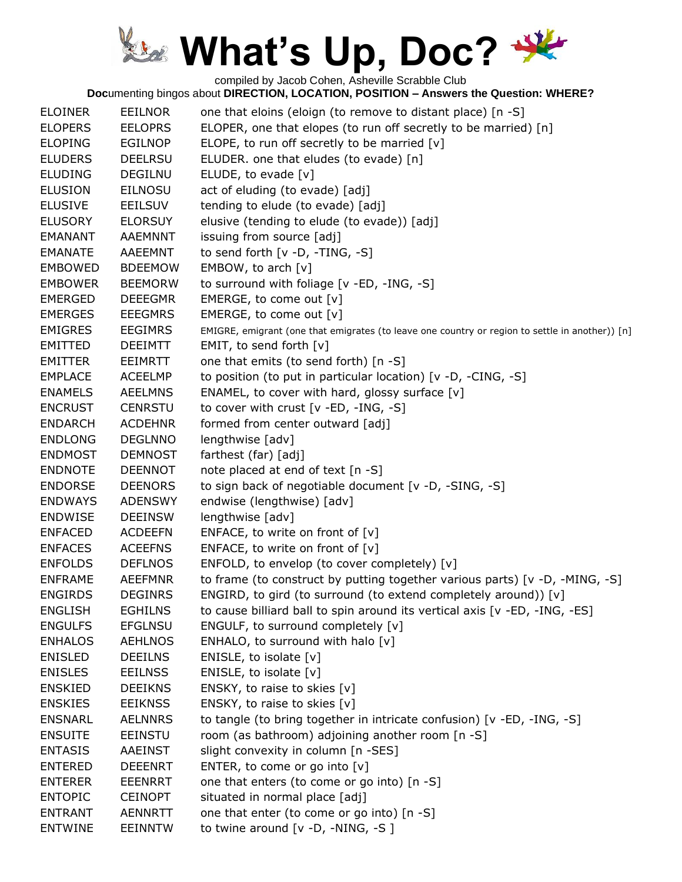compiled by Jacob Cohen, Asheville Scrabble Club

| <b>ELOINER</b> | <b>EEILNOR</b> | one that eloins (eloign (to remove to distant place) [n -S]                                     |
|----------------|----------------|-------------------------------------------------------------------------------------------------|
| <b>ELOPERS</b> | <b>EELOPRS</b> | ELOPER, one that elopes (to run off secretly to be married) [n]                                 |
| <b>ELOPING</b> | <b>EGILNOP</b> | ELOPE, to run off secretly to be married [v]                                                    |
| <b>ELUDERS</b> | <b>DEELRSU</b> | ELUDER. one that eludes (to evade) [n]                                                          |
| <b>ELUDING</b> | <b>DEGILNU</b> | ELUDE, to evade [v]                                                                             |
| <b>ELUSION</b> | <b>EILNOSU</b> | act of eluding (to evade) [adj]                                                                 |
| <b>ELUSIVE</b> | EEILSUV        | tending to elude (to evade) [adj]                                                               |
| <b>ELUSORY</b> | <b>ELORSUY</b> | elusive (tending to elude (to evade)) [adj]                                                     |
| <b>EMANANT</b> | AAEMNNT        | issuing from source [adj]                                                                       |
| <b>EMANATE</b> | AAEEMNT        | to send forth $[v -D, -TING, -S]$                                                               |
| <b>EMBOWED</b> | <b>BDEEMOW</b> | EMBOW, to arch [v]                                                                              |
| <b>EMBOWER</b> | <b>BEEMORW</b> | to surround with foliage [v -ED, -ING, -S]                                                      |
| <b>EMERGED</b> | <b>DEEEGMR</b> | EMERGE, to come out [v]                                                                         |
| <b>EMERGES</b> | <b>EEEGMRS</b> | EMERGE, to come out [v]                                                                         |
| <b>EMIGRES</b> | <b>EEGIMRS</b> | EMIGRE, emigrant (one that emigrates (to leave one country or region to settle in another)) [n] |
| <b>EMITTED</b> | <b>DEEIMTT</b> | EMIT, to send forth [v]                                                                         |
| <b>EMITTER</b> | <b>EEIMRTT</b> | one that emits (to send forth) [n -S]                                                           |
| <b>EMPLACE</b> | <b>ACEELMP</b> | to position (to put in particular location) [v -D, -CING, -S]                                   |
| <b>ENAMELS</b> | <b>AEELMNS</b> | ENAMEL, to cover with hard, glossy surface [v]                                                  |
| <b>ENCRUST</b> | <b>CENRSTU</b> | to cover with crust [v -ED, -ING, -S]                                                           |
| <b>ENDARCH</b> | <b>ACDEHNR</b> | formed from center outward [adj]                                                                |
| <b>ENDLONG</b> | <b>DEGLNNO</b> | lengthwise [adv]                                                                                |
| <b>ENDMOST</b> | <b>DEMNOST</b> | farthest (far) [adj]                                                                            |
| <b>ENDNOTE</b> | <b>DEENNOT</b> | note placed at end of text [n -S]                                                               |
| <b>ENDORSE</b> | <b>DEENORS</b> | to sign back of negotiable document [v -D, -SING, -S]                                           |
| <b>ENDWAYS</b> | <b>ADENSWY</b> | endwise (lengthwise) [adv]                                                                      |
| <b>ENDWISE</b> | <b>DEEINSW</b> | lengthwise [adv]                                                                                |
| <b>ENFACED</b> | <b>ACDEEFN</b> | ENFACE, to write on front of $[v]$                                                              |
| <b>ENFACES</b> | <b>ACEEFNS</b> | ENFACE, to write on front of $[v]$                                                              |
| <b>ENFOLDS</b> | <b>DEFLNOS</b> | ENFOLD, to envelop (to cover completely) [v]                                                    |
| <b>ENFRAME</b> | <b>AEEFMNR</b> | to frame (to construct by putting together various parts) [v -D, -MING, -S]                     |
| <b>ENGIRDS</b> | <b>DEGINRS</b> | ENGIRD, to gird (to surround (to extend completely around)) [v]                                 |
| <b>ENGLISH</b> | <b>EGHILNS</b> | to cause billiard ball to spin around its vertical axis [v -ED, -ING, -ES]                      |
| <b>ENGULFS</b> | <b>EFGLNSU</b> | ENGULF, to surround completely [v]                                                              |
| <b>ENHALOS</b> | <b>AEHLNOS</b> | ENHALO, to surround with halo [v]                                                               |
| <b>ENISLED</b> | <b>DEEILNS</b> | ENISLE, to isolate [v]                                                                          |
| <b>ENISLES</b> | <b>EEILNSS</b> | ENISLE, to isolate $[v]$                                                                        |
| <b>ENSKIED</b> | <b>DEEIKNS</b> | ENSKY, to raise to skies [v]                                                                    |
| <b>ENSKIES</b> | <b>EEIKNSS</b> | ENSKY, to raise to skies [v]                                                                    |
| <b>ENSNARL</b> | <b>AELNNRS</b> | to tangle (to bring together in intricate confusion) [v -ED, -ING, -S]                          |
| <b>ENSUITE</b> | <b>EEINSTU</b> | room (as bathroom) adjoining another room [n -S]                                                |
| <b>ENTASIS</b> | <b>AAEINST</b> | slight convexity in column [n -SES]                                                             |
|                |                |                                                                                                 |
| <b>ENTERED</b> | <b>DEEENRT</b> | ENTER, to come or go into [v]                                                                   |
| <b>ENTERER</b> | EEENRRT        | one that enters (to come or go into) [n -S]                                                     |
| <b>ENTOPIC</b> | <b>CEINOPT</b> | situated in normal place [adj]                                                                  |
| <b>ENTRANT</b> | <b>AENNRTT</b> | one that enter (to come or go into) [n -S]                                                      |
| <b>ENTWINE</b> | <b>EEINNTW</b> | to twine around $[v -D, -NING, -S]$                                                             |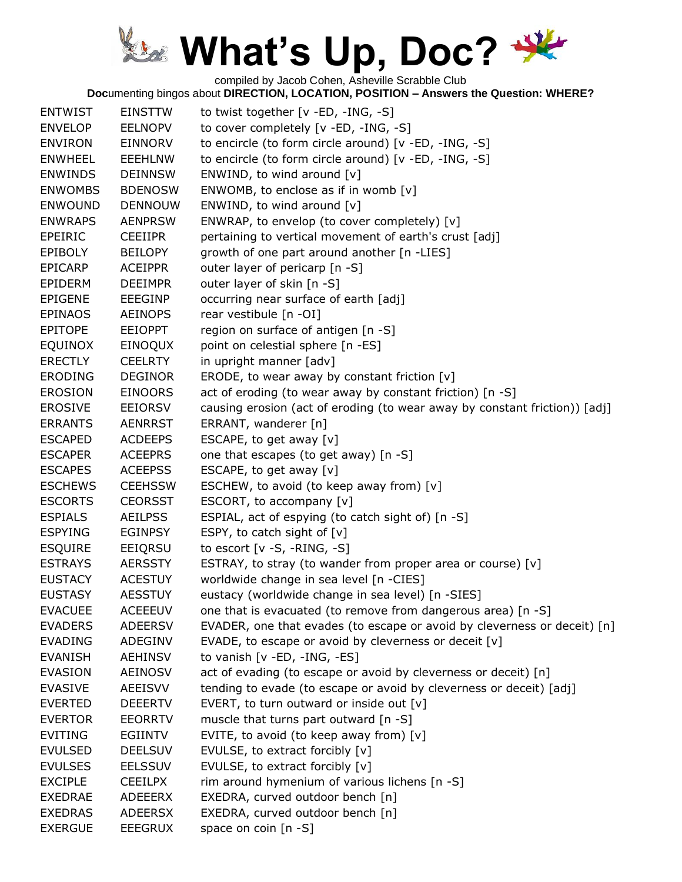compiled by Jacob Cohen, Asheville Scrabble Club

| <b>ENTWIST</b> | <b>EINSTTW</b> | to twist together [v -ED, -ING, -S]                                        |
|----------------|----------------|----------------------------------------------------------------------------|
| <b>ENVELOP</b> | <b>EELNOPV</b> | to cover completely [v -ED, -ING, -S]                                      |
| <b>ENVIRON</b> | <b>EINNORV</b> | to encircle (to form circle around) [v -ED, -ING, -S]                      |
| <b>ENWHEEL</b> | <b>EEEHLNW</b> | to encircle (to form circle around) [v -ED, -ING, -S]                      |
| <b>ENWINDS</b> | <b>DEINNSW</b> | ENWIND, to wind around [v]                                                 |
| <b>ENWOMBS</b> | <b>BDENOSW</b> | ENWOMB, to enclose as if in womb $[v]$                                     |
| <b>ENWOUND</b> | <b>DENNOUW</b> | ENWIND, to wind around [v]                                                 |
| <b>ENWRAPS</b> | <b>AENPRSW</b> | ENWRAP, to envelop (to cover completely) [v]                               |
| EPEIRIC        | <b>CEEIIPR</b> | pertaining to vertical movement of earth's crust [adj]                     |
| <b>EPIBOLY</b> | <b>BEILOPY</b> | growth of one part around another [n -LIES]                                |
| <b>EPICARP</b> | <b>ACEIPPR</b> | outer layer of pericarp [n -S]                                             |
| <b>EPIDERM</b> | <b>DEEIMPR</b> | outer layer of skin [n -S]                                                 |
| <b>EPIGENE</b> | <b>EEEGINP</b> | occurring near surface of earth [adj]                                      |
| <b>EPINAOS</b> | <b>AEINOPS</b> | rear vestibule [n -OI]                                                     |
| <b>EPITOPE</b> | <b>EEIOPPT</b> | region on surface of antigen [n -S]                                        |
| <b>EQUINOX</b> | EINOQUX        | point on celestial sphere [n -ES]                                          |
| <b>ERECTLY</b> | <b>CEELRTY</b> | in upright manner [adv]                                                    |
| <b>ERODING</b> | <b>DEGINOR</b> | ERODE, to wear away by constant friction [v]                               |
| <b>EROSION</b> | <b>EINOORS</b> | act of eroding (to wear away by constant friction) [n -S]                  |
| <b>EROSIVE</b> | <b>EEIORSV</b> | causing erosion (act of eroding (to wear away by constant friction)) [adj] |
| <b>ERRANTS</b> | <b>AENRRST</b> | ERRANT, wanderer [n]                                                       |
| <b>ESCAPED</b> | <b>ACDEEPS</b> | ESCAPE, to get away [v]                                                    |
| <b>ESCAPER</b> | <b>ACEEPRS</b> | one that escapes (to get away) [n -S]                                      |
| <b>ESCAPES</b> | <b>ACEEPSS</b> | ESCAPE, to get away [v]                                                    |
| <b>ESCHEWS</b> | <b>CEEHSSW</b> | ESCHEW, to avoid (to keep away from) [v]                                   |
| <b>ESCORTS</b> | <b>CEORSST</b> | ESCORT, to accompany [v]                                                   |
| <b>ESPIALS</b> | <b>AEILPSS</b> | ESPIAL, act of espying (to catch sight of) [n -S]                          |
| <b>ESPYING</b> | <b>EGINPSY</b> | ESPY, to catch sight of $[v]$                                              |
| <b>ESQUIRE</b> | EEIQRSU        | to escort $[v -S, -RING, -S]$                                              |
| <b>ESTRAYS</b> | <b>AERSSTY</b> | ESTRAY, to stray (to wander from proper area or course) [v]                |
| <b>EUSTACY</b> | <b>ACESTUY</b> | worldwide change in sea level [n -CIES]                                    |
| <b>EUSTASY</b> | <b>AESSTUY</b> | eustacy (worldwide change in sea level) [n -SIES]                          |
| <b>EVACUEE</b> | <b>ACEEEUV</b> | one that is evacuated (to remove from dangerous area) [n -S]               |
| <b>EVADERS</b> | <b>ADEERSV</b> | EVADER, one that evades (to escape or avoid by cleverness or deceit) [n]   |
| <b>EVADING</b> | ADEGINV        | EVADE, to escape or avoid by cleverness or deceit [v]                      |
| <b>EVANISH</b> | <b>AEHINSV</b> | to vanish [v -ED, -ING, -ES]                                               |
| <b>EVASION</b> | <b>AEINOSV</b> | act of evading (to escape or avoid by cleverness or deceit) [n]            |
| <b>EVASIVE</b> | AEEISVV        | tending to evade (to escape or avoid by cleverness or deceit) [adj]        |
| <b>EVERTED</b> | <b>DEEERTV</b> | EVERT, to turn outward or inside out [v]                                   |
| <b>EVERTOR</b> | <b>EEORRTV</b> | muscle that turns part outward [n -S]                                      |
| <b>EVITING</b> | <b>EGIINTV</b> | EVITE, to avoid (to keep away from) [v]                                    |
| <b>EVULSED</b> | <b>DEELSUV</b> | EVULSE, to extract forcibly [v]                                            |
| <b>EVULSES</b> | <b>EELSSUV</b> | EVULSE, to extract forcibly [v]                                            |
| <b>EXCIPLE</b> | <b>CEEILPX</b> | rim around hymenium of various lichens [n -S]                              |
| <b>EXEDRAE</b> | ADEEERX        | EXEDRA, curved outdoor bench [n]                                           |
| <b>EXEDRAS</b> | <b>ADEERSX</b> | EXEDRA, curved outdoor bench [n]                                           |
| <b>EXERGUE</b> | <b>EEEGRUX</b> | space on coin [n -S]                                                       |
|                |                |                                                                            |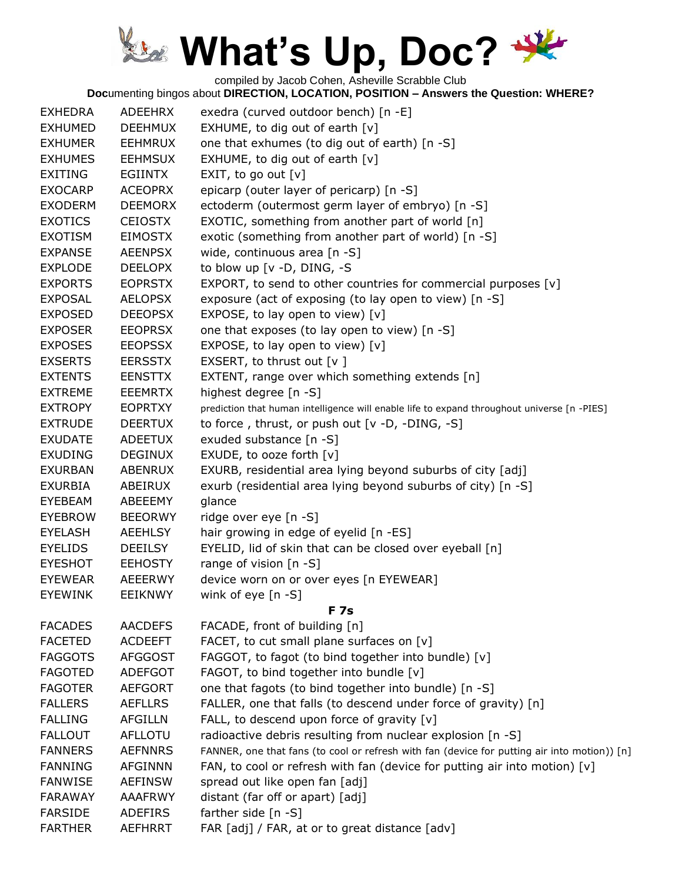compiled by Jacob Cohen, Asheville Scrabble Club

| <b>EXHEDRA</b> | ADEEHRX        | exedra (curved outdoor bench) [n -E]                                                         |
|----------------|----------------|----------------------------------------------------------------------------------------------|
| <b>EXHUMED</b> | <b>DEEHMUX</b> | EXHUME, to dig out of earth $[v]$                                                            |
| <b>EXHUMER</b> | <b>EEHMRUX</b> | one that exhumes (to dig out of earth) [n -S]                                                |
| <b>EXHUMES</b> | <b>EEHMSUX</b> | EXHUME, to dig out of earth $[v]$                                                            |
| <b>EXITING</b> | EGIINTX        | EXIT, to go out $[v]$                                                                        |
| <b>EXOCARP</b> | <b>ACEOPRX</b> | epicarp (outer layer of pericarp) [n -S]                                                     |
| <b>EXODERM</b> | <b>DEEMORX</b> | ectoderm (outermost germ layer of embryo) [n -S]                                             |
| <b>EXOTICS</b> | <b>CEIOSTX</b> | EXOTIC, something from another part of world [n]                                             |
| <b>EXOTISM</b> | <b>EIMOSTX</b> | exotic (something from another part of world) [n -S]                                         |
| <b>EXPANSE</b> | <b>AEENPSX</b> | wide, continuous area [n -S]                                                                 |
| <b>EXPLODE</b> | <b>DEELOPX</b> | to blow up [v -D, DING, -S                                                                   |
| <b>EXPORTS</b> | <b>EOPRSTX</b> | EXPORT, to send to other countries for commercial purposes [v]                               |
| <b>EXPOSAL</b> | <b>AELOPSX</b> | exposure (act of exposing (to lay open to view) [n -S]                                       |
| <b>EXPOSED</b> | <b>DEEOPSX</b> | EXPOSE, to lay open to view) $[v]$                                                           |
| <b>EXPOSER</b> | <b>EEOPRSX</b> | one that exposes (to lay open to view) [n -S]                                                |
| <b>EXPOSES</b> | <b>EEOPSSX</b> | EXPOSE, to lay open to view) [v]                                                             |
| <b>EXSERTS</b> | <b>EERSSTX</b> | EXSERT, to thrust out $[v]$                                                                  |
| <b>EXTENTS</b> | <b>EENSTTX</b> | EXTENT, range over which something extends [n]                                               |
| <b>EXTREME</b> | <b>EEEMRTX</b> | highest degree [n -S]                                                                        |
| <b>EXTROPY</b> | <b>EOPRTXY</b> | prediction that human intelligence will enable life to expand throughout universe [n -PIES]  |
| <b>EXTRUDE</b> | <b>DEERTUX</b> | to force, thrust, or push out $[v -D, -DING, -S]$                                            |
| <b>EXUDATE</b> | <b>ADEETUX</b> | exuded substance [n -S]                                                                      |
| <b>EXUDING</b> | <b>DEGINUX</b> | EXUDE, to ooze forth [v]                                                                     |
| <b>EXURBAN</b> | <b>ABENRUX</b> | EXURB, residential area lying beyond suburbs of city [adj]                                   |
| <b>EXURBIA</b> | ABEIRUX        | exurb (residential area lying beyond suburbs of city) [n -S]                                 |
| EYEBEAM        | ABEEEMY        | glance                                                                                       |
| <b>EYEBROW</b> | <b>BEEORWY</b> | ridge over eye [n -S]                                                                        |
| <b>EYELASH</b> | <b>AEEHLSY</b> | hair growing in edge of eyelid [n -ES]                                                       |
| <b>EYELIDS</b> | <b>DEEILSY</b> | EYELID, lid of skin that can be closed over eyeball [n]                                      |
| <b>EYESHOT</b> | <b>EEHOSTY</b> | range of vision $[n - S]$                                                                    |
| <b>EYEWEAR</b> | <b>AEEERWY</b> | device worn on or over eyes [n EYEWEAR]                                                      |
| <b>EYEWINK</b> | EEIKNWY        | wink of eye $[n - S]$                                                                        |
|                |                | F 7s                                                                                         |
| <b>FACADES</b> | <b>AACDEFS</b> | FACADE, front of building [n]                                                                |
| <b>FACETED</b> | <b>ACDEEFT</b> | FACET, to cut small plane surfaces on [v]                                                    |
| <b>FAGGOTS</b> | <b>AFGGOST</b> | FAGGOT, to fagot (to bind together into bundle) [v]                                          |
| <b>FAGOTED</b> | <b>ADEFGOT</b> | FAGOT, to bind together into bundle [v]                                                      |
| <b>FAGOTER</b> | <b>AEFGORT</b> | one that fagots (to bind together into bundle) [n -S]                                        |
| <b>FALLERS</b> | <b>AEFLLRS</b> | FALLER, one that falls (to descend under force of gravity) [n]                               |
| <b>FALLING</b> | <b>AFGILLN</b> | FALL, to descend upon force of gravity [v]                                                   |
| <b>FALLOUT</b> | <b>AFLLOTU</b> | radioactive debris resulting from nuclear explosion [n -S]                                   |
| <b>FANNERS</b> | <b>AEFNNRS</b> | FANNER, one that fans (to cool or refresh with fan (device for putting air into motion)) [n] |
| <b>FANNING</b> | <b>AFGINNN</b> | FAN, to cool or refresh with fan (device for putting air into motion) $[v]$                  |
| <b>FANWISE</b> | <b>AEFINSW</b> | spread out like open fan [adj]                                                               |
| <b>FARAWAY</b> | <b>AAAFRWY</b> | distant (far off or apart) [adj]                                                             |
| <b>FARSIDE</b> | <b>ADEFIRS</b> | farther side [n -S]                                                                          |
| <b>FARTHER</b> | <b>AEFHRRT</b> | FAR [adj] / FAR, at or to great distance [adv]                                               |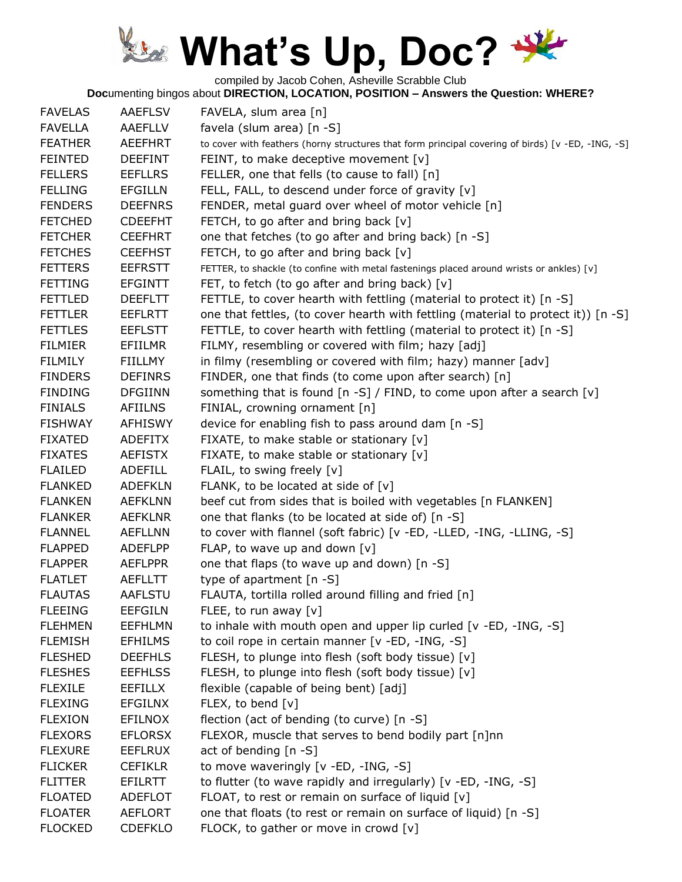compiled by Jacob Cohen, Asheville Scrabble Club

| <b>FAVELAS</b> | <b>AAEFLSV</b> | FAVELA, slum area [n]                                                                             |
|----------------|----------------|---------------------------------------------------------------------------------------------------|
| <b>FAVELLA</b> | AAEFLLV        | favela (slum area) [n -S]                                                                         |
| <b>FEATHER</b> | <b>AEEFHRT</b> | to cover with feathers (horny structures that form principal covering of birds) [v -ED, -ING, -S] |
| <b>FEINTED</b> | <b>DEEFINT</b> | FEINT, to make deceptive movement $[v]$                                                           |
| <b>FELLERS</b> | <b>EEFLLRS</b> | FELLER, one that fells (to cause to fall) [n]                                                     |
| <b>FELLING</b> | <b>EFGILLN</b> | FELL, FALL, to descend under force of gravity [v]                                                 |
| <b>FENDERS</b> | <b>DEEFNRS</b> | FENDER, metal guard over wheel of motor vehicle [n]                                               |
| <b>FETCHED</b> | <b>CDEEFHT</b> | FETCH, to go after and bring back [v]                                                             |
| <b>FETCHER</b> | <b>CEEFHRT</b> | one that fetches (to go after and bring back) [n -S]                                              |
| <b>FETCHES</b> | <b>CEEFHST</b> | FETCH, to go after and bring back [v]                                                             |
| <b>FETTERS</b> | <b>EEFRSTT</b> | FETTER, to shackle (to confine with metal fastenings placed around wrists or ankles) [v]          |
| <b>FETTING</b> | <b>EFGINTT</b> | FET, to fetch (to go after and bring back) [v]                                                    |
| <b>FETTLED</b> | <b>DEEFLTT</b> | FETTLE, to cover hearth with fettling (material to protect it) [n -S]                             |
| <b>FETTLER</b> | <b>EEFLRTT</b> | one that fettles, (to cover hearth with fettling (material to protect it)) [n -S]                 |
| <b>FETTLES</b> | <b>EEFLSTT</b> | FETTLE, to cover hearth with fettling (material to protect it) [n -S]                             |
| <b>FILMIER</b> | EFIILMR        | FILMY, resembling or covered with film; hazy [adj]                                                |
| <b>FILMILY</b> | FIILLMY        | in filmy (resembling or covered with film; hazy) manner [adv]                                     |
| <b>FINDERS</b> | <b>DEFINRS</b> | FINDER, one that finds (to come upon after search) [n]                                            |
| <b>FINDING</b> | <b>DFGIINN</b> | something that is found $[n -S]$ / FIND, to come upon after a search $[v]$                        |
| <b>FINIALS</b> | <b>AFIILNS</b> | FINIAL, crowning ornament [n]                                                                     |
| <b>FISHWAY</b> | <b>AFHISWY</b> | device for enabling fish to pass around dam [n -S]                                                |
| <b>FIXATED</b> | <b>ADEFITX</b> | FIXATE, to make stable or stationary [v]                                                          |
| <b>FIXATES</b> | <b>AEFISTX</b> | FIXATE, to make stable or stationary [v]                                                          |
| <b>FLAILED</b> | <b>ADEFILL</b> | FLAIL, to swing freely [v]                                                                        |
| <b>FLANKED</b> | <b>ADEFKLN</b> | FLANK, to be located at side of [v]                                                               |
| <b>FLANKEN</b> | <b>AEFKLNN</b> | beef cut from sides that is boiled with vegetables [n FLANKEN]                                    |
| <b>FLANKER</b> | <b>AEFKLNR</b> | one that flanks (to be located at side of) [n -S]                                                 |
| <b>FLANNEL</b> | <b>AEFLLNN</b> | to cover with flannel (soft fabric) [v -ED, -LLED, -ING, -LLING, -S]                              |
| <b>FLAPPED</b> | <b>ADEFLPP</b> | FLAP, to wave up and down $[v]$                                                                   |
| <b>FLAPPER</b> | <b>AEFLPPR</b> | one that flaps (to wave up and down) [n -S]                                                       |
| <b>FLATLET</b> | <b>AEFLLTT</b> | type of apartment [n -S]                                                                          |
| <b>FLAUTAS</b> | <b>AAFLSTU</b> | FLAUTA, tortilla rolled around filling and fried [n]                                              |
| <b>FLEEING</b> | <b>EEFGILN</b> | FLEE, to run away $[v]$                                                                           |
| <b>FLEHMEN</b> | <b>EEFHLMN</b> | to inhale with mouth open and upper lip curled [v -ED, -ING, -S]                                  |
| <b>FLEMISH</b> | <b>EFHILMS</b> | to coil rope in certain manner [v -ED, -ING, -S]                                                  |
| <b>FLESHED</b> | <b>DEEFHLS</b> | FLESH, to plunge into flesh (soft body tissue) [v]                                                |
| <b>FLESHES</b> | <b>EEFHLSS</b> | FLESH, to plunge into flesh (soft body tissue) [v]                                                |
| <b>FLEXILE</b> | EEFILLX        | flexible (capable of being bent) [adj]                                                            |
| <b>FLEXING</b> | <b>EFGILNX</b> | FLEX, to bend [v]                                                                                 |
| <b>FLEXION</b> | <b>EFILNOX</b> | flection (act of bending (to curve) [n -S]                                                        |
| <b>FLEXORS</b> | <b>EFLORSX</b> | FLEXOR, muscle that serves to bend bodily part [n]nn                                              |
| <b>FLEXURE</b> | <b>EEFLRUX</b> | act of bending [n -S]                                                                             |
| <b>FLICKER</b> | <b>CEFIKLR</b> | to move waveringly [v -ED, -ING, -S]                                                              |
| <b>FLITTER</b> | EFILRTT        | to flutter (to wave rapidly and irregularly) [v -ED, -ING, -S]                                    |
| <b>FLOATED</b> | ADEFLOT        | FLOAT, to rest or remain on surface of liquid [v]                                                 |
| <b>FLOATER</b> | <b>AEFLORT</b> | one that floats (to rest or remain on surface of liquid) [n -S]                                   |
| <b>FLOCKED</b> | <b>CDEFKLO</b> | FLOCK, to gather or move in crowd [v]                                                             |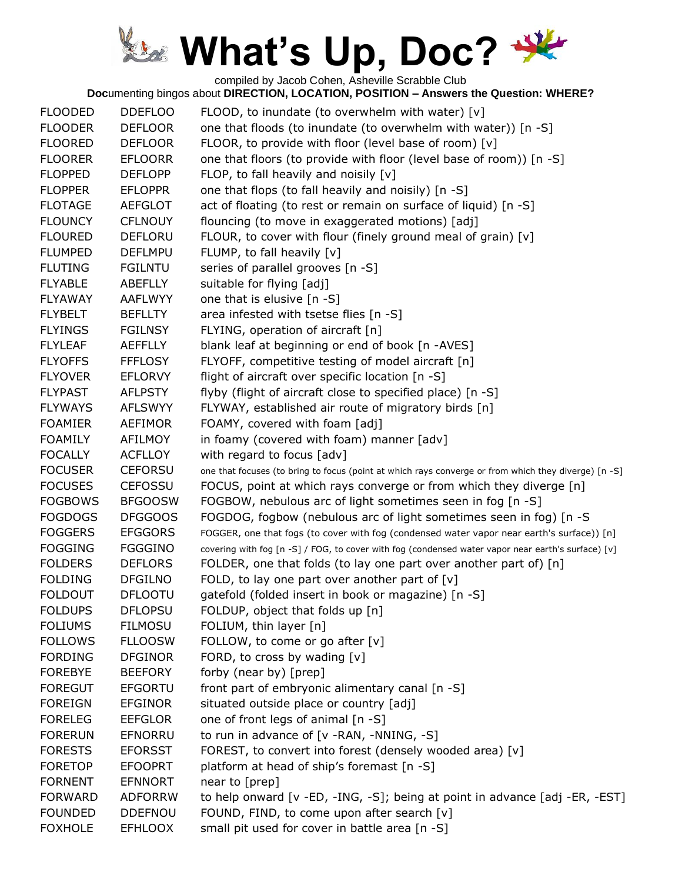compiled by Jacob Cohen, Asheville Scrabble Club

| <b>FLOODED</b> | <b>DDEFLOO</b> | FLOOD, to inundate (to overwhelm with water) [v]                                                     |
|----------------|----------------|------------------------------------------------------------------------------------------------------|
| <b>FLOODER</b> | <b>DEFLOOR</b> | one that floods (to inundate (to overwhelm with water)) [n -S]                                       |
| <b>FLOORED</b> | <b>DEFLOOR</b> | FLOOR, to provide with floor (level base of room) [v]                                                |
| <b>FLOORER</b> | <b>EFLOORR</b> | one that floors (to provide with floor (level base of room)) [n -S]                                  |
| <b>FLOPPED</b> | <b>DEFLOPP</b> | FLOP, to fall heavily and noisily [v]                                                                |
| <b>FLOPPER</b> | <b>EFLOPPR</b> | one that flops (to fall heavily and noisily) [n -S]                                                  |
| <b>FLOTAGE</b> | <b>AEFGLOT</b> |                                                                                                      |
|                |                | act of floating (to rest or remain on surface of liquid) [n -S]                                      |
| <b>FLOUNCY</b> | <b>CFLNOUY</b> | flouncing (to move in exaggerated motions) [adj]                                                     |
| <b>FLOURED</b> | <b>DEFLORU</b> | FLOUR, to cover with flour (finely ground meal of grain) [v]                                         |
| <b>FLUMPED</b> | <b>DEFLMPU</b> | FLUMP, to fall heavily [v]                                                                           |
| <b>FLUTING</b> | <b>FGILNTU</b> | series of parallel grooves [n -S]                                                                    |
| <b>FLYABLE</b> | ABEFLLY        | suitable for flying [adj]                                                                            |
| <b>FLYAWAY</b> | <b>AAFLWYY</b> | one that is elusive [n -S]                                                                           |
| <b>FLYBELT</b> | <b>BEFLLTY</b> | area infested with tsetse flies [n -S]                                                               |
| <b>FLYINGS</b> | <b>FGILNSY</b> | FLYING, operation of aircraft [n]                                                                    |
| <b>FLYLEAF</b> | <b>AEFFLLY</b> | blank leaf at beginning or end of book [n -AVES]                                                     |
| <b>FLYOFFS</b> | <b>FFFLOSY</b> | FLYOFF, competitive testing of model aircraft [n]                                                    |
| <b>FLYOVER</b> | <b>EFLORVY</b> | flight of aircraft over specific location [n -S]                                                     |
| <b>FLYPAST</b> | <b>AFLPSTY</b> | flyby (flight of aircraft close to specified place) [n -S]                                           |
| <b>FLYWAYS</b> | <b>AFLSWYY</b> | FLYWAY, established air route of migratory birds [n]                                                 |
| <b>FOAMIER</b> | <b>AEFIMOR</b> | FOAMY, covered with foam [adj]                                                                       |
| <b>FOAMILY</b> | <b>AFILMOY</b> | in foamy (covered with foam) manner [adv]                                                            |
| <b>FOCALLY</b> | <b>ACFLLOY</b> | with regard to focus [adv]                                                                           |
| <b>FOCUSER</b> | <b>CEFORSU</b> | one that focuses (to bring to focus (point at which rays converge or from which they diverge) [n -S] |
| <b>FOCUSES</b> | <b>CEFOSSU</b> | FOCUS, point at which rays converge or from which they diverge [n]                                   |
| <b>FOGBOWS</b> | <b>BFGOOSW</b> | FOGBOW, nebulous arc of light sometimes seen in fog [n -S]                                           |
| <b>FOGDOGS</b> | <b>DFGGOOS</b> | FOGDOG, fogbow (nebulous arc of light sometimes seen in fog) [n -S                                   |
| <b>FOGGERS</b> | <b>EFGGORS</b> | FOGGER, one that fogs (to cover with fog (condensed water vapor near earth's surface)) [n]           |
| <b>FOGGING</b> | <b>FGGGINO</b> | covering with fog [n -S] / FOG, to cover with fog (condensed water vapor near earth's surface) [v]   |
| <b>FOLDERS</b> | <b>DEFLORS</b> | FOLDER, one that folds (to lay one part over another part of) [n]                                    |
| <b>FOLDING</b> | <b>DFGILNO</b> | FOLD, to lay one part over another part of $[v]$                                                     |
| <b>FOLDOUT</b> | <b>DFLOOTU</b> | gatefold (folded insert in book or magazine) [n -S]                                                  |
| <b>FOLDUPS</b> | <b>DFLOPSU</b> | FOLDUP, object that folds up [n]                                                                     |
| <b>FOLIUMS</b> | <b>FILMOSU</b> | FOLIUM, thin layer [n]                                                                               |
| <b>FOLLOWS</b> | <b>FLLOOSW</b> | FOLLOW, to come or go after [v]                                                                      |
| <b>FORDING</b> | <b>DFGINOR</b> | FORD, to cross by wading [v]                                                                         |
| <b>FOREBYE</b> | <b>BEEFORY</b> | forby (near by) [prep]                                                                               |
| <b>FOREGUT</b> | <b>EFGORTU</b> | front part of embryonic alimentary canal [n -S]                                                      |
| <b>FOREIGN</b> | <b>EFGINOR</b> | situated outside place or country [adj]                                                              |
| <b>FORELEG</b> | <b>EEFGLOR</b> | one of front legs of animal [n -S]                                                                   |
| <b>FORERUN</b> | EFNORRU        | to run in advance of [v -RAN, -NNING, -S]                                                            |
| <b>FORESTS</b> | <b>EFORSST</b> | FOREST, to convert into forest (densely wooded area) [v]                                             |
| <b>FORETOP</b> | <b>EFOOPRT</b> | platform at head of ship's foremast [n -S]                                                           |
| <b>FORNENT</b> | <b>EFNNORT</b> | near to [prep]                                                                                       |
| <b>FORWARD</b> | <b>ADFORRW</b> | to help onward [v -ED, -ING, -S]; being at point in advance [adj -ER, -EST]                          |
| <b>FOUNDED</b> | <b>DDEFNOU</b> | FOUND, FIND, to come upon after search [v]                                                           |
| <b>FOXHOLE</b> | <b>EFHLOOX</b> | small pit used for cover in battle area [n -S]                                                       |
|                |                |                                                                                                      |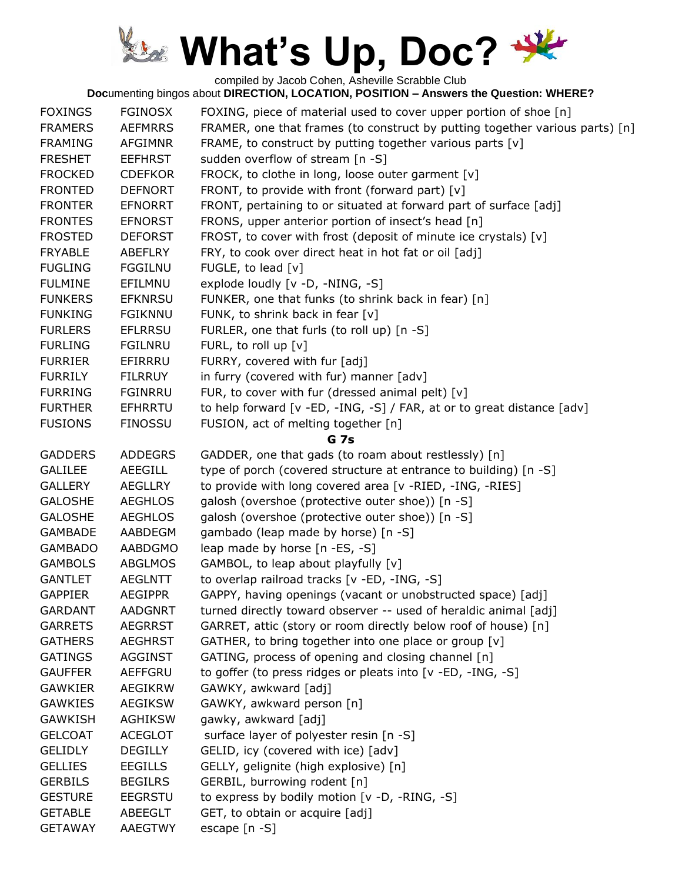compiled by Jacob Cohen, Asheville Scrabble Club

| <b>FOXINGS</b> | <b>FGINOSX</b> | FOXING, piece of material used to cover upper portion of shoe [n]            |
|----------------|----------------|------------------------------------------------------------------------------|
| <b>FRAMERS</b> | <b>AEFMRRS</b> | FRAMER, one that frames (to construct by putting together various parts) [n] |
| <b>FRAMING</b> | <b>AFGIMNR</b> | FRAME, to construct by putting together various parts [v]                    |
| <b>FRESHET</b> | <b>EEFHRST</b> | sudden overflow of stream [n -S]                                             |
| <b>FROCKED</b> | <b>CDEFKOR</b> | FROCK, to clothe in long, loose outer garment [v]                            |
| <b>FRONTED</b> | <b>DEFNORT</b> | FRONT, to provide with front (forward part) [v]                              |
| <b>FRONTER</b> | <b>EFNORRT</b> | FRONT, pertaining to or situated at forward part of surface [adj]            |
| <b>FRONTES</b> | <b>EFNORST</b> | FRONS, upper anterior portion of insect's head [n]                           |
| <b>FROSTED</b> | <b>DEFORST</b> | FROST, to cover with frost (deposit of minute ice crystals) [v]              |
| <b>FRYABLE</b> | ABEFLRY        | FRY, to cook over direct heat in hot fat or oil [adj]                        |
| <b>FUGLING</b> | <b>FGGILNU</b> | FUGLE, to lead [v]                                                           |
| <b>FULMINE</b> | EFILMNU        | explode loudly [v -D, -NING, -S]                                             |
| <b>FUNKERS</b> | <b>EFKNRSU</b> | FUNKER, one that funks (to shrink back in fear) [n]                          |
| <b>FUNKING</b> | <b>FGIKNNU</b> | FUNK, to shrink back in fear [v]                                             |
| <b>FURLERS</b> | <b>EFLRRSU</b> | FURLER, one that furls (to roll up) [n -S]                                   |
| <b>FURLING</b> | <b>FGILNRU</b> | FURL, to roll up $[v]$                                                       |
| <b>FURRIER</b> | EFIRRRU        | FURRY, covered with fur [adj]                                                |
| <b>FURRILY</b> | <b>FILRRUY</b> | in furry (covered with fur) manner [adv]                                     |
| <b>FURRING</b> | FGINRRU        | FUR, to cover with fur (dressed animal pelt) [v]                             |
| <b>FURTHER</b> | <b>EFHRRTU</b> | to help forward [v -ED, -ING, -S] / FAR, at or to great distance [adv]       |
| <b>FUSIONS</b> | <b>FINOSSU</b> | FUSION, act of melting together [n]                                          |
|                |                | <b>G</b> 7s                                                                  |
| <b>GADDERS</b> | <b>ADDEGRS</b> | GADDER, one that gads (to roam about restlessly) [n]                         |
| <b>GALILEE</b> | <b>AEEGILL</b> | type of porch (covered structure at entrance to building) [n -S]             |
| <b>GALLERY</b> | <b>AEGLLRY</b> | to provide with long covered area [v -RIED, -ING, -RIES]                     |
| <b>GALOSHE</b> | <b>AEGHLOS</b> | galosh (overshoe (protective outer shoe)) [n -S]                             |
| <b>GALOSHE</b> | <b>AEGHLOS</b> | galosh (overshoe (protective outer shoe)) [n -S]                             |
| <b>GAMBADE</b> | AABDEGM        | gambado (leap made by horse) [n -S]                                          |
| <b>GAMBADO</b> | <b>AABDGMO</b> | leap made by horse [n -ES, -S]                                               |
| <b>GAMBOLS</b> | <b>ABGLMOS</b> | GAMBOL, to leap about playfully [v]                                          |
| <b>GANTLET</b> | <b>AEGLNTT</b> | to overlap railroad tracks [v -ED, -ING, -S]                                 |
| <b>GAPPIER</b> | <b>AEGIPPR</b> | GAPPY, having openings (vacant or unobstructed space) [adj]                  |
| <b>GARDANT</b> | <b>AADGNRT</b> | turned directly toward observer -- used of heraldic animal [adj]             |
| <b>GARRETS</b> | <b>AEGRRST</b> | GARRET, attic (story or room directly below roof of house) [n]               |
| <b>GATHERS</b> | <b>AEGHRST</b> | GATHER, to bring together into one place or group [v]                        |
| <b>GATINGS</b> | <b>AGGINST</b> | GATING, process of opening and closing channel [n]                           |
| <b>GAUFFER</b> | <b>AEFFGRU</b> | to goffer (to press ridges or pleats into [v -ED, -ING, -S]                  |
| <b>GAWKIER</b> | <b>AEGIKRW</b> | GAWKY, awkward [adj]                                                         |
| <b>GAWKIES</b> | <b>AEGIKSW</b> | GAWKY, awkward person [n]                                                    |
| <b>GAWKISH</b> | <b>AGHIKSW</b> | gawky, awkward [adj]                                                         |
| <b>GELCOAT</b> | <b>ACEGLOT</b> | surface layer of polyester resin [n -S]                                      |
| <b>GELIDLY</b> | <b>DEGILLY</b> | GELID, icy (covered with ice) [adv]                                          |
| <b>GELLIES</b> | <b>EEGILLS</b> | GELLY, gelignite (high explosive) [n]                                        |
| <b>GERBILS</b> | <b>BEGILRS</b> | GERBIL, burrowing rodent [n]                                                 |
| <b>GESTURE</b> | <b>EEGRSTU</b> | to express by bodily motion [v -D, -RING, -S]                                |
| <b>GETABLE</b> | <b>ABEEGLT</b> | GET, to obtain or acquire [adj]                                              |
| <b>GETAWAY</b> | <b>AAEGTWY</b> | escape [n -S]                                                                |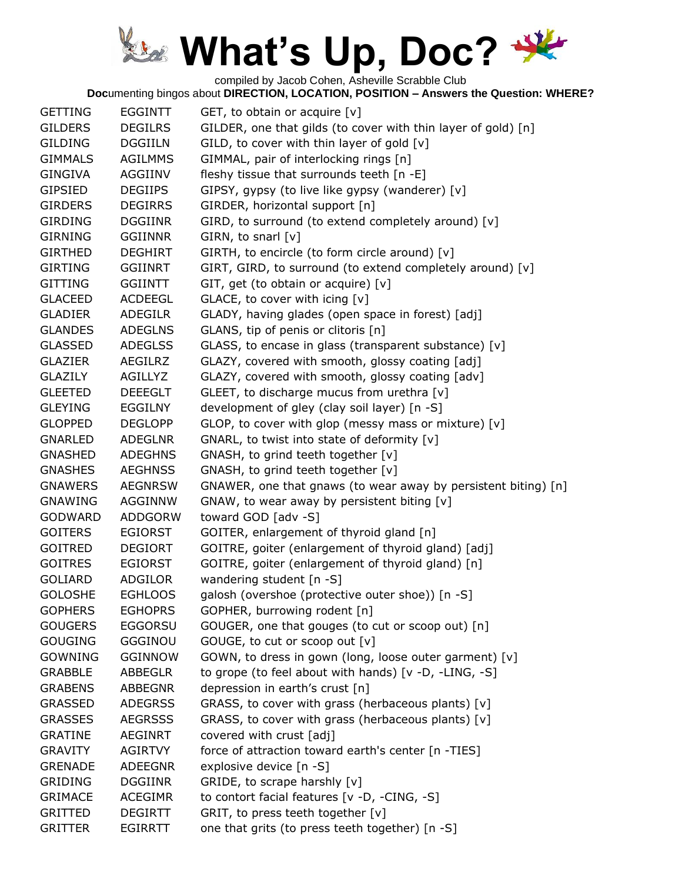compiled by Jacob Cohen, Asheville Scrabble Club

| <b>GETTING</b> | <b>EGGINTT</b> | GET, to obtain or acquire [v]                                  |
|----------------|----------------|----------------------------------------------------------------|
| <b>GILDERS</b> | <b>DEGILRS</b> | GILDER, one that gilds (to cover with thin layer of gold) [n]  |
| <b>GILDING</b> | <b>DGGIILN</b> | GILD, to cover with thin layer of gold [v]                     |
| <b>GIMMALS</b> | <b>AGILMMS</b> | GIMMAL, pair of interlocking rings [n]                         |
| <b>GINGIVA</b> | AGGIINV        | fleshy tissue that surrounds teeth [n -E]                      |
| <b>GIPSIED</b> | <b>DEGIIPS</b> | GIPSY, gypsy (to live like gypsy (wanderer) [v]                |
| <b>GIRDERS</b> | <b>DEGIRRS</b> | GIRDER, horizontal support [n]                                 |
| <b>GIRDING</b> | <b>DGGIINR</b> | GIRD, to surround (to extend completely around) [v]            |
| <b>GIRNING</b> | <b>GGIINNR</b> | GIRN, to snarl [v]                                             |
| <b>GIRTHED</b> | <b>DEGHIRT</b> | GIRTH, to encircle (to form circle around) [v]                 |
| <b>GIRTING</b> | <b>GGIINRT</b> | GIRT, GIRD, to surround (to extend completely around) [v]      |
| <b>GITTING</b> | <b>GGIINTT</b> | GIT, get (to obtain or acquire) [v]                            |
| <b>GLACEED</b> | <b>ACDEEGL</b> | GLACE, to cover with icing [v]                                 |
| <b>GLADIER</b> | <b>ADEGILR</b> | GLADY, having glades (open space in forest) [adj]              |
| <b>GLANDES</b> | <b>ADEGLNS</b> | GLANS, tip of penis or clitoris [n]                            |
| <b>GLASSED</b> | <b>ADEGLSS</b> | GLASS, to encase in glass (transparent substance) [v]          |
| <b>GLAZIER</b> | <b>AEGILRZ</b> | GLAZY, covered with smooth, glossy coating [adj]               |
| <b>GLAZILY</b> | AGILLYZ        | GLAZY, covered with smooth, glossy coating [adv]               |
| <b>GLEETED</b> | <b>DEEEGLT</b> | GLEET, to discharge mucus from urethra [v]                     |
| <b>GLEYING</b> | <b>EGGILNY</b> | development of gley (clay soil layer) [n -S]                   |
| <b>GLOPPED</b> | <b>DEGLOPP</b> | GLOP, to cover with glop (messy mass or mixture) [v]           |
| <b>GNARLED</b> | <b>ADEGLNR</b> | GNARL, to twist into state of deformity [v]                    |
| <b>GNASHED</b> | <b>ADEGHNS</b> | GNASH, to grind teeth together [v]                             |
| <b>GNASHES</b> | <b>AEGHNSS</b> | GNASH, to grind teeth together [v]                             |
| <b>GNAWERS</b> | <b>AEGNRSW</b> | GNAWER, one that gnaws (to wear away by persistent biting) [n] |
| <b>GNAWING</b> | AGGINNW        | GNAW, to wear away by persistent biting [v]                    |
| <b>GODWARD</b> | ADDGORW        | toward GOD [adv -S]                                            |
| <b>GOITERS</b> | <b>EGIORST</b> | GOITER, enlargement of thyroid gland [n]                       |
| <b>GOITRED</b> | <b>DEGIORT</b> | GOITRE, goiter (enlargement of thyroid gland) [adj]            |
| <b>GOITRES</b> | <b>EGIORST</b> | GOITRE, goiter (enlargement of thyroid gland) [n]              |
| <b>GOLIARD</b> | ADGILOR        | wandering student [n -S]                                       |
| <b>GOLOSHE</b> | <b>EGHLOOS</b> | galosh (overshoe (protective outer shoe)) [n -S]               |
| <b>GOPHERS</b> | <b>EGHOPRS</b> | GOPHER, burrowing rodent [n]                                   |
| <b>GOUGERS</b> | <b>EGGORSU</b> | GOUGER, one that gouges (to cut or scoop out) [n]              |
| <b>GOUGING</b> | GGGINOU        | GOUGE, to cut or scoop out [v]                                 |
| <b>GOWNING</b> | <b>GGINNOW</b> | GOWN, to dress in gown (long, loose outer garment) [v]         |
| <b>GRABBLE</b> | <b>ABBEGLR</b> | to grope (to feel about with hands) [v -D, -LING, -S]          |
| <b>GRABENS</b> | <b>ABBEGNR</b> | depression in earth's crust [n]                                |
| <b>GRASSED</b> | <b>ADEGRSS</b> | GRASS, to cover with grass (herbaceous plants) [v]             |
| <b>GRASSES</b> | <b>AEGRSSS</b> | GRASS, to cover with grass (herbaceous plants) [v]             |
| <b>GRATINE</b> | AEGINRT        | covered with crust [adj]                                       |
| <b>GRAVITY</b> | AGIRTVY        | force of attraction toward earth's center [n -TIES]            |
| <b>GRENADE</b> | <b>ADEEGNR</b> | explosive device [n -S]                                        |
| <b>GRIDING</b> | <b>DGGIINR</b> | GRIDE, to scrape harshly [v]                                   |
| <b>GRIMACE</b> | <b>ACEGIMR</b> | to contort facial features [v -D, -CING, -S]                   |
| <b>GRITTED</b> | <b>DEGIRTT</b> | GRIT, to press teeth together [v]                              |
| <b>GRITTER</b> | <b>EGIRRTT</b> | one that grits (to press teeth together) [n -S]                |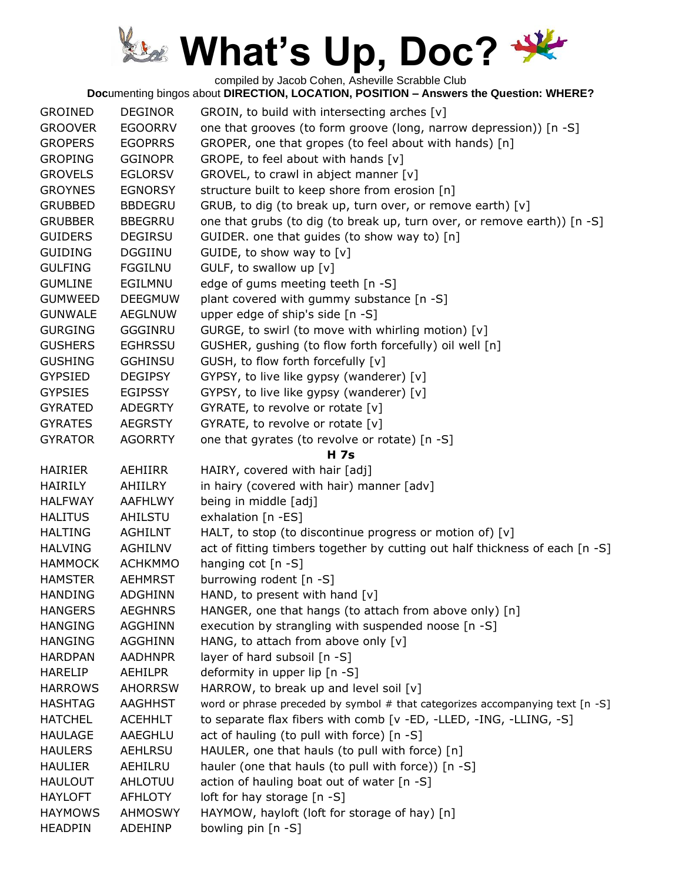compiled by Jacob Cohen, Asheville Scrabble Club

| <b>GROINED</b> | <b>DEGINOR</b> | GROIN, to build with intersecting arches [v]                                  |
|----------------|----------------|-------------------------------------------------------------------------------|
| <b>GROOVER</b> | <b>EGOORRV</b> | one that grooves (to form groove (long, narrow depression)) [n -S]            |
| <b>GROPERS</b> | <b>EGOPRRS</b> | GROPER, one that gropes (to feel about with hands) [n]                        |
| <b>GROPING</b> | <b>GGINOPR</b> | GROPE, to feel about with hands [v]                                           |
| <b>GROVELS</b> | <b>EGLORSV</b> | GROVEL, to crawl in abject manner [v]                                         |
| <b>GROYNES</b> | <b>EGNORSY</b> | structure built to keep shore from erosion [n]                                |
| <b>GRUBBED</b> | <b>BBDEGRU</b> | GRUB, to dig (to break up, turn over, or remove earth) [v]                    |
| <b>GRUBBER</b> | <b>BBEGRRU</b> | one that grubs (to dig (to break up, turn over, or remove earth)) [n -S]      |
| <b>GUIDERS</b> | <b>DEGIRSU</b> | GUIDER. one that guides (to show way to) [n]                                  |
| <b>GUIDING</b> | <b>DGGIINU</b> | GUIDE, to show way to $[v]$                                                   |
| <b>GULFING</b> | <b>FGGILNU</b> | GULF, to swallow up [v]                                                       |
| <b>GUMLINE</b> | EGILMNU        | edge of gums meeting teeth [n -S]                                             |
| <b>GUMWEED</b> | <b>DEEGMUW</b> | plant covered with gummy substance [n -S]                                     |
| <b>GUNWALE</b> | AEGLNUW        | upper edge of ship's side [n -S]                                              |
| <b>GURGING</b> | GGGINRU        | GURGE, to swirl (to move with whirling motion) [v]                            |
| <b>GUSHERS</b> | <b>EGHRSSU</b> | GUSHER, gushing (to flow forth forcefully) oil well [n]                       |
| <b>GUSHING</b> | <b>GGHINSU</b> | GUSH, to flow forth forcefully [v]                                            |
| <b>GYPSIED</b> | <b>DEGIPSY</b> | GYPSY, to live like gypsy (wanderer) [v]                                      |
| <b>GYPSIES</b> | <b>EGIPSSY</b> | GYPSY, to live like gypsy (wanderer) [v]                                      |
| <b>GYRATED</b> | <b>ADEGRTY</b> | GYRATE, to revolve or rotate [v]                                              |
| <b>GYRATES</b> | <b>AEGRSTY</b> | GYRATE, to revolve or rotate [v]                                              |
| <b>GYRATOR</b> | <b>AGORRTY</b> | one that gyrates (to revolve or rotate) [n -S]                                |
|                |                | <b>H</b> 7s                                                                   |
| <b>HAIRIER</b> | AEHIIRR        | HAIRY, covered with hair [adj]                                                |
| <b>HAIRILY</b> | AHIILRY        | in hairy (covered with hair) manner [adv]                                     |
| <b>HALFWAY</b> | AAFHLWY        | being in middle [adj]                                                         |
| <b>HALITUS</b> | <b>AHILSTU</b> | exhalation [n -ES]                                                            |
| <b>HALTING</b> | <b>AGHILNT</b> | HALT, to stop (to discontinue progress or motion of) [v]                      |
| <b>HALVING</b> | <b>AGHILNV</b> | act of fitting timbers together by cutting out half thickness of each [n -S]  |
| <b>HAMMOCK</b> | <b>ACHKMMO</b> | hanging cot $[n - S]$                                                         |
| <b>HAMSTER</b> | <b>AEHMRST</b> | burrowing rodent [n -S]                                                       |
| <b>HANDING</b> | <b>ADGHINN</b> | HAND, to present with hand $[v]$                                              |
| <b>HANGERS</b> | <b>AEGHNRS</b> | HANGER, one that hangs (to attach from above only) [n]                        |
| <b>HANGING</b> | AGGHINN        | execution by strangling with suspended noose [n -S]                           |
| <b>HANGING</b> | <b>AGGHINN</b> | HANG, to attach from above only [v]                                           |
| <b>HARDPAN</b> | <b>AADHNPR</b> | layer of hard subsoil [n -S]                                                  |
| <b>HARELIP</b> | <b>AEHILPR</b> | deformity in upper lip [n -S]                                                 |
| <b>HARROWS</b> | <b>AHORRSW</b> | HARROW, to break up and level soil [v]                                        |
| <b>HASHTAG</b> | AAGHHST        | word or phrase preceded by symbol # that categorizes accompanying text [n -S] |
| <b>HATCHEL</b> | <b>ACEHHLT</b> | to separate flax fibers with comb [v -ED, -LLED, -ING, -LLING, -S]            |
| <b>HAULAGE</b> | AAEGHLU        | act of hauling (to pull with force) [n -S]                                    |
| <b>HAULERS</b> | AEHLRSU        | HAULER, one that hauls (to pull with force) [n]                               |
| <b>HAULIER</b> | AEHILRU        | hauler (one that hauls (to pull with force)) [n -S]                           |
| <b>HAULOUT</b> | AHLOTUU        | action of hauling boat out of water [n -S]                                    |
| <b>HAYLOFT</b> | <b>AFHLOTY</b> | loft for hay storage [n -S]                                                   |
| <b>HAYMOWS</b> | AHMOSWY        | HAYMOW, hayloft (loft for storage of hay) [n]                                 |
| <b>HEADPIN</b> | <b>ADEHINP</b> | bowling pin [n -S]                                                            |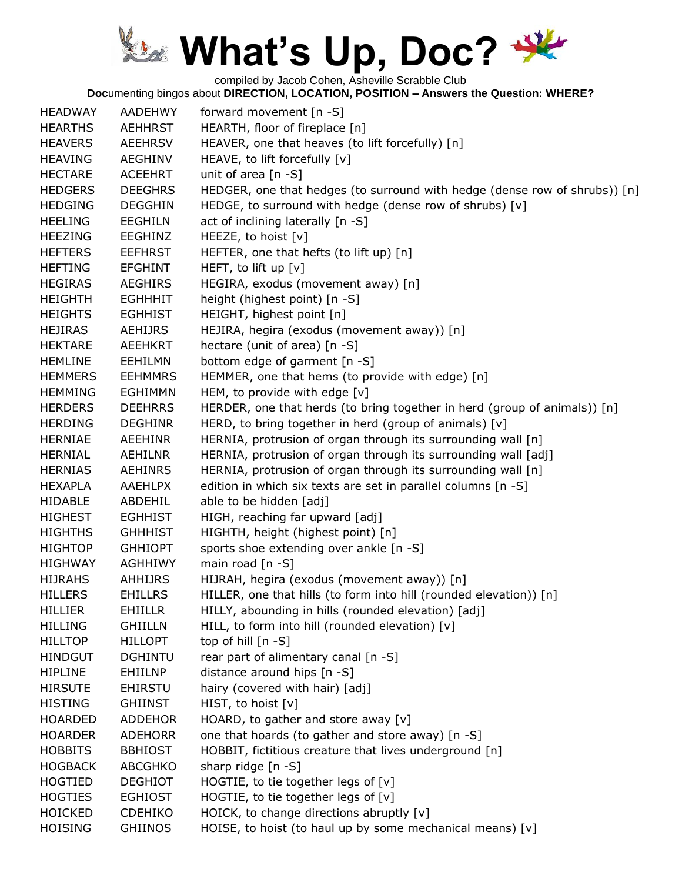compiled by Jacob Cohen, Asheville Scrabble Club

| <b>HEADWAY</b> | AADEHWY        | forward movement [n -S]                                                    |
|----------------|----------------|----------------------------------------------------------------------------|
| <b>HEARTHS</b> | <b>AEHHRST</b> | HEARTH, floor of fireplace [n]                                             |
| <b>HEAVERS</b> | <b>AEEHRSV</b> | HEAVER, one that heaves (to lift forcefully) [n]                           |
| <b>HEAVING</b> | AEGHINV        | HEAVE, to lift forcefully [v]                                              |
| <b>HECTARE</b> | <b>ACEEHRT</b> | unit of area $[n -S]$                                                      |
| <b>HEDGERS</b> | <b>DEEGHRS</b> | HEDGER, one that hedges (to surround with hedge (dense row of shrubs)) [n] |
| <b>HEDGING</b> | <b>DEGGHIN</b> | HEDGE, to surround with hedge (dense row of shrubs) [v]                    |
| <b>HEELING</b> | <b>EEGHILN</b> | act of inclining laterally [n -S]                                          |
| <b>HEEZING</b> | EEGHINZ        | HEEZE, to hoist [v]                                                        |
| <b>HEFTERS</b> | <b>EEFHRST</b> | HEFTER, one that hefts (to lift up) [n]                                    |
| <b>HEFTING</b> | <b>EFGHINT</b> | HEFT, to lift up [v]                                                       |
| <b>HEGIRAS</b> | <b>AEGHIRS</b> | HEGIRA, exodus (movement away) [n]                                         |
| <b>HEIGHTH</b> | <b>EGHHHIT</b> | height (highest point) [n -S]                                              |
| <b>HEIGHTS</b> | <b>EGHHIST</b> | HEIGHT, highest point [n]                                                  |
| <b>HEJIRAS</b> | AEHIJRS        | HEJIRA, hegira (exodus (movement away)) [n]                                |
| <b>HEKTARE</b> | <b>AEEHKRT</b> | hectare (unit of area) [n -S]                                              |
| <b>HEMLINE</b> | <b>EEHILMN</b> | bottom edge of garment [n -S]                                              |
| <b>HEMMERS</b> | <b>EEHMMRS</b> | HEMMER, one that hems (to provide with edge) [n]                           |
| <b>HEMMING</b> | <b>EGHIMMN</b> | HEM, to provide with edge [v]                                              |
| <b>HERDERS</b> | <b>DEEHRRS</b> | HERDER, one that herds (to bring together in herd (group of animals)) [n]  |
| <b>HERDING</b> | <b>DEGHINR</b> | HERD, to bring together in herd (group of animals) [v]                     |
| <b>HERNIAE</b> | <b>AEEHINR</b> | HERNIA, protrusion of organ through its surrounding wall [n]               |
| <b>HERNIAL</b> | AEHILNR        | HERNIA, protrusion of organ through its surrounding wall [adj]             |
| <b>HERNIAS</b> | <b>AEHINRS</b> | HERNIA, protrusion of organ through its surrounding wall [n]               |
| <b>HEXAPLA</b> | <b>AAEHLPX</b> | edition in which six texts are set in parallel columns [n -S]              |
| <b>HIDABLE</b> | ABDEHIL        | able to be hidden [adj]                                                    |
| <b>HIGHEST</b> | <b>EGHHIST</b> | HIGH, reaching far upward [adj]                                            |
| <b>HIGHTHS</b> | <b>GHHHIST</b> | HIGHTH, height (highest point) [n]                                         |
| <b>HIGHTOP</b> | <b>GHHIOPT</b> | sports shoe extending over ankle [n -S]                                    |
| <b>HIGHWAY</b> | <b>AGHHIWY</b> | main road $[n - S]$                                                        |
| <b>HIJRAHS</b> | <b>AHHIJRS</b> | HIJRAH, hegira (exodus (movement away)) [n]                                |
| <b>HILLERS</b> | <b>EHILLRS</b> | HILLER, one that hills (to form into hill (rounded elevation)) [n]         |
| <b>HILLIER</b> | <b>EHIILLR</b> | HILLY, abounding in hills (rounded elevation) [adj]                        |
| <b>HILLING</b> | <b>GHIILLN</b> | HILL, to form into hill (rounded elevation) [v]                            |
| <b>HILLTOP</b> | <b>HILLOPT</b> | top of hill $[n - S]$                                                      |
| <b>HINDGUT</b> | <b>DGHINTU</b> | rear part of alimentary canal [n -S]                                       |
| <b>HIPLINE</b> | <b>EHIILNP</b> | distance around hips [n -S]                                                |
| <b>HIRSUTE</b> | <b>EHIRSTU</b> | hairy (covered with hair) [adj]                                            |
| <b>HISTING</b> | <b>GHIINST</b> | HIST, to hoist $[v]$                                                       |
| <b>HOARDED</b> | <b>ADDEHOR</b> | HOARD, to gather and store away $[v]$                                      |
| <b>HOARDER</b> | <b>ADEHORR</b> | one that hoards (to gather and store away) [n -S]                          |
| <b>HOBBITS</b> | <b>BBHIOST</b> | HOBBIT, fictitious creature that lives underground [n]                     |
| <b>HOGBACK</b> | <b>ABCGHKO</b> | sharp ridge $[n -S]$                                                       |
| <b>HOGTIED</b> | <b>DEGHIOT</b> | HOGTIE, to tie together legs of $[v]$                                      |
| <b>HOGTIES</b> | <b>EGHIOST</b> | HOGTIE, to tie together legs of [v]                                        |
| <b>HOICKED</b> | <b>CDEHIKO</b> | HOICK, to change directions abruptly [v]                                   |
| <b>HOISING</b> | <b>GHIINOS</b> | HOISE, to hoist (to haul up by some mechanical means) [v]                  |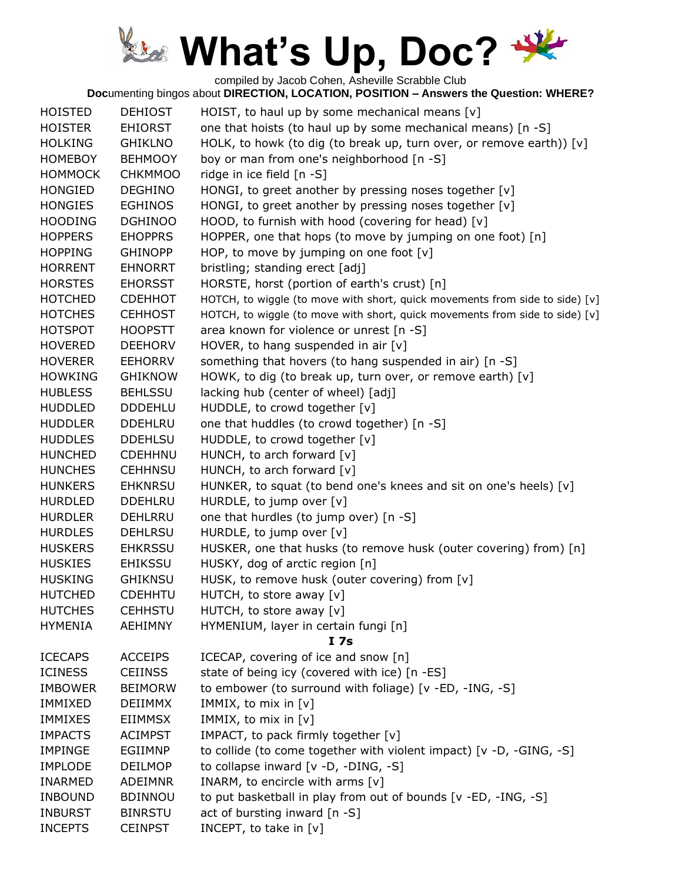compiled by Jacob Cohen, Asheville Scrabble Club

| <b>HOISTED</b> | <b>DEHIOST</b> | HOIST, to haul up by some mechanical means [v]                               |
|----------------|----------------|------------------------------------------------------------------------------|
| <b>HOISTER</b> | <b>EHIORST</b> | one that hoists (to haul up by some mechanical means) [n -S]                 |
| <b>HOLKING</b> | <b>GHIKLNO</b> | HOLK, to howk (to dig (to break up, turn over, or remove earth)) [v]         |
| <b>HOMEBOY</b> | <b>BEHMOOY</b> | boy or man from one's neighborhood [n -S]                                    |
| <b>HOMMOCK</b> | <b>CHKMMOO</b> | ridge in ice field [n -S]                                                    |
| <b>HONGIED</b> | <b>DEGHINO</b> | HONGI, to greet another by pressing noses together [v]                       |
| <b>HONGIES</b> | <b>EGHINOS</b> | HONGI, to greet another by pressing noses together $[v]$                     |
| <b>HOODING</b> | <b>DGHINOO</b> | HOOD, to furnish with hood (covering for head) [v]                           |
| <b>HOPPERS</b> | <b>EHOPPRS</b> | HOPPER, one that hops (to move by jumping on one foot) [n]                   |
| <b>HOPPING</b> | <b>GHINOPP</b> | HOP, to move by jumping on one foot $[v]$                                    |
| <b>HORRENT</b> | <b>EHNORRT</b> | bristling; standing erect [adj]                                              |
| <b>HORSTES</b> | <b>EHORSST</b> | HORSTE, horst (portion of earth's crust) [n]                                 |
| <b>HOTCHED</b> | <b>CDEHHOT</b> | HOTCH, to wiggle (to move with short, quick movements from side to side) [v] |
| <b>HOTCHES</b> | <b>CEHHOST</b> | HOTCH, to wiggle (to move with short, quick movements from side to side) [v] |
| <b>HOTSPOT</b> | <b>HOOPSTT</b> | area known for violence or unrest [n -S]                                     |
| <b>HOVERED</b> | <b>DEEHORV</b> | HOVER, to hang suspended in air $[v]$                                        |
| <b>HOVERER</b> | <b>EEHORRV</b> | something that hovers (to hang suspended in air) [n -S]                      |
| <b>HOWKING</b> | <b>GHIKNOW</b> | HOWK, to dig (to break up, turn over, or remove earth) [v]                   |
| <b>HUBLESS</b> | <b>BEHLSSU</b> | lacking hub (center of wheel) [adj]                                          |
| <b>HUDDLED</b> | <b>DDDEHLU</b> | HUDDLE, to crowd together [v]                                                |
| <b>HUDDLER</b> | <b>DDEHLRU</b> | one that huddles (to crowd together) [n -S]                                  |
| <b>HUDDLES</b> | <b>DDEHLSU</b> | HUDDLE, to crowd together [v]                                                |
| <b>HUNCHED</b> | <b>CDEHHNU</b> | HUNCH, to arch forward [v]                                                   |
| <b>HUNCHES</b> | <b>CEHHNSU</b> | HUNCH, to arch forward [v]                                                   |
| <b>HUNKERS</b> | <b>EHKNRSU</b> | HUNKER, to squat (to bend one's knees and sit on one's heels) [v]            |
| <b>HURDLED</b> | <b>DDEHLRU</b> | HURDLE, to jump over [v]                                                     |
| <b>HURDLER</b> | DEHLRRU        | one that hurdles (to jump over) [n -S]                                       |
| <b>HURDLES</b> | <b>DEHLRSU</b> | HURDLE, to jump over [v]                                                     |
| <b>HUSKERS</b> | <b>EHKRSSU</b> | HUSKER, one that husks (to remove husk (outer covering) from) [n]            |
| <b>HUSKIES</b> | <b>EHIKSSU</b> | HUSKY, dog of arctic region [n]                                              |
| <b>HUSKING</b> | <b>GHIKNSU</b> | HUSK, to remove husk (outer covering) from [v]                               |
| <b>HUTCHED</b> | <b>CDEHHTU</b> | HUTCH, to store away [v]                                                     |
| <b>HUTCHES</b> | <b>CEHHSTU</b> | HUTCH, to store away [v]                                                     |
| <b>HYMENIA</b> | AEHIMNY        | HYMENIUM, layer in certain fungi [n]                                         |
|                |                | I <sub>7s</sub>                                                              |
| <b>ICECAPS</b> | <b>ACCEIPS</b> | ICECAP, covering of ice and snow [n]                                         |
| <b>ICINESS</b> | <b>CEIINSS</b> | state of being icy (covered with ice) [n -ES]                                |
| <b>IMBOWER</b> | <b>BEIMORW</b> | to embower (to surround with foliage) [v -ED, -ING, -S]                      |
| <b>IMMIXED</b> | <b>DEIIMMX</b> | IMMIX, to mix in [v]                                                         |
| <b>IMMIXES</b> | <b>EIIMMSX</b> | IMMIX, to mix in [v]                                                         |
| <b>IMPACTS</b> | <b>ACIMPST</b> | IMPACT, to pack firmly together [v]                                          |
| <b>IMPINGE</b> | EGIIMNP        | to collide (to come together with violent impact) [v -D, -GING, -S]          |
| <b>IMPLODE</b> | <b>DEILMOP</b> | to collapse inward [v -D, -DING, -S]                                         |
| <b>INARMED</b> | ADEIMNR        | INARM, to encircle with arms [v]                                             |
| <b>INBOUND</b> | <b>BDINNOU</b> | to put basketball in play from out of bounds [v -ED, -ING, -S]               |
| <b>INBURST</b> | <b>BINRSTU</b> | act of bursting inward $[n -S]$                                              |
| <b>INCEPTS</b> | <b>CEINPST</b> | INCEPT, to take in [v]                                                       |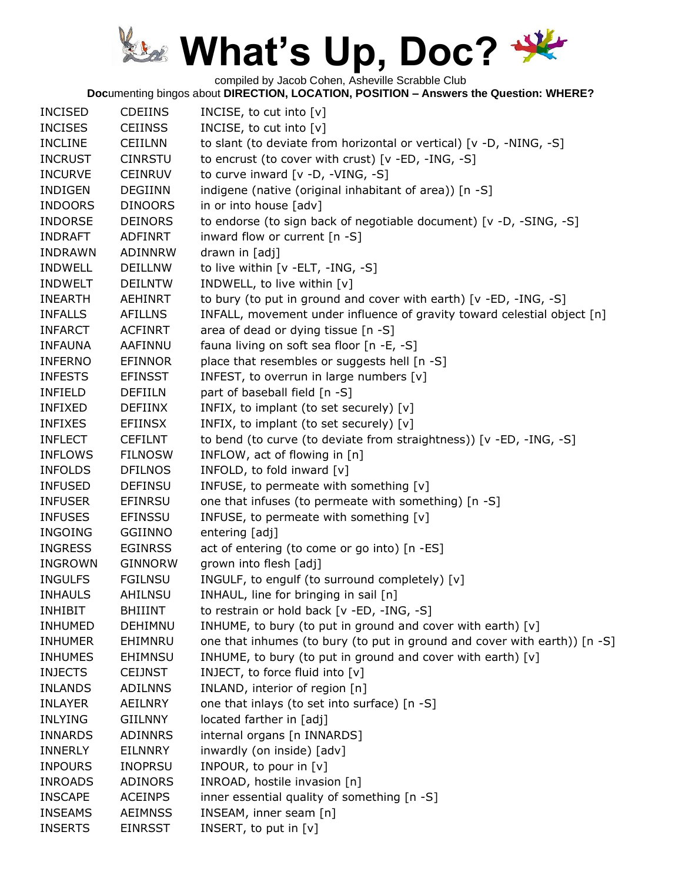compiled by Jacob Cohen, Asheville Scrabble Club

| <b>INCISED</b> | <b>CDEIINS</b> | INCISE, to cut into $[v]$                                                 |
|----------------|----------------|---------------------------------------------------------------------------|
| <b>INCISES</b> | <b>CEIINSS</b> | INCISE, to cut into [v]                                                   |
| <b>INCLINE</b> | <b>CEIILNN</b> | to slant (to deviate from horizontal or vertical) [v -D, -NING, -S]       |
| <b>INCRUST</b> | <b>CINRSTU</b> | to encrust (to cover with crust) [v -ED, -ING, -S]                        |
| <b>INCURVE</b> | <b>CEINRUV</b> | to curve inward [v -D, -VING, -S]                                         |
| <b>INDIGEN</b> | <b>DEGIINN</b> | indigene (native (original inhabitant of area)) [n -S]                    |
| <b>INDOORS</b> | <b>DINOORS</b> | in or into house [adv]                                                    |
| <b>INDORSE</b> | <b>DEINORS</b> | to endorse (to sign back of negotiable document) [v -D, -SING, -S]        |
| <b>INDRAFT</b> | <b>ADFINRT</b> | inward flow or current [n -S]                                             |
| <b>INDRAWN</b> | ADINNRW        | drawn in [adj]                                                            |
| <b>INDWELL</b> | <b>DEILLNW</b> | to live within [v -ELT, -ING, -S]                                         |
| <b>INDWELT</b> | <b>DEILNTW</b> | INDWELL, to live within [v]                                               |
| <b>INEARTH</b> | AEHINRT        | to bury (to put in ground and cover with earth) [v -ED, -ING, -S]         |
| <b>INFALLS</b> | <b>AFILLNS</b> | INFALL, movement under influence of gravity toward celestial object [n]   |
| <b>INFARCT</b> | <b>ACFINRT</b> | area of dead or dying tissue [n -S]                                       |
| <b>INFAUNA</b> | AAFINNU        | fauna living on soft sea floor [n -E, -S]                                 |
| <b>INFERNO</b> | <b>EFINNOR</b> | place that resembles or suggests hell [n -S]                              |
| <b>INFESTS</b> | <b>EFINSST</b> | INFEST, to overrun in large numbers [v]                                   |
| <b>INFIELD</b> | <b>DEFIILN</b> | part of baseball field [n -S]                                             |
| <b>INFIXED</b> | <b>DEFIINX</b> | INFIX, to implant (to set securely) [v]                                   |
| <b>INFIXES</b> | <b>EFIINSX</b> | INFIX, to implant (to set securely) [v]                                   |
| <b>INFLECT</b> | <b>CEFILNT</b> | to bend (to curve (to deviate from straightness)) [v -ED, -ING, -S]       |
| <b>INFLOWS</b> | <b>FILNOSW</b> | INFLOW, act of flowing in [n]                                             |
| <b>INFOLDS</b> | <b>DFILNOS</b> | INFOLD, to fold inward [v]                                                |
| <b>INFUSED</b> | <b>DEFINSU</b> | INFUSE, to permeate with something [v]                                    |
| <b>INFUSER</b> | EFINRSU        | one that infuses (to permeate with something) [n -S]                      |
| <b>INFUSES</b> | <b>EFINSSU</b> | INFUSE, to permeate with something [v]                                    |
| <b>INGOING</b> | <b>GGIINNO</b> | entering [adj]                                                            |
| <b>INGRESS</b> | <b>EGINRSS</b> | act of entering (to come or go into) [n -ES]                              |
| <b>INGROWN</b> | <b>GINNORW</b> | grown into flesh [adj]                                                    |
| <b>INGULFS</b> | <b>FGILNSU</b> | INGULF, to engulf (to surround completely) [v]                            |
| <b>INHAULS</b> | AHILNSU        | INHAUL, line for bringing in sail [n]                                     |
| <b>INHIBIT</b> | <b>BHIIINT</b> | to restrain or hold back [v -ED, -ING, -S]                                |
| <b>INHUMED</b> | DEHIMNU        | INHUME, to bury (to put in ground and cover with earth) [v]               |
| <b>INHUMER</b> | EHIMNRU        | one that inhumes (to bury (to put in ground and cover with earth)) [n -S] |
| <b>INHUMES</b> | <b>EHIMNSU</b> | INHUME, to bury (to put in ground and cover with earth) [v]               |
| <b>INJECTS</b> | <b>CEIJNST</b> | INJECT, to force fluid into [v]                                           |
| <b>INLANDS</b> | <b>ADILNNS</b> | INLAND, interior of region [n]                                            |
| <b>INLAYER</b> | AEILNRY        | one that inlays (to set into surface) [n -S]                              |
| <b>INLYING</b> | <b>GIILNNY</b> | located farther in [adj]                                                  |
| <b>INNARDS</b> | <b>ADINNRS</b> | internal organs [n INNARDS]                                               |
| <b>INNERLY</b> | EILNNRY        | inwardly (on inside) [adv]                                                |
| <b>INPOURS</b> | <b>INOPRSU</b> | INPOUR, to pour in [v]                                                    |
| <b>INROADS</b> | <b>ADINORS</b> | INROAD, hostile invasion [n]                                              |
| <b>INSCAPE</b> | <b>ACEINPS</b> | inner essential quality of something [n -S]                               |
| <b>INSEAMS</b> | <b>AEIMNSS</b> | INSEAM, inner seam [n]                                                    |
| <b>INSERTS</b> | <b>EINRSST</b> | INSERT, to put in $[v]$                                                   |
|                |                |                                                                           |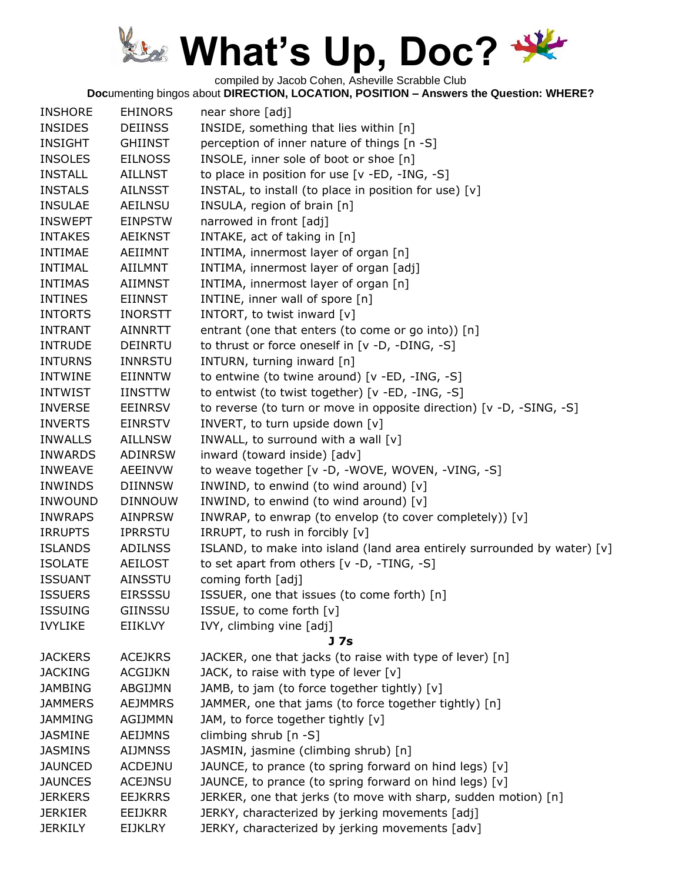compiled by Jacob Cohen, Asheville Scrabble Club

| <b>INSHORE</b> | <b>EHINORS</b> | near shore [adj]                                                         |
|----------------|----------------|--------------------------------------------------------------------------|
| <b>INSIDES</b> | <b>DEIINSS</b> | INSIDE, something that lies within [n]                                   |
| <b>INSIGHT</b> | <b>GHIINST</b> | perception of inner nature of things [n -S]                              |
| <b>INSOLES</b> | <b>EILNOSS</b> | INSOLE, inner sole of boot or shoe [n]                                   |
| <b>INSTALL</b> | <b>AILLNST</b> | to place in position for use [v -ED, -ING, -S]                           |
| <b>INSTALS</b> | <b>AILNSST</b> | INSTAL, to install (to place in position for use) [v]                    |
| <b>INSULAE</b> | <b>AEILNSU</b> | INSULA, region of brain [n]                                              |
| <b>INSWEPT</b> | <b>EINPSTW</b> | narrowed in front [adj]                                                  |
| <b>INTAKES</b> | <b>AEIKNST</b> | INTAKE, act of taking in [n]                                             |
| <b>INTIMAE</b> | AEIIMNT        | INTIMA, innermost layer of organ [n]                                     |
| <b>INTIMAL</b> | <b>AIILMNT</b> | INTIMA, innermost layer of organ [adj]                                   |
| <b>INTIMAS</b> | <b>AIIMNST</b> | INTIMA, innermost layer of organ [n]                                     |
| <b>INTINES</b> | <b>EIINNST</b> | INTINE, inner wall of spore [n]                                          |
| <b>INTORTS</b> | <b>INORSTT</b> | INTORT, to twist inward [v]                                              |
| <b>INTRANT</b> | <b>AINNRTT</b> | entrant (one that enters (to come or go into)) [n]                       |
| <b>INTRUDE</b> | <b>DEINRTU</b> | to thrust or force oneself in [v -D, -DING, -S]                          |
| <b>INTURNS</b> | <b>INNRSTU</b> | INTURN, turning inward [n]                                               |
| <b>INTWINE</b> | <b>EIINNTW</b> | to entwine (to twine around) [v -ED, -ING, -S]                           |
| <b>INTWIST</b> | <b>IINSTTW</b> | to entwist (to twist together) [v -ED, -ING, -S]                         |
| <b>INVERSE</b> | <b>EEINRSV</b> | to reverse (to turn or move in opposite direction) [v -D, -SING, -S]     |
| <b>INVERTS</b> | <b>EINRSTV</b> | INVERT, to turn upside down [v]                                          |
| <b>INWALLS</b> | <b>AILLNSW</b> | INWALL, to surround with a wall [v]                                      |
| <b>INWARDS</b> | ADINRSW        | inward (toward inside) [adv]                                             |
| <b>INWEAVE</b> | <b>AEEINVW</b> | to weave together [v -D, -WOVE, WOVEN, -VING, -S]                        |
| <b>INWINDS</b> | <b>DIINNSW</b> | INWIND, to enwind (to wind around) [v]                                   |
| <b>INWOUND</b> | <b>DINNOUW</b> | INWIND, to enwind (to wind around) [v]                                   |
| <b>INWRAPS</b> | <b>AINPRSW</b> | INWRAP, to enwrap (to envelop (to cover completely)) [v]                 |
| <b>IRRUPTS</b> | <b>IPRRSTU</b> | IRRUPT, to rush in forcibly [v]                                          |
| <b>ISLANDS</b> | <b>ADILNSS</b> | ISLAND, to make into island (land area entirely surrounded by water) [v] |
| <b>ISOLATE</b> | <b>AEILOST</b> | to set apart from others [v -D, -TING, -S]                               |
| <b>ISSUANT</b> | <b>AINSSTU</b> | coming forth [adj]                                                       |
| <b>ISSUERS</b> | <b>EIRSSSU</b> | ISSUER, one that issues (to come forth) [n]                              |
| <b>ISSUING</b> | <b>GIINSSU</b> | ISSUE, to come forth [v]                                                 |
| <b>IVYLIKE</b> | <b>EIIKLVY</b> | IVY, climbing vine [adj]                                                 |
|                |                | J 7s                                                                     |
| <b>JACKERS</b> | <b>ACEJKRS</b> | JACKER, one that jacks (to raise with type of lever) [n]                 |
| <b>JACKING</b> | <b>ACGIJKN</b> | JACK, to raise with type of lever $[v]$                                  |
| <b>JAMBING</b> | ABGIJMN        | JAMB, to jam (to force together tightly) [v]                             |
| <b>JAMMERS</b> | <b>AEJMMRS</b> | JAMMER, one that jams (to force together tightly) [n]                    |
| <b>JAMMING</b> | <b>AGIJMMN</b> | JAM, to force together tightly [v]                                       |
| <b>JASMINE</b> | <b>AEIJMNS</b> | climbing shrub [n -S]                                                    |
| <b>JASMINS</b> | <b>AIJMNSS</b> | JASMIN, jasmine (climbing shrub) [n]                                     |
| <b>JAUNCED</b> | <b>ACDEJNU</b> | JAUNCE, to prance (to spring forward on hind legs) [v]                   |
| <b>JAUNCES</b> | <b>ACEJNSU</b> | JAUNCE, to prance (to spring forward on hind legs) [v]                   |
| <b>JERKERS</b> | <b>EEJKRRS</b> | JERKER, one that jerks (to move with sharp, sudden motion) [n]           |
| <b>JERKIER</b> | <b>EEIJKRR</b> | JERKY, characterized by jerking movements [adj]                          |
| <b>JERKILY</b> | <b>EIJKLRY</b> | JERKY, characterized by jerking movements [adv]                          |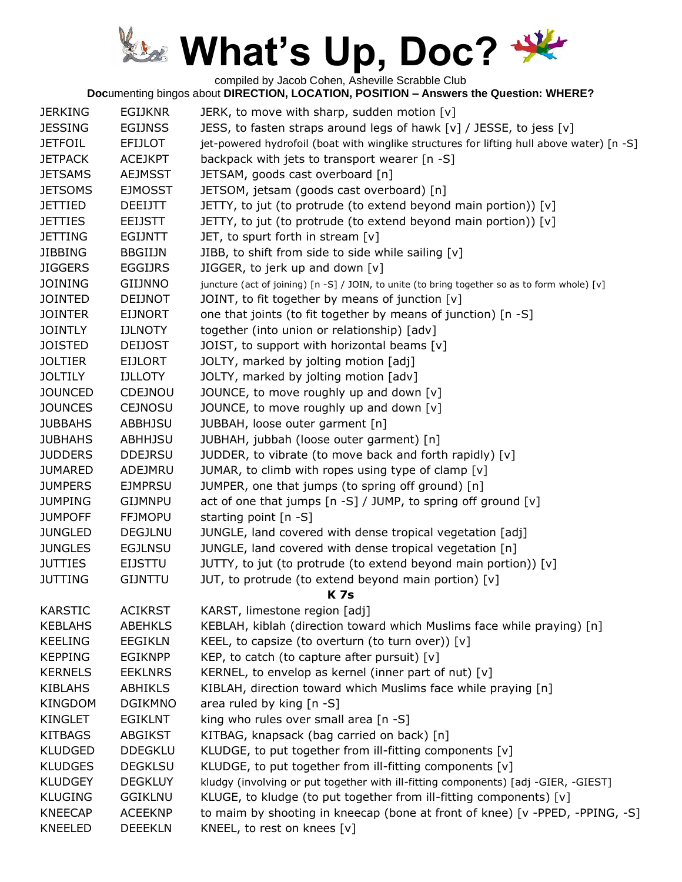compiled by Jacob Cohen, Asheville Scrabble Club

| <b>JERKING</b> | <b>EGIJKNR</b> | JERK, to move with sharp, sudden motion [v]                                                   |
|----------------|----------------|-----------------------------------------------------------------------------------------------|
| <b>JESSING</b> | <b>EGIJNSS</b> | JESS, to fasten straps around legs of hawk $[v]$ / JESSE, to jess $[v]$                       |
| <b>JETFOIL</b> | <b>EFIJLOT</b> | jet-powered hydrofoil (boat with winglike structures for lifting hull above water) [n -S]     |
| <b>JETPACK</b> | <b>ACEJKPT</b> | backpack with jets to transport wearer [n -S]                                                 |
| <b>JETSAMS</b> | <b>AEJMSST</b> | JETSAM, goods cast overboard [n]                                                              |
| <b>JETSOMS</b> | <b>EJMOSST</b> | JETSOM, jetsam (goods cast overboard) [n]                                                     |
| <b>JETTIED</b> | <b>DEEIJTT</b> | JETTY, to jut (to protrude (to extend beyond main portion)) [v]                               |
| <b>JETTIES</b> | <b>EEIJSTT</b> | JETTY, to jut (to protrude (to extend beyond main portion)) [v]                               |
| <b>JETTING</b> | <b>EGIJNTT</b> | JET, to spurt forth in stream [v]                                                             |
| <b>JIBBING</b> | <b>BBGIIJN</b> | JIBB, to shift from side to side while sailing [v]                                            |
| <b>JIGGERS</b> | <b>EGGIJRS</b> | JIGGER, to jerk up and down [v]                                                               |
| <b>JOINING</b> | <b>GIIJNNO</b> | juncture (act of joining) [n -S] / JOIN, to unite (to bring together so as to form whole) [v] |
| <b>JOINTED</b> | <b>DEIJNOT</b> | JOINT, to fit together by means of junction [v]                                               |
| <b>JOINTER</b> | <b>EIJNORT</b> | one that joints (to fit together by means of junction) [n -S]                                 |
| <b>JOINTLY</b> | <b>IJLNOTY</b> | together (into union or relationship) [adv]                                                   |
| <b>JOISTED</b> | <b>DEIJOST</b> | JOIST, to support with horizontal beams [v]                                                   |
| <b>JOLTIER</b> | <b>EIJLORT</b> | JOLTY, marked by jolting motion [adj]                                                         |
| <b>JOLTILY</b> | <b>IJLLOTY</b> | JOLTY, marked by jolting motion [adv]                                                         |
| <b>JOUNCED</b> | CDEJNOU        | JOUNCE, to move roughly up and down [v]                                                       |
| <b>JOUNCES</b> | <b>CEJNOSU</b> | JOUNCE, to move roughly up and down [v]                                                       |
| <b>JUBBAHS</b> | <b>ABBHJSU</b> | JUBBAH, loose outer garment [n]                                                               |
| <b>JUBHAHS</b> | <b>ABHHJSU</b> | JUBHAH, jubbah (loose outer garment) [n]                                                      |
| <b>JUDDERS</b> | <b>DDEJRSU</b> | JUDDER, to vibrate (to move back and forth rapidly) [v]                                       |
| <b>JUMARED</b> | ADEJMRU        | JUMAR, to climb with ropes using type of clamp [v]                                            |
| <b>JUMPERS</b> | <b>EJMPRSU</b> | JUMPER, one that jumps (to spring off ground) [n]                                             |
| <b>JUMPING</b> | <b>GIJMNPU</b> | act of one that jumps $[n-S]$ / JUMP, to spring off ground $[v]$                              |
| <b>JUMPOFF</b> | <b>FFJMOPU</b> | starting point [n -S]                                                                         |
| <b>JUNGLED</b> | DEGJLNU        | JUNGLE, land covered with dense tropical vegetation [adj]                                     |
| <b>JUNGLES</b> | <b>EGJLNSU</b> | JUNGLE, land covered with dense tropical vegetation [n]                                       |
| <b>JUTTIES</b> | <b>EIJSTTU</b> | JUTTY, to jut (to protrude (to extend beyond main portion)) [v]                               |
| <b>JUTTING</b> | <b>GIJNTTU</b> | JUT, to protrude (to extend beyond main portion) [v]                                          |
|                |                | <b>K7s</b>                                                                                    |
| <b>KARSTIC</b> | <b>ACIKRST</b> | KARST, limestone region [adj]                                                                 |
| <b>KEBLAHS</b> | <b>ABEHKLS</b> | KEBLAH, kiblah (direction toward which Muslims face while praying) [n]                        |
| <b>KEELING</b> | <b>EEGIKLN</b> | KEEL, to capsize (to overturn (to turn over)) $[v]$                                           |
| <b>KEPPING</b> | <b>EGIKNPP</b> | KEP, to catch (to capture after pursuit) [v]                                                  |
| <b>KERNELS</b> | <b>EEKLNRS</b> | KERNEL, to envelop as kernel (inner part of nut) $[v]$                                        |
| <b>KIBLAHS</b> | <b>ABHIKLS</b> | KIBLAH, direction toward which Muslims face while praying [n]                                 |
| KINGDOM        | <b>DGIKMNO</b> | area ruled by king [n -S]                                                                     |
| KINGLET        | <b>EGIKLNT</b> | king who rules over small area [n -S]                                                         |
| <b>KITBAGS</b> | <b>ABGIKST</b> | KITBAG, knapsack (bag carried on back) [n]                                                    |
| <b>KLUDGED</b> | <b>DDEGKLU</b> | KLUDGE, to put together from ill-fitting components [v]                                       |
| <b>KLUDGES</b> | <b>DEGKLSU</b> | KLUDGE, to put together from ill-fitting components [v]                                       |
| <b>KLUDGEY</b> | <b>DEGKLUY</b> | kludgy (involving or put together with ill-fitting components) [adj -GIER, -GIEST]            |
| <b>KLUGING</b> | <b>GGIKLNU</b> | KLUGE, to kludge (to put together from ill-fitting components) [v]                            |
| <b>KNEECAP</b> | <b>ACEEKNP</b> | to maim by shooting in kneecap (bone at front of knee) [v -PPED, -PPING, -S]                  |
| KNEELED        | <b>DEEEKLN</b> | KNEEL, to rest on knees [v]                                                                   |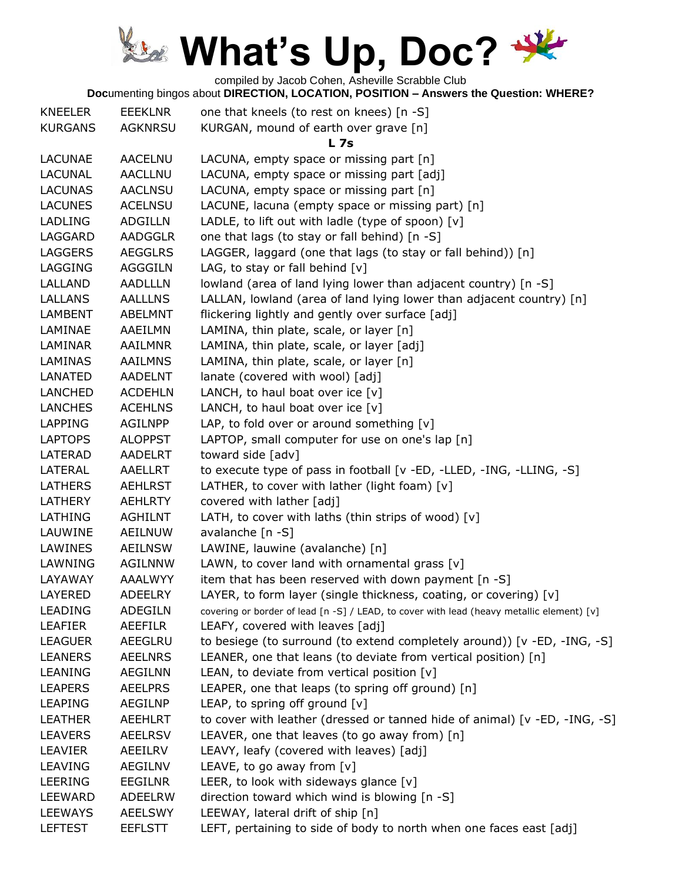compiled by Jacob Cohen, Asheville Scrabble Club

| <b>KNEELER</b> | EEEKLNR        | one that kneels (to rest on knees) [n -S]                                                 |
|----------------|----------------|-------------------------------------------------------------------------------------------|
| <b>KURGANS</b> | <b>AGKNRSU</b> | KURGAN, mound of earth over grave [n]                                                     |
|                |                | <b>L7s</b>                                                                                |
| <b>LACUNAE</b> | <b>AACELNU</b> | LACUNA, empty space or missing part [n]                                                   |
| <b>LACUNAL</b> | <b>AACLLNU</b> | LACUNA, empty space or missing part [adj]                                                 |
| <b>LACUNAS</b> | <b>AACLNSU</b> | LACUNA, empty space or missing part [n]                                                   |
| <b>LACUNES</b> | <b>ACELNSU</b> | LACUNE, lacuna (empty space or missing part) [n]                                          |
| <b>LADLING</b> | <b>ADGILLN</b> | LADLE, to lift out with ladle (type of spoon) [v]                                         |
| LAGGARD        | <b>AADGGLR</b> | one that lags (to stay or fall behind) [n -S]                                             |
| <b>LAGGERS</b> | <b>AEGGLRS</b> | LAGGER, laggard (one that lags (to stay or fall behind)) [n]                              |
| <b>LAGGING</b> | <b>AGGGILN</b> | LAG, to stay or fall behind $[v]$                                                         |
| LALLAND        | <b>AADLLLN</b> | lowland (area of land lying lower than adjacent country) [n -S]                           |
| LALLANS        | <b>AALLLNS</b> | LALLAN, lowland (area of land lying lower than adjacent country) [n]                      |
| LAMBENT        | ABELMNT        | flickering lightly and gently over surface [adj]                                          |
| LAMINAE        | AAEILMN        | LAMINA, thin plate, scale, or layer [n]                                                   |
| LAMINAR        | <b>AAILMNR</b> | LAMINA, thin plate, scale, or layer [adj]                                                 |
| <b>LAMINAS</b> | <b>AAILMNS</b> | LAMINA, thin plate, scale, or layer [n]                                                   |
| LANATED        | <b>AADELNT</b> | lanate (covered with wool) [adj]                                                          |
| LANCHED        | <b>ACDEHLN</b> | LANCH, to haul boat over ice $[v]$                                                        |
| <b>LANCHES</b> | <b>ACEHLNS</b> | LANCH, to haul boat over ice $[v]$                                                        |
| <b>LAPPING</b> | <b>AGILNPP</b> | LAP, to fold over or around something $[v]$                                               |
| <b>LAPTOPS</b> | <b>ALOPPST</b> | LAPTOP, small computer for use on one's lap [n]                                           |
| LATERAD        | <b>AADELRT</b> | toward side [adv]                                                                         |
| LATERAL        | AAELLRT        | to execute type of pass in football [v -ED, -LLED, -ING, -LLING, -S]                      |
| LATHERS        | <b>AEHLRST</b> | LATHER, to cover with lather (light foam) [v]                                             |
| LATHERY        | <b>AEHLRTY</b> | covered with lather [adj]                                                                 |
| LATHING        | <b>AGHILNT</b> | LATH, to cover with laths (thin strips of wood) [v]                                       |
| LAUWINE        | <b>AEILNUW</b> | avalanche [n -S]                                                                          |
| LAWINES        | <b>AEILNSW</b> | LAWINE, lauwine (avalanche) [n]                                                           |
| LAWNING        | <b>AGILNNW</b> | LAWN, to cover land with ornamental grass [v]                                             |
| LAYAWAY        | <b>AAALWYY</b> | item that has been reserved with down payment [n -S]                                      |
| LAYERED        | ADEELRY        | LAYER, to form layer (single thickness, coating, or covering) [v]                         |
| <b>LEADING</b> | ADEGILN        | covering or border of lead [n -S] / LEAD, to cover with lead (heavy metallic element) [v] |
| <b>LEAFIER</b> | AEEFILR        | LEAFY, covered with leaves [adj]                                                          |
| <b>LEAGUER</b> | AEEGLRU        | to besiege (to surround (to extend completely around)) [v -ED, -ING, -S]                  |
| <b>LEANERS</b> | <b>AEELNRS</b> | LEANER, one that leans (to deviate from vertical position) [n]                            |
| <b>LEANING</b> | <b>AEGILNN</b> | LEAN, to deviate from vertical position [v]                                               |
| <b>LEAPERS</b> | <b>AEELPRS</b> | LEAPER, one that leaps (to spring off ground) [n]                                         |
| <b>LEAPING</b> | AEGILNP        | LEAP, to spring off ground [v]                                                            |
| <b>LEATHER</b> | <b>AEEHLRT</b> | to cover with leather (dressed or tanned hide of animal) [v -ED, -ING, -S]                |
| <b>LEAVERS</b> | <b>AEELRSV</b> | LEAVER, one that leaves (to go away from) [n]                                             |
| LEAVIER        | AEEILRV        | LEAVY, leafy (covered with leaves) [adj]                                                  |
| <b>LEAVING</b> | <b>AEGILNV</b> | LEAVE, to go away from [v]                                                                |
| LEERING        | <b>EEGILNR</b> | LEER, to look with sideways glance [v]                                                    |
| <b>LEEWARD</b> | <b>ADEELRW</b> | direction toward which wind is blowing $[n -S]$                                           |
| <b>LEEWAYS</b> | <b>AEELSWY</b> | LEEWAY, lateral drift of ship [n]                                                         |
| <b>LEFTEST</b> | <b>EEFLSTT</b> | LEFT, pertaining to side of body to north when one faces east [adj]                       |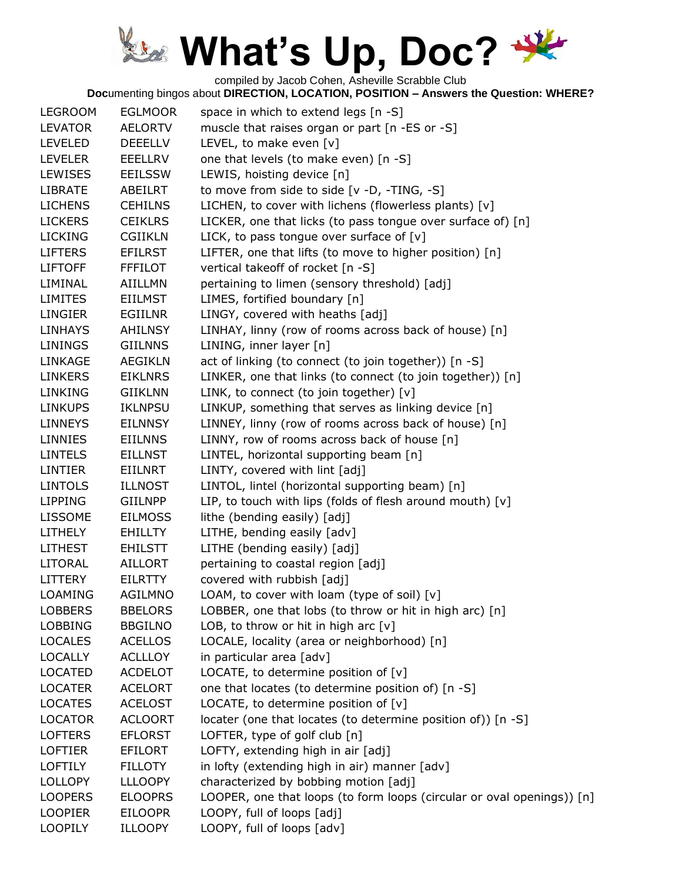compiled by Jacob Cohen, Asheville Scrabble Club

| <b>LEGROOM</b> | <b>EGLMOOR</b> | space in which to extend legs [n -S]                                   |
|----------------|----------------|------------------------------------------------------------------------|
| <b>LEVATOR</b> | AELORTV        | muscle that raises organ or part [n -ES or -S]                         |
| <b>LEVELED</b> | <b>DEEELLV</b> | LEVEL, to make even [v]                                                |
| <b>LEVELER</b> | EEELLRV        | one that levels (to make even) [n -S]                                  |
| <b>LEWISES</b> | <b>EEILSSW</b> | LEWIS, hoisting device [n]                                             |
| <b>LIBRATE</b> | ABEILRT        | to move from side to side [v -D, -TING, -S]                            |
| <b>LICHENS</b> | <b>CEHILNS</b> | LICHEN, to cover with lichens (flowerless plants) [v]                  |
| <b>LICKERS</b> | <b>CEIKLRS</b> | LICKER, one that licks (to pass tongue over surface of) [n]            |
| <b>LICKING</b> | <b>CGIIKLN</b> | LICK, to pass tongue over surface of $[v]$                             |
| <b>LIFTERS</b> | <b>EFILRST</b> | LIFTER, one that lifts (to move to higher position) [n]                |
| <b>LIFTOFF</b> | <b>FFFILOT</b> | vertical takeoff of rocket [n -S]                                      |
| LIMINAL        | <b>AIILLMN</b> | pertaining to limen (sensory threshold) [adj]                          |
| <b>LIMITES</b> | <b>EIILMST</b> | LIMES, fortified boundary [n]                                          |
| LINGIER        | EGIILNR        | LINGY, covered with heaths [adj]                                       |
| <b>LINHAYS</b> | <b>AHILNSY</b> | LINHAY, linny (row of rooms across back of house) [n]                  |
| <b>LININGS</b> | <b>GIILNNS</b> | LINING, inner layer [n]                                                |
| LINKAGE        | <b>AEGIKLN</b> | act of linking (to connect (to join together)) [n -S]                  |
| <b>LINKERS</b> | <b>EIKLNRS</b> | LINKER, one that links (to connect (to join together)) [n]             |
| <b>LINKING</b> | <b>GIIKLNN</b> | LINK, to connect (to join together) [v]                                |
| <b>LINKUPS</b> | <b>IKLNPSU</b> | LINKUP, something that serves as linking device [n]                    |
| <b>LINNEYS</b> | <b>EILNNSY</b> | LINNEY, linny (row of rooms across back of house) [n]                  |
| <b>LINNIES</b> | <b>EIILNNS</b> | LINNY, row of rooms across back of house [n]                           |
| <b>LINTELS</b> | <b>EILLNST</b> | LINTEL, horizontal supporting beam [n]                                 |
| <b>LINTIER</b> | <b>EIILNRT</b> | LINTY, covered with lint [adj]                                         |
| <b>LINTOLS</b> | <b>ILLNOST</b> | LINTOL, lintel (horizontal supporting beam) [n]                        |
| <b>LIPPING</b> | <b>GIILNPP</b> | LIP, to touch with lips (folds of flesh around mouth) $[v]$            |
| LISSOME        | <b>EILMOSS</b> | lithe (bending easily) [adj]                                           |
| LITHELY        | <b>EHILLTY</b> | LITHE, bending easily [adv]                                            |
| <b>LITHEST</b> | <b>EHILSTT</b> | LITHE (bending easily) [adj]                                           |
| LITORAL        | <b>AILLORT</b> | pertaining to coastal region [adj]                                     |
| LITTERY        | <b>EILRTTY</b> | covered with rubbish [adj]                                             |
| <b>LOAMING</b> | <b>AGILMNO</b> | LOAM, to cover with loam (type of soil) [v]                            |
| <b>LOBBERS</b> | <b>BBELORS</b> | LOBBER, one that lobs (to throw or hit in high arc) [n]                |
| <b>LOBBING</b> | <b>BBGILNO</b> | LOB, to throw or hit in high arc $[v]$                                 |
| <b>LOCALES</b> | <b>ACELLOS</b> | LOCALE, locality (area or neighborhood) [n]                            |
| <b>LOCALLY</b> | <b>ACLLLOY</b> | in particular area [adv]                                               |
| <b>LOCATED</b> | <b>ACDELOT</b> | LOCATE, to determine position of $[v]$                                 |
| <b>LOCATER</b> | <b>ACELORT</b> | one that locates (to determine position of) [n -S]                     |
| <b>LOCATES</b> | <b>ACELOST</b> | LOCATE, to determine position of $[v]$                                 |
| <b>LOCATOR</b> | <b>ACLOORT</b> | locater (one that locates (to determine position of)) [n -S]           |
| <b>LOFTERS</b> | <b>EFLORST</b> | LOFTER, type of golf club [n]                                          |
| <b>LOFTIER</b> | <b>EFILORT</b> | LOFTY, extending high in air [adj]                                     |
| <b>LOFTILY</b> | <b>FILLOTY</b> | in lofty (extending high in air) manner [adv]                          |
| <b>LOLLOPY</b> | <b>LLLOOPY</b> | characterized by bobbing motion [adj]                                  |
| <b>LOOPERS</b> | <b>ELOOPRS</b> | LOOPER, one that loops (to form loops (circular or oval openings)) [n] |
| <b>LOOPIER</b> | <b>EILOOPR</b> | LOOPY, full of loops [adj]                                             |
| <b>LOOPILY</b> | <b>ILLOOPY</b> | LOOPY, full of loops [adv]                                             |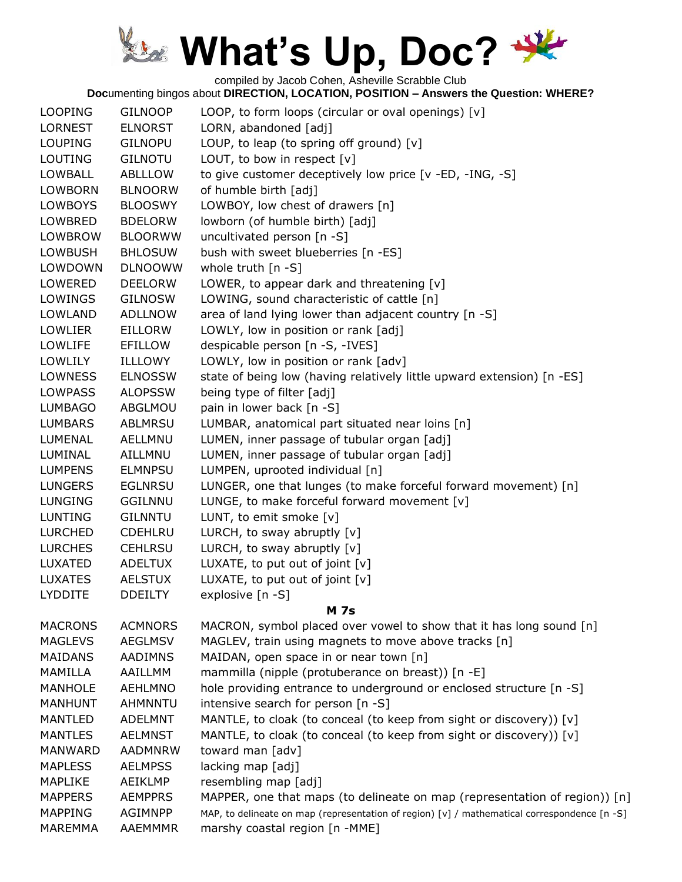compiled by Jacob Cohen, Asheville Scrabble Club

| <b>LOOPING</b> | <b>GILNOOP</b> | LOOP, to form loops (circular or oval openings) [v]                                          |
|----------------|----------------|----------------------------------------------------------------------------------------------|
| <b>LORNEST</b> | <b>ELNORST</b> | LORN, abandoned [adj]                                                                        |
| <b>LOUPING</b> | <b>GILNOPU</b> | LOUP, to leap (to spring off ground) $[v]$                                                   |
| <b>LOUTING</b> | <b>GILNOTU</b> | LOUT, to bow in respect $[v]$                                                                |
| <b>LOWBALL</b> | ABLLLOW        | to give customer deceptively low price [v -ED, -ING, -S]                                     |
| <b>LOWBORN</b> | <b>BLNOORW</b> | of humble birth [adj]                                                                        |
| <b>LOWBOYS</b> | <b>BLOOSWY</b> | LOWBOY, low chest of drawers [n]                                                             |
| LOWBRED        | <b>BDELORW</b> | lowborn (of humble birth) [adj]                                                              |
| <b>LOWBROW</b> | <b>BLOORWW</b> | uncultivated person [n -S]                                                                   |
| <b>LOWBUSH</b> | <b>BHLOSUW</b> | bush with sweet blueberries [n -ES]                                                          |
| LOWDOWN        | <b>DLNOOWW</b> | whole truth $[n - S]$                                                                        |
| LOWERED        | <b>DEELORW</b> | LOWER, to appear dark and threatening [v]                                                    |
| LOWINGS        | <b>GILNOSW</b> | LOWING, sound characteristic of cattle [n]                                                   |
| LOWLAND        | <b>ADLLNOW</b> | area of land lying lower than adjacent country [n -S]                                        |
| <b>LOWLIER</b> | <b>EILLORW</b> | LOWLY, low in position or rank [adj]                                                         |
| LOWLIFE        | <b>EFILLOW</b> | despicable person [n -S, -IVES]                                                              |
| LOWLILY        | <b>ILLLOWY</b> | LOWLY, low in position or rank [adv]                                                         |
| <b>LOWNESS</b> | <b>ELNOSSW</b> | state of being low (having relatively little upward extension) [n -ES]                       |
| <b>LOWPASS</b> | <b>ALOPSSW</b> | being type of filter [adj]                                                                   |
| <b>LUMBAGO</b> | ABGLMOU        | pain in lower back [n -S]                                                                    |
| <b>LUMBARS</b> | <b>ABLMRSU</b> | LUMBAR, anatomical part situated near loins [n]                                              |
| LUMENAL        | <b>AELLMNU</b> | LUMEN, inner passage of tubular organ [adj]                                                  |
| LUMINAL        | AILLMNU        | LUMEN, inner passage of tubular organ [adj]                                                  |
| <b>LUMPENS</b> | <b>ELMNPSU</b> | LUMPEN, uprooted individual [n]                                                              |
| <b>LUNGERS</b> | <b>EGLNRSU</b> | LUNGER, one that lunges (to make forceful forward movement) [n]                              |
| LUNGING        | <b>GGILNNU</b> | LUNGE, to make forceful forward movement [v]                                                 |
| <b>LUNTING</b> | <b>GILNNTU</b> | LUNT, to emit smoke [v]                                                                      |
| <b>LURCHED</b> | <b>CDEHLRU</b> | LURCH, to sway abruptly $[v]$                                                                |
| <b>LURCHES</b> | <b>CEHLRSU</b> | LURCH, to sway abruptly [v]                                                                  |
| LUXATED        | <b>ADELTUX</b> | LUXATE, to put out of joint [v]                                                              |
| <b>LUXATES</b> | <b>AELSTUX</b> | LUXATE, to put out of joint [v]                                                              |
| <b>LYDDITE</b> | <b>DDEILTY</b> | explosive [n -S]                                                                             |
|                |                | <b>M</b> 7s                                                                                  |
| <b>MACRONS</b> | <b>ACMNORS</b> | MACRON, symbol placed over vowel to show that it has long sound [n]                          |
| <b>MAGLEVS</b> | <b>AEGLMSV</b> | MAGLEV, train using magnets to move above tracks [n]                                         |
| <b>MAIDANS</b> | <b>AADIMNS</b> | MAIDAN, open space in or near town [n]                                                       |
| MAMILLA        | <b>AAILLMM</b> | mammilla (nipple (protuberance on breast)) [n -E]                                            |
| <b>MANHOLE</b> | <b>AEHLMNO</b> | hole providing entrance to underground or enclosed structure [n -S]                          |
| <b>MANHUNT</b> | AHMNNTU        | intensive search for person [n -S]                                                           |
| <b>MANTLED</b> | <b>ADELMNT</b> | MANTLE, to cloak (to conceal (to keep from sight or discovery)) [v]                          |
| <b>MANTLES</b> | <b>AELMNST</b> | MANTLE, to cloak (to conceal (to keep from sight or discovery)) [v]                          |
| <b>MANWARD</b> | <b>AADMNRW</b> | toward man [adv]                                                                             |
| <b>MAPLESS</b> | <b>AELMPSS</b> | lacking map [adj]                                                                            |
| <b>MAPLIKE</b> | AEIKLMP        | resembling map [adj]                                                                         |
| <b>MAPPERS</b> | <b>AEMPPRS</b> | MAPPER, one that maps (to delineate on map (representation of region)) [n]                   |
| <b>MAPPING</b> | <b>AGIMNPP</b> | MAP, to delineate on map (representation of region) [v] / mathematical correspondence [n -S] |
| <b>MAREMMA</b> | <b>AAEMMMR</b> | marshy coastal region [n -MME]                                                               |
|                |                |                                                                                              |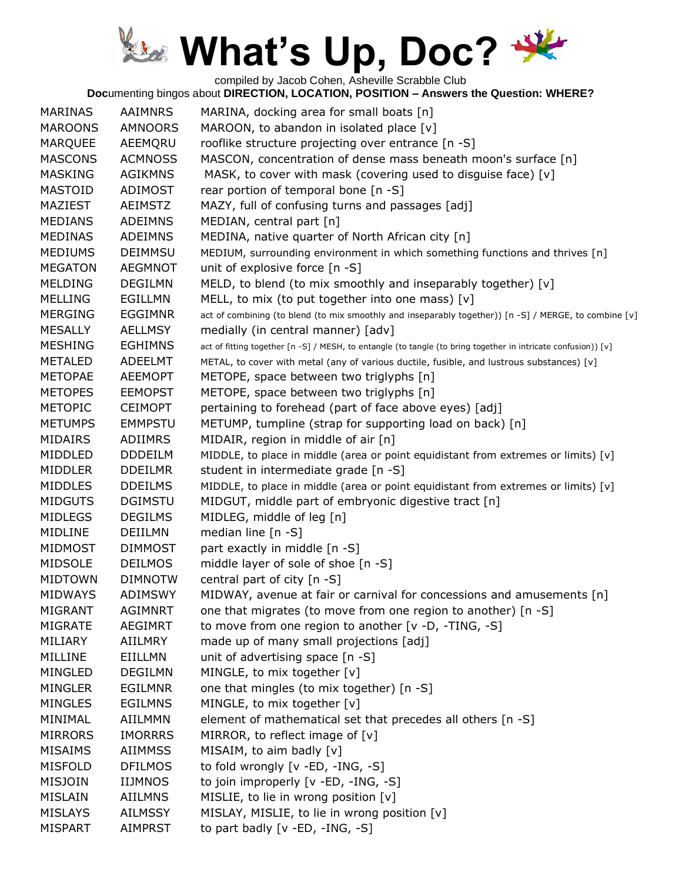compiled by Jacob Cohen, Asheville Scrabble Club

| <b>MARINAS</b> | <b>AAIMNRS</b> | MARINA, docking area for small boats [n]                                                                      |
|----------------|----------------|---------------------------------------------------------------------------------------------------------------|
| <b>MAROONS</b> | <b>AMNOORS</b> | MAROON, to abandon in isolated place [v]                                                                      |
| <b>MARQUEE</b> | AEEMQRU        | rooflike structure projecting over entrance [n -S]                                                            |
| <b>MASCONS</b> | <b>ACMNOSS</b> | MASCON, concentration of dense mass beneath moon's surface [n]                                                |
| <b>MASKING</b> | <b>AGIKMNS</b> | MASK, to cover with mask (covering used to disguise face) [v]                                                 |
| <b>MASTOID</b> | ADIMOST        | rear portion of temporal bone [n -S]                                                                          |
| MAZIEST        | <b>AEIMSTZ</b> | MAZY, full of confusing turns and passages [adj]                                                              |
| <b>MEDIANS</b> | <b>ADEIMNS</b> | MEDIAN, central part [n]                                                                                      |
| <b>MEDINAS</b> | <b>ADEIMNS</b> | MEDINA, native quarter of North African city [n]                                                              |
| <b>MEDIUMS</b> | <b>DEIMMSU</b> | MEDIUM, surrounding environment in which something functions and thrives [n]                                  |
| <b>MEGATON</b> | <b>AEGMNOT</b> | unit of explosive force [n -S]                                                                                |
| <b>MELDING</b> | <b>DEGILMN</b> | MELD, to blend (to mix smoothly and inseparably together) [v]                                                 |
| <b>MELLING</b> | <b>EGILLMN</b> | MELL, to mix (to put together into one mass) [v]                                                              |
| <b>MERGING</b> | <b>EGGIMNR</b> | act of combining (to blend (to mix smoothly and inseparably together)) [n -S] / MERGE, to combine [v]         |
| <b>MESALLY</b> | <b>AELLMSY</b> | medially (in central manner) [adv]                                                                            |
| <b>MESHING</b> | <b>EGHIMNS</b> | act of fitting together [n -S] / MESH, to entangle (to tangle (to bring together in intricate confusion)) [v] |
| <b>METALED</b> | ADEELMT        | METAL, to cover with metal (any of various ductile, fusible, and lustrous substances) [v]                     |
| <b>METOPAE</b> | <b>AEEMOPT</b> | METOPE, space between two triglyphs [n]                                                                       |
| <b>METOPES</b> | <b>EEMOPST</b> | METOPE, space between two triglyphs [n]                                                                       |
| <b>METOPIC</b> | <b>CEIMOPT</b> | pertaining to forehead (part of face above eyes) [adj]                                                        |
| <b>METUMPS</b> | <b>EMMPSTU</b> | METUMP, tumpline (strap for supporting load on back) [n]                                                      |
| <b>MIDAIRS</b> | ADIIMRS        | MIDAIR, region in middle of air [n]                                                                           |
| MIDDLED        | <b>DDDEILM</b> | MIDDLE, to place in middle (area or point equidistant from extremes or limits) [v]                            |
| <b>MIDDLER</b> | <b>DDEILMR</b> | student in intermediate grade [n -S]                                                                          |
| <b>MIDDLES</b> | <b>DDEILMS</b> | MIDDLE, to place in middle (area or point equidistant from extremes or limits) [v]                            |
| <b>MIDGUTS</b> | <b>DGIMSTU</b> | MIDGUT, middle part of embryonic digestive tract [n]                                                          |
| <b>MIDLEGS</b> | <b>DEGILMS</b> | MIDLEG, middle of leg [n]                                                                                     |
| MIDLINE        | DEIILMN        | median line [n -S]                                                                                            |
| MIDMOST        | <b>DIMMOST</b> | part exactly in middle [n -S]                                                                                 |
| <b>MIDSOLE</b> | <b>DEILMOS</b> | middle layer of sole of shoe [n -S]                                                                           |
| <b>MIDTOWN</b> | <b>DIMNOTW</b> | central part of city [n -S]                                                                                   |
| <b>MIDWAYS</b> | <b>ADIMSWY</b> | MIDWAY, avenue at fair or carnival for concessions and amusements [n]                                         |
| <b>MIGRANT</b> | <b>AGIMNRT</b> | one that migrates (to move from one region to another) [n -S]                                                 |
| <b>MIGRATE</b> | <b>AEGIMRT</b> | to move from one region to another [v -D, -TING, -S]                                                          |
| MILIARY        | AIILMRY        | made up of many small projections [adj]                                                                       |
| MILLINE        | EIILLMN        | unit of advertising space [n -S]                                                                              |
| <b>MINGLED</b> | <b>DEGILMN</b> | MINGLE, to mix together [v]                                                                                   |
| <b>MINGLER</b> | <b>EGILMNR</b> | one that mingles (to mix together) [n -S]                                                                     |
| <b>MINGLES</b> | <b>EGILMNS</b> | MINGLE, to mix together [v]                                                                                   |
| MINIMAL        | AIILMMN        | element of mathematical set that precedes all others [n -S]                                                   |
| <b>MIRRORS</b> | <b>IMORRRS</b> | MIRROR, to reflect image of [v]                                                                               |
| <b>MISAIMS</b> | <b>AIIMMSS</b> | MISAIM, to aim badly [v]                                                                                      |
| <b>MISFOLD</b> | <b>DFILMOS</b> | to fold wrongly [v -ED, -ING, -S]                                                                             |
| <b>MISJOIN</b> | <b>IIJMNOS</b> | to join improperly [v -ED, -ING, -S]                                                                          |
| <b>MISLAIN</b> | <b>AIILMNS</b> | MISLIE, to lie in wrong position [v]                                                                          |
| <b>MISLAYS</b> | <b>AILMSSY</b> | MISLAY, MISLIE, to lie in wrong position [v]                                                                  |
| <b>MISPART</b> | <b>AIMPRST</b> | to part badly [v -ED, -ING, -S]                                                                               |
|                |                |                                                                                                               |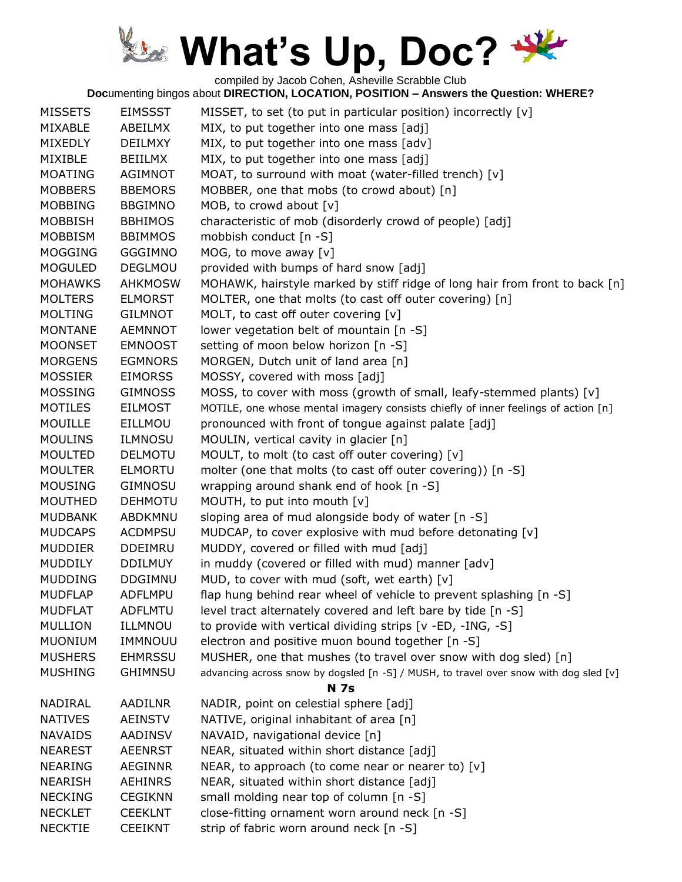compiled by Jacob Cohen, Asheville Scrabble Club

| <b>MISSETS</b> | <b>EIMSSST</b> | MISSET, to set (to put in particular position) incorrectly [v]                        |
|----------------|----------------|---------------------------------------------------------------------------------------|
| MIXABLE        | ABEILMX        | MIX, to put together into one mass [adj]                                              |
| <b>MIXEDLY</b> | <b>DEILMXY</b> | MIX, to put together into one mass [adv]                                              |
| MIXIBLE        | <b>BEIILMX</b> | MIX, to put together into one mass [adj]                                              |
| <b>MOATING</b> | AGIMNOT        | MOAT, to surround with moat (water-filled trench) [v]                                 |
| <b>MOBBERS</b> | <b>BBEMORS</b> | MOBBER, one that mobs (to crowd about) [n]                                            |
| <b>MOBBING</b> | <b>BBGIMNO</b> | MOB, to crowd about [v]                                                               |
| <b>MOBBISH</b> | <b>BBHIMOS</b> | characteristic of mob (disorderly crowd of people) [adj]                              |
| <b>MOBBISM</b> | <b>BBIMMOS</b> | mobbish conduct [n -S]                                                                |
| <b>MOGGING</b> | <b>GGGIMNO</b> | MOG, to move away [v]                                                                 |
| <b>MOGULED</b> | <b>DEGLMOU</b> | provided with bumps of hard snow [adj]                                                |
| <b>MOHAWKS</b> | <b>AHKMOSW</b> | MOHAWK, hairstyle marked by stiff ridge of long hair from front to back [n]           |
| <b>MOLTERS</b> | <b>ELMORST</b> | MOLTER, one that molts (to cast off outer covering) [n]                               |
| <b>MOLTING</b> | <b>GILMNOT</b> | MOLT, to cast off outer covering [v]                                                  |
| <b>MONTANE</b> | <b>AEMNNOT</b> | lower vegetation belt of mountain [n -S]                                              |
| <b>MOONSET</b> | <b>EMNOOST</b> | setting of moon below horizon [n -S]                                                  |
| <b>MORGENS</b> | <b>EGMNORS</b> | MORGEN, Dutch unit of land area [n]                                                   |
| <b>MOSSIER</b> | <b>EIMORSS</b> | MOSSY, covered with moss [adj]                                                        |
| <b>MOSSING</b> | <b>GIMNOSS</b> | MOSS, to cover with moss (growth of small, leafy-stemmed plants) [v]                  |
| <b>MOTILES</b> | <b>EILMOST</b> | MOTILE, one whose mental imagery consists chiefly of inner feelings of action [n]     |
| <b>MOUILLE</b> | EILLMOU        | pronounced with front of tongue against palate [adj]                                  |
| <b>MOULINS</b> | <b>ILMNOSU</b> | MOULIN, vertical cavity in glacier [n]                                                |
| <b>MOULTED</b> | <b>DELMOTU</b> | MOULT, to molt (to cast off outer covering) [v]                                       |
| <b>MOULTER</b> | <b>ELMORTU</b> | molter (one that molts (to cast off outer covering)) [n -S]                           |
| <b>MOUSING</b> | <b>GIMNOSU</b> | wrapping around shank end of hook [n -S]                                              |
| <b>MOUTHED</b> | <b>DEHMOTU</b> | MOUTH, to put into mouth [v]                                                          |
| <b>MUDBANK</b> | ABDKMNU        | sloping area of mud alongside body of water [n -S]                                    |
| <b>MUDCAPS</b> | <b>ACDMPSU</b> | MUDCAP, to cover explosive with mud before detonating [v]                             |
| <b>MUDDIER</b> | <b>DDEIMRU</b> | MUDDY, covered or filled with mud [adj]                                               |
| <b>MUDDILY</b> | <b>DDILMUY</b> | in muddy (covered or filled with mud) manner [adv]                                    |
| <b>MUDDING</b> | <b>DDGIMNU</b> | MUD, to cover with mud (soft, wet earth) [v]                                          |
| <b>MUDFLAP</b> | <b>ADFLMPU</b> | flap hung behind rear wheel of vehicle to prevent splashing [n -S]                    |
| <b>MUDFLAT</b> | <b>ADFLMTU</b> | level tract alternately covered and left bare by tide [n -S]                          |
| <b>MULLION</b> | ILLMNOU        | to provide with vertical dividing strips [v -ED, -ING, -S]                            |
| <b>MUONIUM</b> | IMMNOUU        | electron and positive muon bound together [n -S]                                      |
| <b>MUSHERS</b> | <b>EHMRSSU</b> | MUSHER, one that mushes (to travel over snow with dog sled) [n]                       |
| <b>MUSHING</b> | <b>GHIMNSU</b> | advancing across snow by dogsled [n -S] / MUSH, to travel over snow with dog sled [v] |
|                |                | <b>N</b> 7s                                                                           |
| NADIRAL        | <b>AADILNR</b> | NADIR, point on celestial sphere [adj]                                                |
| <b>NATIVES</b> | <b>AEINSTV</b> | NATIVE, original inhabitant of area [n]                                               |
| <b>NAVAIDS</b> | <b>AADINSV</b> | NAVAID, navigational device [n]                                                       |
| <b>NEAREST</b> | <b>AEENRST</b> | NEAR, situated within short distance [adj]                                            |
| <b>NEARING</b> | <b>AEGINNR</b> | NEAR, to approach (to come near or nearer to) $[v]$                                   |
| <b>NEARISH</b> | <b>AEHINRS</b> | NEAR, situated within short distance [adj]                                            |
| <b>NECKING</b> | <b>CEGIKNN</b> | small molding near top of column [n -S]                                               |
| <b>NECKLET</b> | <b>CEEKLNT</b> | close-fitting ornament worn around neck [n -S]                                        |
| <b>NECKTIE</b> | <b>CEEIKNT</b> | strip of fabric worn around neck [n -S]                                               |
|                |                |                                                                                       |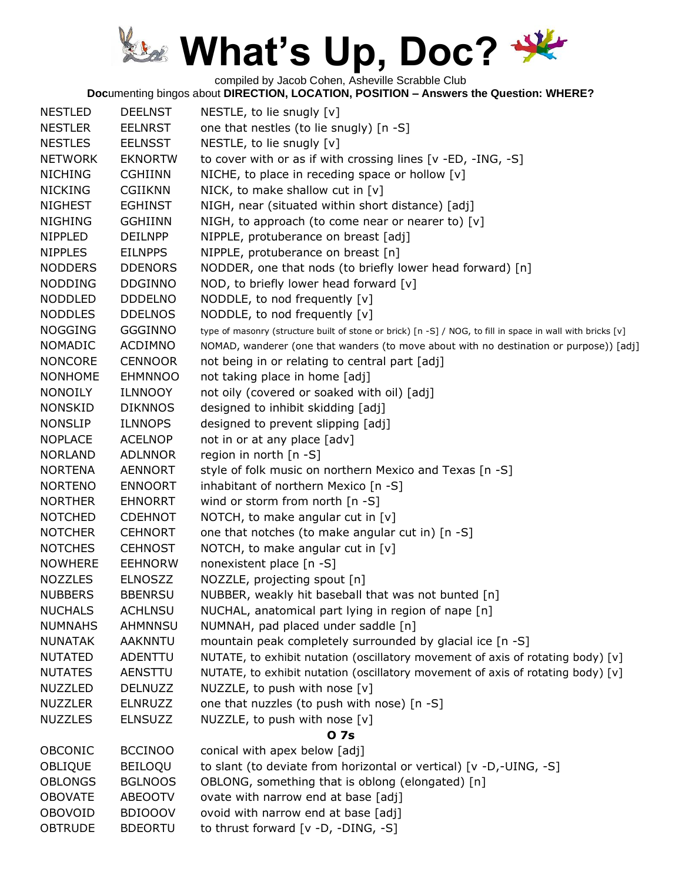compiled by Jacob Cohen, Asheville Scrabble Club

| <b>NESTLED</b> | <b>DEELNST</b> | NESTLE, to lie snugly [v]                                                                                  |
|----------------|----------------|------------------------------------------------------------------------------------------------------------|
| <b>NESTLER</b> | <b>EELNRST</b> | one that nestles (to lie snugly) [n -S]                                                                    |
| <b>NESTLES</b> | <b>EELNSST</b> | NESTLE, to lie snugly [v]                                                                                  |
| <b>NETWORK</b> | <b>EKNORTW</b> | to cover with or as if with crossing lines [v -ED, -ING, -S]                                               |
| <b>NICHING</b> | <b>CGHIINN</b> | NICHE, to place in receding space or hollow $[v]$                                                          |
| <b>NICKING</b> | <b>CGIIKNN</b> | NICK, to make shallow cut in $[v]$                                                                         |
| <b>NIGHEST</b> | <b>EGHINST</b> | NIGH, near (situated within short distance) [adj]                                                          |
| <b>NIGHING</b> | <b>GGHIINN</b> | NIGH, to approach (to come near or nearer to) $[v]$                                                        |
| NIPPLED        | <b>DEILNPP</b> | NIPPLE, protuberance on breast [adj]                                                                       |
| <b>NIPPLES</b> | <b>EILNPPS</b> | NIPPLE, protuberance on breast [n]                                                                         |
| <b>NODDERS</b> | <b>DDENORS</b> | NODDER, one that nods (to briefly lower head forward) [n]                                                  |
| <b>NODDING</b> | <b>DDGINNO</b> | NOD, to briefly lower head forward [v]                                                                     |
| <b>NODDLED</b> | <b>DDDELNO</b> | NODDLE, to nod frequently [v]                                                                              |
| <b>NODDLES</b> | <b>DDELNOS</b> | NODDLE, to nod frequently [v]                                                                              |
| <b>NOGGING</b> | <b>GGGINNO</b> | type of masonry (structure built of stone or brick) [n -S] / NOG, to fill in space in wall with bricks [v] |
| <b>NOMADIC</b> | <b>ACDIMNO</b> | NOMAD, wanderer (one that wanders (to move about with no destination or purpose)) [adj]                    |
| <b>NONCORE</b> | <b>CENNOOR</b> | not being in or relating to central part [adj]                                                             |
| <b>NONHOME</b> | <b>EHMNNOO</b> | not taking place in home [adj]                                                                             |
| <b>NONOILY</b> | ILNNOOY        | not oily (covered or soaked with oil) [adj]                                                                |
| <b>NONSKID</b> | <b>DIKNNOS</b> | designed to inhibit skidding [adj]                                                                         |
| <b>NONSLIP</b> | <b>ILNNOPS</b> | designed to prevent slipping [adj]                                                                         |
| <b>NOPLACE</b> | <b>ACELNOP</b> | not in or at any place [adv]                                                                               |
| <b>NORLAND</b> | <b>ADLNNOR</b> | region in north [n -S]                                                                                     |
| <b>NORTENA</b> | <b>AENNORT</b> | style of folk music on northern Mexico and Texas [n -S]                                                    |
| <b>NORTENO</b> | <b>ENNOORT</b> | inhabitant of northern Mexico [n -S]                                                                       |
| <b>NORTHER</b> | <b>EHNORRT</b> | wind or storm from north [n -S]                                                                            |
| <b>NOTCHED</b> | <b>CDEHNOT</b> | NOTCH, to make angular cut in $[v]$                                                                        |
| <b>NOTCHER</b> | <b>CEHNORT</b> | one that notches (to make angular cut in) [n -S]                                                           |
| <b>NOTCHES</b> | <b>CEHNOST</b> | NOTCH, to make angular cut in [v]                                                                          |
| <b>NOWHERE</b> | <b>EEHNORW</b> | nonexistent place [n -S]                                                                                   |
| <b>NOZZLES</b> | <b>ELNOSZZ</b> | NOZZLE, projecting spout [n]                                                                               |
| <b>NUBBERS</b> | <b>BBENRSU</b> | NUBBER, weakly hit baseball that was not bunted [n]                                                        |
| <b>NUCHALS</b> | <b>ACHLNSU</b> | NUCHAL, anatomical part lying in region of nape [n]                                                        |
| <b>NUMNAHS</b> | <b>AHMNNSU</b> | NUMNAH, pad placed under saddle [n]                                                                        |
| <b>NUNATAK</b> | <b>AAKNNTU</b> | mountain peak completely surrounded by glacial ice [n -S]                                                  |
| <b>NUTATED</b> | ADENTTU        | NUTATE, to exhibit nutation (oscillatory movement of axis of rotating body) [v]                            |
| <b>NUTATES</b> | AENSTTU        | NUTATE, to exhibit nutation (oscillatory movement of axis of rotating body) [v]                            |
| <b>NUZZLED</b> | <b>DELNUZZ</b> | NUZZLE, to push with nose [v]                                                                              |
| <b>NUZZLER</b> | <b>ELNRUZZ</b> | one that nuzzles (to push with nose) [n -S]                                                                |
| <b>NUZZLES</b> | <b>ELNSUZZ</b> |                                                                                                            |
|                |                | NUZZLE, to push with nose [v]<br>0 7s                                                                      |
| <b>OBCONIC</b> | <b>BCCINOO</b> | conical with apex below [adj]                                                                              |
| OBLIQUE        | <b>BEILOQU</b> | to slant (to deviate from horizontal or vertical) [v -D,-UING, -S]                                         |
| <b>OBLONGS</b> | <b>BGLNOOS</b> | OBLONG, something that is oblong (elongated) [n]                                                           |
| <b>OBOVATE</b> | <b>ABEOOTV</b> | ovate with narrow end at base [adj]                                                                        |
| <b>OBOVOID</b> | <b>BDIOOOV</b> | ovoid with narrow end at base [adj]                                                                        |
| <b>OBTRUDE</b> |                |                                                                                                            |
|                | <b>BDEORTU</b> | to thrust forward [v -D, -DING, -S]                                                                        |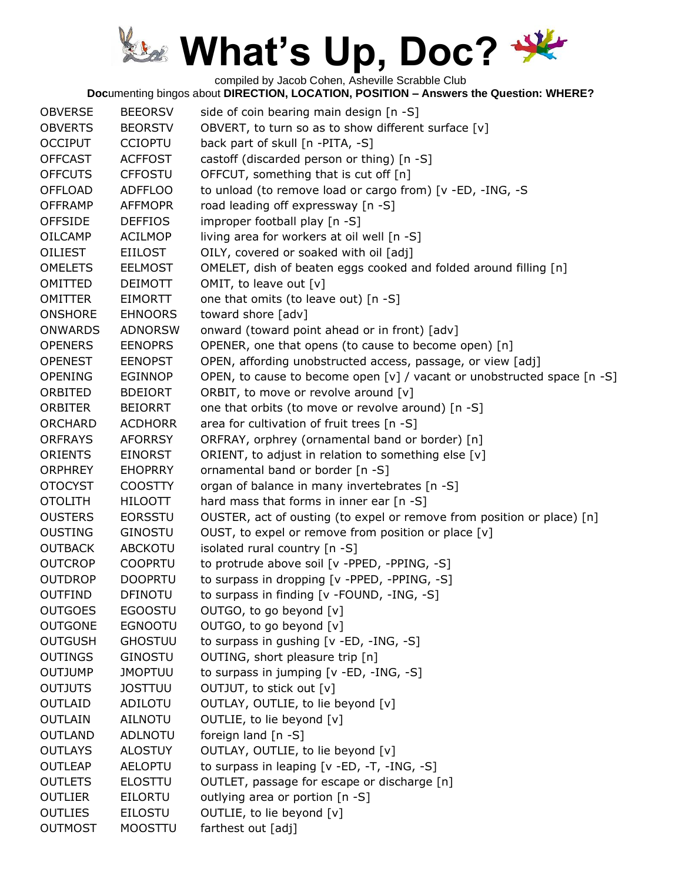compiled by Jacob Cohen, Asheville Scrabble Club

| <b>OBVERSE</b> | <b>BEEORSV</b> | side of coin bearing main design [n -S]                                 |
|----------------|----------------|-------------------------------------------------------------------------|
| <b>OBVERTS</b> | <b>BEORSTV</b> | OBVERT, to turn so as to show different surface [v]                     |
| <b>OCCIPUT</b> | <b>CCIOPTU</b> | back part of skull [n -PITA, -S]                                        |
| <b>OFFCAST</b> | <b>ACFFOST</b> | castoff (discarded person or thing) [n -S]                              |
| <b>OFFCUTS</b> | <b>CFFOSTU</b> | OFFCUT, something that is cut off [n]                                   |
| <b>OFFLOAD</b> | <b>ADFFLOO</b> | to unload (to remove load or cargo from) [v -ED, -ING, -S               |
| <b>OFFRAMP</b> | <b>AFFMOPR</b> | road leading off expressway [n -S]                                      |
| <b>OFFSIDE</b> | <b>DEFFIOS</b> | improper football play [n -S]                                           |
| <b>OILCAMP</b> | <b>ACILMOP</b> | living area for workers at oil well [n -S]                              |
| <b>OILIEST</b> | <b>EIILOST</b> | OILY, covered or soaked with oil [adj]                                  |
| <b>OMELETS</b> | <b>EELMOST</b> | OMELET, dish of beaten eggs cooked and folded around filling [n]        |
| OMITTED        | <b>DEIMOTT</b> | OMIT, to leave out [v]                                                  |
| <b>OMITTER</b> | EIMORTT        | one that omits (to leave out) [n -S]                                    |
| <b>ONSHORE</b> | <b>EHNOORS</b> | toward shore [adv]                                                      |
| <b>ONWARDS</b> | <b>ADNORSW</b> | onward (toward point ahead or in front) [adv]                           |
| <b>OPENERS</b> | <b>EENOPRS</b> | OPENER, one that opens (to cause to become open) [n]                    |
| <b>OPENEST</b> | <b>EENOPST</b> | OPEN, affording unobstructed access, passage, or view [adj]             |
| <b>OPENING</b> | <b>EGINNOP</b> | OPEN, to cause to become open [v] / vacant or unobstructed space [n -S] |
| ORBITED        | <b>BDEIORT</b> | ORBIT, to move or revolve around [v]                                    |
| <b>ORBITER</b> | <b>BEIORRT</b> | one that orbits (to move or revolve around) [n -S]                      |
| <b>ORCHARD</b> | <b>ACDHORR</b> | area for cultivation of fruit trees [n -S]                              |
| <b>ORFRAYS</b> | <b>AFORRSY</b> | ORFRAY, orphrey (ornamental band or border) [n]                         |
| <b>ORIENTS</b> | <b>EINORST</b> | ORIENT, to adjust in relation to something else [v]                     |
| <b>ORPHREY</b> | <b>EHOPRRY</b> | ornamental band or border [n -S]                                        |
| <b>OTOCYST</b> | <b>COOSTTY</b> | organ of balance in many invertebrates [n -S]                           |
| <b>OTOLITH</b> | <b>HILOOTT</b> | hard mass that forms in inner ear [n -S]                                |
| <b>OUSTERS</b> | <b>EORSSTU</b> | OUSTER, act of ousting (to expel or remove from position or place) [n]  |
| <b>OUSTING</b> | <b>GINOSTU</b> | OUST, to expel or remove from position or place [v]                     |
| <b>OUTBACK</b> | <b>ABCKOTU</b> | isolated rural country [n -S]                                           |
| <b>OUTCROP</b> | <b>COOPRTU</b> | to protrude above soil [v -PPED, -PPING, -S]                            |
| <b>OUTDROP</b> | <b>DOOPRTU</b> | to surpass in dropping [v -PPED, -PPING, -S]                            |
| <b>OUTFIND</b> | <b>DFINOTU</b> | to surpass in finding [v -FOUND, -ING, -S]                              |
| <b>OUTGOES</b> | <b>EGOOSTU</b> | OUTGO, to go beyond [v]                                                 |
| <b>OUTGONE</b> | <b>EGNOOTU</b> | OUTGO, to go beyond [v]                                                 |
| <b>OUTGUSH</b> | <b>GHOSTUU</b> | to surpass in gushing [v -ED, -ING, -S]                                 |
| <b>OUTINGS</b> | <b>GINOSTU</b> | OUTING, short pleasure trip [n]                                         |
| <b>OUTJUMP</b> | <b>JMOPTUU</b> | to surpass in jumping [v -ED, -ING, -S]                                 |
| <b>OUTJUTS</b> | <b>JOSTTUU</b> | OUTJUT, to stick out [v]                                                |
| <b>OUTLAID</b> | <b>ADILOTU</b> | OUTLAY, OUTLIE, to lie beyond [v]                                       |
| <b>OUTLAIN</b> | <b>AILNOTU</b> | OUTLIE, to lie beyond [v]                                               |
| <b>OUTLAND</b> | <b>ADLNOTU</b> | foreign land [n -S]                                                     |
| <b>OUTLAYS</b> | <b>ALOSTUY</b> | OUTLAY, OUTLIE, to lie beyond [v]                                       |
| <b>OUTLEAP</b> | <b>AELOPTU</b> | to surpass in leaping [v -ED, -T, -ING, -S]                             |
| <b>OUTLETS</b> | <b>ELOSTTU</b> | OUTLET, passage for escape or discharge [n]                             |
| <b>OUTLIER</b> | <b>EILORTU</b> | outlying area or portion [n -S]                                         |
| <b>OUTLIES</b> | <b>EILOSTU</b> | OUTLIE, to lie beyond [v]                                               |
| <b>OUTMOST</b> | <b>MOOSTTU</b> | farthest out [adj]                                                      |
|                |                |                                                                         |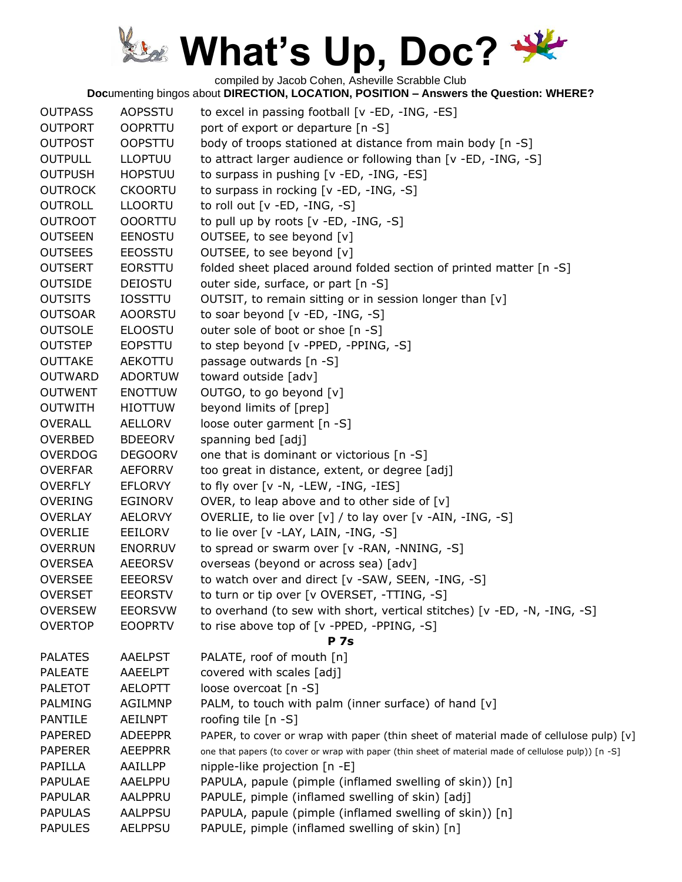compiled by Jacob Cohen, Asheville Scrabble Club

| <b>OUTPASS</b> | <b>AOPSSTU</b> | to excel in passing football [v -ED, -ING, -ES]                                                      |
|----------------|----------------|------------------------------------------------------------------------------------------------------|
| <b>OUTPORT</b> | <b>OOPRTTU</b> | port of export or departure [n -S]                                                                   |
| <b>OUTPOST</b> | <b>OOPSTTU</b> | body of troops stationed at distance from main body [n -S]                                           |
| <b>OUTPULL</b> | <b>LLOPTUU</b> | to attract larger audience or following than [v -ED, -ING, -S]                                       |
| <b>OUTPUSH</b> | <b>HOPSTUU</b> | to surpass in pushing [v -ED, -ING, -ES]                                                             |
| <b>OUTROCK</b> | <b>CKOORTU</b> | to surpass in rocking [v -ED, -ING, -S]                                                              |
| <b>OUTROLL</b> | <b>LLOORTU</b> | to roll out $[v - ED, -ING, -S]$                                                                     |
| <b>OUTROOT</b> | <b>OOORTTU</b> | to pull up by roots $[v - ED, -ING, -S]$                                                             |
| <b>OUTSEEN</b> | <b>EENOSTU</b> | OUTSEE, to see beyond [v]                                                                            |
| <b>OUTSEES</b> | <b>EEOSSTU</b> | OUTSEE, to see beyond [v]                                                                            |
| <b>OUTSERT</b> | <b>EORSTTU</b> | folded sheet placed around folded section of printed matter [n -S]                                   |
| <b>OUTSIDE</b> | <b>DEIOSTU</b> | outer side, surface, or part [n -S]                                                                  |
| <b>OUTSITS</b> | <b>IOSSTTU</b> | OUTSIT, to remain sitting or in session longer than [v]                                              |
| <b>OUTSOAR</b> | <b>AOORSTU</b> | to soar beyond [v -ED, -ING, -S]                                                                     |
| <b>OUTSOLE</b> | <b>ELOOSTU</b> | outer sole of boot or shoe [n -S]                                                                    |
| <b>OUTSTEP</b> | <b>EOPSTTU</b> | to step beyond [v -PPED, -PPING, -S]                                                                 |
| <b>OUTTAKE</b> | AEKOTTU        | passage outwards [n -S]                                                                              |
| <b>OUTWARD</b> | <b>ADORTUW</b> | toward outside [adv]                                                                                 |
| <b>OUTWENT</b> | <b>ENOTTUW</b> | OUTGO, to go beyond [v]                                                                              |
| <b>OUTWITH</b> | <b>HIOTTUW</b> | beyond limits of [prep]                                                                              |
| <b>OVERALL</b> | <b>AELLORV</b> | loose outer garment [n -S]                                                                           |
| <b>OVERBED</b> | <b>BDEEORV</b> | spanning bed [adj]                                                                                   |
| <b>OVERDOG</b> | <b>DEGOORV</b> | one that is dominant or victorious [n -S]                                                            |
| <b>OVERFAR</b> | <b>AEFORRV</b> | too great in distance, extent, or degree [adj]                                                       |
| <b>OVERFLY</b> | <b>EFLORVY</b> | to fly over [v -N, -LEW, -ING, -IES]                                                                 |
| <b>OVERING</b> | <b>EGINORV</b> | OVER, to leap above and to other side of [v]                                                         |
| <b>OVERLAY</b> | <b>AELORVY</b> | OVERLIE, to lie over $[v] /$ to lay over $[v - AIN, -ING, -S]$                                       |
| OVERLIE        | EEILORV        | to lie over [v -LAY, LAIN, -ING, -S]                                                                 |
| <b>OVERRUN</b> | <b>ENORRUV</b> | to spread or swarm over [v -RAN, -NNING, -S]                                                         |
| <b>OVERSEA</b> | <b>AEEORSV</b> | overseas (beyond or across sea) [adv]                                                                |
| <b>OVERSEE</b> | <b>EEEORSV</b> | to watch over and direct [v -SAW, SEEN, -ING, -S]                                                    |
| <b>OVERSET</b> | <b>EEORSTV</b> | to turn or tip over [v OVERSET, -TTING, -S]                                                          |
| <b>OVERSEW</b> | <b>EEORSVW</b> | to overhand (to sew with short, vertical stitches) [v -ED, -N, -ING, -S]                             |
| <b>OVERTOP</b> | <b>EOOPRTV</b> | to rise above top of [v -PPED, -PPING, -S]                                                           |
|                |                | <b>P</b> 7s                                                                                          |
| <b>PALATES</b> | <b>AAELPST</b> | PALATE, roof of mouth [n]                                                                            |
| <b>PALEATE</b> | <b>AAEELPT</b> | covered with scales [adj]                                                                            |
| <b>PALETOT</b> | <b>AELOPTT</b> | loose overcoat [n -S]                                                                                |
| <b>PALMING</b> | <b>AGILMNP</b> | PALM, to touch with palm (inner surface) of hand [v]                                                 |
| <b>PANTILE</b> | <b>AEILNPT</b> | roofing tile $[n - S]$                                                                               |
| <b>PAPERED</b> | <b>ADEEPPR</b> | PAPER, to cover or wrap with paper (thin sheet of material made of cellulose pulp) [v]               |
| <b>PAPERER</b> | <b>AEEPPRR</b> | one that papers (to cover or wrap with paper (thin sheet of material made of cellulose pulp)) [n -S] |
| PAPILLA        | AAILLPP        | nipple-like projection [n -E]                                                                        |
| <b>PAPULAE</b> | AAELPPU        | PAPULA, papule (pimple (inflamed swelling of skin)) [n]                                              |
| <b>PAPULAR</b> | AALPPRU        | PAPULE, pimple (inflamed swelling of skin) [adj]                                                     |
| <b>PAPULAS</b> | <b>AALPPSU</b> | PAPULA, papule (pimple (inflamed swelling of skin)) [n]                                              |
| <b>PAPULES</b> | <b>AELPPSU</b> | PAPULE, pimple (inflamed swelling of skin) [n]                                                       |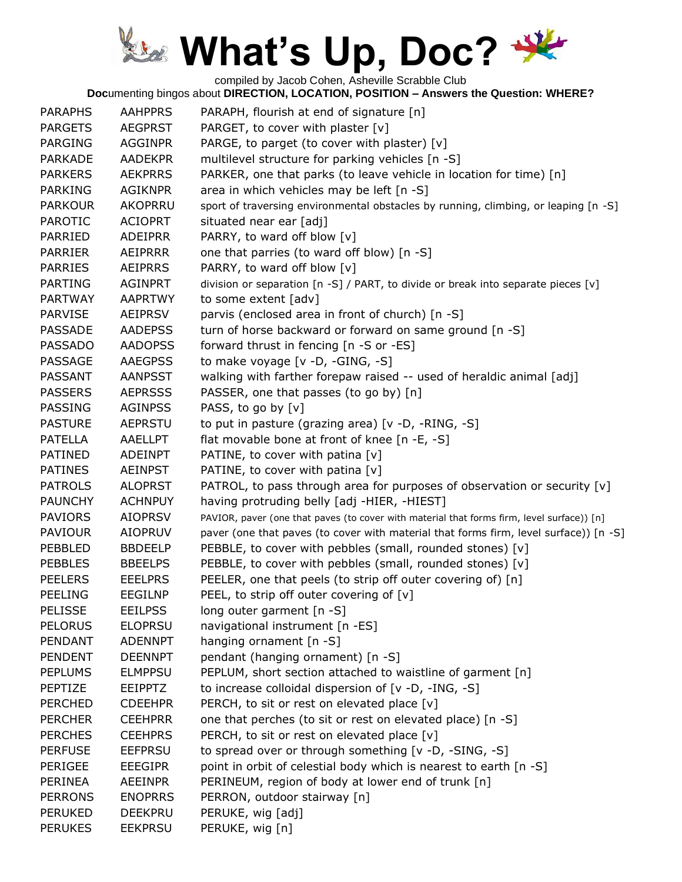compiled by Jacob Cohen, Asheville Scrabble Club

| <b>PARAPHS</b> | <b>AAHPPRS</b> | PARAPH, flourish at end of signature [n]                                                   |
|----------------|----------------|--------------------------------------------------------------------------------------------|
| <b>PARGETS</b> | <b>AEGPRST</b> | PARGET, to cover with plaster [v]                                                          |
| <b>PARGING</b> | <b>AGGINPR</b> | PARGE, to parget (to cover with plaster) [v]                                               |
| <b>PARKADE</b> | <b>AADEKPR</b> | multilevel structure for parking vehicles [n -S]                                           |
| <b>PARKERS</b> | <b>AEKPRRS</b> | PARKER, one that parks (to leave vehicle in location for time) [n]                         |
| <b>PARKING</b> | <b>AGIKNPR</b> | area in which vehicles may be left [n -S]                                                  |
| <b>PARKOUR</b> | <b>AKOPRRU</b> | sport of traversing environmental obstacles by running, climbing, or leaping [n -S]        |
| <b>PAROTIC</b> | <b>ACIOPRT</b> | situated near ear [adj]                                                                    |
| PARRIED        | <b>ADEIPRR</b> | PARRY, to ward off blow [v]                                                                |
| <b>PARRIER</b> | AEIPRRR        | one that parries (to ward off blow) [n -S]                                                 |
| <b>PARRIES</b> | <b>AEIPRRS</b> | PARRY, to ward off blow [v]                                                                |
| <b>PARTING</b> | <b>AGINPRT</b> | division or separation [n -S] / PART, to divide or break into separate pieces [v]          |
| <b>PARTWAY</b> | <b>AAPRTWY</b> | to some extent [adv]                                                                       |
| <b>PARVISE</b> | <b>AEIPRSV</b> | parvis (enclosed area in front of church) [n -S]                                           |
| <b>PASSADE</b> | <b>AADEPSS</b> | turn of horse backward or forward on same ground [n -S]                                    |
| <b>PASSADO</b> | <b>AADOPSS</b> | forward thrust in fencing [n -S or -ES]                                                    |
| PASSAGE        | <b>AAEGPSS</b> | to make voyage [v -D, -GING, -S]                                                           |
| PASSANT        | <b>AANPSST</b> | walking with farther forepaw raised -- used of heraldic animal [adj]                       |
| <b>PASSERS</b> | <b>AEPRSSS</b> | PASSER, one that passes (to go by) [n]                                                     |
| PASSING        | <b>AGINPSS</b> | PASS, to go by [v]                                                                         |
| <b>PASTURE</b> | <b>AEPRSTU</b> | to put in pasture (grazing area) [v -D, -RING, -S]                                         |
| <b>PATELLA</b> | <b>AAELLPT</b> | flat movable bone at front of knee [n -E, -S]                                              |
| <b>PATINED</b> | <b>ADEINPT</b> | PATINE, to cover with patina $[v]$                                                         |
| <b>PATINES</b> | <b>AEINPST</b> | PATINE, to cover with patina [v]                                                           |
| <b>PATROLS</b> | <b>ALOPRST</b> | PATROL, to pass through area for purposes of observation or security [v]                   |
| <b>PAUNCHY</b> | <b>ACHNPUY</b> | having protruding belly [adj -HIER, -HIEST]                                                |
| <b>PAVIORS</b> | <b>AIOPRSV</b> | PAVIOR, paver (one that paves (to cover with material that forms firm, level surface)) [n] |
| <b>PAVIOUR</b> | <b>AIOPRUV</b> | paver (one that paves (to cover with material that forms firm, level surface)) [n -S]      |
| PEBBLED        | <b>BBDEELP</b> | PEBBLE, to cover with pebbles (small, rounded stones) [v]                                  |
| <b>PEBBLES</b> | <b>BBEELPS</b> | PEBBLE, to cover with pebbles (small, rounded stones) [v]                                  |
| <b>PEELERS</b> | <b>EEELPRS</b> | PEELER, one that peels (to strip off outer covering of) [n]                                |
| <b>PEELING</b> | <b>EEGILNP</b> | PEEL, to strip off outer covering of [v]                                                   |
| <b>PELISSE</b> | <b>EEILPSS</b> | long outer garment [n -S]                                                                  |
| <b>PELORUS</b> | <b>ELOPRSU</b> | navigational instrument [n -ES]                                                            |
| <b>PENDANT</b> | <b>ADENNPT</b> | hanging ornament [n -S]                                                                    |
| <b>PENDENT</b> | <b>DEENNPT</b> | pendant (hanging ornament) [n -S]                                                          |
| <b>PEPLUMS</b> | <b>ELMPPSU</b> | PEPLUM, short section attached to waistline of garment [n]                                 |
| PEPTIZE        | <b>EEIPPTZ</b> | to increase colloidal dispersion of [v -D, -ING, -S]                                       |
| <b>PERCHED</b> | <b>CDEEHPR</b> | PERCH, to sit or rest on elevated place [v]                                                |
| <b>PERCHER</b> | <b>CEEHPRR</b> | one that perches (to sit or rest on elevated place) [n -S]                                 |
| <b>PERCHES</b> | <b>CEEHPRS</b> | PERCH, to sit or rest on elevated place $[v]$                                              |
| <b>PERFUSE</b> | <b>EEFPRSU</b> | to spread over or through something [v -D, -SING, -S]                                      |
| PERIGEE        | <b>EEEGIPR</b> | point in orbit of celestial body which is nearest to earth [n -S]                          |
| PERINEA        | <b>AEEINPR</b> | PERINEUM, region of body at lower end of trunk [n]                                         |
| <b>PERRONS</b> | <b>ENOPRRS</b> | PERRON, outdoor stairway [n]                                                               |
| <b>PERUKED</b> | <b>DEEKPRU</b> | PERUKE, wig [adj]                                                                          |
| <b>PERUKES</b> | <b>EEKPRSU</b> | PERUKE, wig [n]                                                                            |
|                |                |                                                                                            |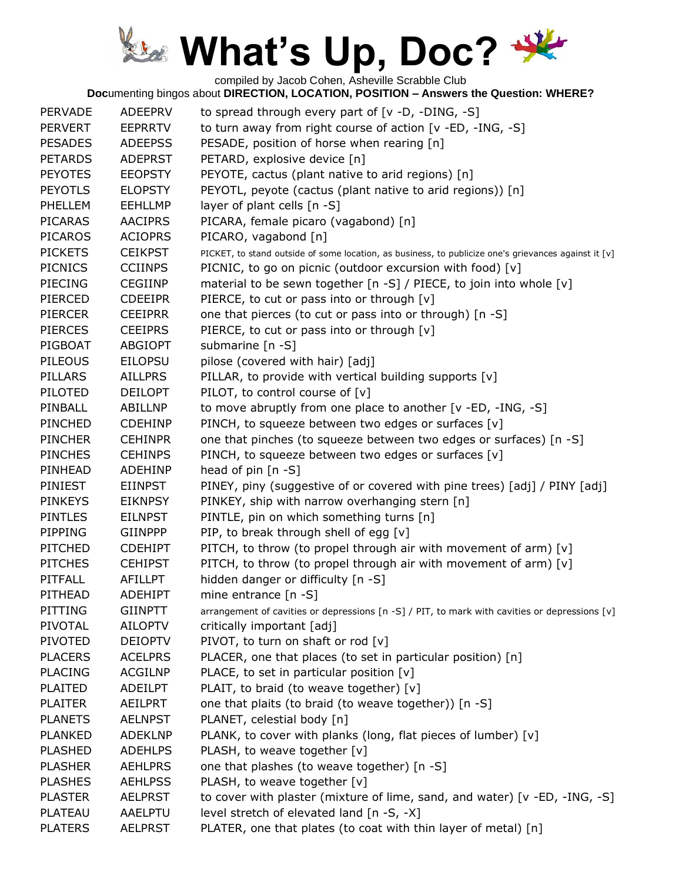compiled by Jacob Cohen, Asheville Scrabble Club

| <b>PERVADE</b> | <b>ADEEPRV</b> | to spread through every part of [v -D, -DING, -S]                                                    |
|----------------|----------------|------------------------------------------------------------------------------------------------------|
| <b>PERVERT</b> | <b>EEPRRTV</b> | to turn away from right course of action [v -ED, -ING, -S]                                           |
| <b>PESADES</b> | <b>ADEEPSS</b> | PESADE, position of horse when rearing [n]                                                           |
| <b>PETARDS</b> | <b>ADEPRST</b> | PETARD, explosive device [n]                                                                         |
| <b>PEYOTES</b> | <b>EEOPSTY</b> | PEYOTE, cactus (plant native to arid regions) [n]                                                    |
| <b>PEYOTLS</b> | <b>ELOPSTY</b> | PEYOTL, peyote (cactus (plant native to arid regions)) [n]                                           |
| PHELLEM        | <b>EEHLLMP</b> | layer of plant cells [n -S]                                                                          |
| <b>PICARAS</b> | <b>AACIPRS</b> | PICARA, female picaro (vagabond) [n]                                                                 |
| <b>PICAROS</b> | <b>ACIOPRS</b> | PICARO, vagabond [n]                                                                                 |
| <b>PICKETS</b> | <b>CEIKPST</b> | PICKET, to stand outside of some location, as business, to publicize one's grievances against it [v] |
| <b>PICNICS</b> | <b>CCIINPS</b> | PICNIC, to go on picnic (outdoor excursion with food) [v]                                            |
| <b>PIECING</b> | <b>CEGIINP</b> | material to be sewn together [n -S] / PIECE, to join into whole [v]                                  |
| PIERCED        | <b>CDEEIPR</b> | PIERCE, to cut or pass into or through [v]                                                           |
| <b>PIERCER</b> | <b>CEEIPRR</b> | one that pierces (to cut or pass into or through) [n -S]                                             |
| <b>PIERCES</b> | <b>CEEIPRS</b> | PIERCE, to cut or pass into or through [v]                                                           |
| PIGBOAT        | <b>ABGIOPT</b> | submarine [n -S]                                                                                     |
| <b>PILEOUS</b> | <b>EILOPSU</b> | pilose (covered with hair) [adj]                                                                     |
| PILLARS        | <b>AILLPRS</b> | PILLAR, to provide with vertical building supports [v]                                               |
| PILOTED        | <b>DEILOPT</b> | PILOT, to control course of [v]                                                                      |
| PINBALL        | ABILLNP        | to move abruptly from one place to another [v -ED, -ING, -S]                                         |
| PINCHED        | <b>CDEHINP</b> | PINCH, to squeeze between two edges or surfaces [v]                                                  |
| <b>PINCHER</b> | <b>CEHINPR</b> | one that pinches (to squeeze between two edges or surfaces) [n -S]                                   |
| <b>PINCHES</b> | <b>CEHINPS</b> | PINCH, to squeeze between two edges or surfaces [v]                                                  |
| PINHEAD        | <b>ADEHINP</b> | head of pin $[n -S]$                                                                                 |
| PINIEST        | <b>EIINPST</b> | PINEY, piny (suggestive of or covered with pine trees) [adj] / PINY [adj]                            |
| <b>PINKEYS</b> | <b>EIKNPSY</b> | PINKEY, ship with narrow overhanging stern [n]                                                       |
| <b>PINTLES</b> | <b>EILNPST</b> | PINTLE, pin on which something turns [n]                                                             |
| PIPPING        | <b>GIINPPP</b> | PIP, to break through shell of egg [v]                                                               |
| <b>PITCHED</b> | <b>CDEHIPT</b> | PITCH, to throw (to propel through air with movement of arm) [v]                                     |
| <b>PITCHES</b> | <b>CEHIPST</b> | PITCH, to throw (to propel through air with movement of arm) [v]                                     |
| PITFALL        | AFILLPT        | hidden danger or difficulty [n -S]                                                                   |
| PITHEAD        | <b>ADEHIPT</b> | mine entrance [n -S]                                                                                 |
| PITTING        | <b>GIINPTT</b> | arrangement of cavities or depressions [n -S] / PIT, to mark with cavities or depressions [v]        |
| PIVOTAL        | <b>AILOPTV</b> | critically important [adj]                                                                           |
| <b>PIVOTED</b> | <b>DEIOPTV</b> | PIVOT, to turn on shaft or rod [v]                                                                   |
| <b>PLACERS</b> | <b>ACELPRS</b> | PLACER, one that places (to set in particular position) [n]                                          |
| <b>PLACING</b> | <b>ACGILNP</b> | PLACE, to set in particular position $[v]$                                                           |
| <b>PLAITED</b> | <b>ADEILPT</b> | PLAIT, to braid (to weave together) [v]                                                              |
| <b>PLAITER</b> | <b>AEILPRT</b> | one that plaits (to braid (to weave together)) [n -S]                                                |
| <b>PLANETS</b> | <b>AELNPST</b> | PLANET, celestial body [n]                                                                           |
| <b>PLANKED</b> | <b>ADEKLNP</b> | PLANK, to cover with planks (long, flat pieces of lumber) [v]                                        |
| <b>PLASHED</b> | <b>ADEHLPS</b> | PLASH, to weave together [v]                                                                         |
| <b>PLASHER</b> | <b>AEHLPRS</b> | one that plashes (to weave together) [n -S]                                                          |
| <b>PLASHES</b> | <b>AEHLPSS</b> | PLASH, to weave together [v]                                                                         |
| <b>PLASTER</b> | <b>AELPRST</b> | to cover with plaster (mixture of lime, sand, and water) [v -ED, -ING, -S]                           |
| <b>PLATEAU</b> | <b>AAELPTU</b> | level stretch of elevated land [n -S, -X]                                                            |
| <b>PLATERS</b> | <b>AELPRST</b> | PLATER, one that plates (to coat with thin layer of metal) [n]                                       |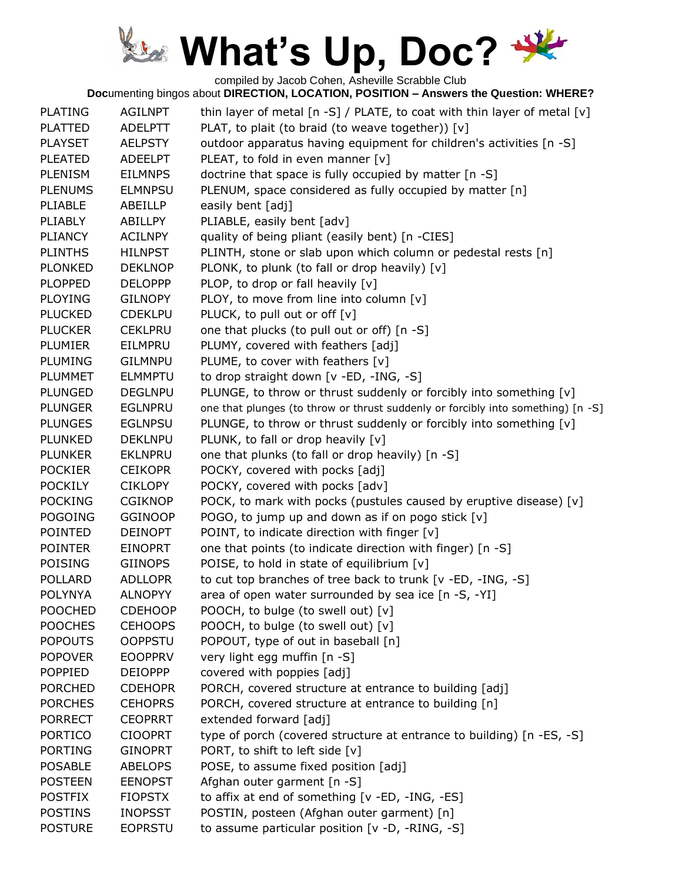compiled by Jacob Cohen, Asheville Scrabble Club

| <b>PLATING</b> | <b>AGILNPT</b> | thin layer of metal $[n -S]$ / PLATE, to coat with thin layer of metal $[v]$     |
|----------------|----------------|----------------------------------------------------------------------------------|
| <b>PLATTED</b> | <b>ADELPTT</b> | PLAT, to plait (to braid (to weave together)) [v]                                |
| <b>PLAYSET</b> | <b>AELPSTY</b> | outdoor apparatus having equipment for children's activities [n -S]              |
| <b>PLEATED</b> | <b>ADEELPT</b> | PLEAT, to fold in even manner [v]                                                |
| <b>PLENISM</b> | <b>EILMNPS</b> | doctrine that space is fully occupied by matter [n -S]                           |
| <b>PLENUMS</b> | <b>ELMNPSU</b> | PLENUM, space considered as fully occupied by matter [n]                         |
| PLIABLE        | ABEILLP        | easily bent [adj]                                                                |
| <b>PLIABLY</b> | ABILLPY        | PLIABLE, easily bent [adv]                                                       |
| <b>PLIANCY</b> | <b>ACILNPY</b> | quality of being pliant (easily bent) [n -CIES]                                  |
| <b>PLINTHS</b> | <b>HILNPST</b> | PLINTH, stone or slab upon which column or pedestal rests [n]                    |
| <b>PLONKED</b> | <b>DEKLNOP</b> | PLONK, to plunk (to fall or drop heavily) [v]                                    |
| <b>PLOPPED</b> | <b>DELOPPP</b> | PLOP, to drop or fall heavily [v]                                                |
| <b>PLOYING</b> | <b>GILNOPY</b> | PLOY, to move from line into column [v]                                          |
| <b>PLUCKED</b> | <b>CDEKLPU</b> | PLUCK, to pull out or off [v]                                                    |
| <b>PLUCKER</b> | <b>CEKLPRU</b> | one that plucks (to pull out or off) [n -S]                                      |
| <b>PLUMIER</b> | EILMPRU        | PLUMY, covered with feathers [adj]                                               |
| <b>PLUMING</b> | <b>GILMNPU</b> | PLUME, to cover with feathers [v]                                                |
| <b>PLUMMET</b> | <b>ELMMPTU</b> | to drop straight down [v -ED, -ING, -S]                                          |
| <b>PLUNGED</b> | <b>DEGLNPU</b> | PLUNGE, to throw or thrust suddenly or forcibly into something [v]               |
| <b>PLUNGER</b> | <b>EGLNPRU</b> | one that plunges (to throw or thrust suddenly or forcibly into something) [n -S] |
| <b>PLUNGES</b> | <b>EGLNPSU</b> | PLUNGE, to throw or thrust suddenly or forcibly into something [v]               |
| <b>PLUNKED</b> | <b>DEKLNPU</b> | PLUNK, to fall or drop heavily [v]                                               |
| <b>PLUNKER</b> | <b>EKLNPRU</b> | one that plunks (to fall or drop heavily) [n -S]                                 |
| <b>POCKIER</b> | <b>CEIKOPR</b> | POCKY, covered with pocks [adj]                                                  |
| <b>POCKILY</b> | <b>CIKLOPY</b> | POCKY, covered with pocks [adv]                                                  |
| <b>POCKING</b> | <b>CGIKNOP</b> | POCK, to mark with pocks (pustules caused by eruptive disease) [v]               |
| <b>POGOING</b> | <b>GGINOOP</b> | POGO, to jump up and down as if on pogo stick [v]                                |
| <b>POINTED</b> | <b>DEINOPT</b> | POINT, to indicate direction with finger [v]                                     |
| <b>POINTER</b> | <b>EINOPRT</b> | one that points (to indicate direction with finger) [n -S]                       |
| <b>POISING</b> | <b>GIINOPS</b> | POISE, to hold in state of equilibrium [v]                                       |
| <b>POLLARD</b> | <b>ADLLOPR</b> | to cut top branches of tree back to trunk [v -ED, -ING, -S]                      |
| <b>POLYNYA</b> | <b>ALNOPYY</b> | area of open water surrounded by sea ice [n -S, -YI]                             |
| <b>POOCHED</b> | <b>CDEHOOP</b> | POOCH, to bulge (to swell out) [v]                                               |
| <b>POOCHES</b> | <b>CEHOOPS</b> | POOCH, to bulge (to swell out) [v]                                               |
| <b>POPOUTS</b> | <b>OOPPSTU</b> | POPOUT, type of out in baseball [n]                                              |
| <b>POPOVER</b> | <b>EOOPPRV</b> | very light egg muffin [n -S]                                                     |
| <b>POPPIED</b> | <b>DEIOPPP</b> | covered with poppies [adj]                                                       |
| <b>PORCHED</b> | <b>CDEHOPR</b> | PORCH, covered structure at entrance to building [adj]                           |
| <b>PORCHES</b> | <b>CEHOPRS</b> | PORCH, covered structure at entrance to building [n]                             |
| <b>PORRECT</b> | <b>CEOPRRT</b> | extended forward [adj]                                                           |
| <b>PORTICO</b> | <b>CIOOPRT</b> | type of porch (covered structure at entrance to building) [n -ES, -S]            |
| <b>PORTING</b> | <b>GINOPRT</b> | PORT, to shift to left side [v]                                                  |
| <b>POSABLE</b> | <b>ABELOPS</b> | POSE, to assume fixed position [adj]                                             |
| <b>POSTEEN</b> | <b>EENOPST</b> | Afghan outer garment [n -S]                                                      |
| <b>POSTFIX</b> | <b>FIOPSTX</b> | to affix at end of something [v -ED, -ING, -ES]                                  |
| <b>POSTINS</b> | <b>INOPSST</b> | POSTIN, posteen (Afghan outer garment) [n]                                       |
| <b>POSTURE</b> | <b>EOPRSTU</b> | to assume particular position [v -D, -RING, -S]                                  |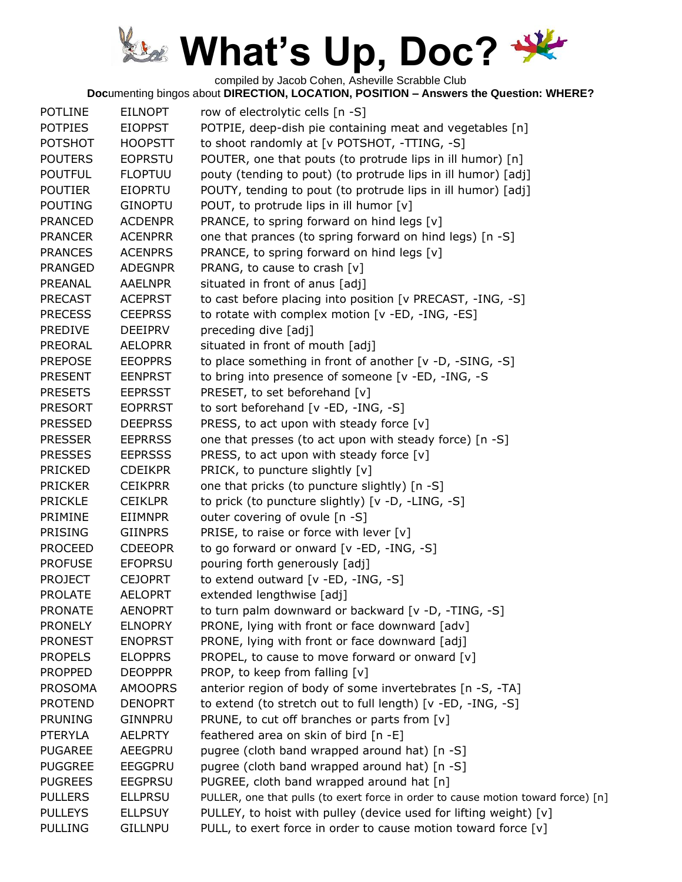compiled by Jacob Cohen, Asheville Scrabble Club

| <b>POTLINE</b> | <b>EILNOPT</b> | row of electrolytic cells [n -S]                                                  |
|----------------|----------------|-----------------------------------------------------------------------------------|
| <b>POTPIES</b> | <b>EIOPPST</b> | POTPIE, deep-dish pie containing meat and vegetables [n]                          |
| <b>POTSHOT</b> | <b>HOOPSTT</b> | to shoot randomly at [v POTSHOT, -TTING, -S]                                      |
| <b>POUTERS</b> | <b>EOPRSTU</b> | POUTER, one that pouts (to protrude lips in ill humor) [n]                        |
| <b>POUTFUL</b> | <b>FLOPTUU</b> | pouty (tending to pout) (to protrude lips in ill humor) [adj]                     |
| <b>POUTIER</b> | <b>EIOPRTU</b> | POUTY, tending to pout (to protrude lips in ill humor) [adj]                      |
| <b>POUTING</b> | <b>GINOPTU</b> | POUT, to protrude lips in ill humor [v]                                           |
| <b>PRANCED</b> | <b>ACDENPR</b> | PRANCE, to spring forward on hind legs [v]                                        |
| <b>PRANCER</b> | <b>ACENPRR</b> | one that prances (to spring forward on hind legs) [n -S]                          |
| <b>PRANCES</b> | <b>ACENPRS</b> | PRANCE, to spring forward on hind legs [v]                                        |
| <b>PRANGED</b> | <b>ADEGNPR</b> | PRANG, to cause to crash [v]                                                      |
| PREANAL        | <b>AAELNPR</b> | situated in front of anus [adj]                                                   |
| <b>PRECAST</b> | <b>ACEPRST</b> | to cast before placing into position [v PRECAST, -ING, -S]                        |
| <b>PRECESS</b> | <b>CEEPRSS</b> | to rotate with complex motion [v -ED, -ING, -ES]                                  |
| <b>PREDIVE</b> | <b>DEEIPRV</b> | preceding dive [adj]                                                              |
| PREORAL        | <b>AELOPRR</b> | situated in front of mouth [adj]                                                  |
| <b>PREPOSE</b> | <b>EEOPPRS</b> | to place something in front of another [v -D, -SING, -S]                          |
| <b>PRESENT</b> | <b>EENPRST</b> | to bring into presence of someone [v -ED, -ING, -S                                |
| <b>PRESETS</b> | <b>EEPRSST</b> | PRESET, to set beforehand [v]                                                     |
| <b>PRESORT</b> | <b>EOPRRST</b> | to sort beforehand [v -ED, -ING, -S]                                              |
| <b>PRESSED</b> | <b>DEEPRSS</b> | PRESS, to act upon with steady force $[v]$                                        |
| <b>PRESSER</b> | <b>EEPRRSS</b> | one that presses (to act upon with steady force) [n -S]                           |
| <b>PRESSES</b> | <b>EEPRSSS</b> | PRESS, to act upon with steady force $[v]$                                        |
| <b>PRICKED</b> | <b>CDEIKPR</b> | PRICK, to puncture slightly [v]                                                   |
| <b>PRICKER</b> | <b>CEIKPRR</b> | one that pricks (to puncture slightly) [n -S]                                     |
| <b>PRICKLE</b> | <b>CEIKLPR</b> | to prick (to puncture slightly) [v -D, -LING, -S]                                 |
| PRIMINE        | <b>EIIMNPR</b> | outer covering of ovule [n -S]                                                    |
| <b>PRISING</b> | <b>GIINPRS</b> | PRISE, to raise or force with lever $[v]$                                         |
| <b>PROCEED</b> | <b>CDEEOPR</b> | to go forward or onward [v -ED, -ING, -S]                                         |
| <b>PROFUSE</b> | <b>EFOPRSU</b> | pouring forth generously [adj]                                                    |
| <b>PROJECT</b> | <b>CEJOPRT</b> | to extend outward [v -ED, -ING, -S]                                               |
| <b>PROLATE</b> | <b>AELOPRT</b> | extended lengthwise [adj]                                                         |
| <b>PRONATE</b> | <b>AENOPRT</b> | to turn palm downward or backward [v -D, -TING, -S]                               |
| <b>PRONELY</b> | <b>ELNOPRY</b> | PRONE, lying with front or face downward [adv]                                    |
| <b>PRONEST</b> | <b>ENOPRST</b> | PRONE, lying with front or face downward [adj]                                    |
| <b>PROPELS</b> | <b>ELOPPRS</b> | PROPEL, to cause to move forward or onward [v]                                    |
| <b>PROPPED</b> | <b>DEOPPPR</b> | PROP, to keep from falling [v]                                                    |
| <b>PROSOMA</b> | <b>AMOOPRS</b> | anterior region of body of some invertebrates [n -S, -TA]                         |
| <b>PROTEND</b> | <b>DENOPRT</b> | to extend (to stretch out to full length) [v -ED, -ING, -S]                       |
| <b>PRUNING</b> | <b>GINNPRU</b> | PRUNE, to cut off branches or parts from [v]                                      |
| <b>PTERYLA</b> | <b>AELPRTY</b> | feathered area on skin of bird [n -E]                                             |
| <b>PUGAREE</b> | AEEGPRU        | pugree (cloth band wrapped around hat) [n -S]                                     |
| <b>PUGGREE</b> | <b>EEGGPRU</b> | pugree (cloth band wrapped around hat) [n -S]                                     |
| <b>PUGREES</b> | <b>EEGPRSU</b> | PUGREE, cloth band wrapped around hat [n]                                         |
| <b>PULLERS</b> | <b>ELLPRSU</b> | PULLER, one that pulls (to exert force in order to cause motion toward force) [n] |
| <b>PULLEYS</b> | <b>ELLPSUY</b> | PULLEY, to hoist with pulley (device used for lifting weight) [v]                 |
| <b>PULLING</b> | <b>GILLNPU</b> | PULL, to exert force in order to cause motion toward force [v]                    |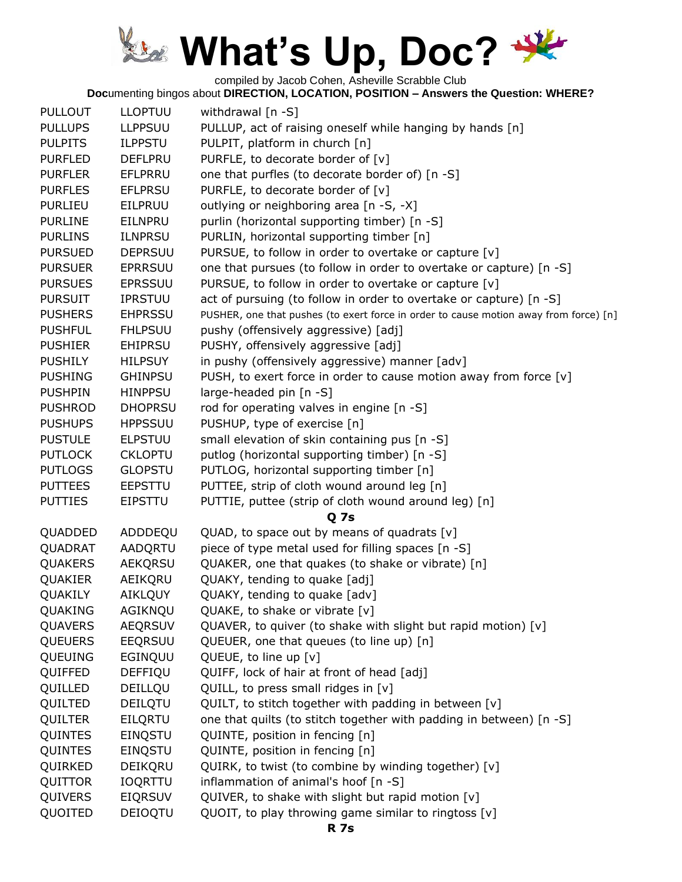compiled by Jacob Cohen, Asheville Scrabble Club

| <b>PULLOUT</b> | <b>LLOPTUU</b> | withdrawal [n -S]                                                                     |
|----------------|----------------|---------------------------------------------------------------------------------------|
| <b>PULLUPS</b> | <b>LLPPSUU</b> | PULLUP, act of raising oneself while hanging by hands [n]                             |
| <b>PULPITS</b> | <b>ILPPSTU</b> | PULPIT, platform in church [n]                                                        |
| <b>PURFLED</b> | <b>DEFLPRU</b> | PURFLE, to decorate border of [v]                                                     |
| <b>PURFLER</b> | EFLPRRU        | one that purfles (to decorate border of) [n -S]                                       |
| <b>PURFLES</b> | <b>EFLPRSU</b> | PURFLE, to decorate border of [v]                                                     |
| <b>PURLIEU</b> | EILPRUU        | outlying or neighboring area [n -S, -X]                                               |
| <b>PURLINE</b> | <b>EILNPRU</b> | purlin (horizontal supporting timber) [n -S]                                          |
| <b>PURLINS</b> | <b>ILNPRSU</b> | PURLIN, horizontal supporting timber [n]                                              |
| <b>PURSUED</b> | <b>DEPRSUU</b> | PURSUE, to follow in order to overtake or capture [v]                                 |
| <b>PURSUER</b> | <b>EPRRSUU</b> | one that pursues (to follow in order to overtake or capture) [n -S]                   |
| <b>PURSUES</b> | <b>EPRSSUU</b> | PURSUE, to follow in order to overtake or capture [v]                                 |
| <b>PURSUIT</b> | <b>IPRSTUU</b> | act of pursuing (to follow in order to overtake or capture) [n -S]                    |
| <b>PUSHERS</b> | <b>EHPRSSU</b> | PUSHER, one that pushes (to exert force in order to cause motion away from force) [n] |
| <b>PUSHFUL</b> | <b>FHLPSUU</b> | pushy (offensively aggressive) [adj]                                                  |
| <b>PUSHIER</b> | <b>EHIPRSU</b> | PUSHY, offensively aggressive [adj]                                                   |
| <b>PUSHILY</b> | <b>HILPSUY</b> | in pushy (offensively aggressive) manner [adv]                                        |
| <b>PUSHING</b> | <b>GHINPSU</b> | PUSH, to exert force in order to cause motion away from force [v]                     |
| <b>PUSHPIN</b> | <b>HINPPSU</b> | large-headed pin [n -S]                                                               |
| <b>PUSHROD</b> | <b>DHOPRSU</b> | rod for operating valves in engine [n -S]                                             |
| <b>PUSHUPS</b> | <b>HPPSSUU</b> | PUSHUP, type of exercise [n]                                                          |
| <b>PUSTULE</b> |                | small elevation of skin containing pus [n -S]                                         |
|                | <b>ELPSTUU</b> |                                                                                       |
| <b>PUTLOCK</b> | <b>CKLOPTU</b> | putlog (horizontal supporting timber) [n -S]                                          |
| <b>PUTLOGS</b> | <b>GLOPSTU</b> | PUTLOG, horizontal supporting timber [n]                                              |
| <b>PUTTEES</b> | <b>EEPSTTU</b> | PUTTEE, strip of cloth wound around leg [n]                                           |
| <b>PUTTIES</b> | <b>EIPSTTU</b> | PUTTIE, puttee (strip of cloth wound around leg) [n]                                  |
|                |                | <b>Q</b> 7s                                                                           |
| QUADDED        | ADDDEQU        | QUAD, to space out by means of quadrats [v]                                           |
| QUADRAT        | AADQRTU        | piece of type metal used for filling spaces [n -S]                                    |
| <b>QUAKERS</b> | <b>AEKQRSU</b> | QUAKER, one that quakes (to shake or vibrate) [n]                                     |
| QUAKIER        | AEIKQRU        | QUAKY, tending to quake [adj]                                                         |
| QUAKILY        | AIKLQUY        | QUAKY, tending to quake [adv]                                                         |
| QUAKING        | AGIKNQU        | QUAKE, to shake or vibrate [v]                                                        |
| QUAVERS        | <b>AEQRSUV</b> | QUAVER, to quiver (to shake with slight but rapid motion) [v]                         |
| <b>QUEUERS</b> | EEQRSUU        | QUEUER, one that queues (to line up) [n]                                              |
| QUEUING        | EGINQUU        | QUEUE, to line up [v]                                                                 |
| QUIFFED        | DEFFIQU        | QUIFF, lock of hair at front of head [adj]                                            |
| QUILLED        | DEILLQU        | QUILL, to press small ridges in [v]                                                   |
| QUILTED        | DEILQTU        | QUILT, to stitch together with padding in between [v]                                 |
| <b>QUILTER</b> | EILQRTU        | one that quilts (to stitch together with padding in between) [n -S]                   |
| QUINTES        | EINQSTU        | QUINTE, position in fencing [n]                                                       |
| QUINTES        | EINQSTU        | QUINTE, position in fencing [n]                                                       |
| QUIRKED        | DEIKQRU        | QUIRK, to twist (to combine by winding together) [v]                                  |
| QUITTOR        | <b>IOQRTTU</b> | inflammation of animal's hoof [n -S]                                                  |
| QUIVERS        | <b>EIQRSUV</b> | QUIVER, to shake with slight but rapid motion [v]                                     |
| QUOITED        | DEIOQTU        | QUOIT, to play throwing game similar to ringtoss [v]                                  |
|                |                |                                                                                       |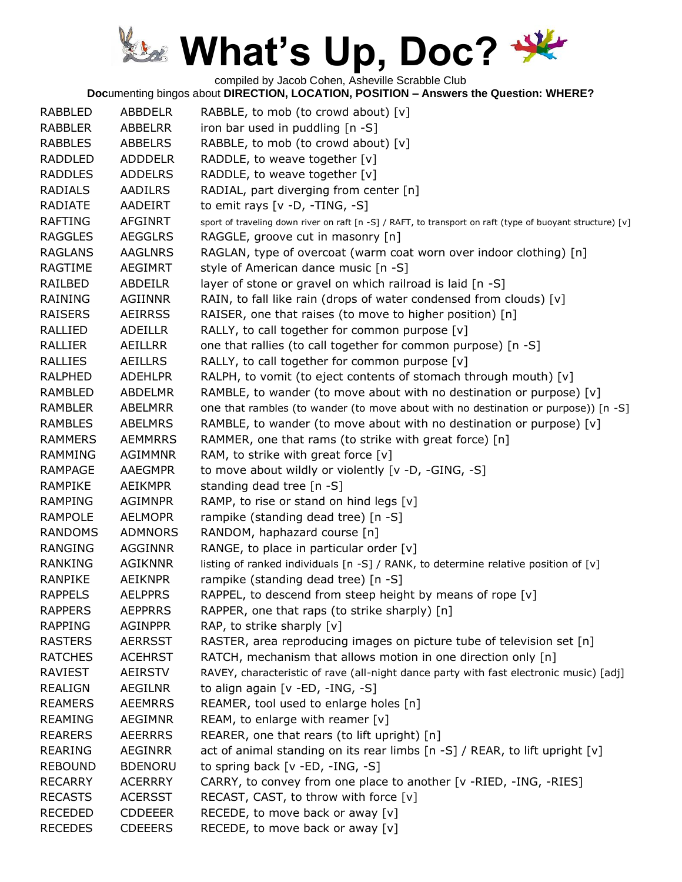compiled by Jacob Cohen, Asheville Scrabble Club

| <b>RABBLED</b> | ABBDELR        | RABBLE, to mob (to crowd about) [v]                                                                       |
|----------------|----------------|-----------------------------------------------------------------------------------------------------------|
| <b>RABBLER</b> | ABBELRR        | iron bar used in puddling [n -S]                                                                          |
| <b>RABBLES</b> | <b>ABBELRS</b> | RABBLE, to mob (to crowd about) [v]                                                                       |
| <b>RADDLED</b> | <b>ADDDELR</b> | RADDLE, to weave together [v]                                                                             |
| <b>RADDLES</b> | <b>ADDELRS</b> | RADDLE, to weave together [v]                                                                             |
| <b>RADIALS</b> | <b>AADILRS</b> | RADIAL, part diverging from center [n]                                                                    |
| <b>RADIATE</b> | AADEIRT        | to emit rays $[v -D, -TING, -S]$                                                                          |
| <b>RAFTING</b> | <b>AFGINRT</b> | sport of traveling down river on raft [n -S] / RAFT, to transport on raft (type of buoyant structure) [v] |
| <b>RAGGLES</b> | <b>AEGGLRS</b> | RAGGLE, groove cut in masonry [n]                                                                         |
| <b>RAGLANS</b> | <b>AAGLNRS</b> | RAGLAN, type of overcoat (warm coat worn over indoor clothing) [n]                                        |
| <b>RAGTIME</b> | <b>AEGIMRT</b> | style of American dance music [n -S]                                                                      |
| RAILBED        | ABDEILR        | layer of stone or gravel on which railroad is laid [n -S]                                                 |
| <b>RAINING</b> | AGIINNR        | RAIN, to fall like rain (drops of water condensed from clouds) [v]                                        |
| <b>RAISERS</b> | <b>AEIRRSS</b> | RAISER, one that raises (to move to higher position) [n]                                                  |
| <b>RALLIED</b> | ADEILLR        | RALLY, to call together for common purpose [v]                                                            |
| <b>RALLIER</b> | AEILLRR        | one that rallies (to call together for common purpose) [n -S]                                             |
| <b>RALLIES</b> | <b>AEILLRS</b> | RALLY, to call together for common purpose [v]                                                            |
| <b>RALPHED</b> | <b>ADEHLPR</b> | RALPH, to vomit (to eject contents of stomach through mouth) [v]                                          |
| <b>RAMBLED</b> | <b>ABDELMR</b> | RAMBLE, to wander (to move about with no destination or purpose) [v]                                      |
| <b>RAMBLER</b> | <b>ABELMRR</b> | one that rambles (to wander (to move about with no destination or purpose)) [n -S]                        |
| <b>RAMBLES</b> | <b>ABELMRS</b> | RAMBLE, to wander (to move about with no destination or purpose) [v]                                      |
| <b>RAMMERS</b> | <b>AEMMRRS</b> | RAMMER, one that rams (to strike with great force) [n]                                                    |
| RAMMING        | <b>AGIMMNR</b> | RAM, to strike with great force [v]                                                                       |
| RAMPAGE        | <b>AAEGMPR</b> | to move about wildly or violently [v -D, -GING, -S]                                                       |
| RAMPIKE        | <b>AEIKMPR</b> | standing dead tree [n -S]                                                                                 |
| <b>RAMPING</b> | <b>AGIMNPR</b> | RAMP, to rise or stand on hind legs [v]                                                                   |
| <b>RAMPOLE</b> | <b>AELMOPR</b> | rampike (standing dead tree) [n -S]                                                                       |
| <b>RANDOMS</b> | <b>ADMNORS</b> | RANDOM, haphazard course [n]                                                                              |
| <b>RANGING</b> | <b>AGGINNR</b> | RANGE, to place in particular order [v]                                                                   |
| <b>RANKING</b> | <b>AGIKNNR</b> | listing of ranked individuals $[n -S]$ / RANK, to determine relative position of $[v]$                    |
| <b>RANPIKE</b> | <b>AEIKNPR</b> | rampike (standing dead tree) [n -S]                                                                       |
| <b>RAPPELS</b> | <b>AELPPRS</b> | RAPPEL, to descend from steep height by means of rope [v]                                                 |
| <b>RAPPERS</b> | <b>AEPPRRS</b> | RAPPER, one that raps (to strike sharply) [n]                                                             |
| <b>RAPPING</b> | <b>AGINPPR</b> | RAP, to strike sharply [v]                                                                                |
| <b>RASTERS</b> | <b>AERRSST</b> | RASTER, area reproducing images on picture tube of television set [n]                                     |
| <b>RATCHES</b> | <b>ACEHRST</b> | RATCH, mechanism that allows motion in one direction only [n]                                             |
| <b>RAVIEST</b> | <b>AEIRSTV</b> | RAVEY, characteristic of rave (all-night dance party with fast electronic music) [adj]                    |
| <b>REALIGN</b> | <b>AEGILNR</b> | to align again [v -ED, -ING, -S]                                                                          |
| <b>REAMERS</b> | <b>AEEMRRS</b> | REAMER, tool used to enlarge holes [n]                                                                    |
| <b>REAMING</b> | <b>AEGIMNR</b> | REAM, to enlarge with reamer $[v]$                                                                        |
| <b>REARERS</b> | <b>AEERRRS</b> | REARER, one that rears (to lift upright) [n]                                                              |
| <b>REARING</b> | <b>AEGINRR</b> | act of animal standing on its rear limbs [n -S] / REAR, to lift upright [v]                               |
| <b>REBOUND</b> | <b>BDENORU</b> | to spring back [v -ED, -ING, -S]                                                                          |
| <b>RECARRY</b> | <b>ACERRRY</b> | CARRY, to convey from one place to another [v -RIED, -ING, -RIES]                                         |
| <b>RECASTS</b> | <b>ACERSST</b> | RECAST, CAST, to throw with force [v]                                                                     |
| <b>RECEDED</b> | <b>CDDEEER</b> | RECEDE, to move back or away [v]                                                                          |
| <b>RECEDES</b> | <b>CDEEERS</b> | RECEDE, to move back or away [v]                                                                          |
|                |                |                                                                                                           |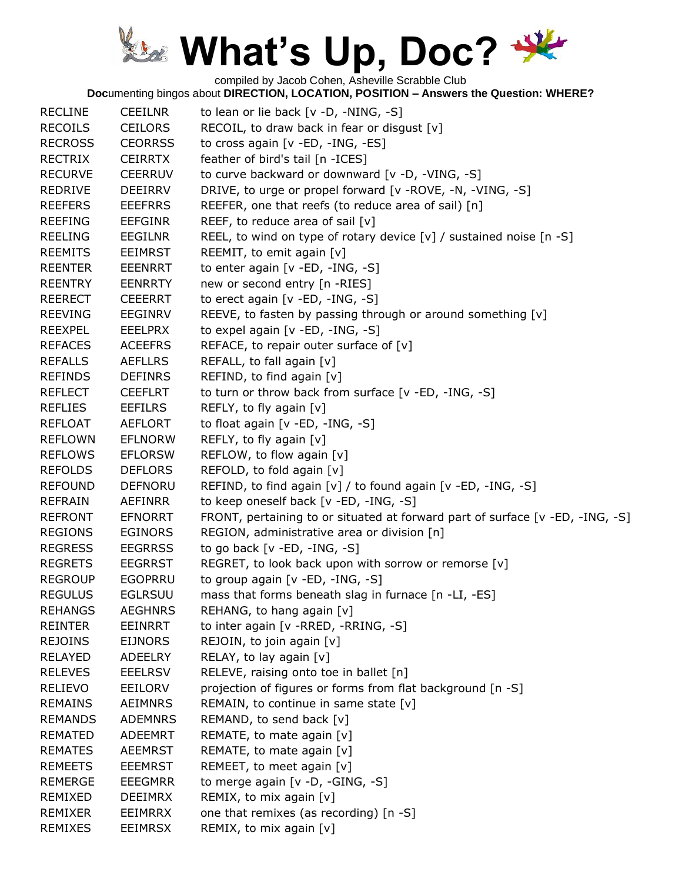compiled by Jacob Cohen, Asheville Scrabble Club

| <b>RECLINE</b> | <b>CEEILNR</b> | to lean or lie back [v -D, -NING, -S]                                         |
|----------------|----------------|-------------------------------------------------------------------------------|
| <b>RECOILS</b> | <b>CEILORS</b> | RECOIL, to draw back in fear or disgust [v]                                   |
| <b>RECROSS</b> | <b>CEORRSS</b> | to cross again [v - ED, - ING, - ES]                                          |
| <b>RECTRIX</b> | <b>CEIRRTX</b> | feather of bird's tail [n -ICES]                                              |
| <b>RECURVE</b> | <b>CEERRUV</b> | to curve backward or downward [v -D, -VING, -S]                               |
| <b>REDRIVE</b> | <b>DEEIRRV</b> | DRIVE, to urge or propel forward [v -ROVE, -N, -VING, -S]                     |
| <b>REEFERS</b> | <b>EEEFRRS</b> | REEFER, one that reefs (to reduce area of sail) [n]                           |
| <b>REEFING</b> | <b>EEFGINR</b> | REEF, to reduce area of sail [v]                                              |
| <b>REELING</b> | <b>EEGILNR</b> | REEL, to wind on type of rotary device [v] / sustained noise [n -S]           |
| <b>REEMITS</b> | <b>EEIMRST</b> | REEMIT, to emit again [v]                                                     |
| <b>REENTER</b> | <b>EEENRRT</b> | to enter again [v -ED, -ING, -S]                                              |
| <b>REENTRY</b> | <b>EENRRTY</b> | new or second entry [n -RIES]                                                 |
| <b>REERECT</b> | <b>CEEERRT</b> | to erect again [v -ED, -ING, -S]                                              |
| <b>REEVING</b> | <b>EEGINRV</b> | REEVE, to fasten by passing through or around something [v]                   |
| <b>REEXPEL</b> | <b>EEELPRX</b> | to expel again [v -ED, -ING, -S]                                              |
| <b>REFACES</b> | <b>ACEEFRS</b> | REFACE, to repair outer surface of $[v]$                                      |
| <b>REFALLS</b> | <b>AEFLLRS</b> | REFALL, to fall again [v]                                                     |
| <b>REFINDS</b> | <b>DEFINRS</b> | REFIND, to find again [v]                                                     |
| <b>REFLECT</b> | <b>CEEFLRT</b> | to turn or throw back from surface [v -ED, -ING, -S]                          |
| <b>REFLIES</b> | <b>EEFILRS</b> | REFLY, to fly again [v]                                                       |
| <b>REFLOAT</b> | <b>AEFLORT</b> | to float again [v -ED, -ING, -S]                                              |
| <b>REFLOWN</b> | <b>EFLNORW</b> | REFLY, to fly again [v]                                                       |
| <b>REFLOWS</b> | <b>EFLORSW</b> | REFLOW, to flow again [v]                                                     |
| <b>REFOLDS</b> | <b>DEFLORS</b> | REFOLD, to fold again [v]                                                     |
| <b>REFOUND</b> | <b>DEFNORU</b> | REFIND, to find again [v] / to found again [v -ED, -ING, -S]                  |
| <b>REFRAIN</b> | AEFINRR        | to keep oneself back [v -ED, -ING, -S]                                        |
| <b>REFRONT</b> | <b>EFNORRT</b> | FRONT, pertaining to or situated at forward part of surface [v -ED, -ING, -S] |
| <b>REGIONS</b> | <b>EGINORS</b> | REGION, administrative area or division [n]                                   |
| <b>REGRESS</b> | <b>EEGRRSS</b> | to go back $[v - ED, -ING, -S]$                                               |
| <b>REGRETS</b> | <b>EEGRRST</b> | REGRET, to look back upon with sorrow or remorse [v]                          |
| <b>REGROUP</b> | <b>EGOPRRU</b> | to group again [v -ED, -ING, -S]                                              |
| <b>REGULUS</b> | <b>EGLRSUU</b> | mass that forms beneath slag in furnace [n -LI, -ES]                          |
| <b>REHANGS</b> | <b>AEGHNRS</b> | REHANG, to hang again [v]                                                     |
| <b>REINTER</b> | <b>EEINRRT</b> | to inter again [v - RRED, - RRING, - S]                                       |
| <b>REJOINS</b> | <b>EIJNORS</b> | REJOIN, to join again [v]                                                     |
| <b>RELAYED</b> | <b>ADEELRY</b> | RELAY, to lay again [v]                                                       |
| <b>RELEVES</b> | <b>EEELRSV</b> | RELEVE, raising onto toe in ballet [n]                                        |
| <b>RELIEVO</b> | <b>EEILORV</b> | projection of figures or forms from flat background [n -S]                    |
| <b>REMAINS</b> | <b>AEIMNRS</b> | REMAIN, to continue in same state $[v]$                                       |
| <b>REMANDS</b> | <b>ADEMNRS</b> | REMAND, to send back [v]                                                      |
| <b>REMATED</b> | <b>ADEEMRT</b> | REMATE, to mate again [v]                                                     |
| <b>REMATES</b> | <b>AEEMRST</b> | REMATE, to mate again [v]                                                     |
| <b>REMEETS</b> | <b>EEEMRST</b> | REMEET, to meet again [v]                                                     |
| REMERGE        | EEEGMRR        | to merge again $[v -D, -GING, -S]$                                            |
| REMIXED        | <b>DEEIMRX</b> | REMIX, to mix again [v]                                                       |
| <b>REMIXER</b> | <b>EEIMRRX</b> | one that remixes (as recording) [n -S]                                        |
| <b>REMIXES</b> | <b>EEIMRSX</b> | REMIX, to mix again [v]                                                       |
|                |                |                                                                               |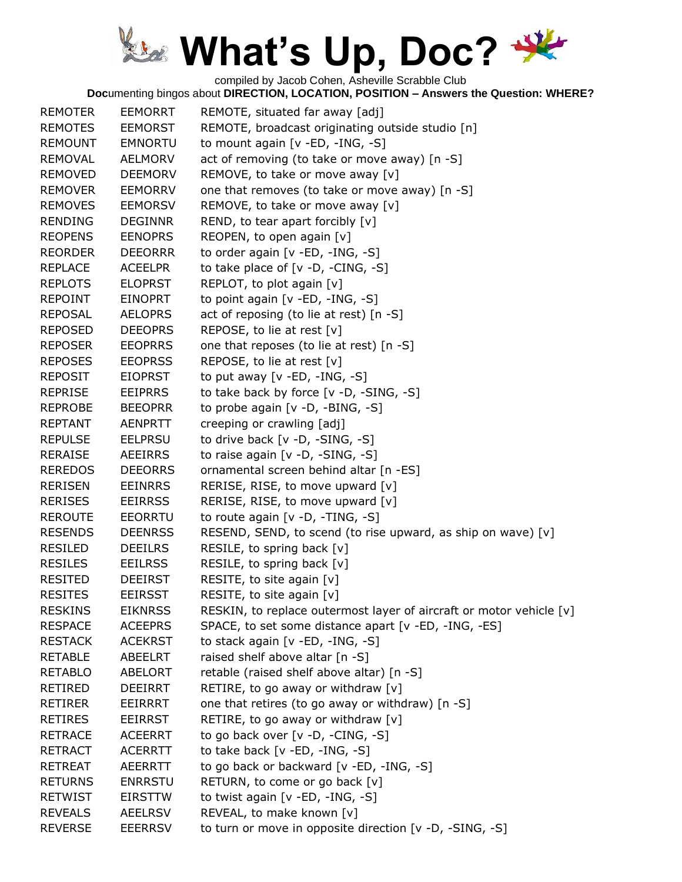compiled by Jacob Cohen, Asheville Scrabble Club

| <b>REMOTER</b> | <b>EEMORRT</b> | REMOTE, situated far away [adj]                                     |
|----------------|----------------|---------------------------------------------------------------------|
| <b>REMOTES</b> | <b>EEMORST</b> | REMOTE, broadcast originating outside studio [n]                    |
| <b>REMOUNT</b> | <b>EMNORTU</b> | to mount again [v -ED, -ING, -S]                                    |
| <b>REMOVAL</b> | <b>AELMORV</b> | act of removing (to take or move away) [n -S]                       |
| <b>REMOVED</b> | <b>DEEMORV</b> | REMOVE, to take or move away [v]                                    |
| <b>REMOVER</b> | <b>EEMORRV</b> | one that removes (to take or move away) [n -S]                      |
| <b>REMOVES</b> | <b>EEMORSV</b> | REMOVE, to take or move away [v]                                    |
| <b>RENDING</b> | <b>DEGINNR</b> | REND, to tear apart forcibly $[v]$                                  |
| <b>REOPENS</b> | <b>EENOPRS</b> | REOPEN, to open again [v]                                           |
| <b>REORDER</b> | <b>DEEORRR</b> | to order again [v -ED, -ING, -S]                                    |
| <b>REPLACE</b> | <b>ACEELPR</b> | to take place of $[v -D, -CING, -S]$                                |
| <b>REPLOTS</b> | <b>ELOPRST</b> | REPLOT, to plot again [v]                                           |
| <b>REPOINT</b> | <b>EINOPRT</b> | to point again [v -ED, -ING, -S]                                    |
| <b>REPOSAL</b> | <b>AELOPRS</b> | act of reposing (to lie at rest) [n -S]                             |
| <b>REPOSED</b> | <b>DEEOPRS</b> | REPOSE, to lie at rest [v]                                          |
| <b>REPOSER</b> | <b>EEOPRRS</b> | one that reposes (to lie at rest) [n -S]                            |
| <b>REPOSES</b> | <b>EEOPRSS</b> | REPOSE, to lie at rest [v]                                          |
| <b>REPOSIT</b> | <b>EIOPRST</b> | to put away $[v - ED, -ING, -S]$                                    |
| <b>REPRISE</b> | <b>EEIPRRS</b> | to take back by force [v -D, -SING, -S]                             |
| <b>REPROBE</b> | <b>BEEOPRR</b> | to probe again [v -D, -BING, -S]                                    |
| <b>REPTANT</b> | <b>AENPRTT</b> | creeping or crawling [adj]                                          |
| <b>REPULSE</b> | <b>EELPRSU</b> | to drive back $[v -D, -SING, -S]$                                   |
| <b>RERAISE</b> | AEEIRRS        | to raise again [v -D, -SING, -S]                                    |
| <b>REREDOS</b> | <b>DEEORRS</b> | ornamental screen behind altar [n -ES]                              |
| <b>RERISEN</b> | <b>EEINRRS</b> | RERISE, RISE, to move upward [v]                                    |
| <b>RERISES</b> | <b>EEIRRSS</b> | RERISE, RISE, to move upward [v]                                    |
| <b>REROUTE</b> | <b>EEORRTU</b> | to route again [v -D, -TING, -S]                                    |
| <b>RESENDS</b> | <b>DEENRSS</b> | RESEND, SEND, to scend (to rise upward, as ship on wave) [v]        |
| <b>RESILED</b> | <b>DEEILRS</b> | RESILE, to spring back [v]                                          |
| <b>RESILES</b> | <b>EEILRSS</b> | RESILE, to spring back [v]                                          |
| <b>RESITED</b> | <b>DEEIRST</b> | RESITE, to site again [v]                                           |
| <b>RESITES</b> | <b>EEIRSST</b> | RESITE, to site again [v]                                           |
| <b>RESKINS</b> | <b>EIKNRSS</b> | RESKIN, to replace outermost layer of aircraft or motor vehicle [v] |
| <b>RESPACE</b> | <b>ACEEPRS</b> | SPACE, to set some distance apart [v -ED, -ING, -ES]                |
| <b>RESTACK</b> | <b>ACEKRST</b> | to stack again [v -ED, -ING, -S]                                    |
| <b>RETABLE</b> | <b>ABEELRT</b> | raised shelf above altar [n -S]                                     |
| <b>RETABLO</b> | <b>ABELORT</b> | retable (raised shelf above altar) [n -S]                           |
| RETIRED        | <b>DEEIRRT</b> | RETIRE, to go away or withdraw [v]                                  |
| <b>RETIRER</b> | EEIRRRT        | one that retires (to go away or withdraw) [n -S]                    |
| <b>RETIRES</b> | <b>EEIRRST</b> | RETIRE, to go away or withdraw [v]                                  |
| <b>RETRACE</b> | <b>ACEERRT</b> | to go back over [v -D, -CING, -S]                                   |
| <b>RETRACT</b> | <b>ACERRTT</b> | to take back $[v - ED, -ING, -S]$                                   |
| <b>RETREAT</b> | <b>AEERRTT</b> | to go back or backward [v -ED, -ING, -S]                            |
| <b>RETURNS</b> | <b>ENRRSTU</b> | RETURN, to come or go back [v]                                      |
| <b>RETWIST</b> | <b>EIRSTTW</b> | to twist again [v -ED, -ING, -S]                                    |
| <b>REVEALS</b> | <b>AEELRSV</b> | REVEAL, to make known [v]                                           |
| <b>REVERSE</b> | <b>EEERRSV</b> | to turn or move in opposite direction [v -D, -SING, -S]             |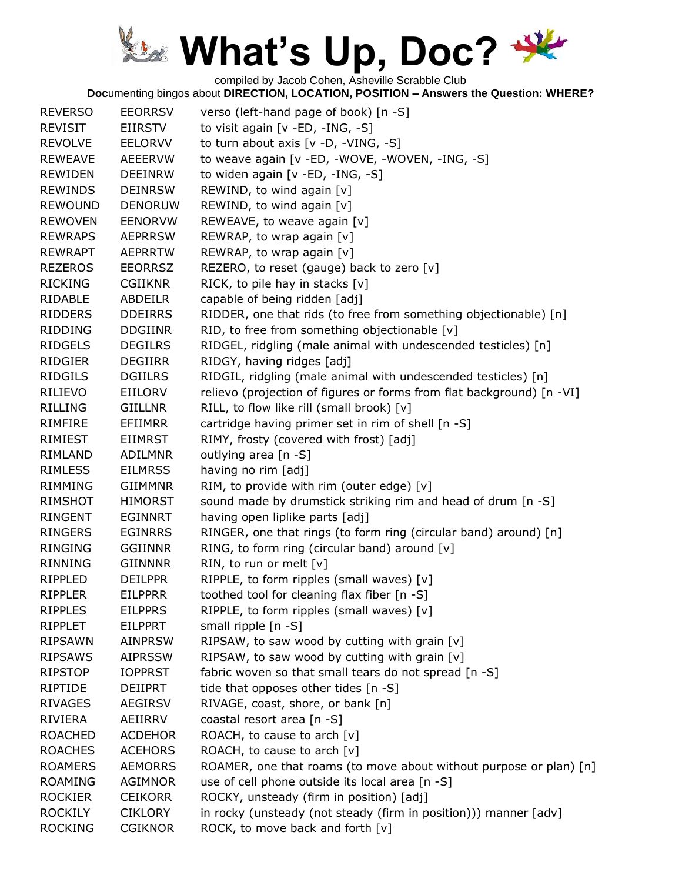compiled by Jacob Cohen, Asheville Scrabble Club **Doc**umenting bingos about **DIRECTION, LOCATION, POSITION – Answers the Question: WHERE?**

| <b>REVERSO</b> | <b>EEORRSV</b> | verso (left-hand page of book) [n -S]                                 |
|----------------|----------------|-----------------------------------------------------------------------|
| <b>REVISIT</b> | EIIRSTV        | to visit again [v -ED, -ING, -S]                                      |
| <b>REVOLVE</b> | EELORVV        | to turn about axis [v -D, -VING, -S]                                  |
| <b>REWEAVE</b> | <b>AEEERVW</b> | to weave again [v -ED, -WOVE, -WOVEN, -ING, -S]                       |
| <b>REWIDEN</b> | <b>DEEINRW</b> | to widen again [v -ED, -ING, -S]                                      |
| <b>REWINDS</b> | <b>DEINRSW</b> | REWIND, to wind again [v]                                             |
| <b>REWOUND</b> | <b>DENORUW</b> | REWIND, to wind again [v]                                             |
| <b>REWOVEN</b> | <b>EENORVW</b> | REWEAVE, to weave again [v]                                           |
| <b>REWRAPS</b> | <b>AEPRRSW</b> | REWRAP, to wrap again [v]                                             |
| <b>REWRAPT</b> | <b>AEPRRTW</b> | REWRAP, to wrap again [v]                                             |
| <b>REZEROS</b> | <b>EEORRSZ</b> | REZERO, to reset (gauge) back to zero [v]                             |
| <b>RICKING</b> | <b>CGIIKNR</b> | RICK, to pile hay in stacks [v]                                       |
| RIDABLE        | ABDEILR        | capable of being ridden [adj]                                         |
| <b>RIDDERS</b> | <b>DDEIRRS</b> | RIDDER, one that rids (to free from something objectionable) [n]      |
| <b>RIDDING</b> | <b>DDGIINR</b> | RID, to free from something objectionable [v]                         |
| <b>RIDGELS</b> | <b>DEGILRS</b> | RIDGEL, ridgling (male animal with undescended testicles) [n]         |
| <b>RIDGIER</b> | <b>DEGIIRR</b> | RIDGY, having ridges [adj]                                            |
| <b>RIDGILS</b> | <b>DGIILRS</b> | RIDGIL, ridgling (male animal with undescended testicles) [n]         |
| RILIEVO        | EIILORV        | relievo (projection of figures or forms from flat background) [n -VI] |
| <b>RILLING</b> | <b>GIILLNR</b> | RILL, to flow like rill (small brook) [v]                             |
| <b>RIMFIRE</b> | <b>EFIIMRR</b> | cartridge having primer set in rim of shell [n -S]                    |
| RIMIEST        | <b>EIIMRST</b> | RIMY, frosty (covered with frost) [adj]                               |
| RIMLAND        | <b>ADILMNR</b> | outlying area [n -S]                                                  |
| <b>RIMLESS</b> | <b>EILMRSS</b> | having no rim [adj]                                                   |
| <b>RIMMING</b> | <b>GIIMMNR</b> | RIM, to provide with rim (outer edge) [v]                             |
| RIMSHOT        | <b>HIMORST</b> | sound made by drumstick striking rim and head of drum [n -S]          |
| <b>RINGENT</b> | <b>EGINNRT</b> | having open liplike parts [adj]                                       |
| <b>RINGERS</b> | <b>EGINRRS</b> | RINGER, one that rings (to form ring (circular band) around) [n]      |
| <b>RINGING</b> | <b>GGIINNR</b> | RING, to form ring (circular band) around [v]                         |
| <b>RINNING</b> | <b>GIINNNR</b> | RIN, to run or melt [v]                                               |
| <b>RIPPLED</b> | <b>DEILPPR</b> | RIPPLE, to form ripples (small waves) [v]                             |
| <b>RIPPLER</b> | <b>EILPPRR</b> | toothed tool for cleaning flax fiber [n -S]                           |
| <b>RIPPLES</b> | <b>EILPPRS</b> | RIPPLE, to form ripples (small waves) [v]                             |
| <b>RIPPLET</b> | EILPPRT        | small ripple [n -S]                                                   |
| <b>RIPSAWN</b> | <b>AINPRSW</b> | RIPSAW, to saw wood by cutting with grain [v]                         |
| <b>RIPSAWS</b> | <b>AIPRSSW</b> | RIPSAW, to saw wood by cutting with grain [v]                         |
| <b>RIPSTOP</b> | <b>IOPPRST</b> | fabric woven so that small tears do not spread [n -S]                 |
| RIPTIDE        | DEIIPRT        | tide that opposes other tides [n -S]                                  |
| <b>RIVAGES</b> | <b>AEGIRSV</b> | RIVAGE, coast, shore, or bank [n]                                     |
| RIVIERA        | AEIIRRV        | coastal resort area [n -S]                                            |
| <b>ROACHED</b> | <b>ACDEHOR</b> | ROACH, to cause to arch [v]                                           |
| <b>ROACHES</b> | <b>ACEHORS</b> | ROACH, to cause to arch $[v]$                                         |
| <b>ROAMERS</b> | <b>AEMORRS</b> | ROAMER, one that roams (to move about without purpose or plan) [n]    |
| <b>ROAMING</b> | AGIMNOR        | use of cell phone outside its local area [n -S]                       |
| <b>ROCKIER</b> | <b>CEIKORR</b> | ROCKY, unsteady (firm in position) [adj]                              |
| <b>ROCKILY</b> | <b>CIKLORY</b> | in rocky (unsteady (not steady (firm in position))) manner [adv]      |
| <b>ROCKING</b> | <b>CGIKNOR</b> | ROCK, to move back and forth [v]                                      |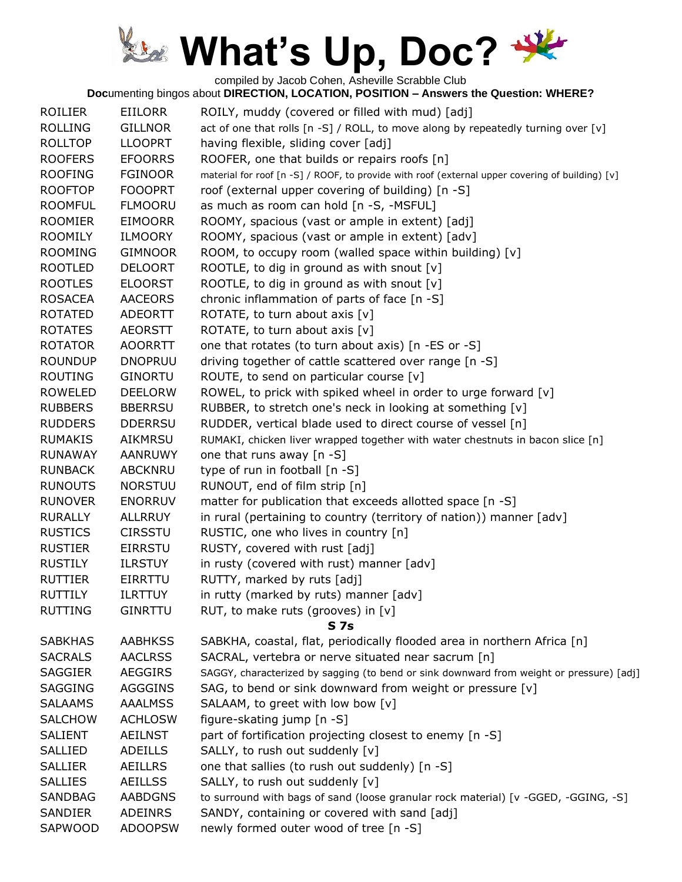compiled by Jacob Cohen, Asheville Scrabble Club

| <b>ROILIER</b> | EIILORR        | ROILY, muddy (covered or filled with mud) [adj]                                                 |
|----------------|----------------|-------------------------------------------------------------------------------------------------|
| <b>ROLLING</b> | <b>GILLNOR</b> | act of one that rolls [n -S] / ROLL, to move along by repeatedly turning over [v]               |
| <b>ROLLTOP</b> | <b>LLOOPRT</b> | having flexible, sliding cover [adj]                                                            |
| <b>ROOFERS</b> | <b>EFOORRS</b> | ROOFER, one that builds or repairs roofs [n]                                                    |
| <b>ROOFING</b> | <b>FGINOOR</b> | material for roof [n -S] / ROOF, to provide with roof (external upper covering of building) [v] |
| <b>ROOFTOP</b> | <b>FOOOPRT</b> | roof (external upper covering of building) [n -S]                                               |
| <b>ROOMFUL</b> | <b>FLMOORU</b> | as much as room can hold [n -S, -MSFUL]                                                         |
| <b>ROOMIER</b> | <b>EIMOORR</b> | ROOMY, spacious (vast or ample in extent) [adj]                                                 |
| <b>ROOMILY</b> | <b>ILMOORY</b> | ROOMY, spacious (vast or ample in extent) [adv]                                                 |
| <b>ROOMING</b> | <b>GIMNOOR</b> | ROOM, to occupy room (walled space within building) [v]                                         |
| <b>ROOTLED</b> | <b>DELOORT</b> | ROOTLE, to dig in ground as with snout [v]                                                      |
| <b>ROOTLES</b> | <b>ELOORST</b> | ROOTLE, to dig in ground as with snout $[v]$                                                    |
| <b>ROSACEA</b> | <b>AACEORS</b> | chronic inflammation of parts of face [n -S]                                                    |
| <b>ROTATED</b> | <b>ADEORTT</b> | ROTATE, to turn about axis [v]                                                                  |
| <b>ROTATES</b> | <b>AEORSTT</b> | ROTATE, to turn about axis [v]                                                                  |
| <b>ROTATOR</b> | <b>AOORRTT</b> | one that rotates (to turn about axis) [n -ES or -S]                                             |
| <b>ROUNDUP</b> | <b>DNOPRUU</b> | driving together of cattle scattered over range [n -S]                                          |
| <b>ROUTING</b> | <b>GINORTU</b> | ROUTE, to send on particular course [v]                                                         |
| <b>ROWELED</b> | <b>DEELORW</b> | ROWEL, to prick with spiked wheel in order to urge forward [v]                                  |
| <b>RUBBERS</b> | <b>BBERRSU</b> | RUBBER, to stretch one's neck in looking at something [v]                                       |
| <b>RUDDERS</b> | <b>DDERRSU</b> | RUDDER, vertical blade used to direct course of vessel [n]                                      |
| <b>RUMAKIS</b> | <b>AIKMRSU</b> | RUMAKI, chicken liver wrapped together with water chestnuts in bacon slice [n]                  |
| <b>RUNAWAY</b> | AANRUWY        | one that runs away [n -S]                                                                       |
| <b>RUNBACK</b> | <b>ABCKNRU</b> | type of run in football [n -S]                                                                  |
| <b>RUNOUTS</b> | <b>NORSTUU</b> | RUNOUT, end of film strip [n]                                                                   |
| <b>RUNOVER</b> | <b>ENORRUV</b> | matter for publication that exceeds allotted space [n -S]                                       |
| <b>RURALLY</b> | <b>ALLRRUY</b> | in rural (pertaining to country (territory of nation)) manner [adv]                             |
| <b>RUSTICS</b> | <b>CIRSSTU</b> | RUSTIC, one who lives in country [n]                                                            |
| <b>RUSTIER</b> | <b>EIRRSTU</b> | RUSTY, covered with rust [adj]                                                                  |
| <b>RUSTILY</b> | <b>ILRSTUY</b> | in rusty (covered with rust) manner [adv]                                                       |
| <b>RUTTIER</b> | EIRRTTU        | RUTTY, marked by ruts [adj]                                                                     |
| <b>RUTTILY</b> | <b>ILRTTUY</b> | in rutty (marked by ruts) manner [adv]                                                          |
| <b>RUTTING</b> | <b>GINRTTU</b> | RUT, to make ruts (grooves) in [v]                                                              |
|                |                | <b>S7s</b>                                                                                      |
| <b>SABKHAS</b> | <b>AABHKSS</b> | SABKHA, coastal, flat, periodically flooded area in northern Africa [n]                         |
| <b>SACRALS</b> | <b>AACLRSS</b> | SACRAL, vertebra or nerve situated near sacrum [n]                                              |
| <b>SAGGIER</b> | <b>AEGGIRS</b> | SAGGY, characterized by sagging (to bend or sink downward from weight or pressure) [adj]        |
| <b>SAGGING</b> | <b>AGGGINS</b> | SAG, to bend or sink downward from weight or pressure [v]                                       |
| <b>SALAAMS</b> | <b>AAALMSS</b> | SALAAM, to greet with low bow [v]                                                               |
| <b>SALCHOW</b> | <b>ACHLOSW</b> | figure-skating jump [n -S]                                                                      |
| <b>SALIENT</b> | <b>AEILNST</b> | part of fortification projecting closest to enemy [n -S]                                        |
| SALLIED        | <b>ADEILLS</b> | SALLY, to rush out suddenly [v]                                                                 |
| <b>SALLIER</b> | <b>AEILLRS</b> | one that sallies (to rush out suddenly) [n -S]                                                  |
| <b>SALLIES</b> | <b>AEILLSS</b> | SALLY, to rush out suddenly [v]                                                                 |
| <b>SANDBAG</b> | <b>AABDGNS</b> | to surround with bags of sand (loose granular rock material) [v -GGED, -GGING, -S]              |
| SANDIER        | <b>ADEINRS</b> | SANDY, containing or covered with sand [adj]                                                    |
| SAPWOOD        | <b>ADOOPSW</b> | newly formed outer wood of tree [n -S]                                                          |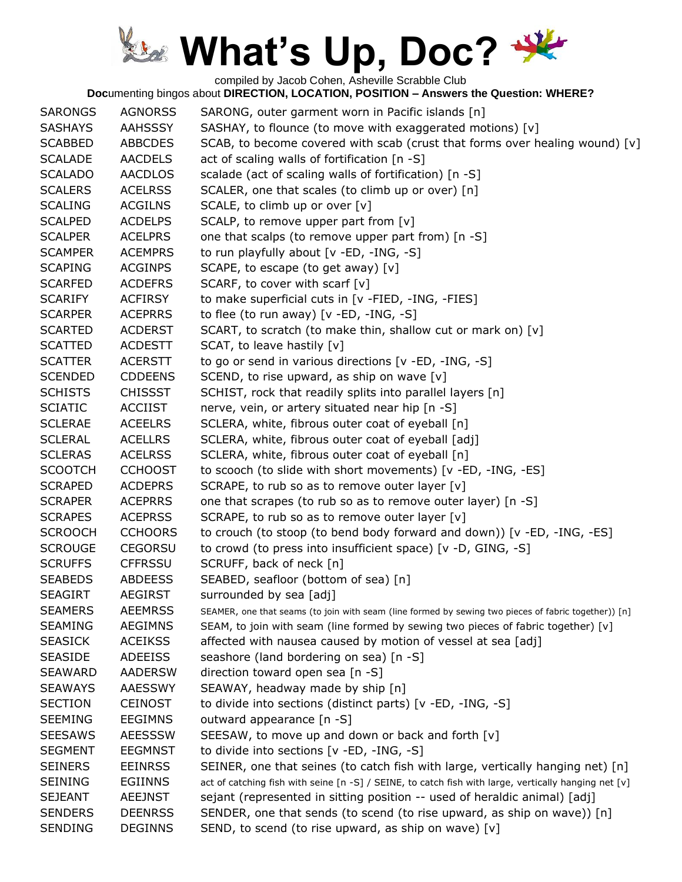compiled by Jacob Cohen, Asheville Scrabble Club

| <b>SARONGS</b> | <b>AGNORSS</b> | SARONG, outer garment worn in Pacific islands [n]                                                    |
|----------------|----------------|------------------------------------------------------------------------------------------------------|
| <b>SASHAYS</b> | <b>AAHSSSY</b> | SASHAY, to flounce (to move with exaggerated motions) [v]                                            |
| <b>SCABBED</b> | <b>ABBCDES</b> | SCAB, to become covered with scab (crust that forms over healing wound) $[v]$                        |
| <b>SCALADE</b> | <b>AACDELS</b> | act of scaling walls of fortification [n -S]                                                         |
| <b>SCALADO</b> | <b>AACDLOS</b> | scalade (act of scaling walls of fortification) [n -S]                                               |
| <b>SCALERS</b> | <b>ACELRSS</b> | SCALER, one that scales (to climb up or over) [n]                                                    |
| <b>SCALING</b> | <b>ACGILNS</b> | SCALE, to climb up or over [v]                                                                       |
| <b>SCALPED</b> | <b>ACDELPS</b> | SCALP, to remove upper part from [v]                                                                 |
| <b>SCALPER</b> | <b>ACELPRS</b> | one that scalps (to remove upper part from) [n -S]                                                   |
| <b>SCAMPER</b> | <b>ACEMPRS</b> | to run playfully about [v -ED, -ING, -S]                                                             |
| <b>SCAPING</b> | <b>ACGINPS</b> | SCAPE, to escape (to get away) [v]                                                                   |
| <b>SCARFED</b> | <b>ACDEFRS</b> | SCARF, to cover with scarf $[v]$                                                                     |
| <b>SCARIFY</b> | <b>ACFIRSY</b> | to make superficial cuts in [v -FIED, -ING, -FIES]                                                   |
| <b>SCARPER</b> | <b>ACEPRRS</b> | to flee (to run away) $[v - ED, -ING, -S]$                                                           |
| <b>SCARTED</b> | <b>ACDERST</b> | SCART, to scratch (to make thin, shallow cut or mark on) [v]                                         |
| <b>SCATTED</b> | <b>ACDESTT</b> | SCAT, to leave hastily [v]                                                                           |
| <b>SCATTER</b> | <b>ACERSTT</b> | to go or send in various directions [v -ED, -ING, -S]                                                |
| <b>SCENDED</b> | <b>CDDEENS</b> | SCEND, to rise upward, as ship on wave [v]                                                           |
| <b>SCHISTS</b> | <b>CHISSST</b> | SCHIST, rock that readily splits into parallel layers [n]                                            |
| <b>SCIATIC</b> | <b>ACCIIST</b> | nerve, vein, or artery situated near hip [n -S]                                                      |
| <b>SCLERAE</b> | <b>ACEELRS</b> | SCLERA, white, fibrous outer coat of eyeball [n]                                                     |
| <b>SCLERAL</b> | <b>ACELLRS</b> | SCLERA, white, fibrous outer coat of eyeball [adj]                                                   |
| <b>SCLERAS</b> | <b>ACELRSS</b> | SCLERA, white, fibrous outer coat of eyeball [n]                                                     |
| <b>SCOOTCH</b> | <b>CCHOOST</b> | to scooch (to slide with short movements) [v -ED, -ING, -ES]                                         |
| <b>SCRAPED</b> | <b>ACDEPRS</b> | SCRAPE, to rub so as to remove outer layer [v]                                                       |
| <b>SCRAPER</b> | <b>ACEPRRS</b> | one that scrapes (to rub so as to remove outer layer) [n -S]                                         |
| <b>SCRAPES</b> | <b>ACEPRSS</b> | SCRAPE, to rub so as to remove outer layer [v]                                                       |
| <b>SCROOCH</b> | <b>CCHOORS</b> | to crouch (to stoop (to bend body forward and down)) [v -ED, -ING, -ES]                              |
| <b>SCROUGE</b> | <b>CEGORSU</b> | to crowd (to press into insufficient space) [v -D, GING, -S]                                         |
| <b>SCRUFFS</b> | <b>CFFRSSU</b> | SCRUFF, back of neck [n]                                                                             |
| <b>SEABEDS</b> | <b>ABDEESS</b> | SEABED, seafloor (bottom of sea) [n]                                                                 |
| <b>SEAGIRT</b> | <b>AEGIRST</b> | surrounded by sea [adj]                                                                              |
| <b>SEAMERS</b> | <b>AEEMRSS</b> | SEAMER, one that seams (to join with seam (line formed by sewing two pieces of fabric together)) [n] |
| <b>SEAMING</b> | <b>AEGIMNS</b> | SEAM, to join with seam (line formed by sewing two pieces of fabric together) [v]                    |
| <b>SEASICK</b> | <b>ACEIKSS</b> | affected with nausea caused by motion of vessel at sea [adj]                                         |
| <b>SEASIDE</b> | <b>ADEEISS</b> | seashore (land bordering on sea) [n -S]                                                              |
| <b>SEAWARD</b> | <b>AADERSW</b> | direction toward open sea [n -S]                                                                     |
| <b>SEAWAYS</b> | <b>AAESSWY</b> | SEAWAY, headway made by ship [n]                                                                     |
| <b>SECTION</b> | <b>CEINOST</b> | to divide into sections (distinct parts) [v -ED, -ING, -S]                                           |
| <b>SEEMING</b> | <b>EEGIMNS</b> | outward appearance [n -S]                                                                            |
| <b>SEESAWS</b> | <b>AEESSSW</b> | SEESAW, to move up and down or back and forth [v]                                                    |
| <b>SEGMENT</b> | <b>EEGMNST</b> | to divide into sections $[v - ED, -ING, -S]$                                                         |
| <b>SEINERS</b> | <b>EEINRSS</b> | SEINER, one that seines (to catch fish with large, vertically hanging net) $[n]$                     |
| <b>SEINING</b> | EGIINNS        | act of catching fish with seine [n -S] / SEINE, to catch fish with large, vertically hanging net [v] |
| <b>SEJEANT</b> | <b>AEEJNST</b> | sejant (represented in sitting position -- used of heraldic animal) [adj]                            |
| <b>SENDERS</b> | <b>DEENRSS</b> | SENDER, one that sends (to scend (to rise upward, as ship on wave)) [n]                              |
| <b>SENDING</b> | <b>DEGINNS</b> | SEND, to scend (to rise upward, as ship on wave) [v]                                                 |
|                |                |                                                                                                      |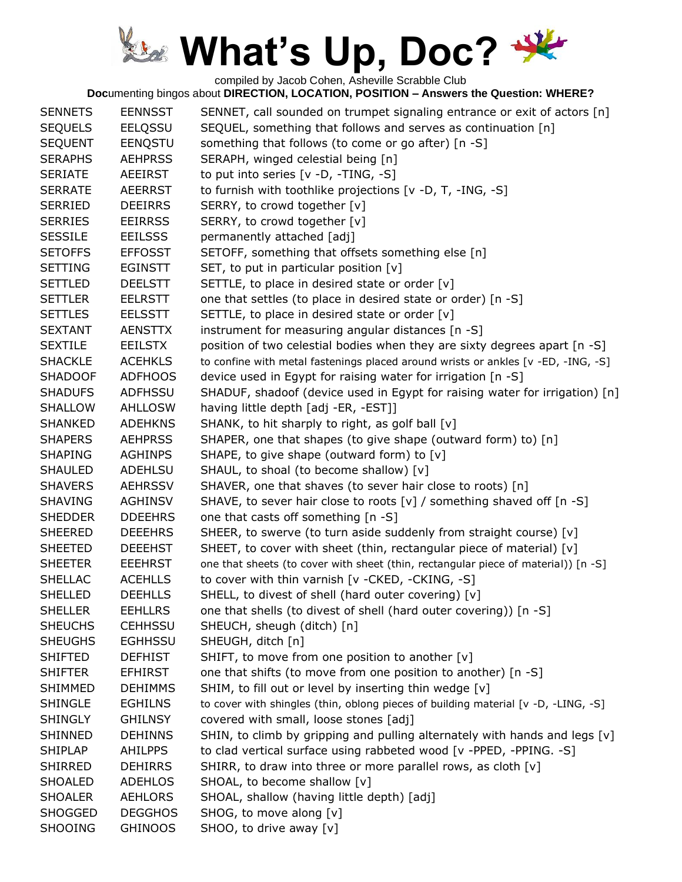compiled by Jacob Cohen, Asheville Scrabble Club

| <b>SENNETS</b> | <b>EENNSST</b> | SENNET, call sounded on trumpet signaling entrance or exit of actors [n]           |
|----------------|----------------|------------------------------------------------------------------------------------|
| <b>SEQUELS</b> | <b>EELQSSU</b> | SEQUEL, something that follows and serves as continuation [n]                      |
| <b>SEQUENT</b> | EENQSTU        | something that follows (to come or go after) [n -S]                                |
| <b>SERAPHS</b> | <b>AEHPRSS</b> | SERAPH, winged celestial being [n]                                                 |
| <b>SERIATE</b> | AEEIRST        | to put into series $[v -D, -TING, -S]$                                             |
| <b>SERRATE</b> | <b>AEERRST</b> | to furnish with toothlike projections [v -D, T, -ING, -S]                          |
| <b>SERRIED</b> | <b>DEEIRRS</b> | SERRY, to crowd together [v]                                                       |
| <b>SERRIES</b> | <b>EEIRRSS</b> | SERRY, to crowd together [v]                                                       |
| <b>SESSILE</b> | <b>EEILSSS</b> | permanently attached [adj]                                                         |
| <b>SETOFFS</b> | <b>EFFOSST</b> | SETOFF, something that offsets something else [n]                                  |
| <b>SETTING</b> | <b>EGINSTT</b> | SET, to put in particular position [v]                                             |
| <b>SETTLED</b> | <b>DEELSTT</b> | SETTLE, to place in desired state or order [v]                                     |
| <b>SETTLER</b> | <b>EELRSTT</b> | one that settles (to place in desired state or order) [n -S]                       |
| <b>SETTLES</b> | <b>EELSSTT</b> | SETTLE, to place in desired state or order [v]                                     |
| <b>SEXTANT</b> | <b>AENSTTX</b> | instrument for measuring angular distances [n -S]                                  |
| <b>SEXTILE</b> | <b>EEILSTX</b> | position of two celestial bodies when they are sixty degrees apart [n -S]          |
| <b>SHACKLE</b> | <b>ACEHKLS</b> | to confine with metal fastenings placed around wrists or ankles [v -ED, -ING, -S]  |
| <b>SHADOOF</b> | <b>ADFHOOS</b> | device used in Egypt for raising water for irrigation [n -S]                       |
| <b>SHADUFS</b> | <b>ADFHSSU</b> | SHADUF, shadoof (device used in Egypt for raising water for irrigation) [n]        |
| <b>SHALLOW</b> | <b>AHLLOSW</b> | having little depth [adj -ER, -EST]]                                               |
| <b>SHANKED</b> | <b>ADEHKNS</b> | SHANK, to hit sharply to right, as golf ball [v]                                   |
| <b>SHAPERS</b> | <b>AEHPRSS</b> | SHAPER, one that shapes (to give shape (outward form) to) [n]                      |
| <b>SHAPING</b> | <b>AGHINPS</b> | SHAPE, to give shape (outward form) to [v]                                         |
| <b>SHAULED</b> | <b>ADEHLSU</b> | SHAUL, to shoal (to become shallow) [v]                                            |
| <b>SHAVERS</b> | <b>AEHRSSV</b> | SHAVER, one that shaves (to sever hair close to roots) [n]                         |
| <b>SHAVING</b> | <b>AGHINSV</b> | SHAVE, to sever hair close to roots [v] / something shaved off [n -S]              |
| <b>SHEDDER</b> | <b>DDEEHRS</b> | one that casts off something [n -S]                                                |
| <b>SHEERED</b> | <b>DEEEHRS</b> | SHEER, to swerve (to turn aside suddenly from straight course) [v]                 |
| <b>SHEETED</b> | <b>DEEEHST</b> | SHEET, to cover with sheet (thin, rectangular piece of material) [v]               |
| <b>SHEETER</b> | <b>EEEHRST</b> | one that sheets (to cover with sheet (thin, rectangular piece of material)) [n -S] |
| <b>SHELLAC</b> | <b>ACEHLLS</b> | to cover with thin varnish [v - CKED, - CKING, - S]                                |
| <b>SHELLED</b> | <b>DEEHLLS</b> | SHELL, to divest of shell (hard outer covering) [v]                                |
| <b>SHELLER</b> | <b>EEHLLRS</b> | one that shells (to divest of shell (hard outer covering)) [n -S]                  |
| <b>SHEUCHS</b> | <b>CEHHSSU</b> | SHEUCH, sheugh (ditch) [n]                                                         |
| <b>SHEUGHS</b> | <b>EGHHSSU</b> | SHEUGH, ditch [n]                                                                  |
| <b>SHIFTED</b> | <b>DEFHIST</b> | SHIFT, to move from one position to another [v]                                    |
| <b>SHIFTER</b> | <b>EFHIRST</b> | one that shifts (to move from one position to another) [n -S]                      |
| <b>SHIMMED</b> | <b>DEHIMMS</b> | SHIM, to fill out or level by inserting thin wedge [v]                             |
| <b>SHINGLE</b> | <b>EGHILNS</b> | to cover with shingles (thin, oblong pieces of building material [v -D, -LING, -S] |
| <b>SHINGLY</b> | <b>GHILNSY</b> | covered with small, loose stones [adj]                                             |
| <b>SHINNED</b> | <b>DEHINNS</b> | SHIN, to climb by gripping and pulling alternately with hands and legs [v]         |
| <b>SHIPLAP</b> | <b>AHILPPS</b> | to clad vertical surface using rabbeted wood [v -PPED, -PPING. -S]                 |
| <b>SHIRRED</b> | <b>DEHIRRS</b> | SHIRR, to draw into three or more parallel rows, as cloth [v]                      |
| SHOALED        | <b>ADEHLOS</b> | SHOAL, to become shallow [v]                                                       |
| <b>SHOALER</b> | <b>AEHLORS</b> | SHOAL, shallow (having little depth) [adj]                                         |
| <b>SHOGGED</b> | <b>DEGGHOS</b> | SHOG, to move along [v]                                                            |
| <b>SHOOING</b> | <b>GHINOOS</b> | SHOO, to drive away [v]                                                            |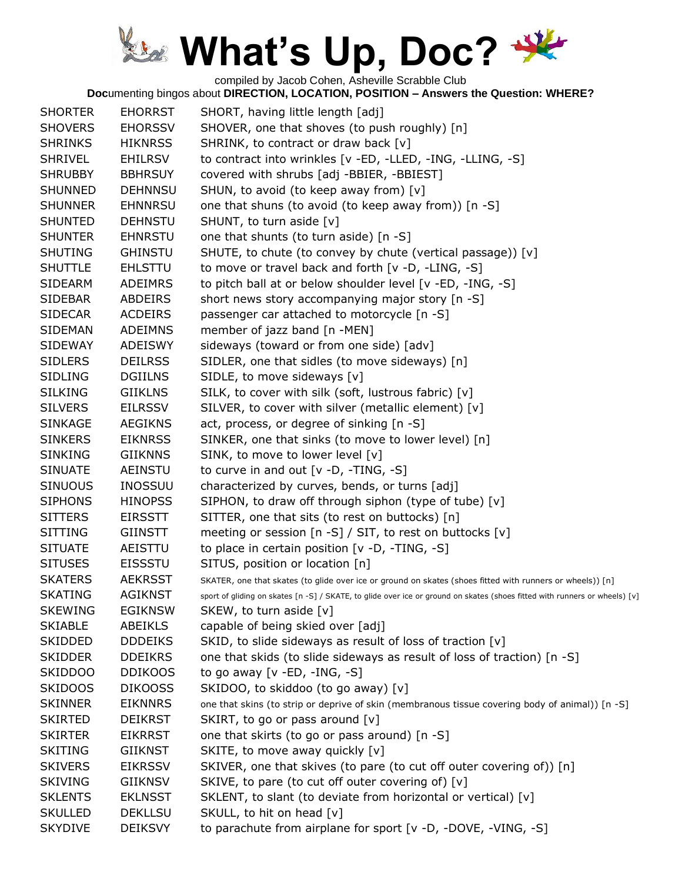compiled by Jacob Cohen, Asheville Scrabble Club

| <b>SHORTER</b> | <b>EHORRST</b> | SHORT, having little length [adj]                                                                                          |
|----------------|----------------|----------------------------------------------------------------------------------------------------------------------------|
| <b>SHOVERS</b> | <b>EHORSSV</b> | SHOVER, one that shoves (to push roughly) [n]                                                                              |
| <b>SHRINKS</b> | <b>HIKNRSS</b> | SHRINK, to contract or draw back [v]                                                                                       |
| <b>SHRIVEL</b> | <b>EHILRSV</b> | to contract into wrinkles [v -ED, -LLED, -ING, -LLING, -S]                                                                 |
| <b>SHRUBBY</b> | <b>BBHRSUY</b> | covered with shrubs [adj -BBIER, -BBIEST]                                                                                  |
| <b>SHUNNED</b> | <b>DEHNNSU</b> | SHUN, to avoid (to keep away from) [v]                                                                                     |
| <b>SHUNNER</b> | <b>EHNNRSU</b> | one that shuns (to avoid (to keep away from)) [n -S]                                                                       |
| <b>SHUNTED</b> | <b>DEHNSTU</b> | SHUNT, to turn aside [v]                                                                                                   |
| <b>SHUNTER</b> | <b>EHNRSTU</b> | one that shunts (to turn aside) [n -S]                                                                                     |
| <b>SHUTING</b> | <b>GHINSTU</b> | SHUTE, to chute (to convey by chute (vertical passage)) [v]                                                                |
| <b>SHUTTLE</b> | <b>EHLSTTU</b> | to move or travel back and forth [v -D, -LING, -S]                                                                         |
| <b>SIDEARM</b> | <b>ADEIMRS</b> | to pitch ball at or below shoulder level [v -ED, -ING, -S]                                                                 |
| <b>SIDEBAR</b> | <b>ABDEIRS</b> | short news story accompanying major story [n -S]                                                                           |
| <b>SIDECAR</b> | <b>ACDEIRS</b> | passenger car attached to motorcycle [n -S]                                                                                |
| <b>SIDEMAN</b> | <b>ADEIMNS</b> | member of jazz band [n -MEN]                                                                                               |
| <b>SIDEWAY</b> | <b>ADEISWY</b> | sideways (toward or from one side) [adv]                                                                                   |
| <b>SIDLERS</b> | <b>DEILRSS</b> | SIDLER, one that sidles (to move sideways) [n]                                                                             |
| <b>SIDLING</b> | <b>DGIILNS</b> | SIDLE, to move sideways [v]                                                                                                |
| <b>SILKING</b> | <b>GIIKLNS</b> | SILK, to cover with silk (soft, lustrous fabric) [v]                                                                       |
| <b>SILVERS</b> | <b>EILRSSV</b> | SILVER, to cover with silver (metallic element) [v]                                                                        |
| <b>SINKAGE</b> | <b>AEGIKNS</b> | act, process, or degree of sinking [n -S]                                                                                  |
| <b>SINKERS</b> | <b>EIKNRSS</b> | SINKER, one that sinks (to move to lower level) [n]                                                                        |
| <b>SINKING</b> | <b>GIIKNNS</b> | SINK, to move to lower level [v]                                                                                           |
| <b>SINUATE</b> | AEINSTU        | to curve in and out $[v -D, -TING, -S]$                                                                                    |
| <b>SINUOUS</b> | <b>INOSSUU</b> | characterized by curves, bends, or turns [adj]                                                                             |
| <b>SIPHONS</b> | <b>HINOPSS</b> | SIPHON, to draw off through siphon (type of tube) [v]                                                                      |
| <b>SITTERS</b> | <b>EIRSSTT</b> | SITTER, one that sits (to rest on buttocks) [n]                                                                            |
| <b>SITTING</b> | GIINSTT        | meeting or session $[n -S] / SIT$ , to rest on buttocks $[v]$                                                              |
| <b>SITUATE</b> | AEISTTU        | to place in certain position [v -D, -TING, -S]                                                                             |
| <b>SITUSES</b> | <b>EISSSTU</b> | SITUS, position or location [n]                                                                                            |
| <b>SKATERS</b> | <b>AEKRSST</b> | SKATER, one that skates (to glide over ice or ground on skates (shoes fitted with runners or wheels)) [n]                  |
| <b>SKATING</b> | <b>AGIKNST</b> | sport of gliding on skates [n -S] / SKATE, to glide over ice or ground on skates (shoes fitted with runners or wheels) [v] |
| <b>SKEWING</b> | <b>EGIKNSW</b> | SKEW, to turn aside [v]                                                                                                    |
| <b>SKIABLE</b> | ABEIKLS        | capable of being skied over [adj]                                                                                          |
| <b>SKIDDED</b> | <b>DDDEIKS</b> | SKID, to slide sideways as result of loss of traction [v]                                                                  |
| <b>SKIDDER</b> | <b>DDEIKRS</b> | one that skids (to slide sideways as result of loss of traction) [n -S]                                                    |
| <b>SKIDDOO</b> | <b>DDIKOOS</b> | to go away [v -ED, -ING, -S]                                                                                               |
| <b>SKIDOOS</b> | <b>DIKOOSS</b> | SKIDOO, to skiddoo (to go away) [v]                                                                                        |
| <b>SKINNER</b> | <b>EIKNNRS</b> | one that skins (to strip or deprive of skin (membranous tissue covering body of animal)) [n -S]                            |
| <b>SKIRTED</b> | <b>DEIKRST</b> | SKIRT, to go or pass around [v]                                                                                            |
| <b>SKIRTER</b> | <b>EIKRRST</b> | one that skirts (to go or pass around) [n -S]                                                                              |
| <b>SKITING</b> | GIIKNST        | SKITE, to move away quickly [v]                                                                                            |
| <b>SKIVERS</b> | <b>EIKRSSV</b> | SKIVER, one that skives (to pare (to cut off outer covering of)) [n]                                                       |
| <b>SKIVING</b> | <b>GIIKNSV</b> | SKIVE, to pare (to cut off outer covering of) [v]                                                                          |
| <b>SKLENTS</b> | <b>EKLNSST</b> | SKLENT, to slant (to deviate from horizontal or vertical) [v]                                                              |
| <b>SKULLED</b> | <b>DEKLLSU</b> | SKULL, to hit on head [v]                                                                                                  |
| <b>SKYDIVE</b> | <b>DEIKSVY</b> | to parachute from airplane for sport [v -D, -DOVE, -VING, -S]                                                              |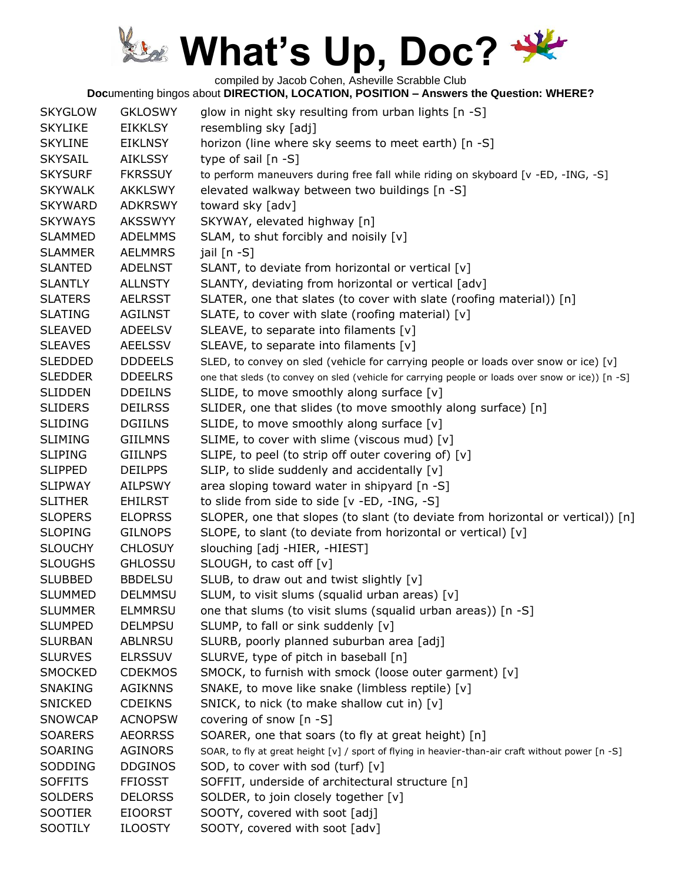compiled by Jacob Cohen, Asheville Scrabble Club

| <b>SKYGLOW</b> | <b>GKLOSWY</b> | glow in night sky resulting from urban lights [n -S]                                              |
|----------------|----------------|---------------------------------------------------------------------------------------------------|
| <b>SKYLIKE</b> | EIKKLSY        | resembling sky [adj]                                                                              |
| <b>SKYLINE</b> | <b>EIKLNSY</b> | horizon (line where sky seems to meet earth) [n -S]                                               |
| <b>SKYSAIL</b> | <b>AIKLSSY</b> | type of sail $[n -S]$                                                                             |
| <b>SKYSURF</b> | <b>FKRSSUY</b> | to perform maneuvers during free fall while riding on skyboard [v -ED, -ING, -S]                  |
| <b>SKYWALK</b> | <b>AKKLSWY</b> | elevated walkway between two buildings [n -S]                                                     |
| <b>SKYWARD</b> | <b>ADKRSWY</b> | toward sky [adv]                                                                                  |
| <b>SKYWAYS</b> | <b>AKSSWYY</b> | SKYWAY, elevated highway [n]                                                                      |
| <b>SLAMMED</b> | <b>ADELMMS</b> | SLAM, to shut forcibly and noisily [v]                                                            |
| <b>SLAMMER</b> | <b>AELMMRS</b> | jail [n -S]                                                                                       |
| <b>SLANTED</b> | <b>ADELNST</b> | SLANT, to deviate from horizontal or vertical [v]                                                 |
| <b>SLANTLY</b> | <b>ALLNSTY</b> | SLANTY, deviating from horizontal or vertical [adv]                                               |
| <b>SLATERS</b> | <b>AELRSST</b> | SLATER, one that slates (to cover with slate (roofing material)) [n]                              |
| <b>SLATING</b> | <b>AGILNST</b> | SLATE, to cover with slate (roofing material) [v]                                                 |
| <b>SLEAVED</b> | <b>ADEELSV</b> | SLEAVE, to separate into filaments [v]                                                            |
| <b>SLEAVES</b> | <b>AEELSSV</b> | SLEAVE, to separate into filaments [v]                                                            |
| <b>SLEDDED</b> | <b>DDDEELS</b> | SLED, to convey on sled (vehicle for carrying people or loads over snow or ice) [v]               |
| <b>SLEDDER</b> | <b>DDEELRS</b> | one that sleds (to convey on sled (vehicle for carrying people or loads over snow or ice)) [n -S] |
| <b>SLIDDEN</b> | <b>DDEILNS</b> | SLIDE, to move smoothly along surface [v]                                                         |
| <b>SLIDERS</b> | <b>DEILRSS</b> | SLIDER, one that slides (to move smoothly along surface) [n]                                      |
| <b>SLIDING</b> | <b>DGIILNS</b> | SLIDE, to move smoothly along surface [v]                                                         |
| <b>SLIMING</b> | <b>GIILMNS</b> | SLIME, to cover with slime (viscous mud) [v]                                                      |
| <b>SLIPING</b> | <b>GIILNPS</b> | SLIPE, to peel (to strip off outer covering of) [v]                                               |
| <b>SLIPPED</b> | <b>DEILPPS</b> | SLIP, to slide suddenly and accidentally [v]                                                      |
| <b>SLIPWAY</b> | <b>AILPSWY</b> | area sloping toward water in shipyard [n -S]                                                      |
| <b>SLITHER</b> | <b>EHILRST</b> | to slide from side to side [v -ED, -ING, -S]                                                      |
| <b>SLOPERS</b> | <b>ELOPRSS</b> | SLOPER, one that slopes (to slant (to deviate from horizontal or vertical)) [n]                   |
| <b>SLOPING</b> | <b>GILNOPS</b> | SLOPE, to slant (to deviate from horizontal or vertical) [v]                                      |
| <b>SLOUCHY</b> | <b>CHLOSUY</b> | slouching [adj -HIER, -HIEST]                                                                     |
| <b>SLOUGHS</b> | <b>GHLOSSU</b> | SLOUGH, to cast off [v]                                                                           |
| <b>SLUBBED</b> | <b>BBDELSU</b> | SLUB, to draw out and twist slightly [v]                                                          |
| <b>SLUMMED</b> | <b>DELMMSU</b> | SLUM, to visit slums (squalid urban areas) [v]                                                    |
| <b>SLUMMER</b> | <b>ELMMRSU</b> | one that slums (to visit slums (squalid urban areas)) [n -S]                                      |
| <b>SLUMPED</b> | <b>DELMPSU</b> | SLUMP, to fall or sink suddenly [v]                                                               |
| <b>SLURBAN</b> | <b>ABLNRSU</b> | SLURB, poorly planned suburban area [adj]                                                         |
| <b>SLURVES</b> | <b>ELRSSUV</b> | SLURVE, type of pitch in baseball [n]                                                             |
| <b>SMOCKED</b> | <b>CDEKMOS</b> | SMOCK, to furnish with smock (loose outer garment) [v]                                            |
| <b>SNAKING</b> | <b>AGIKNNS</b> | SNAKE, to move like snake (limbless reptile) [v]                                                  |
| <b>SNICKED</b> | <b>CDEIKNS</b> | SNICK, to nick (to make shallow cut in) [v]                                                       |
| <b>SNOWCAP</b> | <b>ACNOPSW</b> | covering of snow [n -S]                                                                           |
| <b>SOARERS</b> | <b>AEORRSS</b> | SOARER, one that soars (to fly at great height) [n]                                               |
| SOARING        | <b>AGINORS</b> | SOAR, to fly at great height [v] / sport of flying in heavier-than-air craft without power [n -S] |
| SODDING        | <b>DDGINOS</b> | SOD, to cover with sod (turf) [v]                                                                 |
| <b>SOFFITS</b> | <b>FFIOSST</b> | SOFFIT, underside of architectural structure [n]                                                  |
| <b>SOLDERS</b> | <b>DELORSS</b> | SOLDER, to join closely together [v]                                                              |
| <b>SOOTIER</b> | <b>EIOORST</b> | SOOTY, covered with soot [adj]                                                                    |
| SOOTILY        | <b>ILOOSTY</b> | SOOTY, covered with soot [adv]                                                                    |
|                |                |                                                                                                   |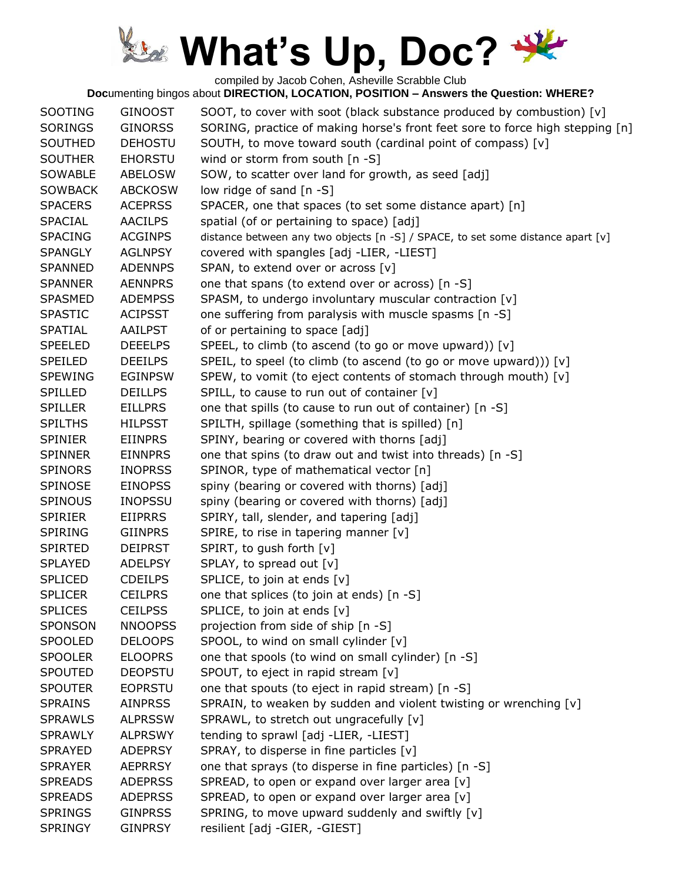compiled by Jacob Cohen, Asheville Scrabble Club

| <b>SOOTING</b> | <b>GINOOST</b> | SOOT, to cover with soot (black substance produced by combustion) [v]           |
|----------------|----------------|---------------------------------------------------------------------------------|
| <b>SORINGS</b> | <b>GINORSS</b> | SORING, practice of making horse's front feet sore to force high stepping [n]   |
| SOUTHED        | <b>DEHOSTU</b> | SOUTH, to move toward south (cardinal point of compass) [v]                     |
| <b>SOUTHER</b> | <b>EHORSTU</b> | wind or storm from south $[n - S]$                                              |
| SOWABLE        | <b>ABELOSW</b> | SOW, to scatter over land for growth, as seed [adj]                             |
| <b>SOWBACK</b> | <b>ABCKOSW</b> | low ridge of sand [n -S]                                                        |
| <b>SPACERS</b> | <b>ACEPRSS</b> | SPACER, one that spaces (to set some distance apart) [n]                        |
| <b>SPACIAL</b> | <b>AACILPS</b> | spatial (of or pertaining to space) [adj]                                       |
| <b>SPACING</b> | <b>ACGINPS</b> | distance between any two objects [n -S] / SPACE, to set some distance apart [v] |
| <b>SPANGLY</b> | <b>AGLNPSY</b> | covered with spangles [adj -LIER, -LIEST]                                       |
| <b>SPANNED</b> | <b>ADENNPS</b> | SPAN, to extend over or across [v]                                              |
| <b>SPANNER</b> | <b>AENNPRS</b> | one that spans (to extend over or across) [n -S]                                |
| <b>SPASMED</b> | <b>ADEMPSS</b> | SPASM, to undergo involuntary muscular contraction [v]                          |
| <b>SPASTIC</b> | <b>ACIPSST</b> | one suffering from paralysis with muscle spasms [n -S]                          |
| SPATIAL        | AAILPST        | of or pertaining to space [adj]                                                 |
| <b>SPEELED</b> | <b>DEEELPS</b> | SPEEL, to climb (to ascend (to go or move upward)) [v]                          |
| <b>SPEILED</b> | <b>DEEILPS</b> | SPEIL, to speel (to climb (to ascend (to go or move upward))) [v]               |
| <b>SPEWING</b> | <b>EGINPSW</b> | SPEW, to vomit (to eject contents of stomach through mouth) [v]                 |
| <b>SPILLED</b> | <b>DEILLPS</b> | SPILL, to cause to run out of container $[v]$                                   |
| <b>SPILLER</b> | <b>EILLPRS</b> | one that spills (to cause to run out of container) [n -S]                       |
| <b>SPILTHS</b> | <b>HILPSST</b> | SPILTH, spillage (something that is spilled) [n]                                |
| <b>SPINIER</b> | <b>EIINPRS</b> | SPINY, bearing or covered with thorns [adj]                                     |
| <b>SPINNER</b> | <b>EINNPRS</b> | one that spins (to draw out and twist into threads) [n -S]                      |
| <b>SPINORS</b> | <b>INOPRSS</b> | SPINOR, type of mathematical vector [n]                                         |
| <b>SPINOSE</b> | <b>EINOPSS</b> | spiny (bearing or covered with thorns) [adj]                                    |
| <b>SPINOUS</b> | <b>INOPSSU</b> | spiny (bearing or covered with thorns) [adj]                                    |
| <b>SPIRIER</b> | <b>EIIPRRS</b> | SPIRY, tall, slender, and tapering [adj]                                        |
| <b>SPIRING</b> | <b>GIINPRS</b> | SPIRE, to rise in tapering manner [v]                                           |
| <b>SPIRTED</b> | <b>DEIPRST</b> | SPIRT, to gush forth [v]                                                        |
| <b>SPLAYED</b> | <b>ADELPSY</b> | SPLAY, to spread out [v]                                                        |
| <b>SPLICED</b> | <b>CDEILPS</b> | SPLICE, to join at ends [v]                                                     |
| <b>SPLICER</b> | <b>CEILPRS</b> | one that splices (to join at ends) [n -S]                                       |
| <b>SPLICES</b> | <b>CEILPSS</b> | SPLICE, to join at ends [v]                                                     |
| <b>SPONSON</b> | <b>NNOOPSS</b> | projection from side of ship [n -S]                                             |
| <b>SPOOLED</b> | <b>DELOOPS</b> | SPOOL, to wind on small cylinder [v]                                            |
| <b>SPOOLER</b> | <b>ELOOPRS</b> | one that spools (to wind on small cylinder) [n -S]                              |
| <b>SPOUTED</b> | <b>DEOPSTU</b> | SPOUT, to eject in rapid stream [v]                                             |
| <b>SPOUTER</b> | <b>EOPRSTU</b> | one that spouts (to eject in rapid stream) [n -S]                               |
| <b>SPRAINS</b> | <b>AINPRSS</b> | SPRAIN, to weaken by sudden and violent twisting or wrenching [v]               |
| <b>SPRAWLS</b> | <b>ALPRSSW</b> | SPRAWL, to stretch out ungracefully [v]                                         |
| <b>SPRAWLY</b> | <b>ALPRSWY</b> | tending to sprawl [adj -LIER, -LIEST]                                           |
| <b>SPRAYED</b> | <b>ADEPRSY</b> | SPRAY, to disperse in fine particles [v]                                        |
| <b>SPRAYER</b> | <b>AEPRRSY</b> | one that sprays (to disperse in fine particles) [n -S]                          |
| <b>SPREADS</b> | <b>ADEPRSS</b> | SPREAD, to open or expand over larger area [v]                                  |
| <b>SPREADS</b> | <b>ADEPRSS</b> | SPREAD, to open or expand over larger area [v]                                  |
| <b>SPRINGS</b> | <b>GINPRSS</b> | SPRING, to move upward suddenly and swiftly [v]                                 |
| <b>SPRINGY</b> | <b>GINPRSY</b> | resilient [adj -GIER, -GIEST]                                                   |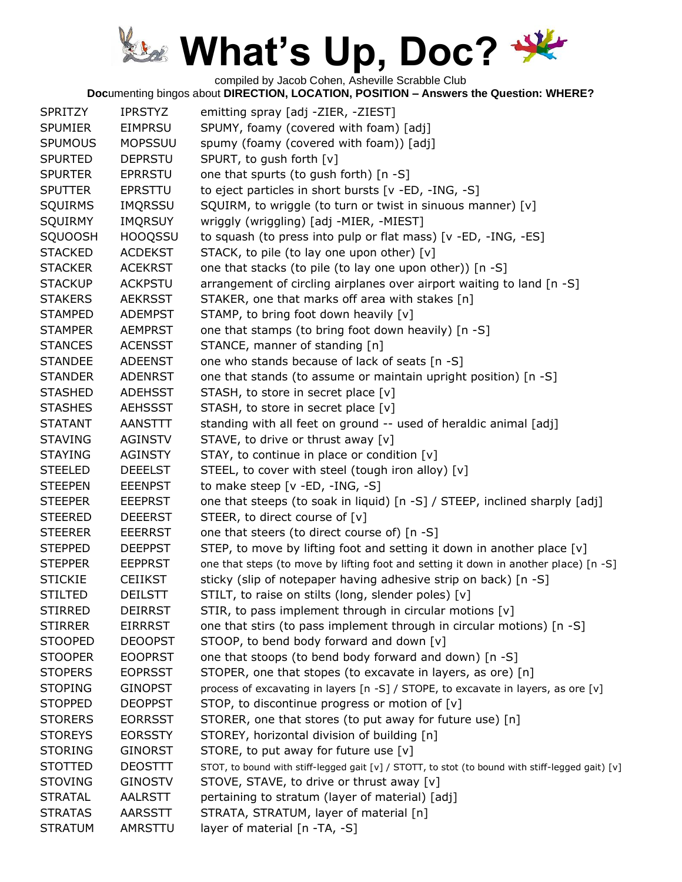compiled by Jacob Cohen, Asheville Scrabble Club

| <b>SPRITZY</b> | <b>IPRSTYZ</b> | emitting spray [adj -ZIER, -ZIEST]                                                               |
|----------------|----------------|--------------------------------------------------------------------------------------------------|
| <b>SPUMIER</b> | <b>EIMPRSU</b> | SPUMY, foamy (covered with foam) [adj]                                                           |
| <b>SPUMOUS</b> | <b>MOPSSUU</b> | spumy (foamy (covered with foam)) [adj]                                                          |
| <b>SPURTED</b> | <b>DEPRSTU</b> | SPURT, to gush forth [v]                                                                         |
| <b>SPURTER</b> | <b>EPRRSTU</b> | one that spurts (to gush forth) [n -S]                                                           |
| <b>SPUTTER</b> | <b>EPRSTTU</b> | to eject particles in short bursts [v -ED, -ING, -S]                                             |
| <b>SQUIRMS</b> | <b>IMQRSSU</b> | SQUIRM, to wriggle (to turn or twist in sinuous manner) [v]                                      |
| <b>SQUIRMY</b> | <b>IMQRSUY</b> | wriggly (wriggling) [adj -MIER, -MIEST]                                                          |
| <b>SQUOOSH</b> | <b>HOOQSSU</b> | to squash (to press into pulp or flat mass) [v -ED, -ING, -ES]                                   |
| <b>STACKED</b> | <b>ACDEKST</b> | STACK, to pile (to lay one upon other) [v]                                                       |
| <b>STACKER</b> | <b>ACEKRST</b> | one that stacks (to pile (to lay one upon other)) [n -S]                                         |
| <b>STACKUP</b> | <b>ACKPSTU</b> | arrangement of circling airplanes over airport waiting to land [n -S]                            |
| <b>STAKERS</b> | <b>AEKRSST</b> | STAKER, one that marks off area with stakes [n]                                                  |
| <b>STAMPED</b> | <b>ADEMPST</b> | STAMP, to bring foot down heavily [v]                                                            |
| <b>STAMPER</b> | <b>AEMPRST</b> | one that stamps (to bring foot down heavily) [n -S]                                              |
| <b>STANCES</b> | <b>ACENSST</b> | STANCE, manner of standing [n]                                                                   |
| <b>STANDEE</b> | <b>ADEENST</b> | one who stands because of lack of seats [n -S]                                                   |
| <b>STANDER</b> | <b>ADENRST</b> | one that stands (to assume or maintain upright position) [n -S]                                  |
| <b>STASHED</b> | <b>ADEHSST</b> | STASH, to store in secret place [v]                                                              |
| <b>STASHES</b> | <b>AEHSSST</b> | STASH, to store in secret place [v]                                                              |
| <b>STATANT</b> | <b>AANSTTT</b> | standing with all feet on ground -- used of heraldic animal [adj]                                |
| <b>STAVING</b> | <b>AGINSTV</b> | STAVE, to drive or thrust away [v]                                                               |
| <b>STAYING</b> | <b>AGINSTY</b> | STAY, to continue in place or condition [v]                                                      |
| <b>STEELED</b> | <b>DEEELST</b> | STEEL, to cover with steel (tough iron alloy) [v]                                                |
| <b>STEEPEN</b> | <b>EEENPST</b> | to make steep [v -ED, -ING, -S]                                                                  |
| <b>STEEPER</b> | <b>EEEPRST</b> | one that steeps (to soak in liquid) [n -S] / STEEP, inclined sharply [adj]                       |
| <b>STEERED</b> | <b>DEEERST</b> | STEER, to direct course of [v]                                                                   |
| <b>STEERER</b> | <b>EEERRST</b> | one that steers (to direct course of) [n -S]                                                     |
| <b>STEPPED</b> | <b>DEEPPST</b> | STEP, to move by lifting foot and setting it down in another place [v]                           |
| <b>STEPPER</b> | <b>EEPPRST</b> | one that steps (to move by lifting foot and setting it down in another place) [n -S]             |
| <b>STICKIE</b> | <b>CEIIKST</b> | sticky (slip of notepaper having adhesive strip on back) [n -S]                                  |
| <b>STILTED</b> | <b>DEILSTT</b> | STILT, to raise on stilts (long, slender poles) [v]                                              |
| <b>STIRRED</b> | <b>DEIRRST</b> | STIR, to pass implement through in circular motions [v]                                          |
| <b>STIRRER</b> | <b>EIRRRST</b> | one that stirs (to pass implement through in circular motions) [n -S]                            |
| <b>STOOPED</b> | <b>DEOOPST</b> | STOOP, to bend body forward and down [v]                                                         |
| <b>STOOPER</b> | <b>EOOPRST</b> | one that stoops (to bend body forward and down) [n -S]                                           |
| <b>STOPERS</b> | <b>EOPRSST</b> | STOPER, one that stopes (to excavate in layers, as ore) [n]                                      |
| <b>STOPING</b> | <b>GINOPST</b> | process of excavating in layers [n -S] / STOPE, to excavate in layers, as ore [v]                |
| <b>STOPPED</b> | <b>DEOPPST</b> | STOP, to discontinue progress or motion of [v]                                                   |
| <b>STORERS</b> | <b>EORRSST</b> | STORER, one that stores (to put away for future use) [n]                                         |
| <b>STOREYS</b> | <b>EORSSTY</b> | STOREY, horizontal division of building [n]                                                      |
| <b>STORING</b> | <b>GINORST</b> | STORE, to put away for future use [v]                                                            |
| <b>STOTTED</b> | <b>DEOSTTT</b> | STOT, to bound with stiff-legged gait [v] / STOTT, to stot (to bound with stiff-legged gait) [v] |
| <b>STOVING</b> | <b>GINOSTV</b> | STOVE, STAVE, to drive or thrust away [v]                                                        |
| <b>STRATAL</b> | <b>AALRSTT</b> | pertaining to stratum (layer of material) [adj]                                                  |
| <b>STRATAS</b> | AARSSTT        | STRATA, STRATUM, layer of material [n]                                                           |
| <b>STRATUM</b> | AMRSTTU        | layer of material [n -TA, -S]                                                                    |
|                |                |                                                                                                  |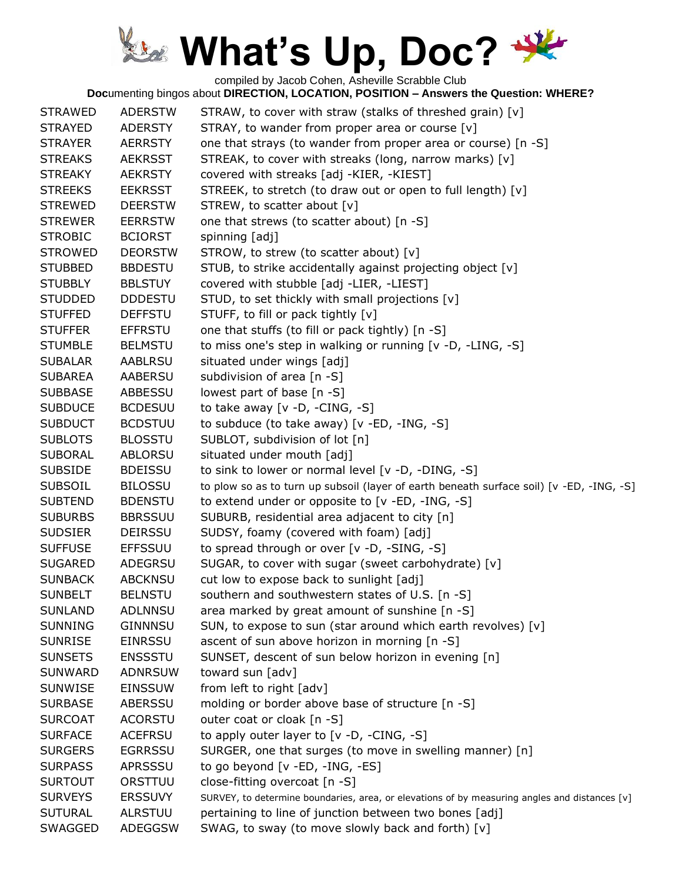compiled by Jacob Cohen, Asheville Scrabble Club

| <b>STRAWED</b> | <b>ADERSTW</b> | STRAW, to cover with straw (stalks of threshed grain) [v]                                     |
|----------------|----------------|-----------------------------------------------------------------------------------------------|
| <b>STRAYED</b> | ADERSTY        | STRAY, to wander from proper area or course [v]                                               |
| <b>STRAYER</b> | <b>AERRSTY</b> | one that strays (to wander from proper area or course) [n -S]                                 |
| <b>STREAKS</b> | <b>AEKRSST</b> | STREAK, to cover with streaks (long, narrow marks) [v]                                        |
| <b>STREAKY</b> | <b>AEKRSTY</b> | covered with streaks [adj -KIER, -KIEST]                                                      |
| <b>STREEKS</b> | <b>EEKRSST</b> | STREEK, to stretch (to draw out or open to full length) [v]                                   |
| <b>STREWED</b> | <b>DEERSTW</b> | STREW, to scatter about [v]                                                                   |
| <b>STREWER</b> | <b>EERRSTW</b> | one that strews (to scatter about) [n -S]                                                     |
| <b>STROBIC</b> | <b>BCIORST</b> | spinning [adj]                                                                                |
| <b>STROWED</b> | <b>DEORSTW</b> | STROW, to strew (to scatter about) [v]                                                        |
| <b>STUBBED</b> | <b>BBDESTU</b> | STUB, to strike accidentally against projecting object [v]                                    |
| <b>STUBBLY</b> | <b>BBLSTUY</b> | covered with stubble [adj -LIER, -LIEST]                                                      |
| <b>STUDDED</b> | <b>DDDESTU</b> | STUD, to set thickly with small projections [v]                                               |
| <b>STUFFED</b> | <b>DEFFSTU</b> | STUFF, to fill or pack tightly [v]                                                            |
| <b>STUFFER</b> | <b>EFFRSTU</b> | one that stuffs (to fill or pack tightly) [n -S]                                              |
| <b>STUMBLE</b> | <b>BELMSTU</b> | to miss one's step in walking or running [v -D, -LING, -S]                                    |
| <b>SUBALAR</b> | <b>AABLRSU</b> | situated under wings [adj]                                                                    |
| <b>SUBAREA</b> | <b>AABERSU</b> | subdivision of area [n -S]                                                                    |
| <b>SUBBASE</b> | <b>ABBESSU</b> | lowest part of base [n -S]                                                                    |
| <b>SUBDUCE</b> | <b>BCDESUU</b> | to take away $[v -D, -CING, -S]$                                                              |
| <b>SUBDUCT</b> | <b>BCDSTUU</b> | to subduce (to take away) $[v - ED, -ING, -S]$                                                |
| <b>SUBLOTS</b> | <b>BLOSSTU</b> | SUBLOT, subdivision of lot [n]                                                                |
| <b>SUBORAL</b> | ABLORSU        | situated under mouth [adj]                                                                    |
| <b>SUBSIDE</b> | <b>BDEISSU</b> | to sink to lower or normal level [v -D, -DING, -S]                                            |
| <b>SUBSOIL</b> | <b>BILOSSU</b> | to plow so as to turn up subsoil (layer of earth beneath surface soil) [v -ED, -ING, -S]      |
| <b>SUBTEND</b> | <b>BDENSTU</b> | to extend under or opposite to [v -ED, -ING, -S]                                              |
| <b>SUBURBS</b> | <b>BBRSSUU</b> | SUBURB, residential area adjacent to city [n]                                                 |
| <b>SUDSIER</b> | <b>DEIRSSU</b> | SUDSY, foamy (covered with foam) [adj]                                                        |
| <b>SUFFUSE</b> | <b>EFFSSUU</b> | to spread through or over [v -D, -SING, -S]                                                   |
| <b>SUGARED</b> | <b>ADEGRSU</b> | SUGAR, to cover with sugar (sweet carbohydrate) [v]                                           |
| <b>SUNBACK</b> | <b>ABCKNSU</b> | cut low to expose back to sunlight [adj]                                                      |
| <b>SUNBELT</b> | <b>BELNSTU</b> | southern and southwestern states of U.S. [n -S]                                               |
| <b>SUNLAND</b> | <b>ADLNNSU</b> | area marked by great amount of sunshine [n -S]                                                |
| <b>SUNNING</b> | <b>GINNNSU</b> | SUN, to expose to sun (star around which earth revolves) [v]                                  |
| <b>SUNRISE</b> | <b>EINRSSU</b> | ascent of sun above horizon in morning [n -S]                                                 |
| <b>SUNSETS</b> | <b>ENSSSTU</b> | SUNSET, descent of sun below horizon in evening [n]                                           |
| <b>SUNWARD</b> | <b>ADNRSUW</b> | toward sun [adv]                                                                              |
| <b>SUNWISE</b> | <b>EINSSUW</b> | from left to right [adv]                                                                      |
| <b>SURBASE</b> | ABERSSU        | molding or border above base of structure [n -S]                                              |
| <b>SURCOAT</b> | <b>ACORSTU</b> | outer coat or cloak [n -S]                                                                    |
| <b>SURFACE</b> | <b>ACEFRSU</b> | to apply outer layer to [v -D, -CING, -S]                                                     |
| <b>SURGERS</b> | <b>EGRRSSU</b> | SURGER, one that surges (to move in swelling manner) [n]                                      |
| <b>SURPASS</b> | <b>APRSSSU</b> | to go beyond [v -ED, -ING, -ES]                                                               |
| <b>SURTOUT</b> | ORSTTUU        | close-fitting overcoat [n -S]                                                                 |
| <b>SURVEYS</b> | <b>ERSSUVY</b> | SURVEY, to determine boundaries, area, or elevations of by measuring angles and distances [v] |
| <b>SUTURAL</b> | <b>ALRSTUU</b> | pertaining to line of junction between two bones [adj]                                        |
| SWAGGED        | <b>ADEGGSW</b> | SWAG, to sway (to move slowly back and forth) [v]                                             |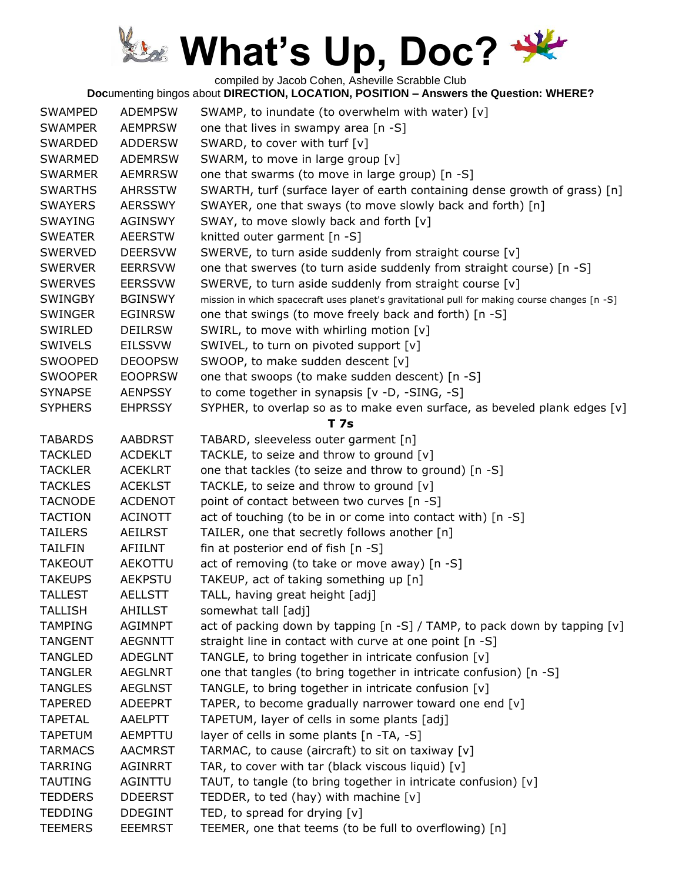compiled by Jacob Cohen, Asheville Scrabble Club

| <b>SWAMPED</b> | <b>ADEMPSW</b> | SWAMP, to inundate (to overwhelm with water) [v]                                              |
|----------------|----------------|-----------------------------------------------------------------------------------------------|
| <b>SWAMPER</b> | <b>AEMPRSW</b> | one that lives in swampy area [n -S]                                                          |
| <b>SWARDED</b> | <b>ADDERSW</b> | SWARD, to cover with turf [v]                                                                 |
| <b>SWARMED</b> | <b>ADEMRSW</b> | SWARM, to move in large group [v]                                                             |
| <b>SWARMER</b> | <b>AEMRRSW</b> | one that swarms (to move in large group) [n -S]                                               |
| <b>SWARTHS</b> | <b>AHRSSTW</b> | SWARTH, turf (surface layer of earth containing dense growth of grass) [n]                    |
| <b>SWAYERS</b> | <b>AERSSWY</b> | SWAYER, one that sways (to move slowly back and forth) [n]                                    |
|                |                |                                                                                               |
| <b>SWAYING</b> | <b>AGINSWY</b> | SWAY, to move slowly back and forth [v]                                                       |
| <b>SWEATER</b> | <b>AEERSTW</b> | knitted outer garment [n -S]                                                                  |
| <b>SWERVED</b> | <b>DEERSVW</b> | SWERVE, to turn aside suddenly from straight course [v]                                       |
| <b>SWERVER</b> | <b>EERRSVW</b> | one that swerves (to turn aside suddenly from straight course) [n -S]                         |
| <b>SWERVES</b> | <b>EERSSVW</b> | SWERVE, to turn aside suddenly from straight course [v]                                       |
| <b>SWINGBY</b> | <b>BGINSWY</b> | mission in which spacecraft uses planet's gravitational pull for making course changes [n -S] |
| <b>SWINGER</b> | <b>EGINRSW</b> | one that swings (to move freely back and forth) [n -S]                                        |
| SWIRLED        | <b>DEILRSW</b> | SWIRL, to move with whirling motion [v]                                                       |
| <b>SWIVELS</b> | <b>EILSSVW</b> | SWIVEL, to turn on pivoted support [v]                                                        |
| <b>SWOOPED</b> | <b>DEOOPSW</b> | SWOOP, to make sudden descent [v]                                                             |
| <b>SWOOPER</b> | <b>EOOPRSW</b> | one that swoops (to make sudden descent) [n -S]                                               |
| <b>SYNAPSE</b> | <b>AENPSSY</b> | to come together in synapsis [v -D, -SING, -S]                                                |
| <b>SYPHERS</b> | <b>EHPRSSY</b> | SYPHER, to overlap so as to make even surface, as beveled plank edges [v]                     |
|                |                | <b>T</b> 7s                                                                                   |
| <b>TABARDS</b> | <b>AABDRST</b> | TABARD, sleeveless outer garment [n]                                                          |
|                |                |                                                                                               |
| <b>TACKLED</b> | <b>ACDEKLT</b> | TACKLE, to seize and throw to ground [v]                                                      |
| <b>TACKLER</b> | <b>ACEKLRT</b> | one that tackles (to seize and throw to ground) [n -S]                                        |
| <b>TACKLES</b> | <b>ACEKLST</b> | TACKLE, to seize and throw to ground [v]                                                      |
| <b>TACNODE</b> | <b>ACDENOT</b> | point of contact between two curves [n -S]                                                    |
| <b>TACTION</b> | <b>ACINOTT</b> | act of touching (to be in or come into contact with) [n -S]                                   |
| <b>TAILERS</b> | <b>AEILRST</b> | TAILER, one that secretly follows another [n]                                                 |
| <b>TAILFIN</b> | AFIILNT        | fin at posterior end of fish [n -S]                                                           |
| <b>TAKEOUT</b> | AEKOTTU        | act of removing (to take or move away) [n -S]                                                 |
| <b>TAKEUPS</b> | <b>AEKPSTU</b> | TAKEUP, act of taking something up [n]                                                        |
| <b>TALLEST</b> | <b>AELLSTT</b> | TALL, having great height [adj]                                                               |
| <b>TALLISH</b> | <b>AHILLST</b> | somewhat tall [adj]                                                                           |
| <b>TAMPING</b> | <b>AGIMNPT</b> | act of packing down by tapping [n -S] / TAMP, to pack down by tapping [v]                     |
| <b>TANGENT</b> | <b>AEGNNTT</b> | straight line in contact with curve at one point [n -S]                                       |
| <b>TANGLED</b> | <b>ADEGLNT</b> | TANGLE, to bring together in intricate confusion [v]                                          |
| <b>TANGLER</b> | <b>AEGLNRT</b> | one that tangles (to bring together in intricate confusion) [n -S]                            |
| <b>TANGLES</b> | <b>AEGLNST</b> | TANGLE, to bring together in intricate confusion [v]                                          |
| <b>TAPERED</b> | <b>ADEEPRT</b> | TAPER, to become gradually narrower toward one end [v]                                        |
| <b>TAPETAL</b> | AAELPTT        | TAPETUM, layer of cells in some plants [adj]                                                  |
| <b>TAPETUM</b> | <b>AEMPTTU</b> |                                                                                               |
|                |                | layer of cells in some plants [n -TA, -S]                                                     |
| <b>TARMACS</b> | <b>AACMRST</b> | TARMAC, to cause (aircraft) to sit on taxiway [v]                                             |
| <b>TARRING</b> | <b>AGINRRT</b> | TAR, to cover with tar (black viscous liquid) [v]                                             |
| <b>TAUTING</b> | AGINTTU        | TAUT, to tangle (to bring together in intricate confusion) [v]                                |
| <b>TEDDERS</b> | <b>DDEERST</b> | TEDDER, to ted (hay) with machine $[v]$                                                       |
| <b>TEDDING</b> | <b>DDEGINT</b> | TED, to spread for drying $[v]$                                                               |
| <b>TEEMERS</b> | <b>EEEMRST</b> | TEEMER, one that teems (to be full to overflowing) [n]                                        |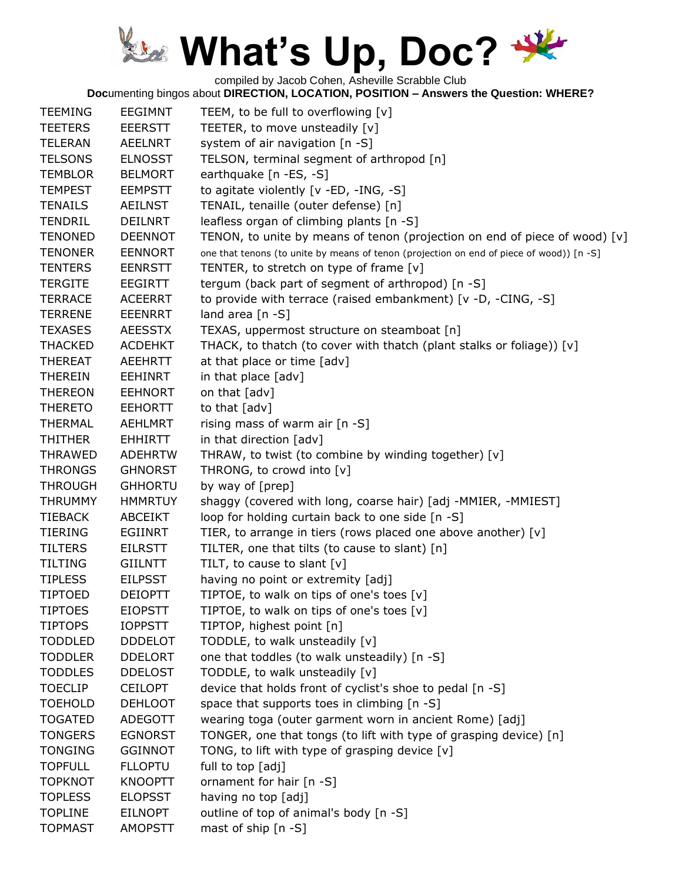compiled by Jacob Cohen, Asheville Scrabble Club

| <b>TEEMING</b> | EEGIMNT        | TEEM, to be full to overflowing [v]                                                      |
|----------------|----------------|------------------------------------------------------------------------------------------|
| <b>TEETERS</b> | <b>EEERSTT</b> | TEETER, to move unsteadily [v]                                                           |
| <b>TELERAN</b> | <b>AEELNRT</b> | system of air navigation [n -S]                                                          |
| <b>TELSONS</b> | <b>ELNOSST</b> | TELSON, terminal segment of arthropod [n]                                                |
| <b>TEMBLOR</b> | <b>BELMORT</b> | earthquake [n -ES, -S]                                                                   |
| <b>TEMPEST</b> | <b>EEMPSTT</b> | to agitate violently [v -ED, -ING, -S]                                                   |
| <b>TENAILS</b> | AEILNST        | TENAIL, tenaille (outer defense) [n]                                                     |
| <b>TENDRIL</b> | <b>DEILNRT</b> | leafless organ of climbing plants [n -S]                                                 |
| <b>TENONED</b> | <b>DEENNOT</b> | TENON, to unite by means of tenon (projection on end of piece of wood) [v]               |
| <b>TENONER</b> | <b>EENNORT</b> | one that tenons (to unite by means of tenon (projection on end of piece of wood)) [n -S] |
| <b>TENTERS</b> | <b>EENRSTT</b> | TENTER, to stretch on type of frame [v]                                                  |
| <b>TERGITE</b> | <b>EEGIRTT</b> | tergum (back part of segment of arthropod) [n -S]                                        |
| <b>TERRACE</b> | ACEERRT        | to provide with terrace (raised embankment) [v -D, -CING, -S]                            |
| <b>TERRENE</b> | <b>EEENRRT</b> | land area $[n -S]$                                                                       |
| <b>TEXASES</b> | <b>AEESSTX</b> | TEXAS, uppermost structure on steamboat [n]                                              |
| <b>THACKED</b> | <b>ACDEHKT</b> | THACK, to thatch (to cover with thatch (plant stalks or foliage)) [v]                    |
| <b>THEREAT</b> | <b>AEEHRTT</b> | at that place or time [adv]                                                              |
|                |                |                                                                                          |
| <b>THEREIN</b> | <b>EEHINRT</b> | in that place [adv]                                                                      |
| <b>THEREON</b> | <b>EEHNORT</b> | on that [adv]                                                                            |
| <b>THERETO</b> | <b>EEHORTT</b> | to that [adv]                                                                            |
| <b>THERMAL</b> | <b>AEHLMRT</b> | rising mass of warm air $[n -S]$                                                         |
| <b>THITHER</b> | <b>EHHIRTT</b> | in that direction [adv]                                                                  |
| <b>THRAWED</b> | <b>ADEHRTW</b> | THRAW, to twist (to combine by winding together) [v]                                     |
| <b>THRONGS</b> | <b>GHNORST</b> | THRONG, to crowd into [v]                                                                |
| <b>THROUGH</b> | <b>GHHORTU</b> | by way of [prep]                                                                         |
| <b>THRUMMY</b> | <b>HMMRTUY</b> | shaggy (covered with long, coarse hair) [adj -MMIER, -MMIEST]                            |
| <b>TIEBACK</b> | <b>ABCEIKT</b> | loop for holding curtain back to one side [n -S]                                         |
| <b>TIERING</b> | <b>EGIINRT</b> | TIER, to arrange in tiers (rows placed one above another) [v]                            |
| <b>TILTERS</b> | <b>EILRSTT</b> | TILTER, one that tilts (to cause to slant) [n]                                           |
| <b>TILTING</b> | <b>GIILNTT</b> | TILT, to cause to slant [v]                                                              |
| <b>TIPLESS</b> | <b>EILPSST</b> | having no point or extremity [adj]                                                       |
| <b>TIPTOED</b> | <b>DEIOPTT</b> | TIPTOE, to walk on tips of one's toes [v]                                                |
| <b>TIPTOES</b> | <b>EIOPSTT</b> | TIPTOE, to walk on tips of one's toes [v]                                                |
| <b>TIPTOPS</b> | <b>IOPPSTT</b> | TIPTOP, highest point [n]                                                                |
| <b>TODDLED</b> | <b>DDDELOT</b> | TODDLE, to walk unsteadily [v]                                                           |
| <b>TODDLER</b> | <b>DDELORT</b> | one that toddles (to walk unsteadily) [n -S]                                             |
| <b>TODDLES</b> | <b>DDELOST</b> | TODDLE, to walk unsteadily [v]                                                           |
| <b>TOECLIP</b> | <b>CEILOPT</b> | device that holds front of cyclist's shoe to pedal [n -S]                                |
| <b>TOEHOLD</b> | <b>DEHLOOT</b> | space that supports toes in climbing [n -S]                                              |
| <b>TOGATED</b> | ADEGOTT        | wearing toga (outer garment worn in ancient Rome) [adj]                                  |
| <b>TONGERS</b> | <b>EGNORST</b> | TONGER, one that tongs (to lift with type of grasping device) [n]                        |
| <b>TONGING</b> | <b>GGINNOT</b> | TONG, to lift with type of grasping device [v]                                           |
| <b>TOPFULL</b> | <b>FLLOPTU</b> | full to top [adj]                                                                        |
| <b>TOPKNOT</b> | <b>KNOOPTT</b> | ornament for hair [n -S]                                                                 |
| <b>TOPLESS</b> |                |                                                                                          |
|                | <b>ELOPSST</b> | having no top [adj]                                                                      |
| <b>TOPLINE</b> | <b>EILNOPT</b> | outline of top of animal's body [n -S]                                                   |
| <b>TOPMAST</b> | <b>AMOPSTT</b> | mast of ship [n -S]                                                                      |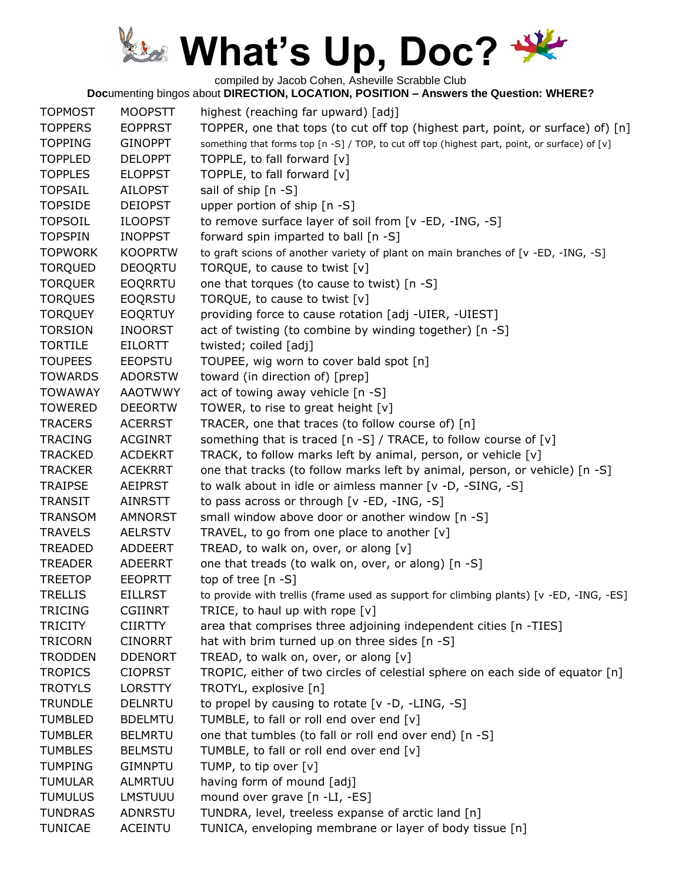compiled by Jacob Cohen, Asheville Scrabble Club

| <b>TOPMOST</b> | <b>MOOPSTT</b> | highest (reaching far upward) [adj]                                                            |
|----------------|----------------|------------------------------------------------------------------------------------------------|
| <b>TOPPERS</b> | <b>EOPPRST</b> | TOPPER, one that tops (to cut off top (highest part, point, or surface) of) [n]                |
| <b>TOPPING</b> | <b>GINOPPT</b> | something that forms top [n -S] / TOP, to cut off top (highest part, point, or surface) of [v] |
| <b>TOPPLED</b> | <b>DELOPPT</b> | TOPPLE, to fall forward [v]                                                                    |
| <b>TOPPLES</b> | <b>ELOPPST</b> | TOPPLE, to fall forward [v]                                                                    |
| <b>TOPSAIL</b> | <b>AILOPST</b> | sail of ship [n -S]                                                                            |
| <b>TOPSIDE</b> | <b>DEIOPST</b> | upper portion of ship [n -S]                                                                   |
| <b>TOPSOIL</b> | <b>ILOOPST</b> | to remove surface layer of soil from [v -ED, -ING, -S]                                         |
| <b>TOPSPIN</b> | <b>INOPPST</b> | forward spin imparted to ball [n -S]                                                           |
| <b>TOPWORK</b> | <b>KOOPRTW</b> | to graft scions of another variety of plant on main branches of [v -ED, -ING, -S]              |
| <b>TORQUED</b> | <b>DEOQRTU</b> | TORQUE, to cause to twist [v]                                                                  |
| <b>TORQUER</b> | EOQRRTU        | one that torques (to cause to twist) [n -S]                                                    |
| <b>TORQUES</b> | <b>EOQRSTU</b> | TORQUE, to cause to twist [v]                                                                  |
| <b>TORQUEY</b> | <b>EOQRTUY</b> | providing force to cause rotation [adj -UIER, -UIEST]                                          |
| <b>TORSION</b> | <b>INOORST</b> | act of twisting (to combine by winding together) [n -S]                                        |
| <b>TORTILE</b> | <b>EILORTT</b> | twisted; coiled [adj]                                                                          |
| <b>TOUPEES</b> | <b>EEOPSTU</b> | TOUPEE, wig worn to cover bald spot [n]                                                        |
| <b>TOWARDS</b> | <b>ADORSTW</b> | toward (in direction of) [prep]                                                                |
| <b>TOWAWAY</b> | <b>AAOTWWY</b> | act of towing away vehicle [n -S]                                                              |
| <b>TOWERED</b> | <b>DEEORTW</b> | TOWER, to rise to great height [v]                                                             |
| <b>TRACERS</b> | <b>ACERRST</b> | TRACER, one that traces (to follow course of) [n]                                              |
| <b>TRACING</b> | <b>ACGINRT</b> | something that is traced $\lceil n - S \rceil$ / TRACE, to follow course of $\lceil v \rceil$  |
| <b>TRACKED</b> | <b>ACDEKRT</b> | TRACK, to follow marks left by animal, person, or vehicle [v]                                  |
| <b>TRACKER</b> | <b>ACEKRRT</b> | one that tracks (to follow marks left by animal, person, or vehicle) [n -S]                    |
| <b>TRAIPSE</b> | <b>AEIPRST</b> | to walk about in idle or aimless manner [v -D, -SING, -S]                                      |
| <b>TRANSIT</b> | AINRSTT        | to pass across or through [v -ED, -ING, -S]                                                    |
| <b>TRANSOM</b> | <b>AMNORST</b> | small window above door or another window [n -S]                                               |
| <b>TRAVELS</b> | <b>AELRSTV</b> | TRAVEL, to go from one place to another [v]                                                    |
| <b>TREADED</b> | <b>ADDEERT</b> | TREAD, to walk on, over, or along [v]                                                          |
| <b>TREADER</b> | <b>ADEERRT</b> | one that treads (to walk on, over, or along) [n -S]                                            |
| <b>TREETOP</b> | <b>EEOPRTT</b> | top of tree [n -S]                                                                             |
| <b>TRELLIS</b> | <b>EILLRST</b> | to provide with trellis (frame used as support for climbing plants) [v -ED, -ING, -ES]         |
| <b>TRICING</b> | <b>CGIINRT</b> | TRICE, to haul up with rope $[v]$                                                              |
| <b>TRICITY</b> | <b>CIIRTTY</b> | area that comprises three adjoining independent cities [n -TIES]                               |
| <b>TRICORN</b> | <b>CINORRT</b> | hat with brim turned up on three sides [n -S]                                                  |
| <b>TRODDEN</b> | <b>DDENORT</b> | TREAD, to walk on, over, or along [v]                                                          |
| <b>TROPICS</b> | <b>CIOPRST</b> | TROPIC, either of two circles of celestial sphere on each side of equator $[n]$                |
| <b>TROTYLS</b> | <b>LORSTTY</b> | TROTYL, explosive [n]                                                                          |
| <b>TRUNDLE</b> | <b>DELNRTU</b> | to propel by causing to rotate [v -D, -LING, -S]                                               |
| <b>TUMBLED</b> | <b>BDELMTU</b> | TUMBLE, to fall or roll end over end [v]                                                       |
| <b>TUMBLER</b> | <b>BELMRTU</b> | one that tumbles (to fall or roll end over end) [n -S]                                         |
| <b>TUMBLES</b> | <b>BELMSTU</b> | TUMBLE, to fall or roll end over end [v]                                                       |
| <b>TUMPING</b> | <b>GIMNPTU</b> | TUMP, to tip over [v]                                                                          |
| <b>TUMULAR</b> | ALMRTUU        | having form of mound [adj]                                                                     |
| <b>TUMULUS</b> | <b>LMSTUUU</b> | mound over grave [n -LI, -ES]                                                                  |
| <b>TUNDRAS</b> | <b>ADNRSTU</b> | TUNDRA, level, treeless expanse of arctic land [n]                                             |
| <b>TUNICAE</b> | <b>ACEINTU</b> | TUNICA, enveloping membrane or layer of body tissue [n]                                        |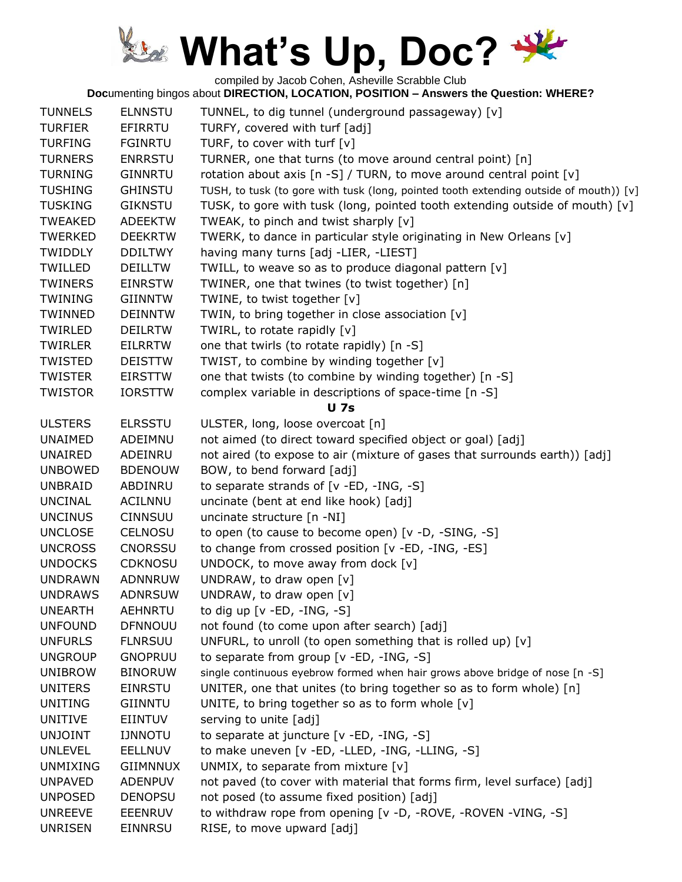compiled by Jacob Cohen, Asheville Scrabble Club

| <b>TUNNELS</b>  | <b>ELNNSTU</b>  | TUNNEL, to dig tunnel (underground passageway) [v]                                     |
|-----------------|-----------------|----------------------------------------------------------------------------------------|
| <b>TURFIER</b>  | EFIRRTU         | TURFY, covered with turf [adj]                                                         |
| <b>TURFING</b>  | <b>FGINRTU</b>  | TURF, to cover with turf [v]                                                           |
| <b>TURNERS</b>  | <b>ENRRSTU</b>  | TURNER, one that turns (to move around central point) [n]                              |
| <b>TURNING</b>  | <b>GINNRTU</b>  | rotation about axis [n -S] / TURN, to move around central point [v]                    |
| <b>TUSHING</b>  | <b>GHINSTU</b>  | TUSH, to tusk (to gore with tusk (long, pointed tooth extending outside of mouth)) [v] |
| <b>TUSKING</b>  | <b>GIKNSTU</b>  | TUSK, to gore with tusk (long, pointed tooth extending outside of mouth) [v]           |
| <b>TWEAKED</b>  | <b>ADEEKTW</b>  | TWEAK, to pinch and twist sharply [v]                                                  |
| <b>TWERKED</b>  | <b>DEEKRTW</b>  | TWERK, to dance in particular style originating in New Orleans [v]                     |
| <b>TWIDDLY</b>  | <b>DDILTWY</b>  | having many turns [adj -LIER, -LIEST]                                                  |
| TWILLED         | <b>DEILLTW</b>  | TWILL, to weave so as to produce diagonal pattern [v]                                  |
| <b>TWINERS</b>  | <b>EINRSTW</b>  | TWINER, one that twines (to twist together) [n]                                        |
| <b>TWINING</b>  | <b>GIINNTW</b>  | TWINE, to twist together [v]                                                           |
| TWINNED         | <b>DEINNTW</b>  | TWIN, to bring together in close association [v]                                       |
| <b>TWIRLED</b>  | <b>DEILRTW</b>  | TWIRL, to rotate rapidly [v]                                                           |
| <b>TWIRLER</b>  | <b>EILRRTW</b>  | one that twirls (to rotate rapidly) [n -S]                                             |
| <b>TWISTED</b>  | <b>DEISTTW</b>  | TWIST, to combine by winding together [v]                                              |
| <b>TWISTER</b>  | <b>EIRSTTW</b>  | one that twists (to combine by winding together) [n -S]                                |
| <b>TWISTOR</b>  | <b>IORSTTW</b>  | complex variable in descriptions of space-time [n -S]                                  |
|                 |                 | <b>U</b> 7s                                                                            |
| <b>ULSTERS</b>  | <b>ELRSSTU</b>  | ULSTER, long, loose overcoat [n]                                                       |
| <b>UNAIMED</b>  | ADEIMNU         | not aimed (to direct toward specified object or goal) [adj]                            |
| UNAIRED         | ADEINRU         | not aired (to expose to air (mixture of gases that surrounds earth)) [adj]             |
| <b>UNBOWED</b>  | <b>BDENOUW</b>  | BOW, to bend forward [adj]                                                             |
| <b>UNBRAID</b>  | ABDINRU         | to separate strands of [v -ED, -ING, -S]                                               |
| <b>UNCINAL</b>  | ACILNNU         | uncinate (bent at end like hook) [adj]                                                 |
| <b>UNCINUS</b>  | <b>CINNSUU</b>  | uncinate structure [n -NI]                                                             |
| <b>UNCLOSE</b>  | <b>CELNOSU</b>  | to open (to cause to become open) [v -D, -SING, -S]                                    |
| <b>UNCROSS</b>  | <b>CNORSSU</b>  | to change from crossed position [v -ED, -ING, -ES]                                     |
| <b>UNDOCKS</b>  | <b>CDKNOSU</b>  | UNDOCK, to move away from dock [v]                                                     |
| <b>UNDRAWN</b>  | ADNNRUW         | UNDRAW, to draw open [v]                                                               |
| <b>UNDRAWS</b>  | <b>ADNRSUW</b>  | UNDRAW, to draw open [v]                                                               |
| <b>UNEARTH</b>  | <b>AEHNRTU</b>  | to dig up $[v - ED, -ING, -S]$                                                         |
| <b>UNFOUND</b>  | <b>DFNNOUU</b>  | not found (to come upon after search) [adj]                                            |
| <b>UNFURLS</b>  | <b>FLNRSUU</b>  | UNFURL, to unroll (to open something that is rolled up) [v]                            |
| <b>UNGROUP</b>  | <b>GNOPRUU</b>  | to separate from group $[v - ED, -ING, -S]$                                            |
| <b>UNIBROW</b>  | <b>BINORUW</b>  | single continuous eyebrow formed when hair grows above bridge of nose [n -S]           |
| <b>UNITERS</b>  | <b>EINRSTU</b>  | UNITER, one that unites (to bring together so as to form whole) [n]                    |
| UNITING         | <b>GIINNTU</b>  | UNITE, to bring together so as to form whole $[v]$                                     |
| <b>UNITIVE</b>  | <b>EIINTUV</b>  | serving to unite [adj]                                                                 |
| <b>UNJOINT</b>  | <b>IJNNOTU</b>  | to separate at juncture [v -ED, -ING, -S]                                              |
| <b>UNLEVEL</b>  | <b>EELLNUV</b>  | to make uneven [v -ED, -LLED, -ING, -LLING, -S]                                        |
| <b>UNMIXING</b> | <b>GIIMNNUX</b> | UNMIX, to separate from mixture [v]                                                    |
| <b>UNPAVED</b>  | <b>ADENPUV</b>  | not paved (to cover with material that forms firm, level surface) [adj]                |
| <b>UNPOSED</b>  | <b>DENOPSU</b>  | not posed (to assume fixed position) [adj]                                             |
| <b>UNREEVE</b>  | <b>EEENRUV</b>  | to withdraw rope from opening [v -D, -ROVE, -ROVEN -VING, -S]                          |
| <b>UNRISEN</b>  | <b>EINNRSU</b>  | RISE, to move upward [adj]                                                             |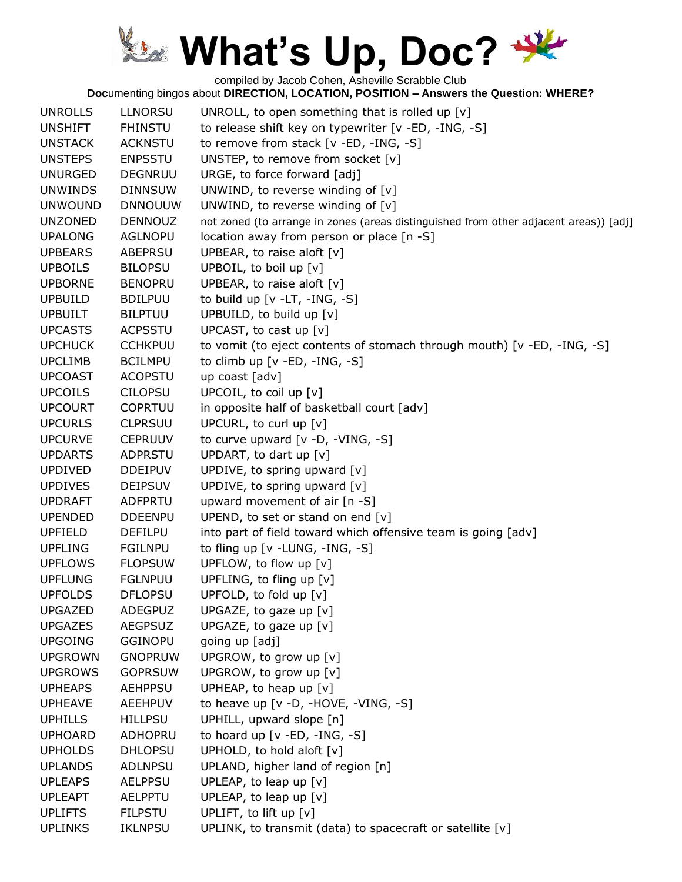compiled by Jacob Cohen, Asheville Scrabble Club

| <b>UNROLLS</b> | <b>LLNORSU</b> | UNROLL, to open something that is rolled up $[v]$                                     |
|----------------|----------------|---------------------------------------------------------------------------------------|
| <b>UNSHIFT</b> | <b>FHINSTU</b> | to release shift key on typewriter [v -ED, -ING, -S]                                  |
| <b>UNSTACK</b> | <b>ACKNSTU</b> | to remove from stack [v -ED, -ING, -S]                                                |
| <b>UNSTEPS</b> | <b>ENPSSTU</b> | UNSTEP, to remove from socket [v]                                                     |
| <b>UNURGED</b> | <b>DEGNRUU</b> | URGE, to force forward [adj]                                                          |
| <b>UNWINDS</b> | <b>DINNSUW</b> | UNWIND, to reverse winding of $[v]$                                                   |
| <b>UNWOUND</b> | <b>DNNOUUW</b> | UNWIND, to reverse winding of $[v]$                                                   |
| <b>UNZONED</b> | <b>DENNOUZ</b> | not zoned (to arrange in zones (areas distinguished from other adjacent areas)) [adj] |
| <b>UPALONG</b> | <b>AGLNOPU</b> | location away from person or place [n -S]                                             |
| <b>UPBEARS</b> | ABEPRSU        | UPBEAR, to raise aloft [v]                                                            |
| <b>UPBOILS</b> | <b>BILOPSU</b> | UPBOIL, to boil up [v]                                                                |
| <b>UPBORNE</b> | <b>BENOPRU</b> | UPBEAR, to raise aloft [v]                                                            |
| <b>UPBUILD</b> | <b>BDILPUU</b> | to build up $[v -LT, -ING, -S]$                                                       |
| <b>UPBUILT</b> | <b>BILPTUU</b> | UPBUILD, to build up [v]                                                              |
| <b>UPCASTS</b> | <b>ACPSSTU</b> | UPCAST, to cast up $[v]$                                                              |
| <b>UPCHUCK</b> | <b>CCHKPUU</b> | to vomit (to eject contents of stomach through mouth) [v -ED, -ING, -S]               |
| <b>UPCLIMB</b> | <b>BCILMPU</b> | to climb up $[v - ED, -ING, -S]$                                                      |
| <b>UPCOAST</b> | <b>ACOPSTU</b> | up coast [adv]                                                                        |
| <b>UPCOILS</b> | <b>CILOPSU</b> | UPCOIL, to coil up [v]                                                                |
| <b>UPCOURT</b> | <b>COPRTUU</b> | in opposite half of basketball court [adv]                                            |
| <b>UPCURLS</b> | <b>CLPRSUU</b> | UPCURL, to curl up [v]                                                                |
| <b>UPCURVE</b> | <b>CEPRUUV</b> | to curve upward [v -D, -VING, -S]                                                     |
| <b>UPDARTS</b> | ADPRSTU        | UPDART, to dart up $[v]$                                                              |
| <b>UPDIVED</b> | <b>DDEIPUV</b> | UPDIVE, to spring upward [v]                                                          |
| <b>UPDIVES</b> | <b>DEIPSUV</b> | UPDIVE, to spring upward [v]                                                          |
| <b>UPDRAFT</b> | <b>ADFPRTU</b> | upward movement of air [n -S]                                                         |
| <b>UPENDED</b> | <b>DDEENPU</b> | UPEND, to set or stand on end [v]                                                     |
| <b>UPFIELD</b> | <b>DEFILPU</b> | into part of field toward which offensive team is going [adv]                         |
| <b>UPFLING</b> | <b>FGILNPU</b> | to fling up [v - LUNG, -ING, -S]                                                      |
| <b>UPFLOWS</b> | <b>FLOPSUW</b> | UPFLOW, to flow up [v]                                                                |
| <b>UPFLUNG</b> | <b>FGLNPUU</b> | UPFLING, to fling up [v]                                                              |
| <b>UPFOLDS</b> | <b>DFLOPSU</b> | UPFOLD, to fold up [v]                                                                |
| <b>UPGAZED</b> | <b>ADEGPUZ</b> | UPGAZE, to gaze up [v]                                                                |
| <b>UPGAZES</b> | <b>AEGPSUZ</b> | UPGAZE, to gaze up [v]                                                                |
| <b>UPGOING</b> | <b>GGINOPU</b> | going up [adj]                                                                        |
| <b>UPGROWN</b> | <b>GNOPRUW</b> | UPGROW, to grow up [v]                                                                |
| <b>UPGROWS</b> | <b>GOPRSUW</b> | UPGROW, to grow up [v]                                                                |
| <b>UPHEAPS</b> | <b>AEHPPSU</b> | UPHEAP, to heap up $[v]$                                                              |
| <b>UPHEAVE</b> | <b>AEEHPUV</b> | to heave up [v -D, -HOVE, -VING, -S]                                                  |
| <b>UPHILLS</b> | <b>HILLPSU</b> | UPHILL, upward slope [n]                                                              |
| <b>UPHOARD</b> | ADHOPRU        | to hoard up [v -ED, -ING, -S]                                                         |
| <b>UPHOLDS</b> | <b>DHLOPSU</b> | UPHOLD, to hold aloft [v]                                                             |
| <b>UPLANDS</b> | <b>ADLNPSU</b> | UPLAND, higher land of region [n]                                                     |
| <b>UPLEAPS</b> | <b>AELPPSU</b> | UPLEAP, to leap up $[v]$                                                              |
| <b>UPLEAPT</b> | <b>AELPPTU</b> | UPLEAP, to leap up $[v]$                                                              |
| <b>UPLIFTS</b> | <b>FILPSTU</b> | UPLIFT, to lift up [v]                                                                |
| <b>UPLINKS</b> | <b>IKLNPSU</b> | UPLINK, to transmit (data) to spacecraft or satellite [v]                             |
|                |                |                                                                                       |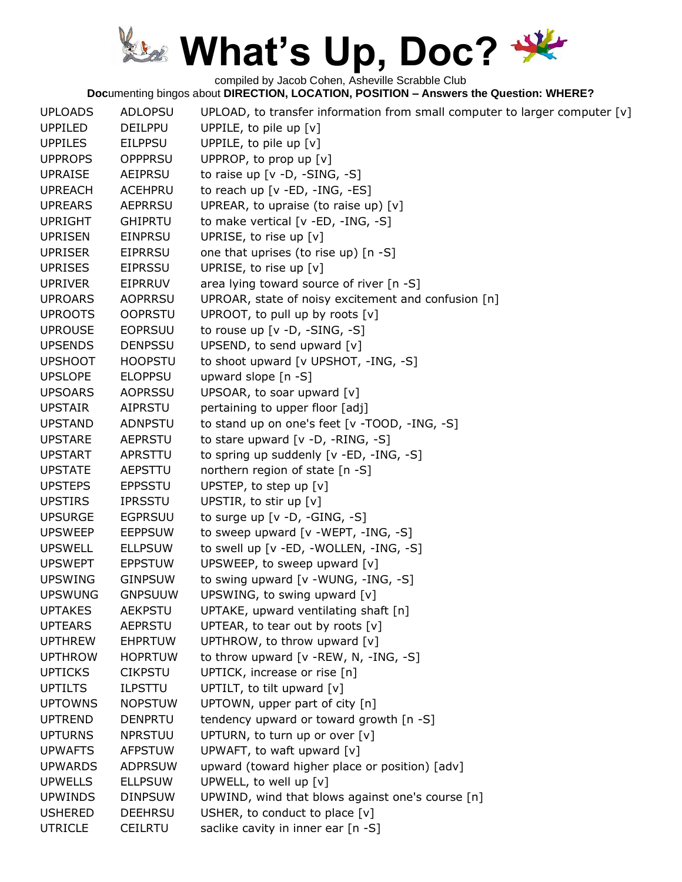compiled by Jacob Cohen, Asheville Scrabble Club

| <b>UPLOADS</b> | <b>ADLOPSU</b> | UPLOAD, to transfer information from small computer to larger computer [v] |
|----------------|----------------|----------------------------------------------------------------------------|
| <b>UPPILED</b> | <b>DEILPPU</b> | UPPILE, to pile up [v]                                                     |
| <b>UPPILES</b> | <b>EILPPSU</b> | UPPILE, to pile up [v]                                                     |
| <b>UPPROPS</b> | <b>OPPPRSU</b> | UPPROP, to prop up [v]                                                     |
| <b>UPRAISE</b> | <b>AEIPRSU</b> | to raise up $[v -D, -SING, -S]$                                            |
| <b>UPREACH</b> | <b>ACEHPRU</b> | to reach up [v -ED, -ING, -ES]                                             |
| <b>UPREARS</b> | <b>AEPRRSU</b> | UPREAR, to upraise (to raise up) $[v]$                                     |
| <b>UPRIGHT</b> | <b>GHIPRTU</b> | to make vertical [v -ED, -ING, -S]                                         |
| <b>UPRISEN</b> | <b>EINPRSU</b> | UPRISE, to rise up [v]                                                     |
| <b>UPRISER</b> | <b>EIPRRSU</b> | one that uprises (to rise up) [n -S]                                       |
| <b>UPRISES</b> | <b>EIPRSSU</b> | UPRISE, to rise up [v]                                                     |
| <b>UPRIVER</b> | <b>EIPRRUV</b> | area lying toward source of river [n -S]                                   |
| <b>UPROARS</b> | <b>AOPRRSU</b> | UPROAR, state of noisy excitement and confusion [n]                        |
| <b>UPROOTS</b> | <b>OOPRSTU</b> | UPROOT, to pull up by roots [v]                                            |
| <b>UPROUSE</b> | <b>EOPRSUU</b> | to rouse up $[v -D, -SING, -S]$                                            |
| <b>UPSENDS</b> | <b>DENPSSU</b> | UPSEND, to send upward [v]                                                 |
| <b>UPSHOOT</b> | <b>HOOPSTU</b> | to shoot upward [v UPSHOT, -ING, -S]                                       |
| <b>UPSLOPE</b> | <b>ELOPPSU</b> | upward slope [n -S]                                                        |
| <b>UPSOARS</b> | <b>AOPRSSU</b> | UPSOAR, to soar upward [v]                                                 |
| <b>UPSTAIR</b> | <b>AIPRSTU</b> | pertaining to upper floor [adj]                                            |
| <b>UPSTAND</b> | <b>ADNPSTU</b> | to stand up on one's feet [v -TOOD, -ING, -S]                              |
| <b>UPSTARE</b> | <b>AEPRSTU</b> | to stare upward $[v -D, -RING, -S]$                                        |
| <b>UPSTART</b> | APRSTTU        | to spring up suddenly [v -ED, -ING, -S]                                    |
| <b>UPSTATE</b> | AEPSTTU        | northern region of state [n -S]                                            |
| <b>UPSTEPS</b> | <b>EPPSSTU</b> | UPSTEP, to step up $[v]$                                                   |
| <b>UPSTIRS</b> | <b>IPRSSTU</b> | UPSTIR, to stir up [v]                                                     |
| <b>UPSURGE</b> | <b>EGPRSUU</b> | to surge up $[v -D, -GING, -S]$                                            |
| <b>UPSWEEP</b> | <b>EEPPSUW</b> | to sweep upward $[v - W EPT, -ING, -S]$                                    |
| <b>UPSWELL</b> | <b>ELLPSUW</b> | to swell up $[v - ED, -WOLLEN, -ING, -S]$                                  |
| <b>UPSWEPT</b> | <b>EPPSTUW</b> | UPSWEEP, to sweep upward [v]                                               |
| <b>UPSWING</b> | <b>GINPSUW</b> | to swing upward [v -WUNG, -ING, -S]                                        |
| <b>UPSWUNG</b> | <b>GNPSUUW</b> | UPSWING, to swing upward [v]                                               |
| <b>UPTAKES</b> | <b>AEKPSTU</b> | UPTAKE, upward ventilating shaft [n]                                       |
| <b>UPTEARS</b> | <b>AEPRSTU</b> | UPTEAR, to tear out by roots $[v]$                                         |
| <b>UPTHREW</b> | <b>EHPRTUW</b> | UPTHROW, to throw upward [v]                                               |
| <b>UPTHROW</b> | <b>HOPRTUW</b> | to throw upward $[v - REW, N, -ING, -S]$                                   |
| <b>UPTICKS</b> | <b>CIKPSTU</b> | UPTICK, increase or rise [n]                                               |
| <b>UPTILTS</b> | <b>ILPSTTU</b> | UPTILT, to tilt upward [v]                                                 |
| <b>UPTOWNS</b> | <b>NOPSTUW</b> | UPTOWN, upper part of city [n]                                             |
| <b>UPTREND</b> | <b>DENPRTU</b> | tendency upward or toward growth [n -S]                                    |
| <b>UPTURNS</b> | <b>NPRSTUU</b> | UPTURN, to turn up or over [v]                                             |
| <b>UPWAFTS</b> | <b>AFPSTUW</b> | UPWAFT, to waft upward [v]                                                 |
| <b>UPWARDS</b> | <b>ADPRSUW</b> | upward (toward higher place or position) [adv]                             |
| <b>UPWELLS</b> | <b>ELLPSUW</b> | UPWELL, to well up [v]                                                     |
| <b>UPWINDS</b> | <b>DINPSUW</b> | UPWIND, wind that blows against one's course [n]                           |
| <b>USHERED</b> | <b>DEEHRSU</b> | USHER, to conduct to place $[v]$                                           |
| <b>UTRICLE</b> | <b>CEILRTU</b> | saclike cavity in inner ear [n -S]                                         |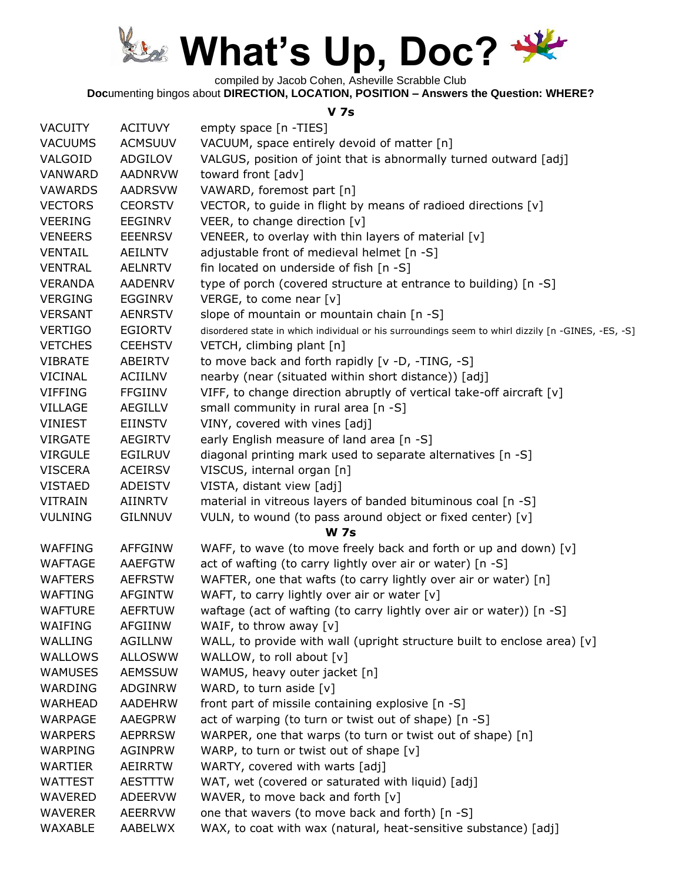

compiled by Jacob Cohen, Asheville Scrabble Club

**Doc**umenting bingos about **DIRECTION, LOCATION, POSITION – Answers the Question: WHERE?**

#### **V 7s**

| <b>VACUITY</b> | <b>ACITUVY</b> | empty space [n -TIES]                                                                              |
|----------------|----------------|----------------------------------------------------------------------------------------------------|
| <b>VACUUMS</b> | <b>ACMSUUV</b> | VACUUM, space entirely devoid of matter [n]                                                        |
| VALGOID        | ADGILOV        | VALGUS, position of joint that is abnormally turned outward [adj]                                  |
| VANWARD        | <b>AADNRVW</b> | toward front [adv]                                                                                 |
| <b>VAWARDS</b> | <b>AADRSVW</b> | VAWARD, foremost part [n]                                                                          |
| <b>VECTORS</b> | <b>CEORSTV</b> | VECTOR, to guide in flight by means of radioed directions [v]                                      |
| <b>VEERING</b> | <b>EEGINRV</b> | VEER, to change direction [v]                                                                      |
| <b>VENEERS</b> | <b>EEENRSV</b> | VENEER, to overlay with thin layers of material [v]                                                |
| <b>VENTAIL</b> | AEILNTV        | adjustable front of medieval helmet [n -S]                                                         |
| <b>VENTRAL</b> | <b>AELNRTV</b> | fin located on underside of fish [n -S]                                                            |
| <b>VERANDA</b> | <b>AADENRV</b> | type of porch (covered structure at entrance to building) [n -S]                                   |
| <b>VERGING</b> | <b>EGGINRV</b> | VERGE, to come near [v]                                                                            |
| <b>VERSANT</b> | <b>AENRSTV</b> | slope of mountain or mountain chain [n -S]                                                         |
| <b>VERTIGO</b> | <b>EGIORTV</b> | disordered state in which individual or his surroundings seem to whirl dizzily [n -GINES, -ES, -S] |
| <b>VETCHES</b> | <b>CEEHSTV</b> | VETCH, climbing plant [n]                                                                          |
| <b>VIBRATE</b> | ABEIRTV        | to move back and forth rapidly [v -D, -TING, -S]                                                   |
| <b>VICINAL</b> | ACIILNV        | nearby (near (situated within short distance)) [adj]                                               |
| <b>VIFFING</b> | <b>FFGIINV</b> | VIFF, to change direction abruptly of vertical take-off aircraft [v]                               |
| VILLAGE        | <b>AEGILLV</b> | small community in rural area [n -S]                                                               |
| VINIEST        | EIINSTV        | VINY, covered with vines [adj]                                                                     |
| <b>VIRGATE</b> | <b>AEGIRTV</b> | early English measure of land area [n -S]                                                          |
| <b>VIRGULE</b> | <b>EGILRUV</b> | diagonal printing mark used to separate alternatives [n -S]                                        |
| <b>VISCERA</b> | <b>ACEIRSV</b> | VISCUS, internal organ [n]                                                                         |
| <b>VISTAED</b> | <b>ADEISTV</b> | VISTA, distant view [adj]                                                                          |
| <b>VITRAIN</b> | AIINRTV        | material in vitreous layers of banded bituminous coal [n -S]                                       |
| <b>VULNING</b> | <b>GILNNUV</b> | VULN, to wound (to pass around object or fixed center) [v]                                         |
|                |                | <b>W 7s</b>                                                                                        |
| <b>WAFFING</b> | <b>AFFGINW</b> | WAFF, to wave (to move freely back and forth or up and down) [v]                                   |
| <b>WAFTAGE</b> | <b>AAEFGTW</b> | act of wafting (to carry lightly over air or water) [n -S]                                         |
| <b>WAFTERS</b> | <b>AEFRSTW</b> | WAFTER, one that wafts (to carry lightly over air or water) [n]                                    |
| WAFTING        | <b>AFGINTW</b> | WAFT, to carry lightly over air or water [v]                                                       |
| <b>WAFTURE</b> | <b>AEFRTUW</b> | waftage (act of wafting (to carry lightly over air or water)) [n -S]                               |
| WAIFING        | <b>AFGIINW</b> | WAIF, to throw away $[v]$                                                                          |
| <b>WALLING</b> | <b>AGILLNW</b> | WALL, to provide with wall (upright structure built to enclose area) [v]                           |
| <b>WALLOWS</b> | <b>ALLOSWW</b> | WALLOW, to roll about [v]                                                                          |
| <b>WAMUSES</b> | <b>AEMSSUW</b> | WAMUS, heavy outer jacket [n]                                                                      |
| WARDING        | ADGINRW        | WARD, to turn aside [v]                                                                            |
| WARHEAD        | <b>AADEHRW</b> | front part of missile containing explosive [n -S]                                                  |
| WARPAGE        | <b>AAEGPRW</b> | act of warping (to turn or twist out of shape) [n -S]                                              |
| <b>WARPERS</b> | <b>AEPRRSW</b> | WARPER, one that warps (to turn or twist out of shape) [n]                                         |
| WARPING        | AGINPRW        | WARP, to turn or twist out of shape [v]                                                            |
| <b>WARTIER</b> | <b>AEIRRTW</b> | WARTY, covered with warts [adj]                                                                    |
| <b>WATTEST</b> | AESTTTW        | WAT, wet (covered or saturated with liquid) [adj]                                                  |
| <b>WAVERED</b> | ADEERVW        | WAVER, to move back and forth [v]                                                                  |
| <b>WAVERER</b> | <b>AEERRVW</b> | one that wavers (to move back and forth) [n -S]                                                    |
| WAXABLE        | AABELWX        | WAX, to coat with wax (natural, heat-sensitive substance) [adj]                                    |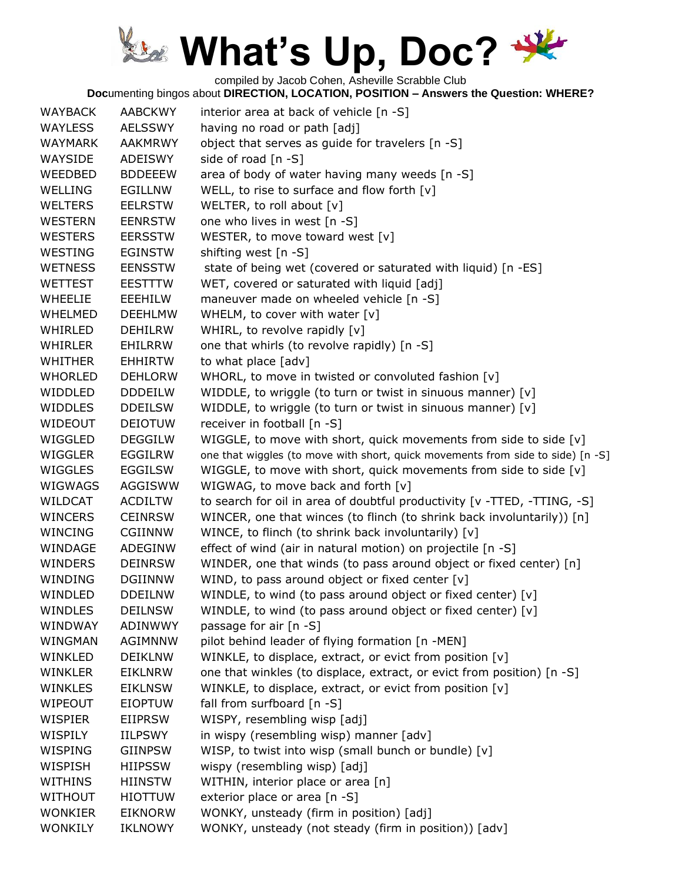compiled by Jacob Cohen, Asheville Scrabble Club

| <b>WAYBACK</b> | <b>AABCKWY</b> | interior area at back of vehicle [n -S]                                         |
|----------------|----------------|---------------------------------------------------------------------------------|
| <b>WAYLESS</b> | <b>AELSSWY</b> | having no road or path [adj]                                                    |
| <b>WAYMARK</b> | <b>AAKMRWY</b> | object that serves as guide for travelers [n -S]                                |
| WAYSIDE        | ADEISWY        | side of road [n -S]                                                             |
| WEEDBED        | <b>BDDEEEW</b> | area of body of water having many weeds [n -S]                                  |
| <b>WELLING</b> | EGILLNW        | WELL, to rise to surface and flow forth $[v]$                                   |
| <b>WELTERS</b> | <b>EELRSTW</b> | WELTER, to roll about [v]                                                       |
| <b>WESTERN</b> | <b>EENRSTW</b> | one who lives in west [n -S]                                                    |
| <b>WESTERS</b> | <b>EERSSTW</b> | WESTER, to move toward west [v]                                                 |
| WESTING        | <b>EGINSTW</b> | shifting west [n -S]                                                            |
| <b>WETNESS</b> | <b>EENSSTW</b> | state of being wet (covered or saturated with liquid) [n -ES]                   |
| <b>WETTEST</b> | <b>EESTTTW</b> | WET, covered or saturated with liquid [adj]                                     |
| <b>WHEELIE</b> | EEEHILW        | maneuver made on wheeled vehicle [n -S]                                         |
| <b>WHELMED</b> | <b>DEEHLMW</b> | WHELM, to cover with water [v]                                                  |
| WHIRLED        | <b>DEHILRW</b> | WHIRL, to revolve rapidly [v]                                                   |
| <b>WHIRLER</b> | EHILRRW        | one that whirls (to revolve rapidly) [n -S]                                     |
| <b>WHITHER</b> | <b>EHHIRTW</b> | to what place [adv]                                                             |
| <b>WHORLED</b> | <b>DEHLORW</b> | WHORL, to move in twisted or convoluted fashion [v]                             |
| WIDDLED        | <b>DDDEILW</b> | WIDDLE, to wriggle (to turn or twist in sinuous manner) [v]                     |
| <b>WIDDLES</b> | <b>DDEILSW</b> | WIDDLE, to wriggle (to turn or twist in sinuous manner) [v]                     |
| WIDEOUT        | <b>DEIOTUW</b> | receiver in football [n -S]                                                     |
| WIGGLED        | <b>DEGGILW</b> | WIGGLE, to move with short, quick movements from side to side [v]               |
| WIGGLER        | EGGILRW        | one that wiggles (to move with short, quick movements from side to side) [n -S] |
| <b>WIGGLES</b> | <b>EGGILSW</b> | WIGGLE, to move with short, quick movements from side to side [v]               |
| <b>WIGWAGS</b> | AGGISWW        | WIGWAG, to move back and forth [v]                                              |
| WILDCAT        | <b>ACDILTW</b> | to search for oil in area of doubtful productivity [v -TTED, -TTING, -S]        |
| <b>WINCERS</b> | <b>CEINRSW</b> | WINCER, one that winces (to flinch (to shrink back involuntarily)) [n]          |
| <b>WINCING</b> | <b>CGIINNW</b> | WINCE, to flinch (to shrink back involuntarily) [v]                             |
| WINDAGE        | ADEGINW        | effect of wind (air in natural motion) on projectile [n -S]                     |
| <b>WINDERS</b> | <b>DEINRSW</b> | WINDER, one that winds (to pass around object or fixed center) [n]              |
| WINDING        | <b>DGIINNW</b> | WIND, to pass around object or fixed center [v]                                 |
| WINDLED        | <b>DDEILNW</b> | WINDLE, to wind (to pass around object or fixed center) [v]                     |
| <b>WINDLES</b> | <b>DEILNSW</b> | WINDLE, to wind (to pass around object or fixed center) [v]                     |
| WINDWAY        | ADINWWY        | passage for air [n -S]                                                          |
| WINGMAN        | AGIMNNW        | pilot behind leader of flying formation [n -MEN]                                |
| WINKLED        | <b>DEIKLNW</b> | WINKLE, to displace, extract, or evict from position [v]                        |
| <b>WINKLER</b> | <b>EIKLNRW</b> | one that winkles (to displace, extract, or evict from position) [n -S]          |
| <b>WINKLES</b> | <b>EIKLNSW</b> | WINKLE, to displace, extract, or evict from position [v]                        |
| WIPEOUT        | <b>EIOPTUW</b> | fall from surfboard $[n -S]$                                                    |
| WISPIER        | <b>EIIPRSW</b> | WISPY, resembling wisp [adj]                                                    |
| WISPILY        | <b>IILPSWY</b> | in wispy (resembling wisp) manner [adv]                                         |
| WISPING        | <b>GIINPSW</b> | WISP, to twist into wisp (small bunch or bundle) [v]                            |
| WISPISH        | <b>HIIPSSW</b> | wispy (resembling wisp) [adj]                                                   |
| <b>WITHINS</b> | <b>HIINSTW</b> | WITHIN, interior place or area [n]                                              |
| <b>WITHOUT</b> | <b>HIOTTUW</b> | exterior place or area [n -S]                                                   |
| <b>WONKIER</b> | <b>EIKNORW</b> | WONKY, unsteady (firm in position) [adj]                                        |
| <b>WONKILY</b> | <b>IKLNOWY</b> | WONKY, unsteady (not steady (firm in position)) [adv]                           |